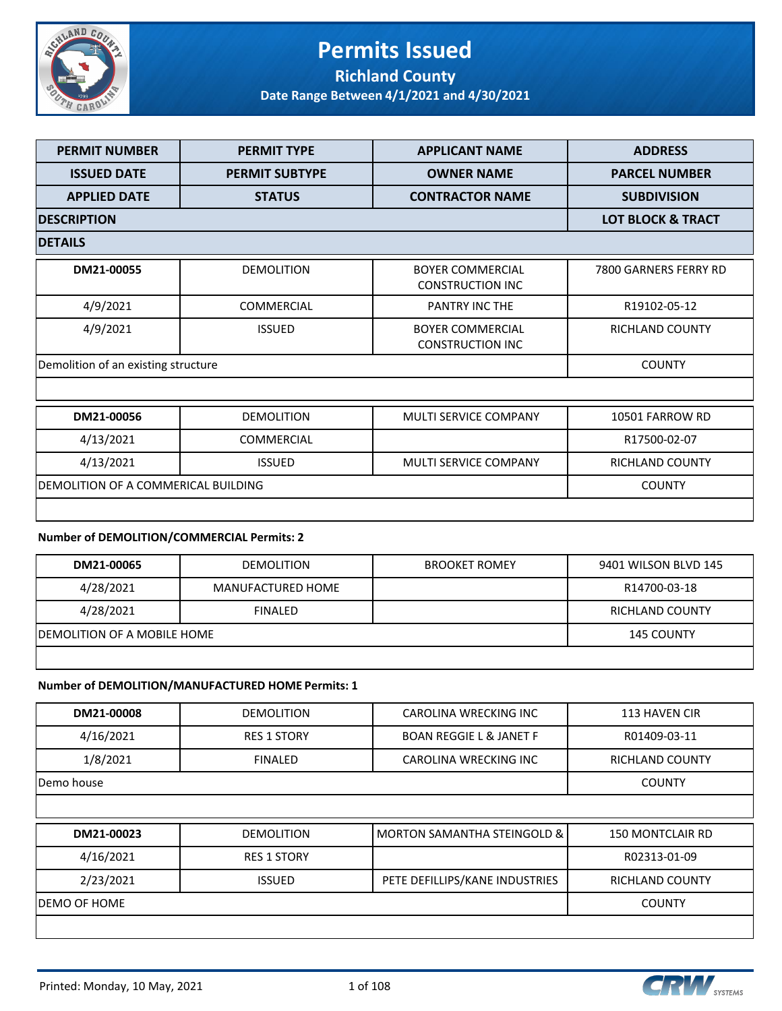

#### **Permits Issued Richland County**

**Date Range Between 4/1/2021 and 4/30/2021**

| <b>PERMIT NUMBER</b>                 | <b>PERMIT TYPE</b>    | <b>APPLICANT NAME</b>                              | <b>ADDRESS</b>               |
|--------------------------------------|-----------------------|----------------------------------------------------|------------------------------|
| <b>ISSUED DATE</b>                   | <b>PERMIT SUBTYPE</b> | <b>OWNER NAME</b>                                  | <b>PARCEL NUMBER</b>         |
| <b>APPLIED DATE</b>                  | <b>STATUS</b>         | <b>CONTRACTOR NAME</b>                             | <b>SUBDIVISION</b>           |
| <b>DESCRIPTION</b>                   |                       |                                                    | <b>LOT BLOCK &amp; TRACT</b> |
| <b>DETAILS</b>                       |                       |                                                    |                              |
| DM21-00055                           | <b>DEMOLITION</b>     | <b>BOYER COMMERCIAL</b><br><b>CONSTRUCTION INC</b> | 7800 GARNERS FERRY RD        |
| 4/9/2021                             | <b>COMMERCIAL</b>     | <b>PANTRY INC THE</b>                              | R19102-05-12                 |
| 4/9/2021                             | <b>ISSUED</b>         | <b>BOYER COMMERCIAL</b><br><b>CONSTRUCTION INC</b> | <b>RICHLAND COUNTY</b>       |
| Demolition of an existing structure  |                       |                                                    | <b>COUNTY</b>                |
|                                      |                       |                                                    |                              |
| DM21-00056                           | <b>DEMOLITION</b>     | <b>MULTI SERVICE COMPANY</b>                       | 10501 FARROW RD              |
| 4/13/2021                            | <b>COMMERCIAL</b>     |                                                    | R17500-02-07                 |
| 4/13/2021                            | <b>ISSUED</b>         | <b>MULTI SERVICE COMPANY</b>                       | <b>RICHLAND COUNTY</b>       |
| IDEMOLITION OF A COMMERICAL BUILDING |                       |                                                    | <b>COUNTY</b>                |
|                                      |                       |                                                    |                              |

#### **Number of DEMOLITION/COMMERCIAL Permits: 2**

| DM21-00065                   | <b>DEMOLITION</b> | <b>BROOKET ROMEY</b> | 9401 WILSON BLVD 145 |
|------------------------------|-------------------|----------------------|----------------------|
| 4/28/2021                    | MANUFACTURED HOME |                      | R14700-03-18         |
| 4/28/2021                    | <b>FINALED</b>    |                      | RICHLAND COUNTY      |
| IDEMOLITION OF A MOBILE HOME |                   |                      | <b>145 COUNTY</b>    |
|                              |                   |                      |                      |

#### **Number of DEMOLITION/MANUFACTURED HOME Permits: 1**

| DM21-00008    | <b>DEMOLITION</b>  | <b>CAROLINA WRECKING INC</b>           | 113 HAVEN CIR           |
|---------------|--------------------|----------------------------------------|-------------------------|
| 4/16/2021     | <b>RES 1 STORY</b> | <b>BOAN REGGIE L &amp; JANET F</b>     | R01409-03-11            |
| 1/8/2021      | <b>FINALED</b>     | CAROLINA WRECKING INC                  | <b>RICHLAND COUNTY</b>  |
| Demo house    |                    |                                        | <b>COUNTY</b>           |
|               |                    |                                        |                         |
|               |                    |                                        |                         |
| DM21-00023    | <b>DEMOLITION</b>  | <b>MORTON SAMANTHA STEINGOLD &amp;</b> | <b>150 MONTCLAIR RD</b> |
| 4/16/2021     | <b>RES 1 STORY</b> |                                        | R02313-01-09            |
| 2/23/2021     | <b>ISSUED</b>      | PETE DEFILLIPS/KANE INDUSTRIES         | <b>RICHLAND COUNTY</b>  |
| IDEMO OF HOME |                    |                                        | <b>COUNTY</b>           |

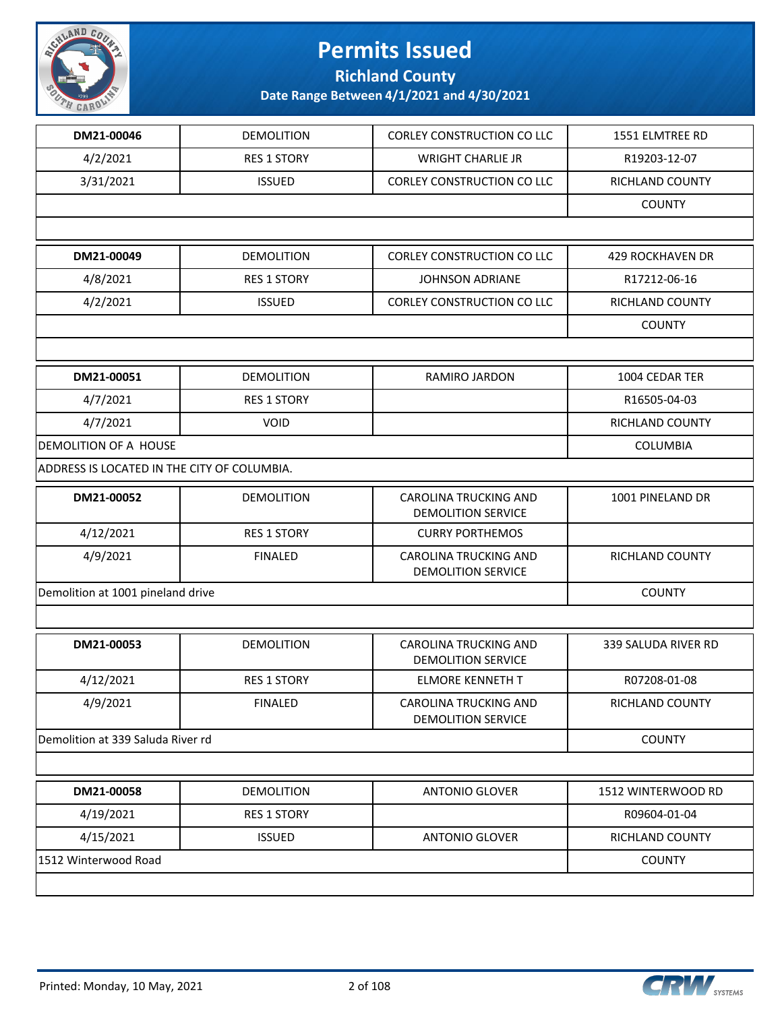

**Richland County**

| DM21-00046                                  | <b>DEMOLITION</b>  | <b>CORLEY CONSTRUCTION CO LLC</b>                         | 1551 ELMTREE RD        |
|---------------------------------------------|--------------------|-----------------------------------------------------------|------------------------|
| 4/2/2021                                    | <b>RES 1 STORY</b> | <b>WRIGHT CHARLIE JR</b>                                  | R19203-12-07           |
| 3/31/2021                                   | <b>ISSUED</b>      | CORLEY CONSTRUCTION CO LLC                                | RICHLAND COUNTY        |
|                                             |                    |                                                           | <b>COUNTY</b>          |
|                                             |                    |                                                           |                        |
| DM21-00049                                  | <b>DEMOLITION</b>  | <b>CORLEY CONSTRUCTION CO LLC</b>                         | 429 ROCKHAVEN DR       |
| 4/8/2021                                    | <b>RES 1 STORY</b> | <b>JOHNSON ADRIANE</b>                                    | R17212-06-16           |
| 4/2/2021                                    | <b>ISSUED</b>      | CORLEY CONSTRUCTION CO LLC                                | <b>RICHLAND COUNTY</b> |
|                                             |                    |                                                           | <b>COUNTY</b>          |
|                                             |                    |                                                           |                        |
| DM21-00051                                  | <b>DEMOLITION</b>  | RAMIRO JARDON                                             | 1004 CEDAR TER         |
| 4/7/2021                                    | <b>RES 1 STORY</b> |                                                           | R16505-04-03           |
| 4/7/2021                                    | <b>VOID</b>        |                                                           | RICHLAND COUNTY        |
| <b>DEMOLITION OF A HOUSE</b>                |                    |                                                           | <b>COLUMBIA</b>        |
| ADDRESS IS LOCATED IN THE CITY OF COLUMBIA. |                    |                                                           |                        |
| DM21-00052                                  | <b>DEMOLITION</b>  | CAROLINA TRUCKING AND<br><b>DEMOLITION SERVICE</b>        | 1001 PINELAND DR       |
| 4/12/2021                                   | <b>RES 1 STORY</b> | <b>CURRY PORTHEMOS</b>                                    |                        |
| 4/9/2021                                    | <b>FINALED</b>     | CAROLINA TRUCKING AND<br><b>DEMOLITION SERVICE</b>        | RICHLAND COUNTY        |
| Demolition at 1001 pineland drive           | <b>COUNTY</b>      |                                                           |                        |
|                                             |                    |                                                           |                        |
| DM21-00053                                  | <b>DEMOLITION</b>  | <b>CAROLINA TRUCKING AND</b><br><b>DEMOLITION SERVICE</b> | 339 SALUDA RIVER RD    |
| 4/12/2021                                   | <b>RES 1 STORY</b> | <b>ELMORE KENNETH T</b>                                   | R07208-01-08           |
| 4/9/2021                                    | <b>FINALED</b>     | <b>CAROLINA TRUCKING AND</b><br><b>DEMOLITION SERVICE</b> | RICHLAND COUNTY        |
| Demolition at 339 Saluda River rd           |                    |                                                           | <b>COUNTY</b>          |
|                                             |                    |                                                           |                        |
| DM21-00058                                  | <b>DEMOLITION</b>  | <b>ANTONIO GLOVER</b>                                     | 1512 WINTERWOOD RD     |
| 4/19/2021                                   | <b>RES 1 STORY</b> |                                                           | R09604-01-04           |
| 4/15/2021                                   | <b>ISSUED</b>      | <b>ANTONIO GLOVER</b>                                     | RICHLAND COUNTY        |
| 1512 Winterwood Road                        |                    |                                                           | <b>COUNTY</b>          |

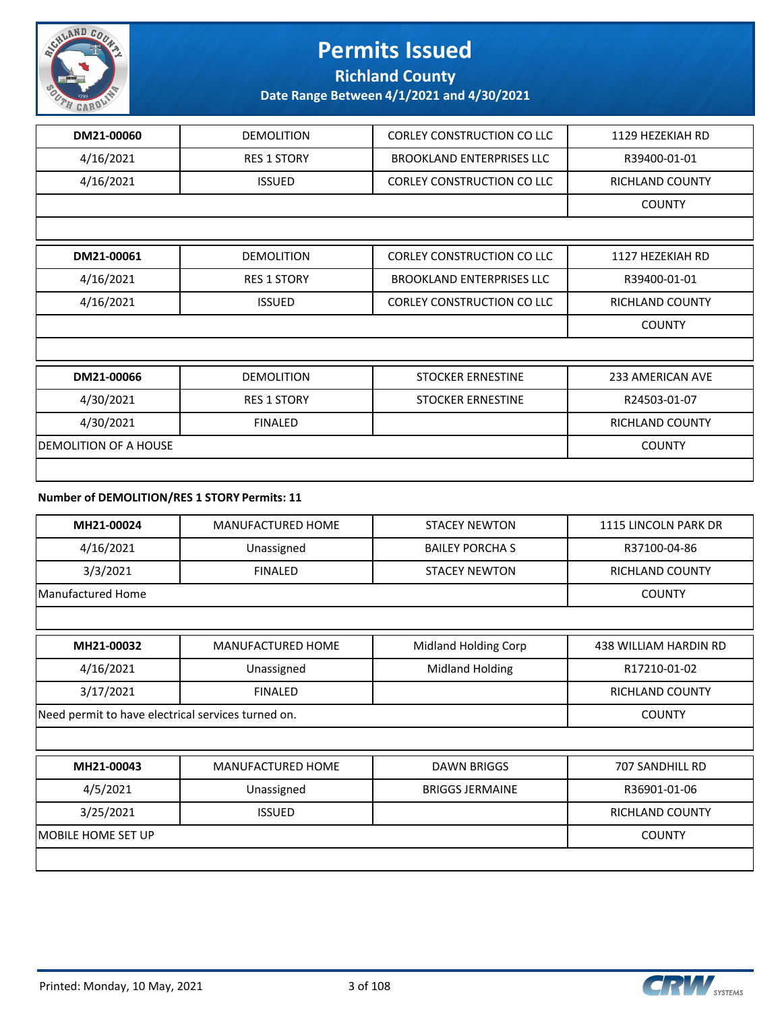

#### **Richland County**

**Date Range Between 4/1/2021 and 4/30/2021**

| DM21-00060            | <b>DEMOLITION</b>  | <b>CORLEY CONSTRUCTION CO LLC</b> | 1129 HEZEKIAH RD        |  |
|-----------------------|--------------------|-----------------------------------|-------------------------|--|
| 4/16/2021             | <b>RES 1 STORY</b> | <b>BROOKLAND ENTERPRISES LLC</b>  | R39400-01-01            |  |
| 4/16/2021             | <b>ISSUED</b>      | <b>CORLEY CONSTRUCTION CO LLC</b> | RICHLAND COUNTY         |  |
|                       |                    |                                   | <b>COUNTY</b>           |  |
|                       |                    |                                   |                         |  |
| DM21-00061            | <b>DEMOLITION</b>  | <b>CORLEY CONSTRUCTION CO LLC</b> | 1127 HEZEKIAH RD        |  |
| 4/16/2021             | <b>RES 1 STORY</b> | <b>BROOKLAND ENTERPRISES LLC</b>  | R39400-01-01            |  |
| 4/16/2021             | <b>ISSUED</b>      | <b>CORLEY CONSTRUCTION CO LLC</b> | <b>RICHLAND COUNTY</b>  |  |
|                       |                    |                                   | <b>COUNTY</b>           |  |
|                       |                    |                                   |                         |  |
| DM21-00066            | <b>DEMOLITION</b>  | <b>STOCKER ERNESTINE</b>          | <b>233 AMERICAN AVE</b> |  |
| 4/30/2021             | <b>RES 1 STORY</b> | <b>STOCKER ERNESTINE</b>          | R24503-01-07            |  |
| 4/30/2021             | <b>FINALED</b>     |                                   | <b>RICHLAND COUNTY</b>  |  |
| DEMOLITION OF A HOUSE |                    |                                   |                         |  |
|                       |                    |                                   |                         |  |

#### **Number of DEMOLITION/RES 1 STORY Permits: 11**

| MH21-00024         | <b>MANUFACTURED HOME</b>                           | <b>STACEY NEWTON</b>   | 1115 LINCOLN PARK DR   |  |
|--------------------|----------------------------------------------------|------------------------|------------------------|--|
| 4/16/2021          | Unassigned                                         | <b>BAILEY PORCHA S</b> | R37100-04-86           |  |
| 3/3/2021           | <b>FINALED</b>                                     | <b>STACEY NEWTON</b>   | RICHLAND COUNTY        |  |
| Manufactured Home  |                                                    |                        | <b>COUNTY</b>          |  |
|                    |                                                    |                        |                        |  |
| MH21-00032         | MANUFACTURED HOME                                  | Midland Holding Corp   | 438 WILLIAM HARDIN RD  |  |
| 4/16/2021          | Unassigned                                         | Midland Holding        | R17210-01-02           |  |
| 3/17/2021          | <b>FINALED</b>                                     |                        | <b>RICHLAND COUNTY</b> |  |
|                    | Need permit to have electrical services turned on. |                        |                        |  |
|                    |                                                    |                        |                        |  |
| MH21-00043         | <b>MANUFACTURED HOME</b>                           | <b>DAWN BRIGGS</b>     | 707 SANDHILL RD        |  |
| 4/5/2021           | Unassigned                                         | <b>BRIGGS JERMAINE</b> | R36901-01-06           |  |
| 3/25/2021          | <b>ISSUED</b>                                      |                        | <b>RICHLAND COUNTY</b> |  |
| MOBILE HOME SET UP |                                                    |                        |                        |  |
|                    |                                                    |                        |                        |  |

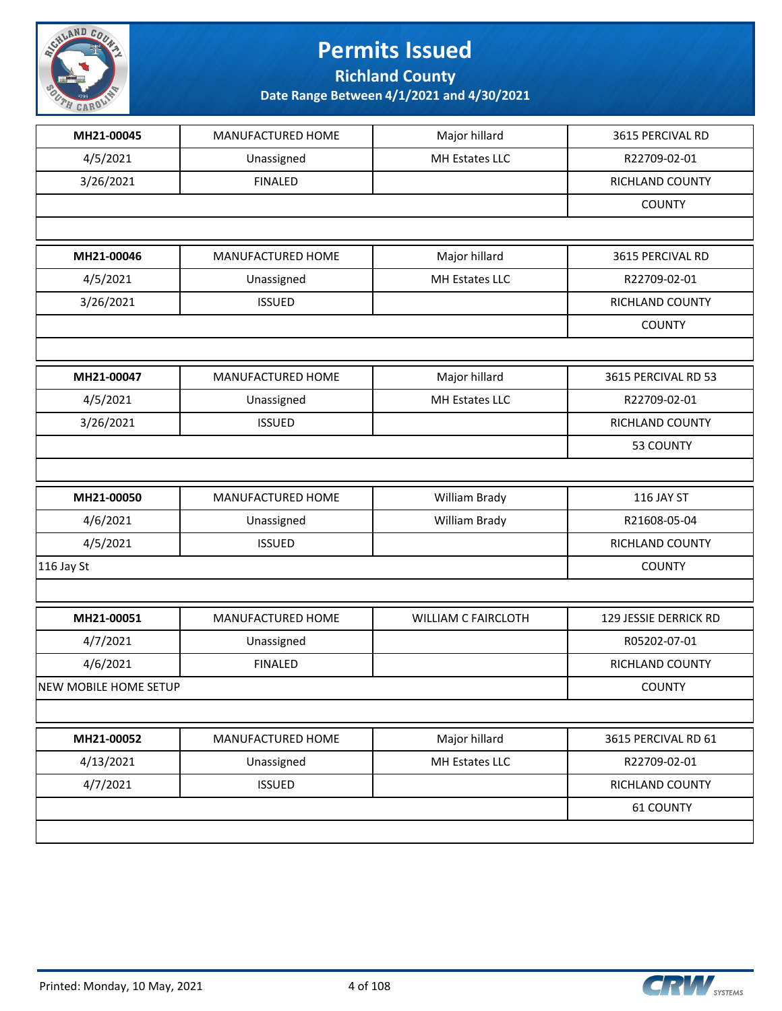

**Richland County**

| MH21-00045                   | MANUFACTURED HOME | Major hillard              | 3615 PERCIVAL RD      |
|------------------------------|-------------------|----------------------------|-----------------------|
| 4/5/2021                     | Unassigned        | MH Estates LLC             | R22709-02-01          |
| 3/26/2021                    | <b>FINALED</b>    |                            | RICHLAND COUNTY       |
|                              |                   |                            | <b>COUNTY</b>         |
|                              |                   |                            |                       |
| MH21-00046                   | MANUFACTURED HOME | Major hillard              | 3615 PERCIVAL RD      |
| 4/5/2021                     | Unassigned        | MH Estates LLC             | R22709-02-01          |
| 3/26/2021                    | <b>ISSUED</b>     |                            | RICHLAND COUNTY       |
|                              |                   |                            | <b>COUNTY</b>         |
|                              |                   |                            |                       |
| MH21-00047                   | MANUFACTURED HOME | Major hillard              | 3615 PERCIVAL RD 53   |
| 4/5/2021                     | Unassigned        | MH Estates LLC             | R22709-02-01          |
| 3/26/2021                    | <b>ISSUED</b>     |                            | RICHLAND COUNTY       |
|                              |                   |                            | 53 COUNTY             |
|                              |                   |                            |                       |
| MH21-00050                   | MANUFACTURED HOME | William Brady              | 116 JAY ST            |
| 4/6/2021                     | Unassigned        | William Brady              | R21608-05-04          |
| 4/5/2021                     | <b>ISSUED</b>     |                            | RICHLAND COUNTY       |
| $116$ Jay St                 |                   |                            | <b>COUNTY</b>         |
|                              |                   |                            |                       |
| MH21-00051                   | MANUFACTURED HOME | <b>WILLIAM C FAIRCLOTH</b> | 129 JESSIE DERRICK RD |
| 4/7/2021                     | Unassigned        |                            | R05202-07-01          |
| 4/6/2021                     | <b>FINALED</b>    |                            | RICHLAND COUNTY       |
| <b>NEW MOBILE HOME SETUP</b> |                   |                            | <b>COUNTY</b>         |
|                              |                   |                            |                       |
| MH21-00052                   | MANUFACTURED HOME | Major hillard              | 3615 PERCIVAL RD 61   |
|                              |                   | MH Estates LLC             | R22709-02-01          |
| 4/13/2021                    | Unassigned        |                            |                       |
| 4/7/2021                     | <b>ISSUED</b>     |                            | RICHLAND COUNTY       |
|                              |                   |                            | 61 COUNTY             |

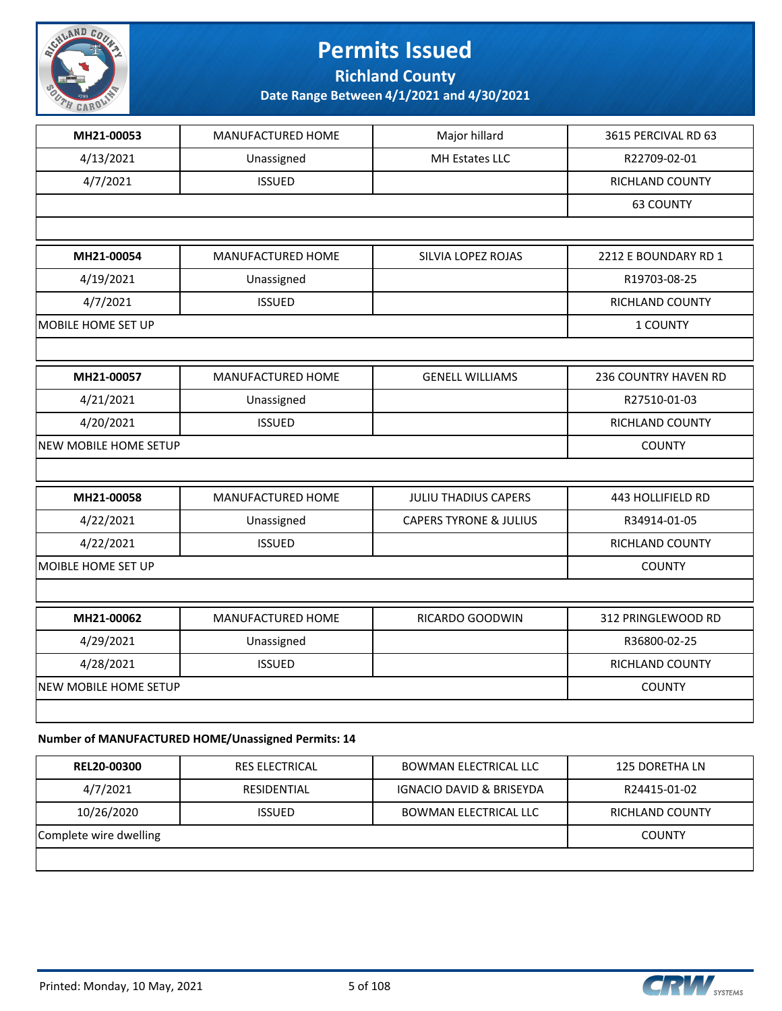

**Richland County**

**Date Range Between 4/1/2021 and 4/30/2021**

| MH21-00053            | MANUFACTURED HOME        | Major hillard                     | 3615 PERCIVAL RD 63    |
|-----------------------|--------------------------|-----------------------------------|------------------------|
| 4/13/2021             | Unassigned               | MH Estates LLC                    | R22709-02-01           |
| 4/7/2021              | <b>ISSUED</b>            |                                   | RICHLAND COUNTY        |
|                       |                          |                                   | <b>63 COUNTY</b>       |
|                       |                          |                                   |                        |
| MH21-00054            | <b>MANUFACTURED HOME</b> | SILVIA LOPEZ ROJAS                | 2212 E BOUNDARY RD 1   |
| 4/19/2021             | Unassigned               |                                   | R19703-08-25           |
| 4/7/2021              | <b>ISSUED</b>            |                                   | <b>RICHLAND COUNTY</b> |
| MOBILE HOME SET UP    |                          |                                   | 1 COUNTY               |
|                       |                          |                                   |                        |
| MH21-00057            | MANUFACTURED HOME        | <b>GENELL WILLIAMS</b>            | 236 COUNTRY HAVEN RD   |
| 4/21/2021             | Unassigned               |                                   | R27510-01-03           |
| 4/20/2021             | <b>ISSUED</b>            |                                   | RICHLAND COUNTY        |
| NEW MOBILE HOME SETUP |                          |                                   | <b>COUNTY</b>          |
|                       |                          |                                   |                        |
| MH21-00058            | MANUFACTURED HOME        | <b>JULIU THADIUS CAPERS</b>       | 443 HOLLIFIELD RD      |
| 4/22/2021             | Unassigned               | <b>CAPERS TYRONE &amp; JULIUS</b> | R34914-01-05           |
| 4/22/2021             | <b>ISSUED</b>            |                                   | RICHLAND COUNTY        |
| MOIBLE HOME SET UP    |                          |                                   | <b>COUNTY</b>          |
|                       |                          |                                   |                        |
| MH21-00062            | MANUFACTURED HOME        | RICARDO GOODWIN                   | 312 PRINGLEWOOD RD     |
| 4/29/2021             | Unassigned               |                                   | R36800-02-25           |
| 4/28/2021             | <b>ISSUED</b>            |                                   | RICHLAND COUNTY        |
| NEW MOBILE HOME SETUP |                          |                                   | <b>COUNTY</b>          |
|                       |                          |                                   |                        |
|                       |                          |                                   |                        |

#### **Number of MANUFACTURED HOME/Unassigned Permits: 14**

| <b>REL20-00300</b>     | <b>RES ELECTRICAL</b> | <b>BOWMAN ELECTRICAL LLC</b>        | 125 DORETHA LN  |
|------------------------|-----------------------|-------------------------------------|-----------------|
| 4/7/2021               | RESIDENTIAL           | <b>IGNACIO DAVID &amp; BRISEYDA</b> | R24415-01-02    |
| 10/26/2020             | <b>ISSUED</b>         | <b>BOWMAN ELECTRICAL LLC</b>        | RICHLAND COUNTY |
| Complete wire dwelling | <b>COUNTY</b>         |                                     |                 |
|                        |                       |                                     |                 |

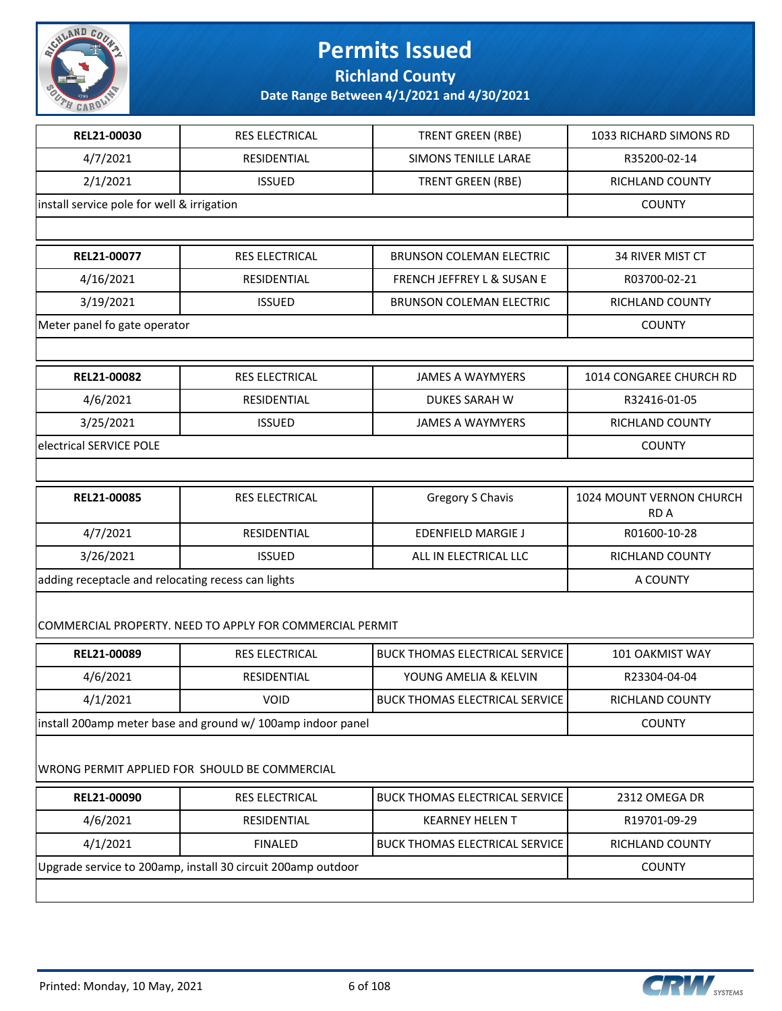

**Richland County**

| REL21-00030                                        | <b>RES ELECTRICAL</b>                                        | <b>TRENT GREEN (RBE)</b>              | 1033 RICHARD SIMONS RD           |
|----------------------------------------------------|--------------------------------------------------------------|---------------------------------------|----------------------------------|
| 4/7/2021                                           | RESIDENTIAL                                                  | <b>SIMONS TENILLE LARAE</b>           | R35200-02-14                     |
| 2/1/2021                                           | <b>ISSUED</b>                                                | <b>TRENT GREEN (RBE)</b>              | RICHLAND COUNTY                  |
| install service pole for well & irrigation         |                                                              |                                       | <b>COUNTY</b>                    |
|                                                    |                                                              |                                       |                                  |
| REL21-00077                                        | RES ELECTRICAL                                               | <b>BRUNSON COLEMAN ELECTRIC</b>       | 34 RIVER MIST CT                 |
| 4/16/2021                                          | RESIDENTIAL                                                  | FRENCH JEFFREY L & SUSAN E            | R03700-02-21                     |
| 3/19/2021                                          | <b>ISSUED</b>                                                | <b>BRUNSON COLEMAN ELECTRIC</b>       | RICHLAND COUNTY                  |
| Meter panel fo gate operator                       |                                                              |                                       | <b>COUNTY</b>                    |
|                                                    |                                                              |                                       |                                  |
| REL21-00082                                        | RES ELECTRICAL                                               | <b>JAMES A WAYMYERS</b>               | 1014 CONGAREE CHURCH RD          |
| 4/6/2021                                           | RESIDENTIAL                                                  | <b>DUKES SARAH W</b>                  | R32416-01-05                     |
| 3/25/2021                                          | <b>ISSUED</b>                                                | <b>JAMES A WAYMYERS</b>               | RICHLAND COUNTY                  |
| electrical SERVICE POLE                            |                                                              |                                       | <b>COUNTY</b>                    |
|                                                    |                                                              |                                       |                                  |
| REL21-00085                                        | RES ELECTRICAL                                               | Gregory S Chavis                      | 1024 MOUNT VERNON CHURCH<br>RD A |
| 4/7/2021                                           | RESIDENTIAL                                                  | <b>EDENFIELD MARGIE J</b>             | R01600-10-28                     |
| 3/26/2021                                          | <b>ISSUED</b>                                                | ALL IN ELECTRICAL LLC                 | RICHLAND COUNTY                  |
| adding receptacle and relocating recess can lights | A COUNTY                                                     |                                       |                                  |
|                                                    | COMMERCIAL PROPERTY. NEED TO APPLY FOR COMMERCIAL PERMIT     |                                       |                                  |
| REL21-00089                                        | <b>RES ELECTRICAL</b>                                        | <b>BUCK THOMAS ELECTRICAL SERVICE</b> | 101 OAKMIST WAY                  |
| 4/6/2021                                           | RESIDENTIAL                                                  | YOUNG AMELIA & KELVIN                 | R23304-04-04                     |
| 4/1/2021                                           | <b>VOID</b>                                                  | <b>BUCK THOMAS ELECTRICAL SERVICE</b> | RICHLAND COUNTY                  |
|                                                    | install 200amp meter base and ground w/ 100amp indoor panel  |                                       | <b>COUNTY</b>                    |
|                                                    | WRONG PERMIT APPLIED FOR SHOULD BE COMMERCIAL                |                                       |                                  |
| REL21-00090                                        | RES ELECTRICAL                                               | <b>BUCK THOMAS ELECTRICAL SERVICE</b> | 2312 OMEGA DR                    |
| 4/6/2021                                           | RESIDENTIAL                                                  | <b>KEARNEY HELEN T</b>                | R19701-09-29                     |
| 4/1/2021                                           | <b>FINALED</b>                                               | <b>BUCK THOMAS ELECTRICAL SERVICE</b> | RICHLAND COUNTY                  |
|                                                    | Upgrade service to 200amp, install 30 circuit 200amp outdoor |                                       | <b>COUNTY</b>                    |
|                                                    |                                                              |                                       |                                  |

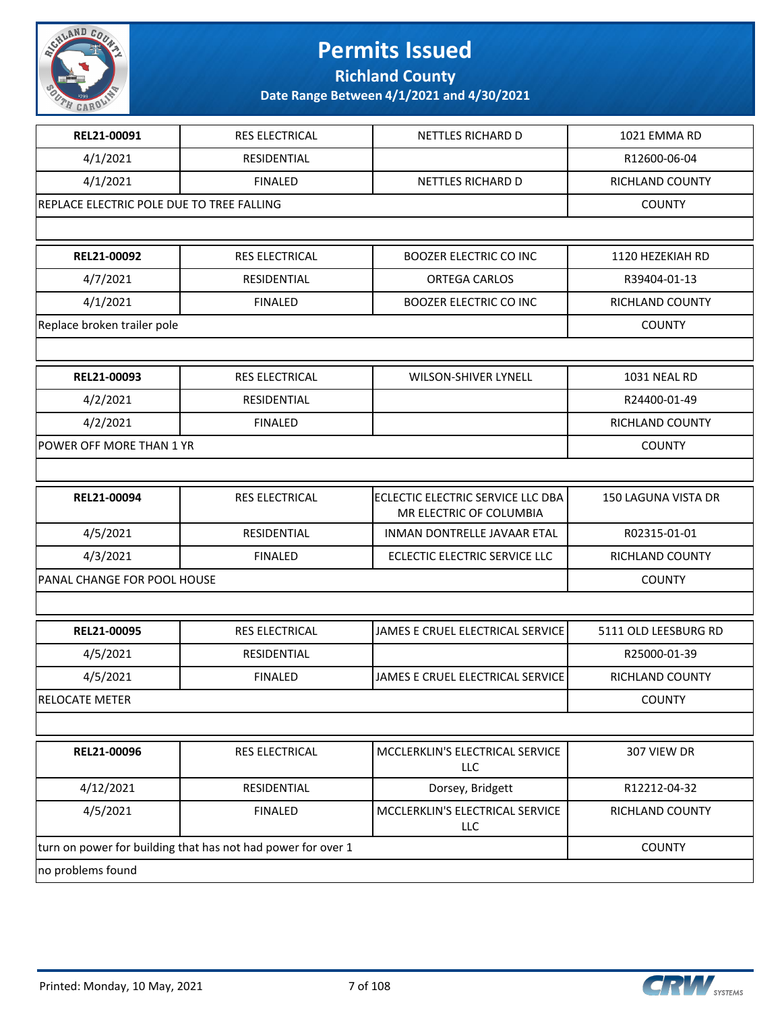

**Richland County**

| REL21-00091                                                  | <b>RES ELECTRICAL</b> | NETTLES RICHARD D                                            | 1021 EMMA RD           |
|--------------------------------------------------------------|-----------------------|--------------------------------------------------------------|------------------------|
| 4/1/2021                                                     | RESIDENTIAL           |                                                              | R12600-06-04           |
| 4/1/2021                                                     | <b>FINALED</b>        | NETTLES RICHARD D                                            | RICHLAND COUNTY        |
| REPLACE ELECTRIC POLE DUE TO TREE FALLING                    |                       |                                                              | <b>COUNTY</b>          |
|                                                              |                       |                                                              |                        |
| REL21-00092                                                  | RES ELECTRICAL        | <b>BOOZER ELECTRIC CO INC</b>                                | 1120 HEZEKIAH RD       |
| 4/7/2021                                                     | RESIDENTIAL           | <b>ORTEGA CARLOS</b>                                         | R39404-01-13           |
| 4/1/2021                                                     | <b>FINALED</b>        | <b>BOOZER ELECTRIC CO INC</b>                                | RICHLAND COUNTY        |
| Replace broken trailer pole                                  |                       |                                                              | <b>COUNTY</b>          |
|                                                              |                       |                                                              |                        |
| REL21-00093                                                  | RES ELECTRICAL        | WILSON-SHIVER LYNELL                                         | 1031 NEAL RD           |
| 4/2/2021                                                     | RESIDENTIAL           |                                                              | R24400-01-49           |
| 4/2/2021                                                     | <b>FINALED</b>        |                                                              | RICHLAND COUNTY        |
| POWER OFF MORE THAN 1 YR                                     |                       |                                                              | <b>COUNTY</b>          |
|                                                              |                       |                                                              |                        |
| REL21-00094                                                  | RES ELECTRICAL        | ECLECTIC ELECTRIC SERVICE LLC DBA<br>MR ELECTRIC OF COLUMBIA | 150 LAGUNA VISTA DR    |
| 4/5/2021                                                     | RESIDENTIAL           | INMAN DONTRELLE JAVAAR ETAL                                  | R02315-01-01           |
| 4/3/2021                                                     | <b>FINALED</b>        | ECLECTIC ELECTRIC SERVICE LLC                                | RICHLAND COUNTY        |
| PANAL CHANGE FOR POOL HOUSE                                  | <b>COUNTY</b>         |                                                              |                        |
|                                                              |                       |                                                              |                        |
| REL21-00095                                                  | <b>RES ELECTRICAL</b> | JAMES E CRUEL ELECTRICAL SERVICE                             | 5111 OLD LEESBURG RD   |
| 4/5/2021                                                     | RESIDENTIAL           |                                                              | R25000-01-39           |
| 4/5/2021                                                     | <b>FINALED</b>        | JAMES E CRUEL ELECTRICAL SERVICE                             | <b>RICHLAND COUNTY</b> |
| RELOCATE METER                                               |                       |                                                              | <b>COUNTY</b>          |
|                                                              |                       |                                                              |                        |
| REL21-00096                                                  | RES ELECTRICAL        | MCCLERKLIN'S ELECTRICAL SERVICE<br>LLC                       | 307 VIEW DR            |
| 4/12/2021                                                    | RESIDENTIAL           | Dorsey, Bridgett                                             | R12212-04-32           |
| 4/5/2021                                                     | <b>FINALED</b>        | MCCLERKLIN'S ELECTRICAL SERVICE<br>LLC                       | RICHLAND COUNTY        |
| turn on power for building that has not had power for over 1 |                       | <b>COUNTY</b>                                                |                        |
| no problems found                                            |                       |                                                              |                        |

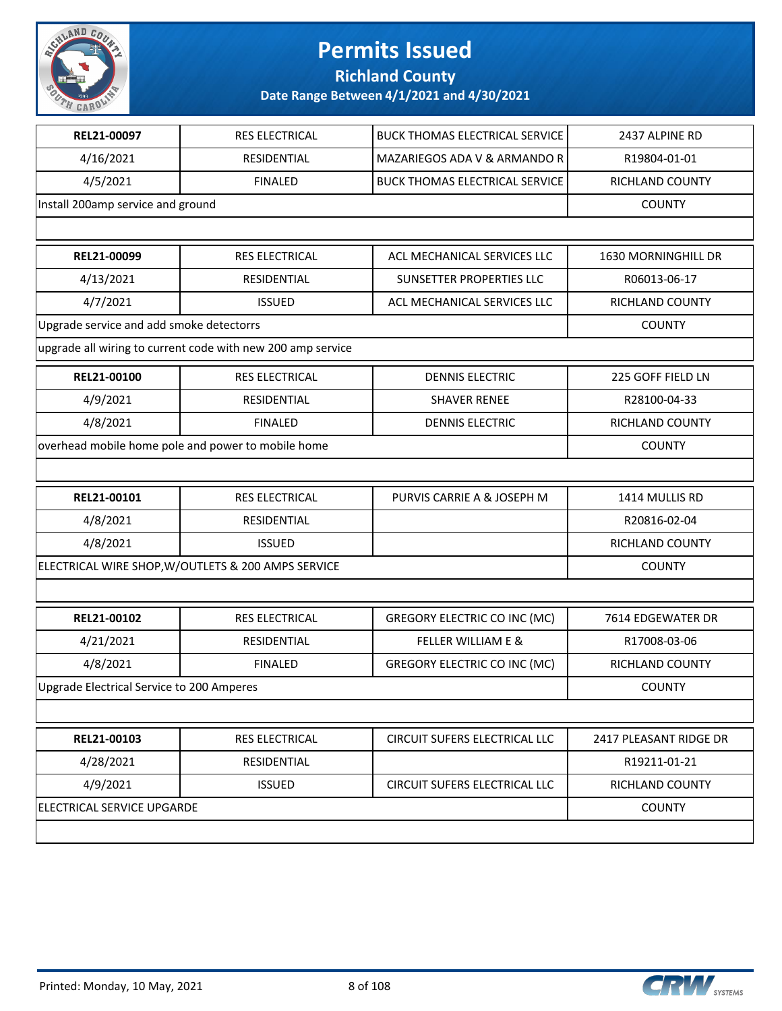

**Richland County**

| REL21-00097                                        | RES ELECTRICAL                                              | <b>BUCK THOMAS ELECTRICAL SERVICE</b> | 2437 ALPINE RD         |
|----------------------------------------------------|-------------------------------------------------------------|---------------------------------------|------------------------|
| 4/16/2021                                          | RESIDENTIAL                                                 | MAZARIEGOS ADA V & ARMANDO R          | R19804-01-01           |
| 4/5/2021                                           | <b>FINALED</b>                                              | <b>BUCK THOMAS ELECTRICAL SERVICE</b> | RICHLAND COUNTY        |
| Install 200amp service and ground                  |                                                             |                                       | <b>COUNTY</b>          |
|                                                    |                                                             |                                       |                        |
| REL21-00099                                        | <b>RES ELECTRICAL</b>                                       | ACL MECHANICAL SERVICES LLC           | 1630 MORNINGHILL DR    |
| 4/13/2021                                          | RESIDENTIAL                                                 | SUNSETTER PROPERTIES LLC              | R06013-06-17           |
| 4/7/2021                                           | <b>ISSUED</b>                                               | ACL MECHANICAL SERVICES LLC           | RICHLAND COUNTY        |
| Upgrade service and add smoke detectorrs           |                                                             |                                       | <b>COUNTY</b>          |
|                                                    | upgrade all wiring to current code with new 200 amp service |                                       |                        |
| REL21-00100                                        | RES ELECTRICAL                                              | <b>DENNIS ELECTRIC</b>                | 225 GOFF FIELD LN      |
| 4/9/2021                                           | RESIDENTIAL                                                 | <b>SHAVER RENEE</b>                   | R28100-04-33           |
| 4/8/2021                                           | <b>FINALED</b>                                              | <b>DENNIS ELECTRIC</b>                | <b>RICHLAND COUNTY</b> |
|                                                    | overhead mobile home pole and power to mobile home          |                                       | <b>COUNTY</b>          |
|                                                    |                                                             |                                       |                        |
| REL21-00101                                        | RES ELECTRICAL                                              | PURVIS CARRIE A & JOSEPH M            | 1414 MULLIS RD         |
| 4/8/2021                                           | RESIDENTIAL                                                 |                                       | R20816-02-04           |
| 4/8/2021                                           | <b>ISSUED</b>                                               |                                       | RICHLAND COUNTY        |
| ELECTRICAL WIRE SHOP, W/OUTLETS & 200 AMPS SERVICE |                                                             |                                       | <b>COUNTY</b>          |
|                                                    |                                                             |                                       |                        |
| REL21-00102                                        | RES ELECTRICAL                                              | <b>GREGORY ELECTRIC CO INC (MC)</b>   | 7614 EDGEWATER DR      |
| 4/21/2021                                          | RESIDENTIAL                                                 | <b>FELLER WILLIAM E &amp;</b>         | R17008-03-06           |
| 4/8/2021                                           | <b>FINALED</b>                                              | <b>GREGORY ELECTRIC CO INC (MC)</b>   | <b>RICHLAND COUNTY</b> |
| Upgrade Electrical Service to 200 Amperes          |                                                             |                                       | <b>COUNTY</b>          |
|                                                    |                                                             |                                       |                        |
| REL21-00103                                        | RES ELECTRICAL                                              | CIRCUIT SUFERS ELECTRICAL LLC         | 2417 PLEASANT RIDGE DR |
| 4/28/2021                                          | RESIDENTIAL                                                 |                                       | R19211-01-21           |
| 4/9/2021                                           | <b>ISSUED</b>                                               | CIRCUIT SUFERS ELECTRICAL LLC         | RICHLAND COUNTY        |
| ELECTRICAL SERVICE UPGARDE                         |                                                             |                                       | <b>COUNTY</b>          |
|                                                    |                                                             |                                       |                        |
|                                                    |                                                             |                                       |                        |

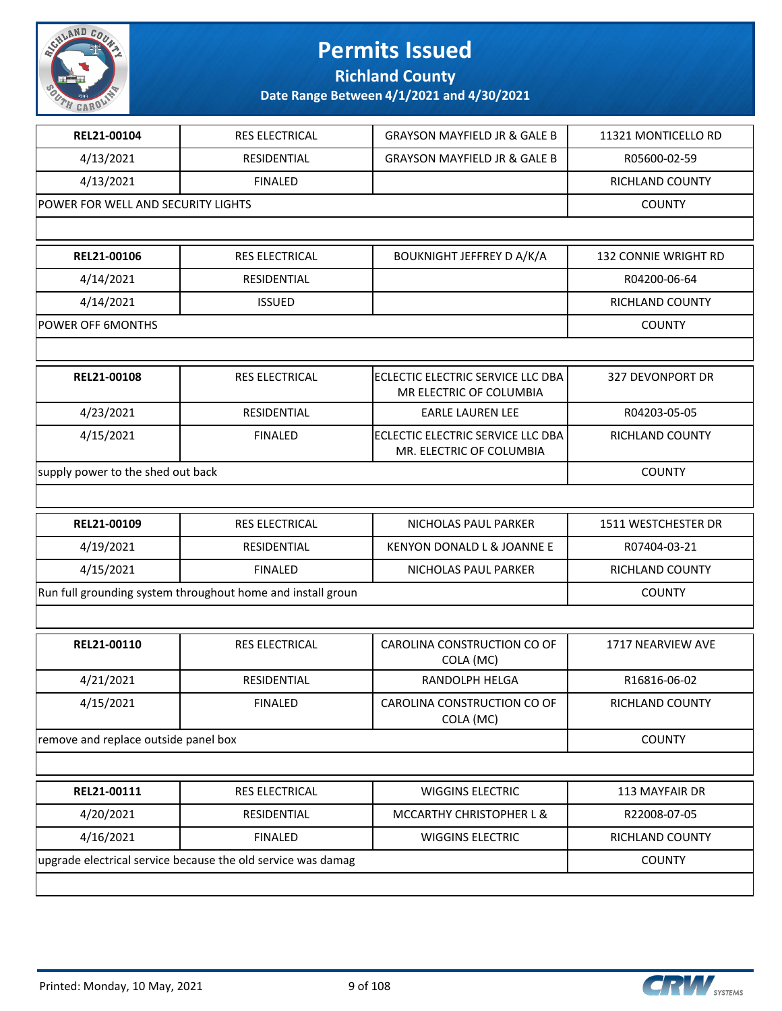

**Richland County**

| REL21-00104                                                 | <b>RES ELECTRICAL</b>                                        | <b>GRAYSON MAYFIELD JR &amp; GALE B</b>                       | 11321 MONTICELLO RD    |
|-------------------------------------------------------------|--------------------------------------------------------------|---------------------------------------------------------------|------------------------|
| 4/13/2021                                                   | RESIDENTIAL                                                  | <b>GRAYSON MAYFIELD JR &amp; GALE B</b>                       | R05600-02-59           |
| 4/13/2021                                                   | <b>FINALED</b>                                               |                                                               | <b>RICHLAND COUNTY</b> |
| POWER FOR WELL AND SECURITY LIGHTS                          |                                                              |                                                               | <b>COUNTY</b>          |
|                                                             |                                                              |                                                               |                        |
| REL21-00106                                                 | RES ELECTRICAL                                               | <b>BOUKNIGHT JEFFREY D A/K/A</b>                              | 132 CONNIE WRIGHT RD   |
| 4/14/2021                                                   | RESIDENTIAL                                                  |                                                               | R04200-06-64           |
| 4/14/2021                                                   | <b>ISSUED</b>                                                |                                                               | <b>RICHLAND COUNTY</b> |
| POWER OFF 6MONTHS                                           |                                                              |                                                               | <b>COUNTY</b>          |
|                                                             |                                                              |                                                               |                        |
| REL21-00108                                                 | <b>RES ELECTRICAL</b>                                        | ECLECTIC ELECTRIC SERVICE LLC DBA<br>MR ELECTRIC OF COLUMBIA  | 327 DEVONPORT DR       |
| 4/23/2021                                                   | RESIDENTIAL                                                  | <b>EARLE LAUREN LEE</b>                                       | R04203-05-05           |
| 4/15/2021                                                   | <b>FINALED</b>                                               | ECLECTIC ELECTRIC SERVICE LLC DBA<br>MR. ELECTRIC OF COLUMBIA | RICHLAND COUNTY        |
| supply power to the shed out back                           | <b>COUNTY</b>                                                |                                                               |                        |
|                                                             |                                                              |                                                               |                        |
| REL21-00109                                                 | <b>RES ELECTRICAL</b>                                        | NICHOLAS PAUL PARKER                                          | 1511 WESTCHESTER DR    |
| 4/19/2021                                                   | RESIDENTIAL                                                  | KENYON DONALD L & JOANNE E                                    | R07404-03-21           |
| 4/15/2021                                                   | <b>FINALED</b>                                               | NICHOLAS PAUL PARKER                                          | RICHLAND COUNTY        |
| Run full grounding system throughout home and install groun |                                                              |                                                               | <b>COUNTY</b>          |
|                                                             |                                                              |                                                               |                        |
| REL21-00110                                                 | RES ELECTRICAL                                               | CAROLINA CONSTRUCTION CO OF<br>COLA (MC)                      | 1717 NEARVIEW AVE      |
| 4/21/2021                                                   | RESIDENTIAL                                                  | <b>RANDOLPH HELGA</b>                                         | R16816-06-02           |
| 4/15/2021                                                   | <b>FINALED</b>                                               | CAROLINA CONSTRUCTION CO OF<br>COLA (MC)                      | RICHLAND COUNTY        |
| remove and replace outside panel box                        |                                                              |                                                               | <b>COUNTY</b>          |
|                                                             |                                                              |                                                               |                        |
| REL21-00111                                                 | <b>RES ELECTRICAL</b>                                        | <b>WIGGINS ELECTRIC</b>                                       | 113 MAYFAIR DR         |
| 4/20/2021                                                   | RESIDENTIAL                                                  | MCCARTHY CHRISTOPHER L &                                      | R22008-07-05           |
| 4/16/2021                                                   | <b>FINALED</b>                                               | WIGGINS ELECTRIC                                              | <b>RICHLAND COUNTY</b> |
|                                                             | upgrade electrical service because the old service was damag |                                                               | <b>COUNTY</b>          |
|                                                             |                                                              |                                                               |                        |

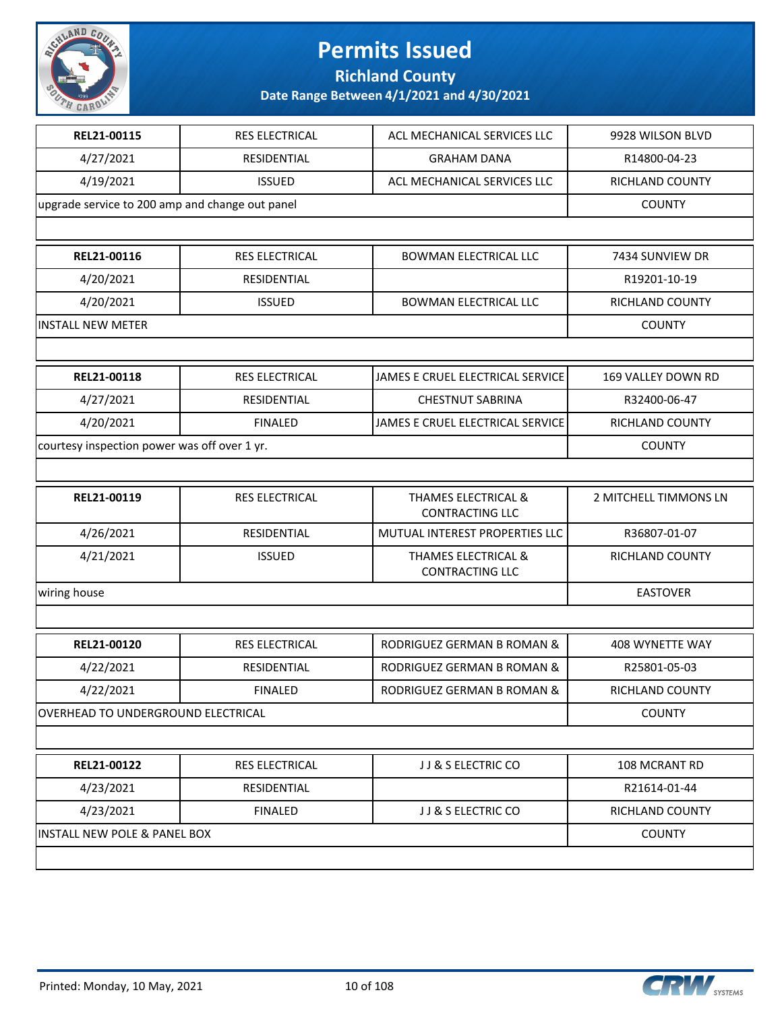

**Richland County**

| <b>RES ELECTRICAL</b>                           | ACL MECHANICAL SERVICES LLC                              | 9928 WILSON BLVD       |
|-------------------------------------------------|----------------------------------------------------------|------------------------|
| RESIDENTIAL                                     | <b>GRAHAM DANA</b>                                       | R14800-04-23           |
| <b>ISSUED</b>                                   | ACL MECHANICAL SERVICES LLC                              | RICHLAND COUNTY        |
| upgrade service to 200 amp and change out panel |                                                          | <b>COUNTY</b>          |
|                                                 |                                                          |                        |
| <b>RES ELECTRICAL</b>                           | <b>BOWMAN ELECTRICAL LLC</b>                             | 7434 SUNVIEW DR        |
| RESIDENTIAL                                     |                                                          | R19201-10-19           |
| <b>ISSUED</b>                                   | <b>BOWMAN ELECTRICAL LLC</b>                             | RICHLAND COUNTY        |
|                                                 |                                                          | <b>COUNTY</b>          |
|                                                 |                                                          |                        |
| <b>RES ELECTRICAL</b>                           | JAMES E CRUEL ELECTRICAL SERVICE                         | 169 VALLEY DOWN RD     |
| RESIDENTIAL                                     | <b>CHESTNUT SABRINA</b>                                  | R32400-06-47           |
| <b>FINALED</b>                                  | JAMES E CRUEL ELECTRICAL SERVICE                         | RICHLAND COUNTY        |
| courtesy inspection power was off over 1 yr.    |                                                          | <b>COUNTY</b>          |
|                                                 |                                                          |                        |
| RES ELECTRICAL                                  | THAMES ELECTRICAL &<br><b>CONTRACTING LLC</b>            | 2 MITCHELL TIMMONS LN  |
| <b>RESIDENTIAL</b>                              | MUTUAL INTEREST PROPERTIES LLC                           | R36807-01-07           |
| <b>ISSUED</b>                                   | <b>THAMES ELECTRICAL &amp;</b><br><b>CONTRACTING LLC</b> | <b>RICHLAND COUNTY</b> |
|                                                 |                                                          | <b>EASTOVER</b>        |
|                                                 |                                                          |                        |
| RES ELECTRICAL                                  | <b>RODRIGUEZ GERMAN B ROMAN &amp;</b>                    | 408 WYNETTE WAY        |
| RESIDENTIAL                                     | RODRIGUEZ GERMAN B ROMAN &                               | R25801-05-03           |
| <b>FINALED</b>                                  | RODRIGUEZ GERMAN B ROMAN &                               | <b>RICHLAND COUNTY</b> |
| OVERHEAD TO UNDERGROUND ELECTRICAL              |                                                          | <b>COUNTY</b>          |
|                                                 |                                                          |                        |
| RES ELECTRICAL                                  | JJ & S ELECTRIC CO                                       | 108 MCRANT RD          |
| RESIDENTIAL                                     |                                                          | R21614-01-44           |
|                                                 | JJ & S ELECTRIC CO                                       | RICHLAND COUNTY        |
| <b>FINALED</b>                                  |                                                          |                        |
|                                                 |                                                          |                        |

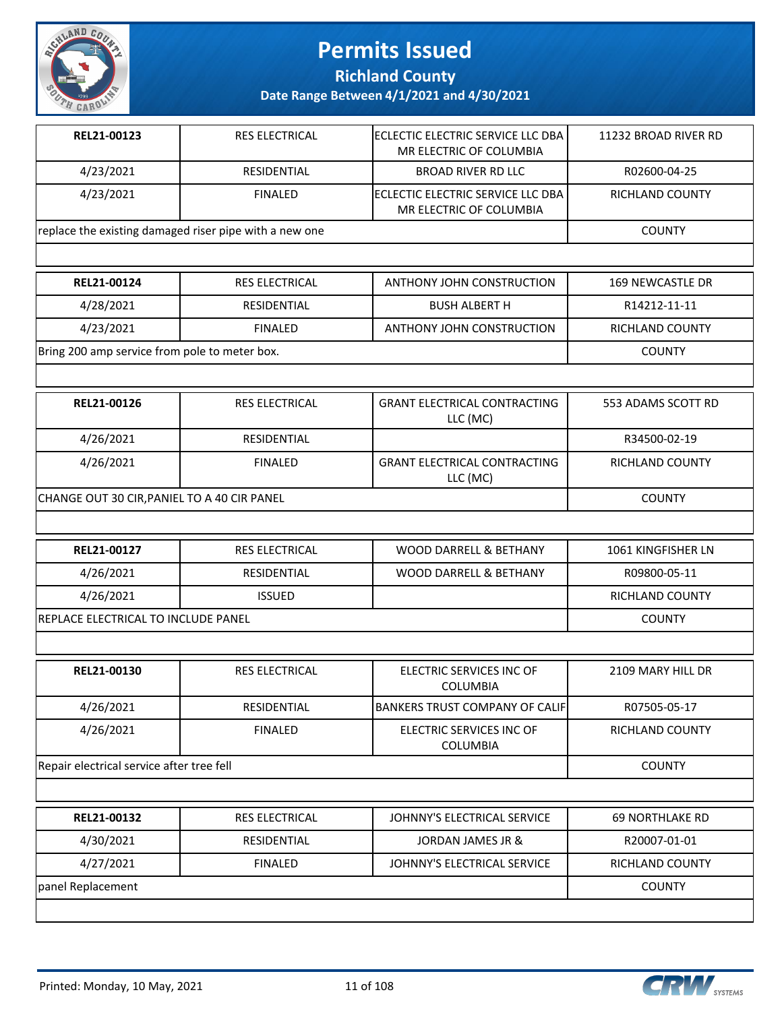

**Richland County**

**Date Range Between 4/1/2021 and 4/30/2021**

| REL21-00123                                            | <b>RES ELECTRICAL</b> | IECLECTIC ELECTRIC SERVICE LLC DBA<br>MR ELECTRIC OF COLUMBIA | 11232 BROAD RIVER RD |
|--------------------------------------------------------|-----------------------|---------------------------------------------------------------|----------------------|
| 4/23/2021                                              | RESIDENTIAL           | <b>BROAD RIVER RD LLC</b>                                     | R02600-04-25         |
| 4/23/2021                                              | <b>FINALED</b>        | IECLECTIC ELECTRIC SERVICE LLC DBA<br>MR ELECTRIC OF COLUMBIA | RICHLAND COUNTY      |
| replace the existing damaged riser pipe with a new one |                       |                                                               | <b>COUNTY</b>        |
|                                                        |                       |                                                               |                      |

| REL21-00124                                   | <b>RES ELECTRICAL</b> | ANTHONY JOHN CONSTRUCTION | 169 NEWCASTLE DR |
|-----------------------------------------------|-----------------------|---------------------------|------------------|
| 4/28/2021                                     | RESIDENTIAL           | <b>BUSH ALBERT H</b>      | R14212-11-11     |
| 4/23/2021                                     | <b>FINALED</b>        | ANTHONY JOHN CONSTRUCTION | RICHLAND COUNTY  |
| Bring 200 amp service from pole to meter box. |                       |                           | <b>COUNTY</b>    |

| REL21-00126                                 | <b>RES ELECTRICAL</b> | <b>GRANT ELECTRICAL CONTRACTING</b><br>LLC (MC) | 553 ADAMS SCOTT RD |
|---------------------------------------------|-----------------------|-------------------------------------------------|--------------------|
| 4/26/2021                                   | RESIDENTIAL           |                                                 | R34500-02-19       |
| 4/26/2021                                   | <b>FINALED</b>        | <b>GRANT ELECTRICAL CONTRACTING</b><br>LLC (MC) | RICHLAND COUNTY    |
| CHANGE OUT 30 CIR, PANIEL TO A 40 CIR PANEL |                       |                                                 | <b>COUNTY</b>      |

| REL21-00127                                 | RES ELECTRICAL | WOOD DARRELL & BETHANY | 1061 KINGFISHER LN |
|---------------------------------------------|----------------|------------------------|--------------------|
| 4/26/2021                                   | RESIDENTIAL    | WOOD DARRELL & BETHANY | R09800-05-11       |
| 4/26/2021                                   | <b>ISSUED</b>  |                        | RICHLAND COUNTY    |
| <b>IREPLACE ELECTRICAL TO INCLUDE PANEL</b> |                |                        | <b>COUNTY</b>      |

| REL21-00130                               | <b>RES ELECTRICAL</b> | ELECTRIC SERVICES INC OF<br><b>COLUMBIA</b> | 2109 MARY HILL DR      |
|-------------------------------------------|-----------------------|---------------------------------------------|------------------------|
| 4/26/2021                                 | RESIDENTIAL           | IBANKERS TRUST COMPANY OF CALIF             | R07505-05-17           |
| 4/26/2021                                 | <b>FINALED</b>        | ELECTRIC SERVICES INC OF<br><b>COLUMBIA</b> | <b>RICHLAND COUNTY</b> |
| Repair electrical service after tree fell |                       |                                             | <b>COUNTY</b>          |
|                                           |                       |                                             |                        |
| REL21-00132                               | <b>RES ELECTRICAL</b> | JOHNNY'S ELECTRICAL SERVICE                 | <b>69 NORTHLAKE RD</b> |
| 4/30/2021                                 | <b>RESIDENTIAL</b>    | JORDAN JAMES JR &                           | R20007-01-01           |
| 4/27/2021                                 | <b>FINALED</b>        | JOHNNY'S ELECTRICAL SERVICE                 | <b>RICHLAND COUNTY</b> |

panel Replacement COUNTY

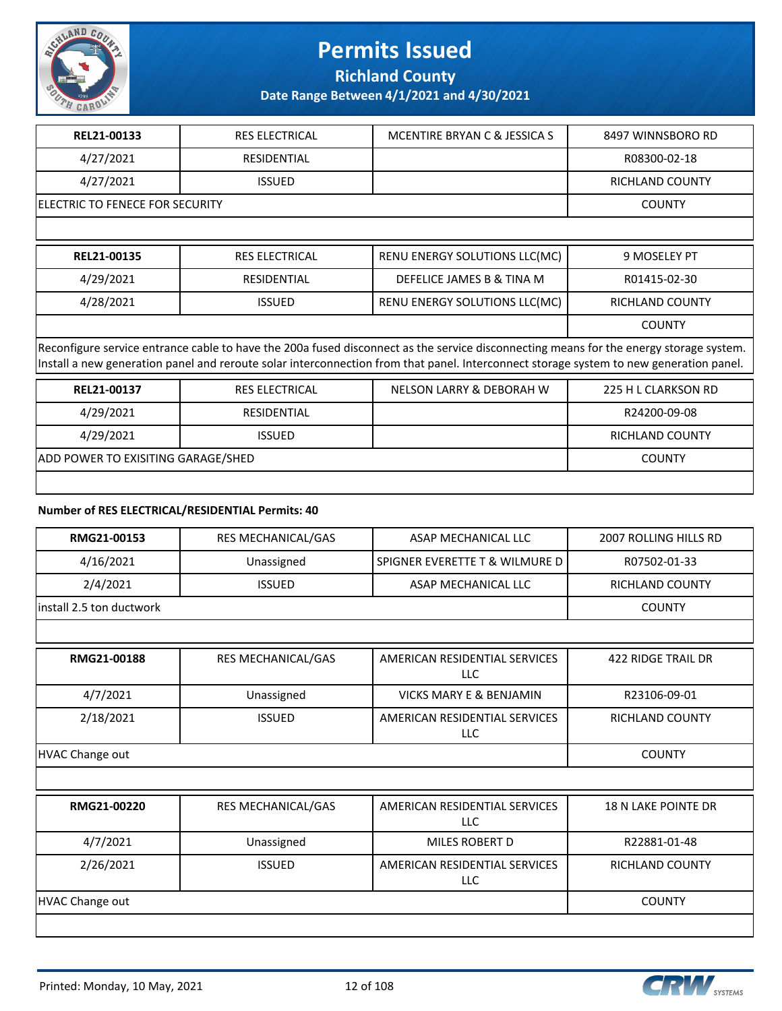

**Richland County**

**Date Range Between 4/1/2021 and 4/30/2021**

| REL21-00133                                                                                                                                                                                                                                                                      | <b>RES ELECTRICAL</b> | MCENTIRE BRYAN C & JESSICA S  | 8497 WINNSBORO RD   |  |
|----------------------------------------------------------------------------------------------------------------------------------------------------------------------------------------------------------------------------------------------------------------------------------|-----------------------|-------------------------------|---------------------|--|
| 4/27/2021                                                                                                                                                                                                                                                                        | <b>RESIDENTIAL</b>    |                               | R08300-02-18        |  |
| 4/27/2021                                                                                                                                                                                                                                                                        | <b>ISSUED</b>         |                               | RICHLAND COUNTY     |  |
| IELECTRIC TO FENECE FOR SECURITY                                                                                                                                                                                                                                                 |                       |                               | <b>COUNTY</b>       |  |
|                                                                                                                                                                                                                                                                                  |                       |                               |                     |  |
| REL21-00135                                                                                                                                                                                                                                                                      | <b>RES ELECTRICAL</b> | RENU ENERGY SOLUTIONS LLC(MC) | 9 MOSELEY PT        |  |
| 4/29/2021                                                                                                                                                                                                                                                                        | <b>RESIDENTIAL</b>    | DEFELICE JAMES B & TINA M     | R01415-02-30        |  |
| 4/28/2021                                                                                                                                                                                                                                                                        | <b>ISSUED</b>         | RENU ENERGY SOLUTIONS LLC(MC) | RICHLAND COUNTY     |  |
|                                                                                                                                                                                                                                                                                  |                       |                               | <b>COUNTY</b>       |  |
| Reconfigure service entrance cable to have the 200a fused disconnect as the service disconnecting means for the energy storage system.<br>Install a new generation panel and reroute solar interconnection from that panel. Interconnect storage system to new generation panel. |                       |                               |                     |  |
| REL21-00137                                                                                                                                                                                                                                                                      | <b>RES ELECTRICAL</b> | NELSON LARRY & DEBORAH W      | 225 H L CLARKSON RD |  |
| 4/29/2021                                                                                                                                                                                                                                                                        | <b>RESIDENTIAL</b>    |                               | R24200-09-08        |  |

| 1/29/2021<br>4,                           |  | <b>RICHLAND COI</b> |
|-------------------------------------------|--|---------------------|
| <b>ADD POWER TO EXISITING GARAGE/SHED</b> |  | `OUNTY              |

#### **Number of RES ELECTRICAL/RESIDENTIAL Permits: 40**

| RMG21-00153               | RES MECHANICAL/GAS | ASAP MECHANICAL LLC              | 2007 ROLLING HILLS RD |
|---------------------------|--------------------|----------------------------------|-----------------------|
| 4/16/2021                 | Unassigned         | SPIGNER EVERETTE T & WILMURE D I | R07502-01-33          |
| 2/4/2021                  | <b>ISSUED</b>      | ASAP MECHANICAL LLC              | RICHLAND COUNTY       |
| linstall 2.5 ton ductwork |                    |                                  | <b>COUNTY</b>         |
|                           |                    |                                  |                       |

| RMG21-00188     | <b>RES MECHANICAL/GAS</b> | AMERICAN RESIDENTIAL SERVICES<br>LLC | 422 RIDGE TRAIL DR     |
|-----------------|---------------------------|--------------------------------------|------------------------|
| 4/7/2021        | Unassigned                | <b>VICKS MARY E &amp; BENJAMIN</b>   | R23106-09-01           |
| 2/18/2021       | <b>ISSUED</b>             | AMERICAN RESIDENTIAL SERVICES<br>LLC | <b>RICHLAND COUNTY</b> |
| HVAC Change out |                           |                                      | <b>COUNTY</b>          |

| RMG21-00220     | <b>RES MECHANICAL/GAS</b> | AMERICAN RESIDENTIAL SERVICES<br><b>LLC</b> | <b>18 N LAKE POINTE DR</b> |
|-----------------|---------------------------|---------------------------------------------|----------------------------|
| 4/7/2021        | Unassigned                | MILES ROBERT D                              | R22881-01-48               |
| 2/26/2021       | <b>ISSUED</b>             | AMERICAN RESIDENTIAL SERVICES<br><b>LLC</b> | RICHLAND COUNTY            |
| HVAC Change out |                           |                                             | <b>COUNTY</b>              |



RICHLAND COUNTY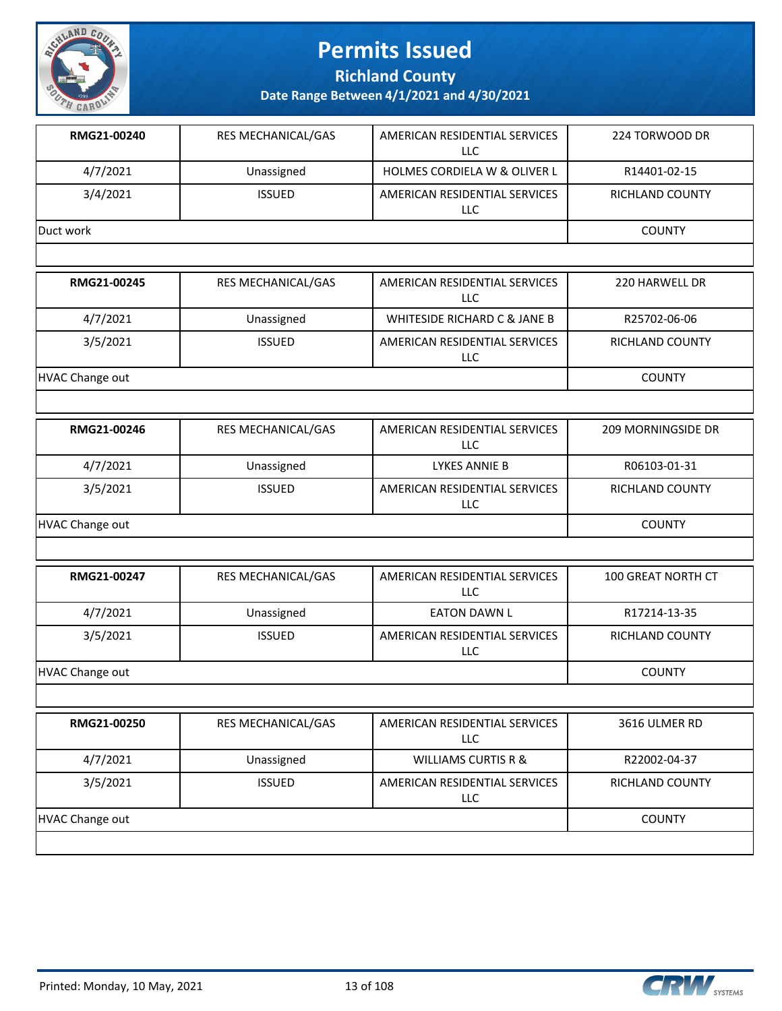

**Richland County**

**Date Range Between 4/1/2021 and 4/30/2021**

| RMG21-00240 | <b>RES MECHANICAL/GAS</b> | AMERICAN RESIDENTIAL SERVICES<br>LLC.   | 224 TORWOOD DR         |
|-------------|---------------------------|-----------------------------------------|------------------------|
| 4/7/2021    | Unassigned                | <b>HOLMES CORDIELA W &amp; OLIVER L</b> | R14401-02-15           |
| 3/4/2021    | <b>ISSUED</b>             | AMERICAN RESIDENTIAL SERVICES<br>LLC.   | <b>RICHLAND COUNTY</b> |
| Duct work   | <b>COUNTY</b>             |                                         |                        |
|             |                           |                                         |                        |
| RMG21-00245 | <b>RES MECHANICAL/GAS</b> | AMERICAN RESIDENTIAL SERVICES<br>LLC    | 220 HARWELL DR         |
| 4/7/2021    | Unassigned                | <b>WHITESIDE RICHARD C &amp; JANE B</b> | R25702-06-06           |

3/5/2021 ISSUED AMERICAN RESIDENTIAL SERVICES

HVAC Change out **COUNTY** 

| RMG21-00246     | <b>RES MECHANICAL/GAS</b> | AMERICAN RESIDENTIAL SERVICES<br>LLC | <b>209 MORNINGSIDE DR</b> |
|-----------------|---------------------------|--------------------------------------|---------------------------|
| 4/7/2021        | Unassigned                | LYKES ANNIE B                        | R06103-01-31              |
| 3/5/2021        | <b>ISSUED</b>             | AMERICAN RESIDENTIAL SERVICES<br>LLC | RICHLAND COUNTY           |
| HVAC Change out |                           |                                      | <b>COUNTY</b>             |

LLC

| RMG21-00247     | <b>RES MECHANICAL/GAS</b> | AMERICAN RESIDENTIAL SERVICES<br>LLC. | <b>100 GREAT NORTH CT</b> |
|-----------------|---------------------------|---------------------------------------|---------------------------|
| 4/7/2021        | Unassigned                | EATON DAWN L                          | R17214-13-35              |
| 3/5/2021        | <b>ISSUED</b>             | AMERICAN RESIDENTIAL SERVICES<br>LLC  | RICHLAND COUNTY           |
| HVAC Change out |                           |                                       | <b>COUNTY</b>             |

| RMG21-00250     | <b>RES MECHANICAL/GAS</b> | AMERICAN RESIDENTIAL SERVICES<br>LLC        | 3616 ULMER RD          |
|-----------------|---------------------------|---------------------------------------------|------------------------|
| 4/7/2021        | Unassigned                | WILLIAMS CURTIS R &                         | R22002-04-37           |
| 3/5/2021        | <b>ISSUED</b>             | AMERICAN RESIDENTIAL SERVICES<br><b>LLC</b> | <b>RICHLAND COUNTY</b> |
| HVAC Change out |                           |                                             | <b>COUNTY</b>          |
|                 |                           |                                             |                        |



RICHLAND COUNTY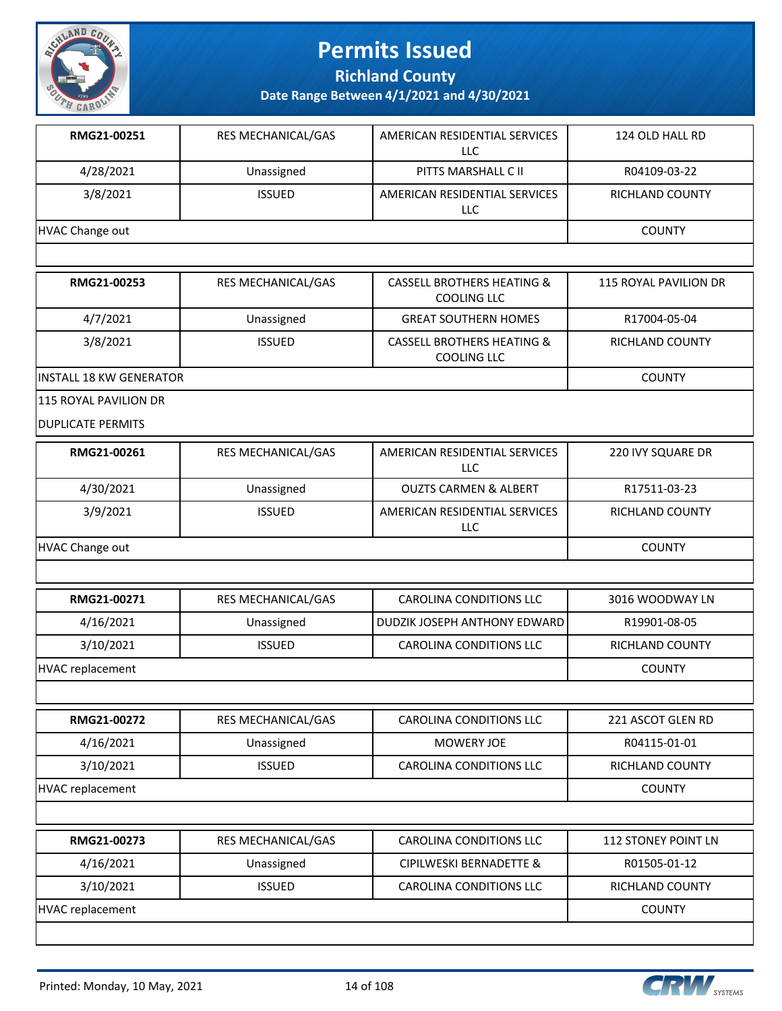

**Richland County**

**Date Range Between 4/1/2021 and 4/30/2021**

| RMG21-00251     | <b>RES MECHANICAL/GAS</b> | AMERICAN RESIDENTIAL SERVICES<br>LLC | 124 OLD HALL RD |
|-----------------|---------------------------|--------------------------------------|-----------------|
| 4/28/2021       | Unassigned                | PITTS MARSHALL C II                  | R04109-03-22    |
| 3/8/2021        | <b>ISSUED</b>             | AMERICAN RESIDENTIAL SERVICES<br>LLC | RICHLAND COUNTY |
| HVAC Change out |                           |                                      | <b>COUNTY</b>   |

| RMG21-00253              | <b>RES MECHANICAL/GAS</b> | CASSELL BROTHERS HEATING &<br>COOLING LLC            | 115 ROYAL PAVILION DR |
|--------------------------|---------------------------|------------------------------------------------------|-----------------------|
| 4/7/2021                 | Unassigned                | <b>GREAT SOUTHERN HOMES</b>                          | R17004-05-04          |
| 3/8/2021                 | <b>ISSUED</b>             | <b>CASSELL BROTHERS HEATING &amp;</b><br>COOLING LLC | RICHLAND COUNTY       |
| lINSTALL 18 KW GENERATOR |                           |                                                      | <b>COUNTY</b>         |

115 ROYAL PAVILION DR

DUPLICATE PERMITS

| RMG21-00261     | <b>RES MECHANICAL/GAS</b> | AMERICAN RESIDENTIAL SERVICES<br>LLC | 220 IVY SQUARE DR |
|-----------------|---------------------------|--------------------------------------|-------------------|
| 4/30/2021       | Unassigned                | <b>OUZTS CARMEN &amp; ALBERT</b>     | R17511-03-23      |
| 3/9/2021        | <b>ISSUED</b>             | AMERICAN RESIDENTIAL SERVICES<br>LLC | RICHLAND COUNTY   |
| HVAC Change out |                           |                                      | <b>COUNTY</b>     |

| <b>RMG21-00271</b> | RES MECHANICAL/GAS | CAROLINA CONDITIONS LLC                 | 3016 WOODWAY LN |
|--------------------|--------------------|-----------------------------------------|-----------------|
| 4/16/2021          | Unassigned         | <b>I DUDZIK JOSEPH ANTHONY EDWARD I</b> | R19901-08-05    |
| 3/10/2021          | <b>ISSUED</b>      | <b>CAROLINA CONDITIONS LLC</b>          | RICHLAND COUNTY |
| HVAC replacement   |                    |                                         | <b>COUNTY</b>   |

**RMG21-00272 RES MECHANICAL/GAS CAROLINA CONDITIONS LLC** 221 ASCOT GLEN RD 4/16/2021 Unassigned MOWERY JOE R04115-01-01 3/10/2021 | ISSUED | CAROLINA CONDITIONS LLC | RICHLAND COUNTY HVAC replacement COUNTY

| RMG21-00273      | RES MECHANICAL/GAS | CAROLINA CONDITIONS LLC | 112 STONEY POINT LN    |
|------------------|--------------------|-------------------------|------------------------|
| 4/16/2021        | Unassigned         | CIPILWESKI BERNADETTE & | R01505-01-12           |
| 3/10/2021        | <b>ISSUED</b>      | CAROLINA CONDITIONS LLC | <b>RICHLAND COUNTY</b> |
| HVAC replacement |                    |                         | <b>COUNTY</b>          |
|                  |                    |                         |                        |

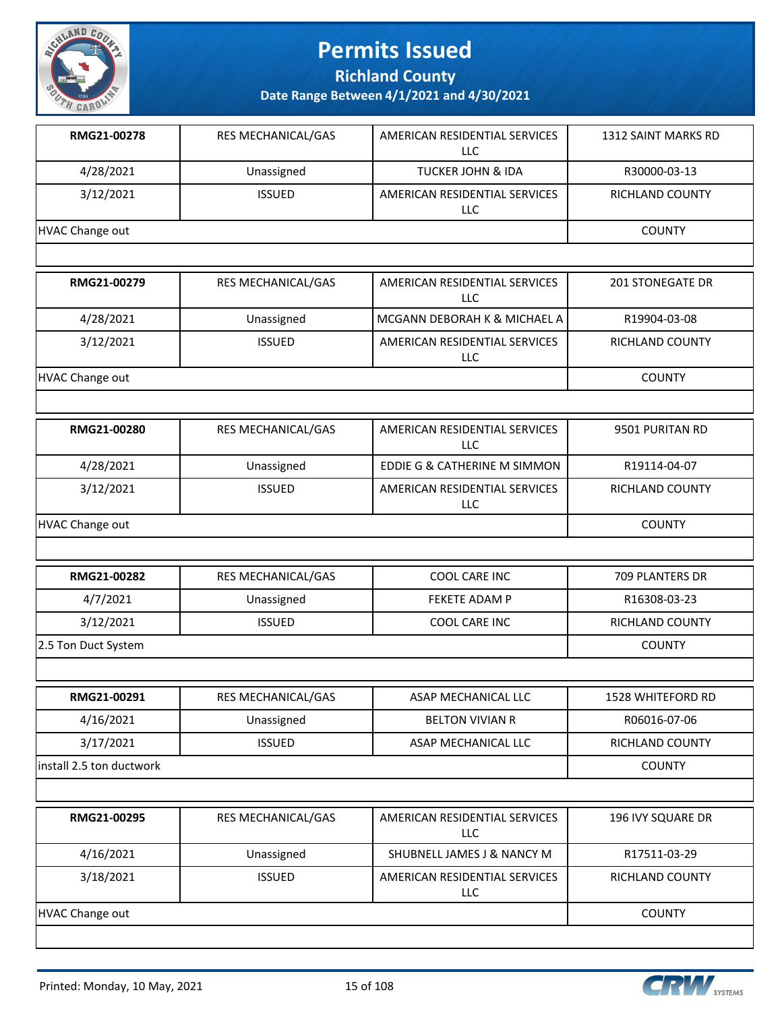

**Richland County**

| RMG21-00278              | RES MECHANICAL/GAS | AMERICAN RESIDENTIAL SERVICES<br><b>LLC</b> | 1312 SAINT MARKS RD     |
|--------------------------|--------------------|---------------------------------------------|-------------------------|
| 4/28/2021                | Unassigned         | <b>TUCKER JOHN &amp; IDA</b>                | R30000-03-13            |
| 3/12/2021                | <b>ISSUED</b>      | AMERICAN RESIDENTIAL SERVICES<br><b>LLC</b> | RICHLAND COUNTY         |
| <b>HVAC Change out</b>   |                    |                                             | <b>COUNTY</b>           |
|                          |                    |                                             |                         |
| RMG21-00279              | RES MECHANICAL/GAS | AMERICAN RESIDENTIAL SERVICES<br><b>LLC</b> | <b>201 STONEGATE DR</b> |
| 4/28/2021                | Unassigned         | MCGANN DEBORAH K & MICHAEL A                | R19904-03-08            |
| 3/12/2021                | <b>ISSUED</b>      | AMERICAN RESIDENTIAL SERVICES<br>LLC        | RICHLAND COUNTY         |
| <b>HVAC Change out</b>   |                    |                                             | <b>COUNTY</b>           |
|                          |                    |                                             |                         |
| RMG21-00280              | RES MECHANICAL/GAS | AMERICAN RESIDENTIAL SERVICES<br>LLC        | 9501 PURITAN RD         |
| 4/28/2021                | Unassigned         | EDDIE G & CATHERINE M SIMMON                | R19114-04-07            |
| 3/12/2021                | <b>ISSUED</b>      | AMERICAN RESIDENTIAL SERVICES<br>LLC        | <b>RICHLAND COUNTY</b>  |
| <b>HVAC Change out</b>   |                    |                                             | <b>COUNTY</b>           |
|                          |                    |                                             |                         |
| RMG21-00282              | RES MECHANICAL/GAS | COOL CARE INC                               | 709 PLANTERS DR         |
| 4/7/2021                 | Unassigned         | FEKETE ADAM P                               | R16308-03-23            |
| 3/12/2021                | <b>ISSUED</b>      | COOL CARE INC                               | <b>RICHLAND COUNTY</b>  |
| 2.5 Ton Duct System      |                    |                                             | <b>COUNTY</b>           |
|                          |                    |                                             |                         |
| RMG21-00291              | RES MECHANICAL/GAS | ASAP MECHANICAL LLC                         | 1528 WHITEFORD RD       |
| 4/16/2021                | Unassigned         | <b>BELTON VIVIAN R</b>                      | R06016-07-06            |
| 3/17/2021                | <b>ISSUED</b>      | ASAP MECHANICAL LLC                         | RICHLAND COUNTY         |
| install 2.5 ton ductwork |                    |                                             | <b>COUNTY</b>           |
|                          |                    |                                             |                         |
| RMG21-00295              | RES MECHANICAL/GAS | AMERICAN RESIDENTIAL SERVICES<br><b>LLC</b> | 196 IVY SQUARE DR       |
| 4/16/2021                | Unassigned         | SHUBNELL JAMES J & NANCY M                  | R17511-03-29            |
| 3/18/2021                | <b>ISSUED</b>      | AMERICAN RESIDENTIAL SERVICES<br>LLC        | RICHLAND COUNTY         |
| <b>HVAC Change out</b>   |                    |                                             | <b>COUNTY</b>           |

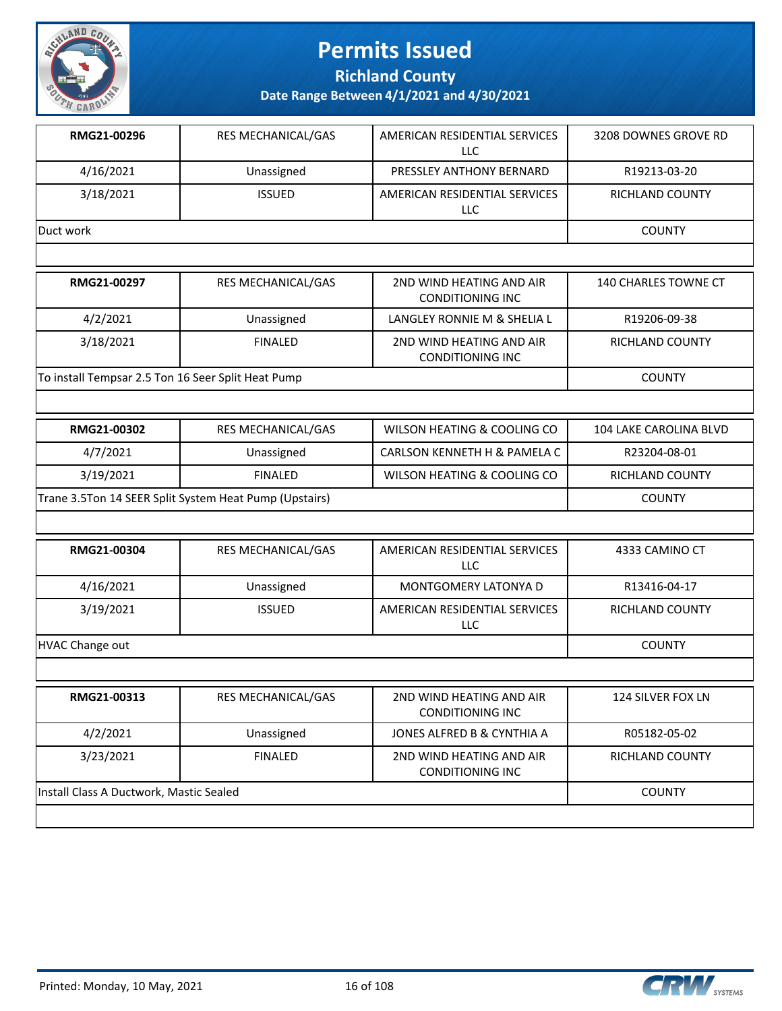

**Richland County**

**Date Range Between 4/1/2021 and 4/30/2021**

| RMG21-00296 | <b>RES MECHANICAL/GAS</b> | AMERICAN RESIDENTIAL SERVICES<br>LLC | 3208 DOWNES GROVE RD |
|-------------|---------------------------|--------------------------------------|----------------------|
| 4/16/2021   | Unassigned                | PRESSLEY ANTHONY BERNARD             | R19213-03-20         |
| 3/18/2021   | <b>ISSUED</b>             | AMERICAN RESIDENTIAL SERVICES<br>LLC | RICHLAND COUNTY      |
| Duct work   |                           |                                      | <b>COUNTY</b>        |

| RMG21-00297                                        | <b>RES MECHANICAL/GAS</b> | 2ND WIND HEATING AND AIR<br>CONDITIONING INC | 140 CHARLES TOWNE CT   |
|----------------------------------------------------|---------------------------|----------------------------------------------|------------------------|
| 4/2/2021                                           | Unassigned                | LANGLEY RONNIE M & SHELIA L                  | R19206-09-38           |
| 3/18/2021                                          | <b>FINALED</b>            | 2ND WIND HEATING AND AIR<br>CONDITIONING INC | <b>RICHLAND COUNTY</b> |
| To install Tempsar 2.5 Ton 16 Seer Split Heat Pump |                           |                                              | <b>COUNTY</b>          |

| RMG21-00302                                            | RES MECHANICAL/GAS | WILSON HEATING & COOLING CO  | 104 LAKE CAROLINA BLVD |
|--------------------------------------------------------|--------------------|------------------------------|------------------------|
| 4/7/2021                                               | Unassigned         | CARLSON KENNETH H & PAMELA C | R23204-08-01           |
| 3/19/2021                                              | FINAL FD           | WILSON HEATING & COOLING CO  | RICHLAND COUNTY        |
| Trane 3.5Ton 14 SEER Split System Heat Pump (Upstairs) |                    |                              | <b>COUNTY</b>          |

| RMG21-00304            | <b>RES MECHANICAL/GAS</b> | AMERICAN RESIDENTIAL SERVICES<br>LLC.               | 4333 CAMINO CT         |
|------------------------|---------------------------|-----------------------------------------------------|------------------------|
| 4/16/2021              | Unassigned                | <b>MONTGOMERY LATONYA D</b>                         | R13416-04-17           |
| 3/19/2021              | <b>ISSUED</b>             | AMERICAN RESIDENTIAL SERVICES<br>LLC                | <b>RICHLAND COUNTY</b> |
| <b>HVAC Change out</b> |                           |                                                     | <b>COUNTY</b>          |
|                        |                           |                                                     |                        |
| RMG21-00313            | <b>RES MECHANICAL/GAS</b> | 2ND WIND HEATING AND AIR<br><b>CONDITIONING INC</b> | 124 SILVER FOX LN      |
| 4/2/2021               | Unassigned                | JONES ALFRED B & CYNTHIA A                          | R05182-05-02           |

CONDITIONING INC

|                                         | CONDITIONING INC |        |
|-----------------------------------------|------------------|--------|
| Install Class A Ductwork, Mastic Sealed |                  | COUNTY |



RICHLAND COUNTY

3/23/2021 FINALED 2ND WIND HEATING AND AIR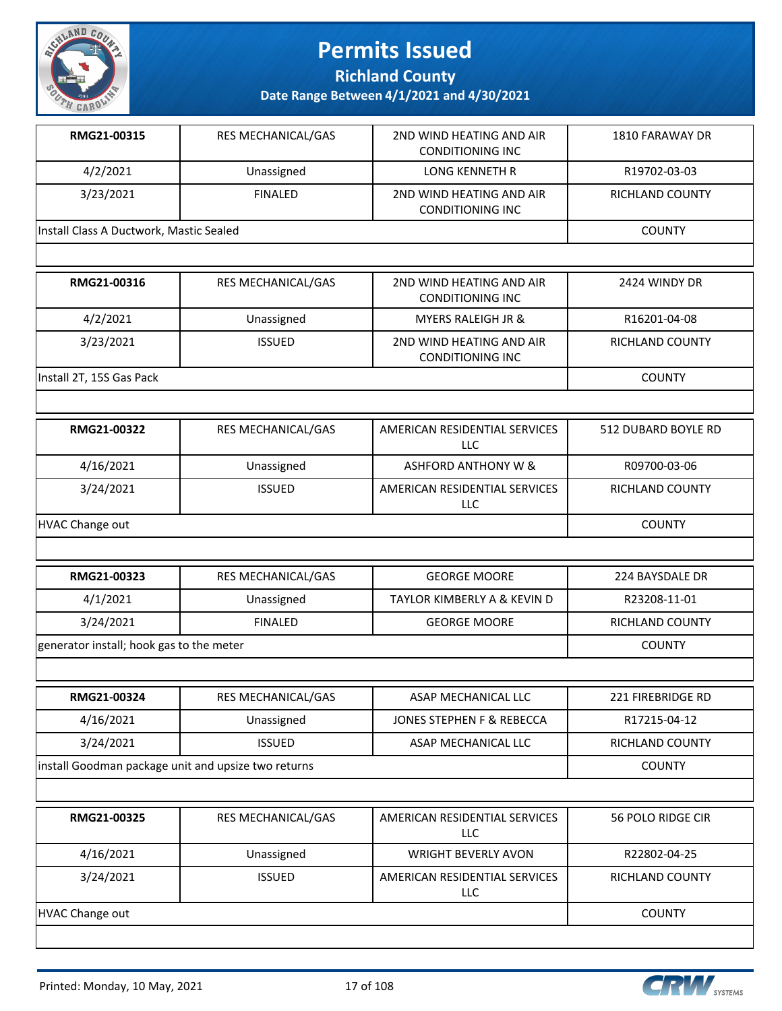

**Richland County**

**Date Range Between 4/1/2021 and 4/30/2021**

| RMG21-00315                             | RES MECHANICAL/GAS        | 2ND WIND HEATING AND AIR<br><b>CONDITIONING INC</b> | 1810 FARAWAY DR        |
|-----------------------------------------|---------------------------|-----------------------------------------------------|------------------------|
| 4/2/2021                                | Unassigned                | LONG KENNETH R                                      | R19702-03-03           |
| 3/23/2021                               | <b>FINALED</b>            | 2ND WIND HEATING AND AIR<br><b>CONDITIONING INC</b> | <b>RICHLAND COUNTY</b> |
| Install Class A Ductwork, Mastic Sealed |                           |                                                     | <b>COUNTY</b>          |
|                                         |                           |                                                     |                        |
| RMG21-00316                             | <b>RES MECHANICAL/GAS</b> | 2ND WIND HEATING AND AIR<br><b>CONDITIONING INC</b> | 2424 WINDY DR          |
| 4/2/2021                                | Unassigned                | <b>MYERS RALEIGH JR &amp;</b>                       | R16201-04-08           |

Install 2T, 15S Gas Pack COUNTY

| RMG21-00322            | <b>RES MECHANICAL/GAS</b> | AMERICAN RESIDENTIAL SERVICES<br>LLC. | 512 DUBARD BOYLE RD    |
|------------------------|---------------------------|---------------------------------------|------------------------|
| 4/16/2021              | Unassigned                | ASHFORD ANTHONY W &                   | R09700-03-06           |
| 3/24/2021              | <b>ISSUED</b>             | AMERICAN RESIDENTIAL SERVICES<br>LLC  | <b>RICHLAND COUNTY</b> |
| <b>HVAC Change out</b> |                           |                                       | <b>COUNTY</b>          |

CONDITIONING INC

3/23/2021 ISSUED 2ND WIND HEATING AND AIR

| RMG21-00323                              | <b>RES MECHANICAL/GAS</b> | <b>GEORGE MOORE</b>         | 224 BAYSDALE DR |
|------------------------------------------|---------------------------|-----------------------------|-----------------|
| 4/1/2021                                 | Unassigned                | TAYLOR KIMBERLY A & KEVIN D | R23208-11-01    |
| 3/24/2021                                | <b>FINALED</b>            | <b>GEORGE MOORE</b>         | RICHLAND COUNTY |
| generator install; hook gas to the meter |                           |                             | <b>COUNTY</b>   |

| RMG21-00324                                         | <b>RES MECHANICAL/GAS</b> | ASAP MECHANICAL LLC       | 221 FIREBRIDGE RD |
|-----------------------------------------------------|---------------------------|---------------------------|-------------------|
| 4/16/2021                                           | Unassigned                | JONES STEPHEN F & REBECCA | R17215-04-12      |
| 3/24/2021                                           | <b>ISSUED</b>             | ASAP MECHANICAL LLC       | RICHLAND COUNTY   |
| install Goodman package unit and upsize two returns |                           |                           | <b>COUNTY</b>     |

| RMG21-00325     | <b>RES MECHANICAL/GAS</b> | AMERICAN RESIDENTIAL SERVICES<br>LLC        | 56 POLO RIDGE CIR      |
|-----------------|---------------------------|---------------------------------------------|------------------------|
| 4/16/2021       | Unassigned                | <b>WRIGHT BEVERLY AVON</b>                  | R22802-04-25           |
| 3/24/2021       | <b>ISSUED</b>             | AMERICAN RESIDENTIAL SERVICES<br><b>LLC</b> | <b>RICHLAND COUNTY</b> |
| HVAC Change out |                           |                                             | <b>COUNTY</b>          |



RICHLAND COUNTY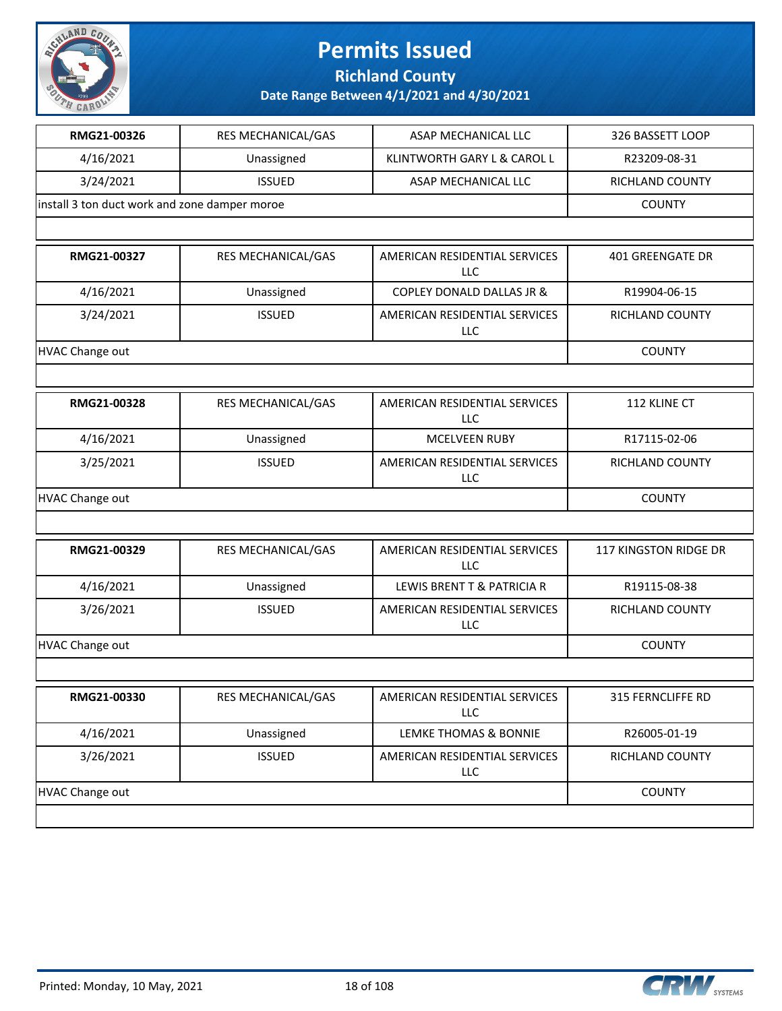

**Richland County**

| RMG21-00326                                   | RES MECHANICAL/GAS        | ASAP MECHANICAL LLC                  | 326 BASSETT LOOP        |
|-----------------------------------------------|---------------------------|--------------------------------------|-------------------------|
| 4/16/2021                                     | Unassigned                | KLINTWORTH GARY L & CAROL L          | R23209-08-31            |
| 3/24/2021                                     | <b>ISSUED</b>             | ASAP MECHANICAL LLC                  | RICHLAND COUNTY         |
| install 3 ton duct work and zone damper moroe |                           |                                      | <b>COUNTY</b>           |
|                                               |                           |                                      |                         |
| RMG21-00327                                   | <b>RES MECHANICAL/GAS</b> | AMERICAN RESIDENTIAL SERVICES<br>LLC | <b>401 GREENGATE DR</b> |
| 4/16/2021                                     | Unassigned                | <b>COPLEY DONALD DALLAS JR &amp;</b> | R19904-06-15            |
| 3/24/2021                                     | <b>ISSUED</b>             | AMERICAN RESIDENTIAL SERVICES<br>LLC | RICHLAND COUNTY         |
| HVAC Change out                               |                           |                                      | <b>COUNTY</b>           |
|                                               |                           |                                      |                         |
| RMG21-00328                                   | RES MECHANICAL/GAS        | AMERICAN RESIDENTIAL SERVICES<br>LLC | 112 KLINE CT            |
| 4/16/2021                                     | Unassigned                | <b>MCELVEEN RUBY</b>                 | R17115-02-06            |
| 3/25/2021                                     | <b>ISSUED</b>             | AMERICAN RESIDENTIAL SERVICES<br>LLC | RICHLAND COUNTY         |
| <b>HVAC Change out</b>                        |                           |                                      | <b>COUNTY</b>           |
|                                               |                           |                                      |                         |
| RMG21-00329                                   | RES MECHANICAL/GAS        | AMERICAN RESIDENTIAL SERVICES<br>LLC | 117 KINGSTON RIDGE DR   |
| 4/16/2021                                     | Unassigned                | LEWIS BRENT T & PATRICIA R           | R19115-08-38            |
| 3/26/2021                                     | <b>ISSUED</b>             | AMERICAN RESIDENTIAL SERVICES<br>LLC | RICHLAND COUNTY         |
| HVAC Change out                               |                           |                                      | <b>COUNTY</b>           |
|                                               |                           |                                      |                         |
| <b>RMG21-00330</b>                            | RES MECHANICAL/GAS        | AMERICAN RESIDENTIAL SERVICES<br>LLC | 315 FERNCLIFFE RD       |
| 4/16/2021                                     | Unassigned                | LEMKE THOMAS & BONNIE                | R26005-01-19            |
| 3/26/2021                                     | <b>ISSUED</b>             | AMERICAN RESIDENTIAL SERVICES<br>LLC | RICHLAND COUNTY         |
| <b>HVAC Change out</b>                        |                           |                                      | <b>COUNTY</b>           |
|                                               |                           |                                      |                         |

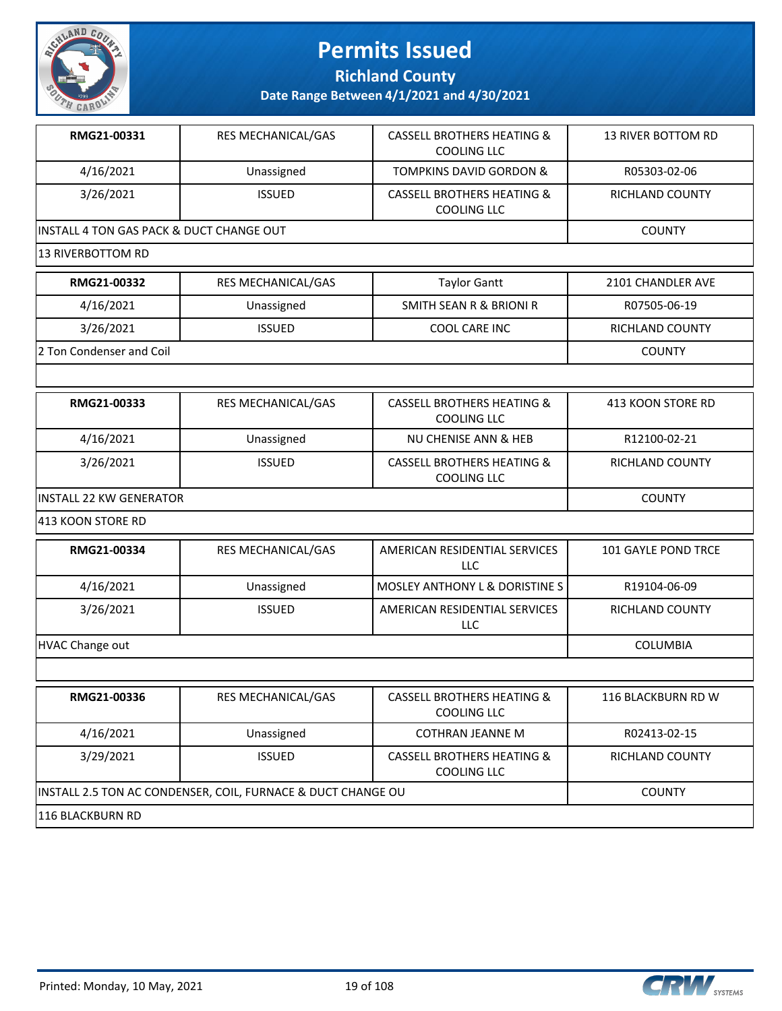

**Richland County**

| RMG21-00331                              | RES MECHANICAL/GAS                                           | <b>CASSELL BROTHERS HEATING &amp;</b><br><b>COOLING LLC</b> | 13 RIVER BOTTOM RD     |
|------------------------------------------|--------------------------------------------------------------|-------------------------------------------------------------|------------------------|
| 4/16/2021                                | Unassigned                                                   | <b>TOMPKINS DAVID GORDON &amp;</b>                          | R05303-02-06           |
| 3/26/2021                                | <b>ISSUED</b>                                                | <b>CASSELL BROTHERS HEATING &amp;</b><br><b>COOLING LLC</b> | <b>RICHLAND COUNTY</b> |
| INSTALL 4 TON GAS PACK & DUCT CHANGE OUT | <b>COUNTY</b>                                                |                                                             |                        |
| 13 RIVERBOTTOM RD                        |                                                              |                                                             |                        |
| RMG21-00332                              | RES MECHANICAL/GAS                                           | <b>Taylor Gantt</b>                                         | 2101 CHANDLER AVE      |
| 4/16/2021                                | Unassigned                                                   | SMITH SEAN R & BRIONI R                                     | R07505-06-19           |
| 3/26/2021                                | <b>ISSUED</b>                                                | COOL CARE INC                                               | RICHLAND COUNTY        |
| 2 Ton Condenser and Coil                 |                                                              |                                                             | <b>COUNTY</b>          |
|                                          |                                                              |                                                             |                        |
| RMG21-00333                              | RES MECHANICAL/GAS                                           | <b>CASSELL BROTHERS HEATING &amp;</b><br><b>COOLING LLC</b> | 413 KOON STORE RD      |
| 4/16/2021                                | Unassigned                                                   | NU CHENISE ANN & HEB                                        | R12100-02-21           |
| 3/26/2021                                | <b>ISSUED</b>                                                | <b>CASSELL BROTHERS HEATING &amp;</b><br><b>COOLING LLC</b> | RICHLAND COUNTY        |
| <b>INSTALL 22 KW GENERATOR</b>           |                                                              |                                                             | <b>COUNTY</b>          |
| 413 KOON STORE RD                        |                                                              |                                                             |                        |
| RMG21-00334                              | RES MECHANICAL/GAS                                           | AMERICAN RESIDENTIAL SERVICES<br><b>LLC</b>                 | 101 GAYLE POND TRCE    |
| 4/16/2021                                | Unassigned                                                   | MOSLEY ANTHONY L & DORISTINE S                              | R19104-06-09           |
| 3/26/2021                                | <b>ISSUED</b>                                                | AMERICAN RESIDENTIAL SERVICES<br>LLC                        | RICHLAND COUNTY        |
| <b>HVAC Change out</b>                   |                                                              |                                                             | COLUMBIA               |
|                                          |                                                              |                                                             |                        |
| RMG21-00336                              | RES MECHANICAL/GAS                                           | <b>CASSELL BROTHERS HEATING &amp;</b><br>COOLING LLC        | 116 BLACKBURN RD W     |
| 4/16/2021                                | Unassigned                                                   | <b>COTHRAN JEANNE M</b>                                     | R02413-02-15           |
| 3/29/2021                                | <b>ISSUED</b>                                                | <b>CASSELL BROTHERS HEATING &amp;</b><br><b>COOLING LLC</b> | RICHLAND COUNTY        |
|                                          | INSTALL 2.5 TON AC CONDENSER, COIL, FURNACE & DUCT CHANGE OU |                                                             | <b>COUNTY</b>          |
| 116 BLACKBURN RD                         |                                                              |                                                             |                        |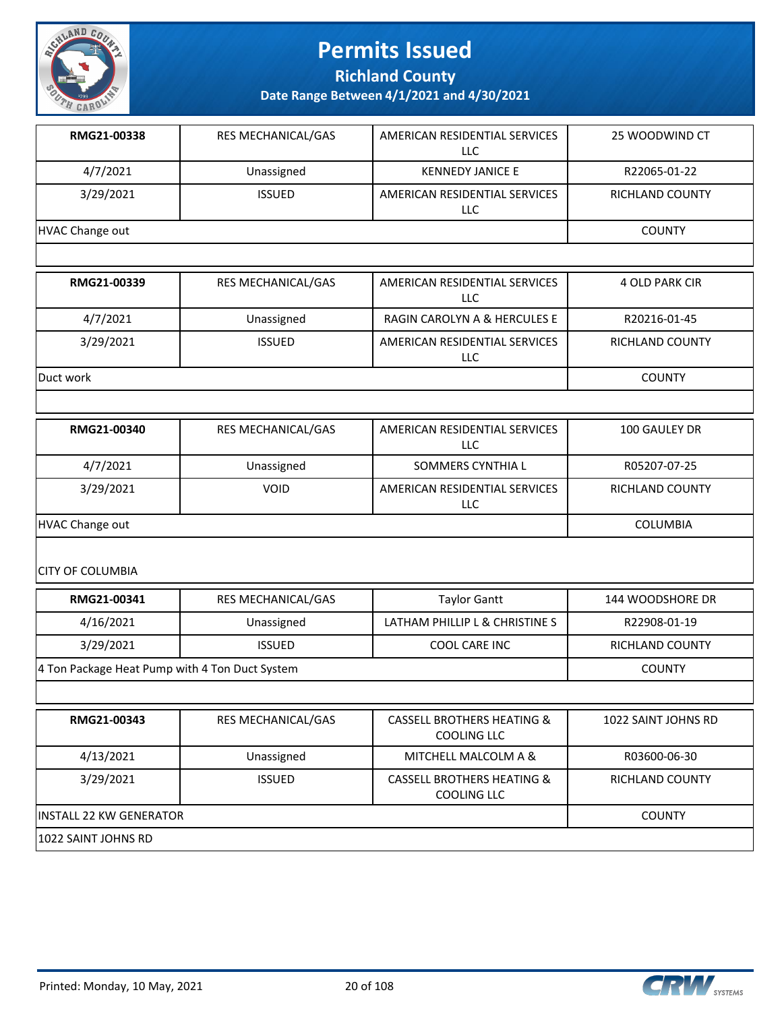

**Richland County**

**Date Range Between 4/1/2021 and 4/30/2021**

| RMG21-00338     | <b>RES MECHANICAL/GAS</b> | AMERICAN RESIDENTIAL SERVICES<br>LLC | 25 WOODWIND CT         |
|-----------------|---------------------------|--------------------------------------|------------------------|
| 4/7/2021        | Unassigned                | <b>KENNEDY JANICE E</b>              | R22065-01-22           |
| 3/29/2021       | <b>ISSUED</b>             | AMERICAN RESIDENTIAL SERVICES<br>LLC | <b>RICHLAND COUNTY</b> |
| HVAC Change out |                           |                                      | <b>COUNTY</b>          |

| RMG21-00339 | <b>RES MECHANICAL/GAS</b> | AMERICAN RESIDENTIAL SERVICES<br>LLC | 4 OLD PARK CIR  |
|-------------|---------------------------|--------------------------------------|-----------------|
| 4/7/2021    | Unassigned                | RAGIN CAROLYN A & HERCULES E         | R20216-01-45    |
| 3/29/2021   | <b>ISSUED</b>             | AMERICAN RESIDENTIAL SERVICES<br>LLC | RICHLAND COUNTY |
| Duct work   |                           |                                      | <b>COUNTY</b>   |

| RMG21-00340     | <b>RES MECHANICAL/GAS</b> | AMERICAN RESIDENTIAL SERVICES<br>LLC | 100 GAULEY DR          |
|-----------------|---------------------------|--------------------------------------|------------------------|
| 4/7/2021        | Unassigned                | SOMMERS CYNTHIA L                    | R05207-07-25           |
| 3/29/2021       | <b>VOID</b>               | AMERICAN RESIDENTIAL SERVICES<br>LLC | <b>RICHLAND COUNTY</b> |
| HVAC Change out |                           |                                      | COLUMBIA               |

CITY OF COLUMBIA

| RMG21-00341                                    | RES MECHANICAL/GAS | Taylor Gantt                   | 144 WOODSHORE DR |
|------------------------------------------------|--------------------|--------------------------------|------------------|
| 4/16/2021                                      | Unassigned         | LATHAM PHILLIP L & CHRISTINE S | R22908-01-19     |
| 3/29/2021                                      | <b>ISSUED</b>      | COOL CARE INC                  | RICHLAND COUNTY  |
| 4 Ton Package Heat Pump with 4 Ton Duct System |                    |                                | <b>COUNTY</b>    |

| RMG21-00343              | <b>RES MECHANICAL/GAS</b> | <b>CASSELL BROTHERS HEATING &amp;</b><br>COOLING LLC | 1022 SAINT JOHNS RD |
|--------------------------|---------------------------|------------------------------------------------------|---------------------|
| 4/13/2021                | Unassigned                | MITCHELL MALCOLM A &                                 | R03600-06-30        |
| 3/29/2021                | <b>ISSUED</b>             | <b>CASSELL BROTHERS HEATING &amp;</b><br>COOLING LLC | RICHLAND COUNTY     |
| lINSTALL 22 KW GENERATOR | <b>COUNTY</b>             |                                                      |                     |
| 1022 SAINT JOHNS RD      |                           |                                                      |                     |

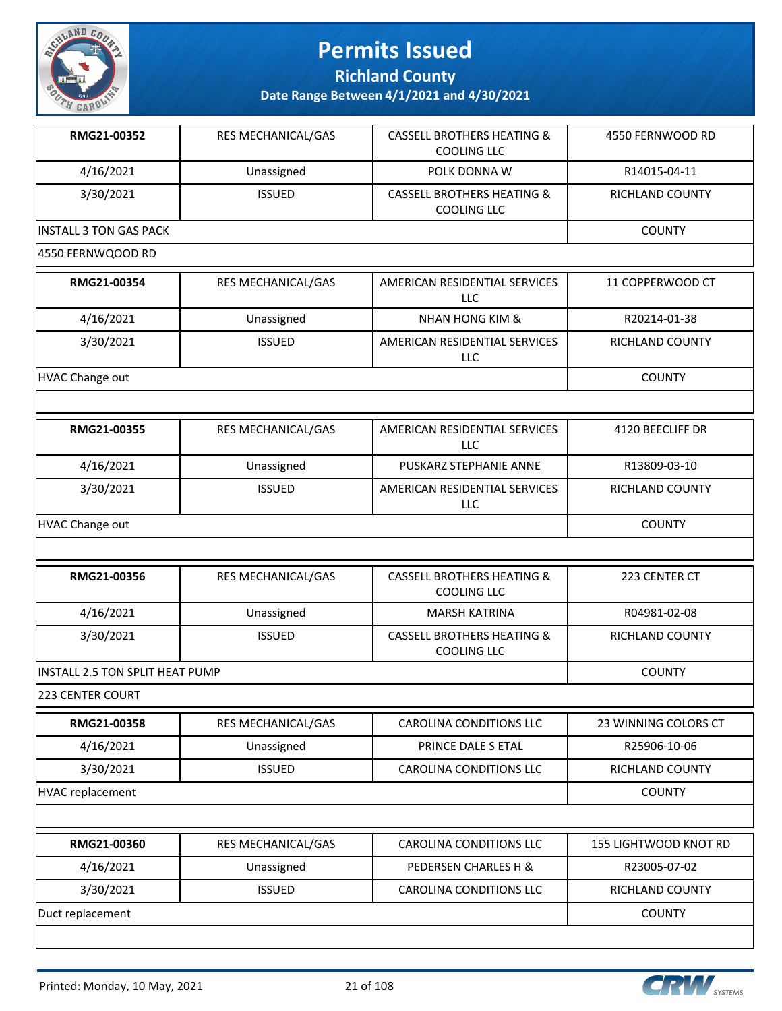

**Richland County**

| RMG21-00352                     | RES MECHANICAL/GAS        | <b>CASSELL BROTHERS HEATING &amp;</b><br><b>COOLING LLC</b> | 4550 FERNWOOD RD      |
|---------------------------------|---------------------------|-------------------------------------------------------------|-----------------------|
| 4/16/2021                       | Unassigned                | POLK DONNA W                                                | R14015-04-11          |
| 3/30/2021                       | <b>ISSUED</b>             | <b>CASSELL BROTHERS HEATING &amp;</b><br><b>COOLING LLC</b> | RICHLAND COUNTY       |
| <b>INSTALL 3 TON GAS PACK</b>   |                           |                                                             | <b>COUNTY</b>         |
| 4550 FERNWQOOD RD               |                           |                                                             |                       |
| RMG21-00354                     | <b>RES MECHANICAL/GAS</b> | AMERICAN RESIDENTIAL SERVICES<br><b>LLC</b>                 | 11 COPPERWOOD CT      |
| 4/16/2021                       | Unassigned                | <b>NHAN HONG KIM &amp;</b>                                  | R20214-01-38          |
| 3/30/2021                       | <b>ISSUED</b>             | AMERICAN RESIDENTIAL SERVICES<br><b>LLC</b>                 | RICHLAND COUNTY       |
| <b>HVAC Change out</b>          |                           |                                                             | <b>COUNTY</b>         |
|                                 |                           |                                                             |                       |
| RMG21-00355                     | <b>RES MECHANICAL/GAS</b> | AMERICAN RESIDENTIAL SERVICES<br>LLC                        | 4120 BEECLIFF DR      |
| 4/16/2021                       | Unassigned                | PUSKARZ STEPHANIE ANNE                                      | R13809-03-10          |
| 3/30/2021                       | <b>ISSUED</b>             | AMERICAN RESIDENTIAL SERVICES<br>LLC                        | RICHLAND COUNTY       |
| <b>HVAC Change out</b>          |                           |                                                             | <b>COUNTY</b>         |
|                                 |                           |                                                             |                       |
| RMG21-00356                     | RES MECHANICAL/GAS        | <b>CASSELL BROTHERS HEATING &amp;</b><br><b>COOLING LLC</b> | 223 CENTER CT         |
| 4/16/2021                       | Unassigned                | <b>MARSH KATRINA</b>                                        | R04981-02-08          |
| 3/30/2021                       | <b>ISSUED</b>             | <b>CASSELL BROTHERS HEATING &amp;</b><br><b>COOLING LLC</b> | RICHLAND COUNTY       |
| INSTALL 2.5 TON SPLIT HEAT PUMP |                           |                                                             | <b>COUNTY</b>         |
| 223 CENTER COURT                |                           |                                                             |                       |
| RMG21-00358                     | RES MECHANICAL/GAS        | CAROLINA CONDITIONS LLC                                     | 23 WINNING COLORS CT  |
| 4/16/2021                       | Unassigned                | PRINCE DALE S ETAL                                          | R25906-10-06          |
| 3/30/2021                       | <b>ISSUED</b>             | CAROLINA CONDITIONS LLC                                     | RICHLAND COUNTY       |
| <b>HVAC replacement</b>         |                           |                                                             | <b>COUNTY</b>         |
|                                 |                           |                                                             |                       |
| RMG21-00360                     | RES MECHANICAL/GAS        | CAROLINA CONDITIONS LLC                                     | 155 LIGHTWOOD KNOT RD |
| 4/16/2021                       | Unassigned                | PEDERSEN CHARLES H &                                        | R23005-07-02          |
| 3/30/2021                       | <b>ISSUED</b>             | CAROLINA CONDITIONS LLC                                     | RICHLAND COUNTY       |
| Duct replacement                | <b>COUNTY</b>             |                                                             |                       |
|                                 |                           |                                                             |                       |

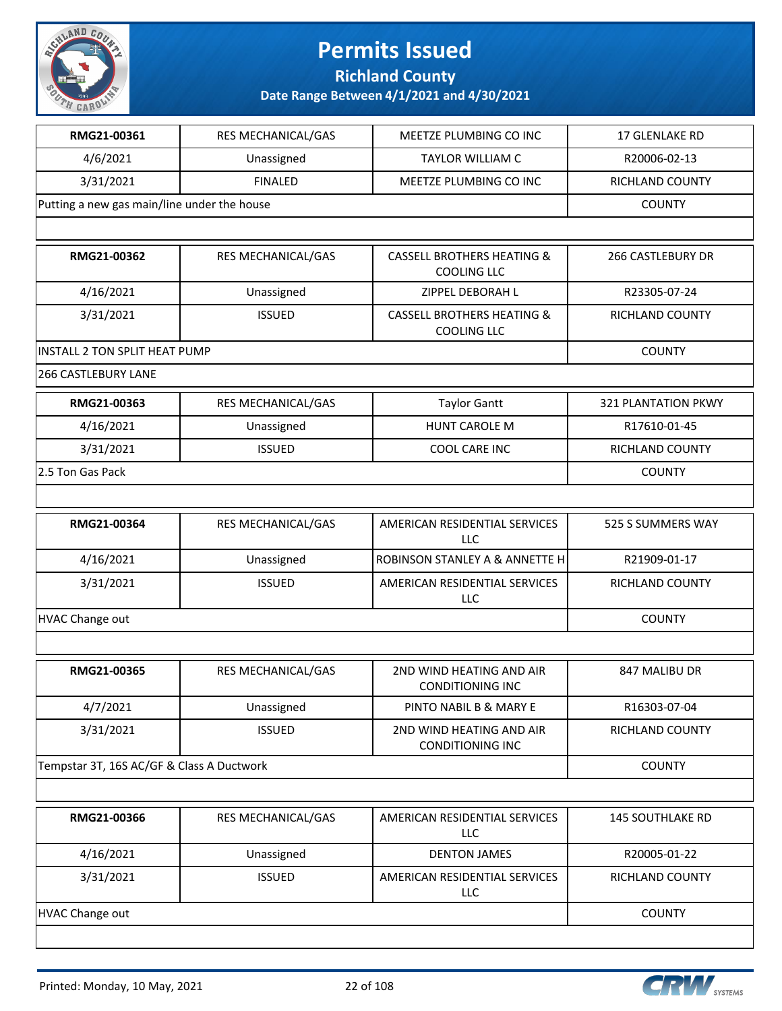

**Richland County**

| RMG21-00361                                 | RES MECHANICAL/GAS        | MEETZE PLUMBING CO INC                                      | 17 GLENLAKE RD           |
|---------------------------------------------|---------------------------|-------------------------------------------------------------|--------------------------|
| 4/6/2021                                    | Unassigned                | <b>TAYLOR WILLIAM C</b>                                     | R20006-02-13             |
| 3/31/2021                                   | <b>FINALED</b>            | MEETZE PLUMBING CO INC                                      | RICHLAND COUNTY          |
| Putting a new gas main/line under the house |                           |                                                             | <b>COUNTY</b>            |
|                                             |                           |                                                             |                          |
| RMG21-00362                                 | <b>RES MECHANICAL/GAS</b> | <b>CASSELL BROTHERS HEATING &amp;</b><br><b>COOLING LLC</b> | <b>266 CASTLEBURY DR</b> |
| 4/16/2021                                   | Unassigned                | ZIPPEL DEBORAH L                                            | R23305-07-24             |
| 3/31/2021                                   | <b>ISSUED</b>             | <b>CASSELL BROTHERS HEATING &amp;</b><br><b>COOLING LLC</b> | RICHLAND COUNTY          |
| INSTALL 2 TON SPLIT HEAT PUMP               |                           |                                                             | <b>COUNTY</b>            |
| <b>266 CASTLEBURY LANE</b>                  |                           |                                                             |                          |
| RMG21-00363                                 | RES MECHANICAL/GAS        | <b>Taylor Gantt</b>                                         | 321 PLANTATION PKWY      |
| 4/16/2021                                   | Unassigned                | <b>HUNT CAROLE M</b>                                        | R17610-01-45             |
| 3/31/2021                                   | <b>ISSUED</b>             | COOL CARE INC                                               | RICHLAND COUNTY          |
| 2.5 Ton Gas Pack                            |                           |                                                             | <b>COUNTY</b>            |
|                                             |                           |                                                             |                          |
| RMG21-00364                                 | RES MECHANICAL/GAS        | AMERICAN RESIDENTIAL SERVICES<br>LLC                        | 525 S SUMMERS WAY        |
| 4/16/2021                                   | Unassigned                | ROBINSON STANLEY A & ANNETTE H                              | R21909-01-17             |
| 3/31/2021                                   | <b>ISSUED</b>             | AMERICAN RESIDENTIAL SERVICES<br>LLC                        | RICHLAND COUNTY          |
| <b>HVAC Change out</b>                      | <b>COUNTY</b>             |                                                             |                          |
|                                             |                           |                                                             |                          |
| RMG21-00365                                 | RES MECHANICAL/GAS        | 2ND WIND HEATING AND AIR<br><b>CONDITIONING INC</b>         | 847 MALIBU DR            |
| 4/7/2021                                    | Unassigned                | PINTO NABIL B & MARY E                                      | R16303-07-04             |
| 3/31/2021                                   | <b>ISSUED</b>             | 2ND WIND HEATING AND AIR<br><b>CONDITIONING INC</b>         | RICHLAND COUNTY          |
| Tempstar 3T, 16S AC/GF & Class A Ductwork   |                           |                                                             | <b>COUNTY</b>            |
|                                             |                           |                                                             |                          |
| RMG21-00366                                 | RES MECHANICAL/GAS        | AMERICAN RESIDENTIAL SERVICES<br>LLC                        | <b>145 SOUTHLAKE RD</b>  |
| 4/16/2021                                   | Unassigned                | <b>DENTON JAMES</b>                                         | R20005-01-22             |
| 3/31/2021                                   | <b>ISSUED</b>             | AMERICAN RESIDENTIAL SERVICES<br>LLC                        | RICHLAND COUNTY          |
| <b>HVAC Change out</b>                      |                           |                                                             | <b>COUNTY</b>            |
|                                             |                           |                                                             |                          |

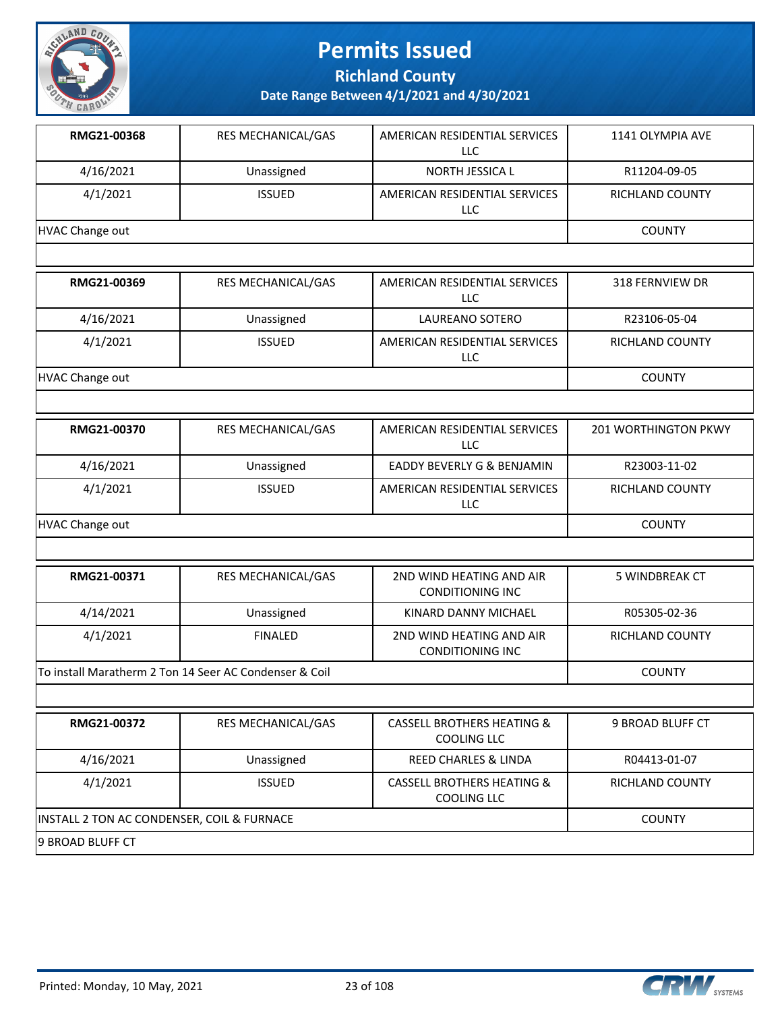

**Richland County**

| RMG21-00368                                | RES MECHANICAL/GAS                                     | AMERICAN RESIDENTIAL SERVICES<br><b>LLC</b>          | 1141 OLYMPIA AVE            |
|--------------------------------------------|--------------------------------------------------------|------------------------------------------------------|-----------------------------|
| 4/16/2021                                  | Unassigned                                             | NORTH JESSICA L                                      | R11204-09-05                |
| 4/1/2021                                   | <b>ISSUED</b>                                          | AMERICAN RESIDENTIAL SERVICES<br><b>LLC</b>          | RICHLAND COUNTY             |
| <b>HVAC Change out</b>                     |                                                        |                                                      | <b>COUNTY</b>               |
|                                            |                                                        |                                                      |                             |
| RMG21-00369                                | RES MECHANICAL/GAS                                     | AMERICAN RESIDENTIAL SERVICES<br>LLC                 | 318 FERNVIEW DR             |
| 4/16/2021                                  | Unassigned                                             | LAUREANO SOTERO                                      | R23106-05-04                |
| 4/1/2021                                   | <b>ISSUED</b>                                          | AMERICAN RESIDENTIAL SERVICES<br><b>LLC</b>          | RICHLAND COUNTY             |
| <b>HVAC Change out</b>                     |                                                        |                                                      | <b>COUNTY</b>               |
|                                            |                                                        |                                                      |                             |
| RMG21-00370                                | RES MECHANICAL/GAS                                     | AMERICAN RESIDENTIAL SERVICES<br><b>LLC</b>          | <b>201 WORTHINGTON PKWY</b> |
| 4/16/2021                                  | Unassigned                                             | EADDY BEVERLY G & BENJAMIN                           | R23003-11-02                |
| 4/1/2021                                   | <b>ISSUED</b>                                          | AMERICAN RESIDENTIAL SERVICES<br>LLC                 | RICHLAND COUNTY             |
| <b>HVAC Change out</b>                     |                                                        |                                                      | <b>COUNTY</b>               |
|                                            |                                                        |                                                      |                             |
| RMG21-00371                                | RES MECHANICAL/GAS                                     | 2ND WIND HEATING AND AIR<br><b>CONDITIONING INC</b>  | <b>5 WINDBREAK CT</b>       |
| 4/14/2021                                  | Unassigned                                             | KINARD DANNY MICHAEL                                 | R05305-02-36                |
| 4/1/2021                                   | <b>FINALED</b>                                         | 2ND WIND HEATING AND AIR<br><b>CONDITIONING INC</b>  | <b>RICHLAND COUNTY</b>      |
|                                            | To install Maratherm 2 Ton 14 Seer AC Condenser & Coil |                                                      | <b>COUNTY</b>               |
|                                            |                                                        |                                                      |                             |
| RMG21-00372                                | RES MECHANICAL/GAS                                     | <b>CASSELL BROTHERS HEATING &amp;</b><br>COOLING LLC | 9 BROAD BLUFF CT            |
| 4/16/2021                                  | Unassigned                                             | REED CHARLES & LINDA                                 | R04413-01-07                |
| 4/1/2021                                   | <b>ISSUED</b>                                          | <b>CASSELL BROTHERS HEATING &amp;</b><br>COOLING LLC | RICHLAND COUNTY             |
| INSTALL 2 TON AC CONDENSER, COIL & FURNACE |                                                        |                                                      | <b>COUNTY</b>               |
| 9 BROAD BLUFF CT                           |                                                        |                                                      |                             |

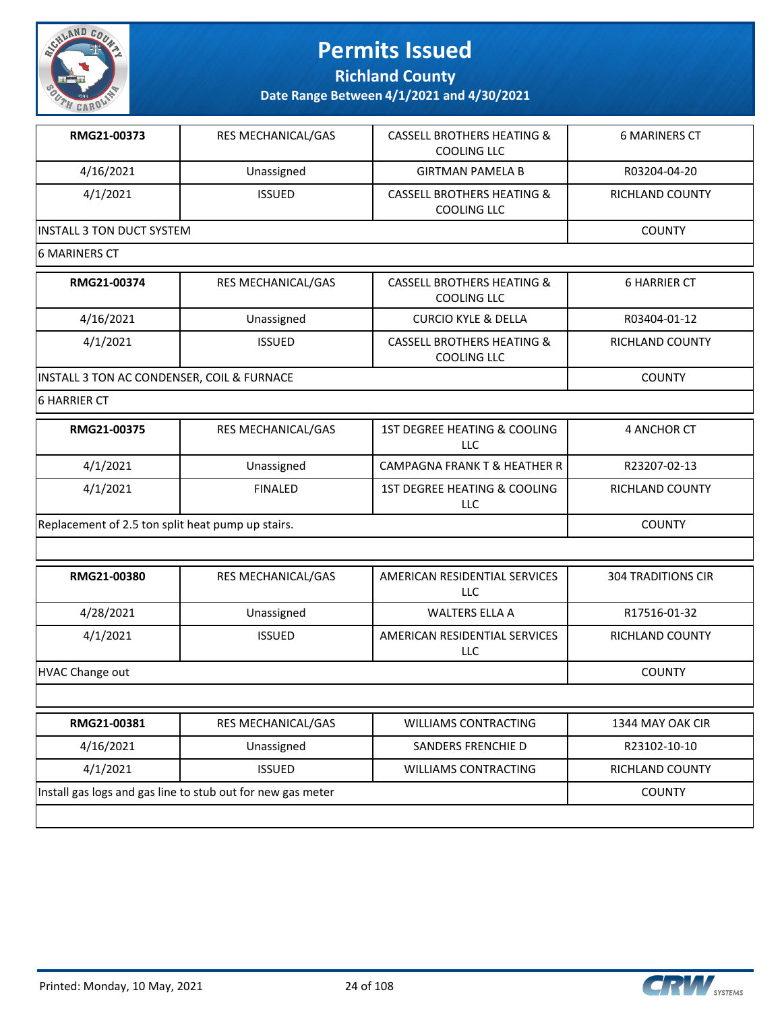

**Richland County**

**Date Range Between 4/1/2021 and 4/30/2021**

| RMG21-00373               | <b>RES MECHANICAL/GAS</b> | <b>CASSELL BROTHERS HEATING &amp;</b><br>COOLING LLC | <b>6 MARINERS CT</b>   |
|---------------------------|---------------------------|------------------------------------------------------|------------------------|
| 4/16/2021                 | Unassigned                | <b>GIRTMAN PAMELA B</b>                              | R03204-04-20           |
| 4/1/2021                  | <b>ISSUED</b>             | <b>CASSELL BROTHERS HEATING &amp;</b><br>COOLING LLC | <b>RICHLAND COUNTY</b> |
| INSTALL 3 TON DUCT SYSTEM | <b>COUNTY</b>             |                                                      |                        |

#### 6 MARINERS CT

| RMG21-00374                                | <b>RES MECHANICAL/GAS</b> | CASSELL BROTHERS HEATING &<br>COOLING LLC            | <b>6 HARRIER CT</b> |
|--------------------------------------------|---------------------------|------------------------------------------------------|---------------------|
| 4/16/2021                                  | Unassigned                | <b>CURCIO KYLE &amp; DELLA</b>                       | R03404-01-12        |
| 4/1/2021                                   | <b>ISSUED</b>             | <b>CASSELL BROTHERS HEATING &amp;</b><br>COOLING LLC | RICHLAND COUNTY     |
| INSTALL 3 TON AC CONDENSER, COIL & FURNACE |                           |                                                      | <b>COUNTY</b>       |

#### 6 HARRIER CT

| RMG21-00375                                       | <b>RES MECHANICAL/GAS</b> | 1ST DEGREE HEATING & COOLING<br>LLC | 4 ANCHOR CT     |
|---------------------------------------------------|---------------------------|-------------------------------------|-----------------|
| 4/1/2021                                          | Unassigned                | CAMPAGNA FRANK T & HEATHER R I      | R23207-02-13    |
| 4/1/2021                                          | <b>FINALED</b>            | 1ST DEGREE HEATING & COOLING<br>LLC | RICHLAND COUNTY |
| Replacement of 2.5 ton split heat pump up stairs. |                           |                                     | <b>COUNTY</b>   |

| RMG21-00380            | <b>RES MECHANICAL/GAS</b> | AMERICAN RESIDENTIAL SERVICES<br>LLC. | <b>304 TRADITIONS CIR</b> |
|------------------------|---------------------------|---------------------------------------|---------------------------|
| 4/28/2021              | Unassigned                | WALTERS ELLA A                        | R17516-01-32              |
| 4/1/2021               | <b>ISSUED</b>             | AMERICAN RESIDENTIAL SERVICES<br>LLC  | RICHLAND COUNTY           |
| <b>HVAC Change out</b> |                           |                                       | <b>COUNTY</b>             |

| RMG21-00381                                                 | <b>RES MECHANICAL/GAS</b> | <b>WILLIAMS CONTRACTING</b> | 1344 MAY OAK CIR |
|-------------------------------------------------------------|---------------------------|-----------------------------|------------------|
| 4/16/2021                                                   | Unassigned                | SANDERS FRENCHIE D          | R23102-10-10     |
| 4/1/2021                                                    | <b>ISSUED</b>             | <b>WILLIAMS CONTRACTING</b> | RICHLAND COUNTY  |
| Install gas logs and gas line to stub out for new gas meter |                           |                             | <b>COUNTY</b>    |
|                                                             |                           |                             |                  |

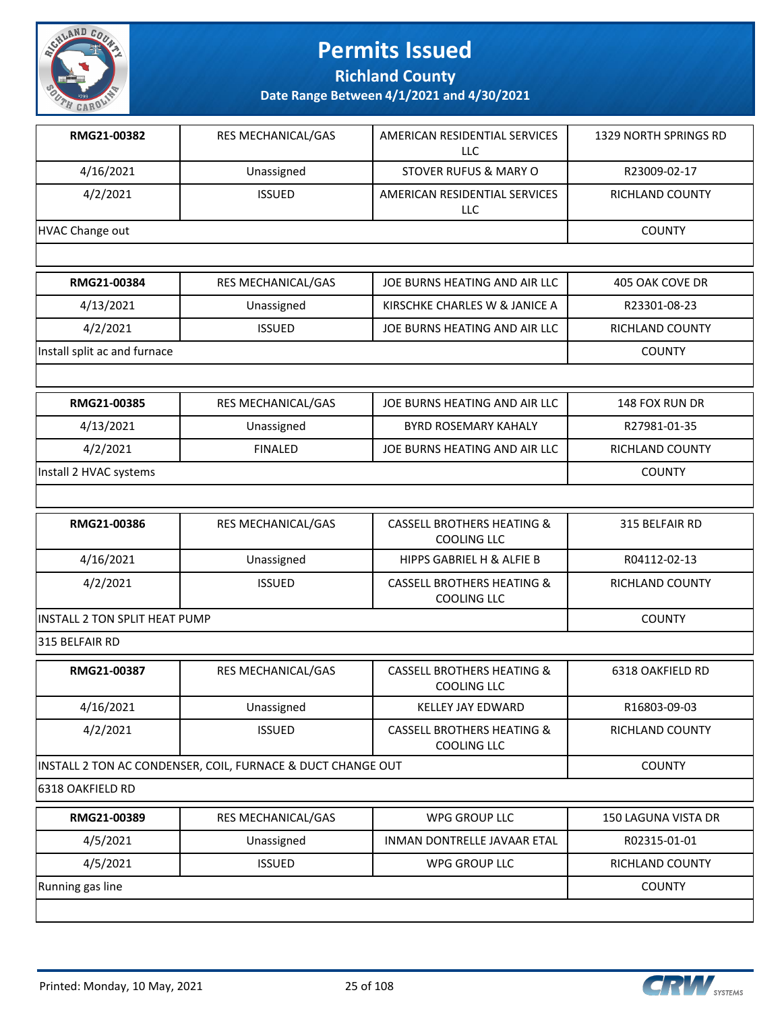

**Richland County**

| RMG21-00382                                                 | RES MECHANICAL/GAS | AMERICAN RESIDENTIAL SERVICES<br><b>LLC</b>                 | 1329 NORTH SPRINGS RD  |
|-------------------------------------------------------------|--------------------|-------------------------------------------------------------|------------------------|
| 4/16/2021                                                   | Unassigned         | <b>STOVER RUFUS &amp; MARY O</b>                            | R23009-02-17           |
| 4/2/2021                                                    | <b>ISSUED</b>      | AMERICAN RESIDENTIAL SERVICES<br><b>LLC</b>                 | <b>RICHLAND COUNTY</b> |
| <b>HVAC Change out</b>                                      |                    |                                                             | <b>COUNTY</b>          |
|                                                             |                    |                                                             |                        |
| RMG21-00384                                                 | RES MECHANICAL/GAS | JOE BURNS HEATING AND AIR LLC                               | 405 OAK COVE DR        |
| 4/13/2021                                                   | Unassigned         | KIRSCHKE CHARLES W & JANICE A                               | R23301-08-23           |
| 4/2/2021                                                    | <b>ISSUED</b>      | JOE BURNS HEATING AND AIR LLC                               | RICHLAND COUNTY        |
| Install split ac and furnace                                |                    |                                                             | <b>COUNTY</b>          |
|                                                             |                    |                                                             |                        |
| RMG21-00385                                                 | RES MECHANICAL/GAS | JOE BURNS HEATING AND AIR LLC                               | 148 FOX RUN DR         |
| 4/13/2021                                                   | Unassigned         | <b>BYRD ROSEMARY KAHALY</b>                                 | R27981-01-35           |
| 4/2/2021                                                    | <b>FINALED</b>     | JOE BURNS HEATING AND AIR LLC                               | RICHLAND COUNTY        |
| Install 2 HVAC systems                                      |                    |                                                             | <b>COUNTY</b>          |
|                                                             |                    |                                                             |                        |
| RMG21-00386                                                 | RES MECHANICAL/GAS | <b>CASSELL BROTHERS HEATING &amp;</b><br><b>COOLING LLC</b> | 315 BELFAIR RD         |
| 4/16/2021                                                   | Unassigned         | HIPPS GABRIEL H & ALFIE B                                   | R04112-02-13           |
| 4/2/2021                                                    | <b>ISSUED</b>      | <b>CASSELL BROTHERS HEATING &amp;</b><br>COOLING LLC        | RICHLAND COUNTY        |
| INSTALL 2 TON SPLIT HEAT PUMP                               |                    | <b>COUNTY</b>                                               |                        |
| 315 BELFAIR RD                                              |                    |                                                             |                        |
| RMG21-00387                                                 | RES MECHANICAL/GAS | <b>CASSELL BROTHERS HEATING &amp;</b><br>COOLING LLC        | 6318 OAKFIELD RD       |
| 4/16/2021                                                   | Unassigned         | KELLEY JAY EDWARD                                           | R16803-09-03           |
| 4/2/2021                                                    | <b>ISSUED</b>      | <b>CASSELL BROTHERS HEATING &amp;</b><br><b>COOLING LLC</b> | RICHLAND COUNTY        |
| INSTALL 2 TON AC CONDENSER, COIL, FURNACE & DUCT CHANGE OUT | <b>COUNTY</b>      |                                                             |                        |
| 6318 OAKFIELD RD                                            |                    |                                                             |                        |
| RMG21-00389                                                 | RES MECHANICAL/GAS | <b>WPG GROUP LLC</b>                                        | 150 LAGUNA VISTA DR    |
| 4/5/2021                                                    | Unassigned         | INMAN DONTRELLE JAVAAR ETAL                                 | R02315-01-01           |
| 4/5/2021                                                    | <b>ISSUED</b>      | WPG GROUP LLC                                               | RICHLAND COUNTY        |
| Running gas line                                            |                    |                                                             | <b>COUNTY</b>          |
|                                                             |                    |                                                             |                        |

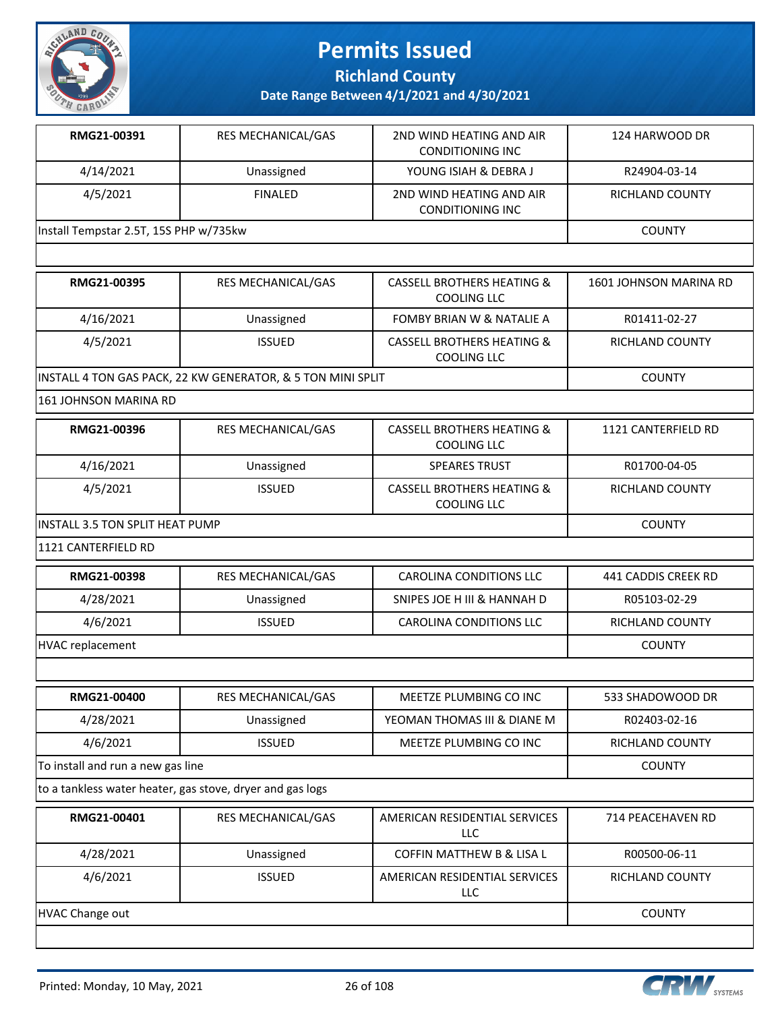

**Richland County**

**Date Range Between 4/1/2021 and 4/30/2021**

| RMG21-00391                            | <b>RES MECHANICAL/GAS</b> | 2ND WIND HEATING AND AIR<br>CONDITIONING INC         | 124 HARWOOD DR         |
|----------------------------------------|---------------------------|------------------------------------------------------|------------------------|
| 4/14/2021                              | Unassigned                | YOUNG ISIAH & DEBRA J                                | R24904-03-14           |
| 4/5/2021                               | <b>FINALED</b>            | 2ND WIND HEATING AND AIR<br><b>CONDITIONING INC</b>  | RICHLAND COUNTY        |
| Install Tempstar 2.5T, 15S PHP w/735kw |                           |                                                      | <b>COUNTY</b>          |
|                                        |                           |                                                      |                        |
| RMG21-00395                            | <b>RES MECHANICAL/GAS</b> | CASSELL BROTHERS HEATING &<br>COOLING LLC            | 1601 JOHNSON MARINA RD |
| 4/16/2021                              | Unassigned                | <b>FOMBY BRIAN W &amp; NATALIE A</b>                 | R01411-02-27           |
| 4/5/2021                               | <b>ISSUED</b>             | <b>CASSELL BROTHERS HEATING &amp;</b><br>COOLING LLC | RICHLAND COUNTY        |

INSTALL 4 TON GAS PACK, 22 KW GENERATOR, & 5 TON MINI SPLIT COUNTY

161 JOHNSON MARINA RD

| RMG21-00396                            | <b>RES MECHANICAL/GAS</b> | CASSELL BROTHERS HEATING &<br>COOLING LLC | 1121 CANTERFIELD RD |
|----------------------------------------|---------------------------|-------------------------------------------|---------------------|
| 4/16/2021                              | Unassigned                | <b>SPEARES TRUST</b>                      | R01700-04-05        |
| 4/5/2021                               | <b>ISSUED</b>             | CASSELL BROTHERS HEATING &<br>COOLING LLC | RICHLAND COUNTY     |
| <b>INSTALL 3.5 TON SPLIT HEAT PUMP</b> |                           |                                           | <b>COUNTY</b>       |

1121 CANTERFIELD RD

| RMG21-00398      | RES MECHANICAL/GAS | CAROLINA CONDITIONS LLC     | 441 CADDIS CREEK RD |
|------------------|--------------------|-----------------------------|---------------------|
| 4/28/2021        | Unassigned         | SNIPES JOE H III & HANNAH D | R05103-02-29        |
| 4/6/2021         | <b>ISSUED</b>      | CAROLINA CONDITIONS LLC     | RICHLAND COUNTY     |
| HVAC replacement |                    |                             | <b>COUNTY</b>       |

| <b>RMG21-00400</b>                | <b>RES MECHANICAL/GAS</b> | MEETZE PLUMBING CO INC      | 533 SHADOWOOD DR       |  |
|-----------------------------------|---------------------------|-----------------------------|------------------------|--|
| 4/28/2021                         | Unassigned                | YEOMAN THOMAS III & DIANE M | R02403-02-16           |  |
| 4/6/2021                          | <b>ISSUED</b>             | MEETZE PLUMBING CO INC      | <b>RICHLAND COUNTY</b> |  |
| To install and run a new gas line |                           |                             | <b>COUNTY</b>          |  |

to a tankless water heater, gas stove, dryer and gas logs

| RMG21-00401            | <b>RES MECHANICAL/GAS</b> | AMERICAN RESIDENTIAL SERVICES<br>LLC | 714 PEACEHAVEN RD |
|------------------------|---------------------------|--------------------------------------|-------------------|
| 4/28/2021              | Unassigned                | <b>COFFIN MATTHEW B &amp; LISA L</b> | R00500-06-11      |
| 4/6/2021               | <b>ISSUED</b>             | AMERICAN RESIDENTIAL SERVICES<br>LLC | RICHLAND COUNTY   |
| <b>HVAC Change out</b> |                           |                                      | <b>COUNTY</b>     |





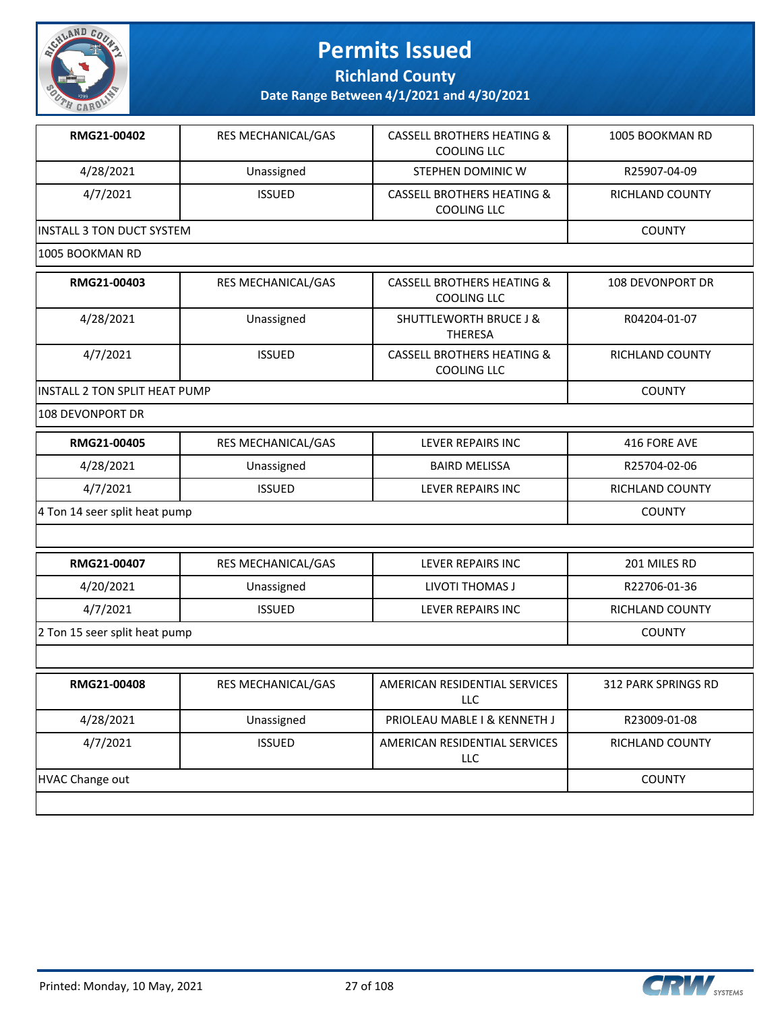

**Richland County**

| RMG21-00402                          | RES MECHANICAL/GAS        | <b>CASSELL BROTHERS HEATING &amp;</b><br><b>COOLING LLC</b> | 1005 BOOKMAN RD     |
|--------------------------------------|---------------------------|-------------------------------------------------------------|---------------------|
| 4/28/2021                            | Unassigned                | STEPHEN DOMINIC W                                           | R25907-04-09        |
| 4/7/2021                             | <b>ISSUED</b>             | <b>CASSELL BROTHERS HEATING &amp;</b><br><b>COOLING LLC</b> | RICHLAND COUNTY     |
| <b>INSTALL 3 TON DUCT SYSTEM</b>     |                           |                                                             | <b>COUNTY</b>       |
| 1005 BOOKMAN RD                      |                           |                                                             |                     |
| RMG21-00403                          | RES MECHANICAL/GAS        | <b>CASSELL BROTHERS HEATING &amp;</b><br><b>COOLING LLC</b> | 108 DEVONPORT DR    |
| 4/28/2021                            | Unassigned                | <b>SHUTTLEWORTH BRUCE J &amp;</b><br><b>THERESA</b>         | R04204-01-07        |
| 4/7/2021                             | <b>ISSUED</b>             | <b>CASSELL BROTHERS HEATING &amp;</b><br><b>COOLING LLC</b> | RICHLAND COUNTY     |
| <b>INSTALL 2 TON SPLIT HEAT PUMP</b> |                           |                                                             | <b>COUNTY</b>       |
| 108 DEVONPORT DR                     |                           |                                                             |                     |
| RMG21-00405                          | <b>RES MECHANICAL/GAS</b> | LEVER REPAIRS INC                                           | 416 FORE AVE        |
| 4/28/2021                            | Unassigned                | <b>BAIRD MELISSA</b>                                        | R25704-02-06        |
| 4/7/2021                             | <b>ISSUED</b>             | LEVER REPAIRS INC                                           | RICHLAND COUNTY     |
| 4 Ton 14 seer split heat pump        |                           |                                                             | <b>COUNTY</b>       |
|                                      |                           |                                                             |                     |
| RMG21-00407                          | RES MECHANICAL/GAS        | LEVER REPAIRS INC                                           | 201 MILES RD        |
| 4/20/2021                            | Unassigned                | LIVOTI THOMAS J                                             | R22706-01-36        |
| 4/7/2021                             | <b>ISSUED</b>             | LEVER REPAIRS INC                                           | RICHLAND COUNTY     |
| 2 Ton 15 seer split heat pump        |                           |                                                             | <b>COUNTY</b>       |
|                                      |                           |                                                             |                     |
| RMG21-00408                          | RES MECHANICAL/GAS        | AMERICAN RESIDENTIAL SERVICES<br>LLC                        | 312 PARK SPRINGS RD |
| 4/28/2021                            | Unassigned                | PRIOLEAU MABLE I & KENNETH J                                | R23009-01-08        |
| 4/7/2021                             | <b>ISSUED</b>             | AMERICAN RESIDENTIAL SERVICES<br>LLC                        | RICHLAND COUNTY     |
| <b>HVAC Change out</b>               |                           |                                                             | <b>COUNTY</b>       |
|                                      |                           |                                                             |                     |

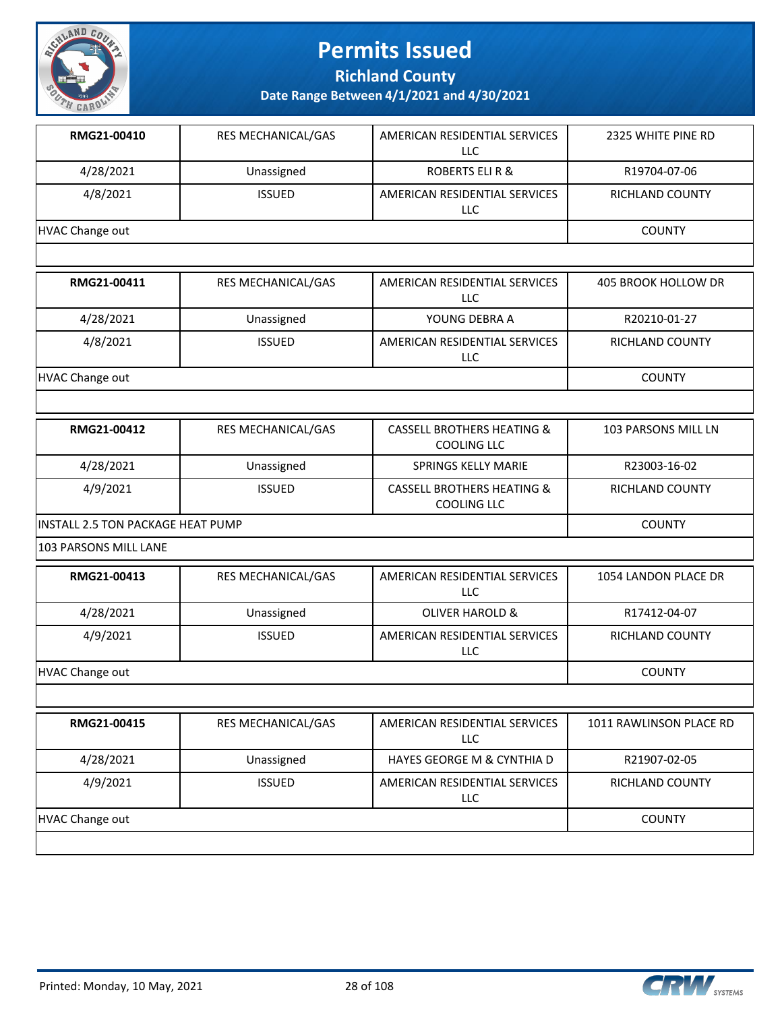

**Richland County**

| RMG21-00410                       | RES MECHANICAL/GAS | AMERICAN RESIDENTIAL SERVICES<br>LLC                        | 2325 WHITE PINE RD      |
|-----------------------------------|--------------------|-------------------------------------------------------------|-------------------------|
| 4/28/2021                         | Unassigned         | <b>ROBERTS ELI R &amp;</b>                                  | R19704-07-06            |
| 4/8/2021                          | <b>ISSUED</b>      | AMERICAN RESIDENTIAL SERVICES<br>LLC                        | RICHLAND COUNTY         |
| <b>HVAC Change out</b>            |                    |                                                             | <b>COUNTY</b>           |
|                                   |                    |                                                             |                         |
| RMG21-00411                       | RES MECHANICAL/GAS | AMERICAN RESIDENTIAL SERVICES<br><b>LLC</b>                 | 405 BROOK HOLLOW DR     |
| 4/28/2021                         | Unassigned         | YOUNG DEBRA A                                               | R20210-01-27            |
| 4/8/2021                          | <b>ISSUED</b>      | AMERICAN RESIDENTIAL SERVICES<br>LLC                        | RICHLAND COUNTY         |
| <b>HVAC Change out</b>            |                    |                                                             | <b>COUNTY</b>           |
|                                   |                    |                                                             |                         |
| RMG21-00412                       | RES MECHANICAL/GAS | <b>CASSELL BROTHERS HEATING &amp;</b><br><b>COOLING LLC</b> | 103 PARSONS MILL LN     |
| 4/28/2021                         | Unassigned         | <b>SPRINGS KELLY MARIE</b>                                  | R23003-16-02            |
| 4/9/2021                          | <b>ISSUED</b>      | <b>CASSELL BROTHERS HEATING &amp;</b><br><b>COOLING LLC</b> | RICHLAND COUNTY         |
| INSTALL 2.5 TON PACKAGE HEAT PUMP | <b>COUNTY</b>      |                                                             |                         |
| 103 PARSONS MILL LANE             |                    |                                                             |                         |
| RMG21-00413                       | RES MECHANICAL/GAS | AMERICAN RESIDENTIAL SERVICES<br>LLC                        | 1054 LANDON PLACE DR    |
| 4/28/2021                         | Unassigned         | <b>OLIVER HAROLD &amp;</b>                                  | R17412-04-07            |
| 4/9/2021                          | <b>ISSUED</b>      | AMERICAN RESIDENTIAL SERVICES<br>LLC                        | RICHLAND COUNTY         |
| <b>HVAC Change out</b>            |                    |                                                             | <b>COUNTY</b>           |
|                                   |                    |                                                             |                         |
| RMG21-00415                       | RES MECHANICAL/GAS | AMERICAN RESIDENTIAL SERVICES<br>LLC                        | 1011 RAWLINSON PLACE RD |
| 4/28/2021                         | Unassigned         | HAYES GEORGE M & CYNTHIA D                                  | R21907-02-05            |
| 4/9/2021                          | <b>ISSUED</b>      | AMERICAN RESIDENTIAL SERVICES<br><b>LLC</b>                 | RICHLAND COUNTY         |
|                                   |                    |                                                             |                         |

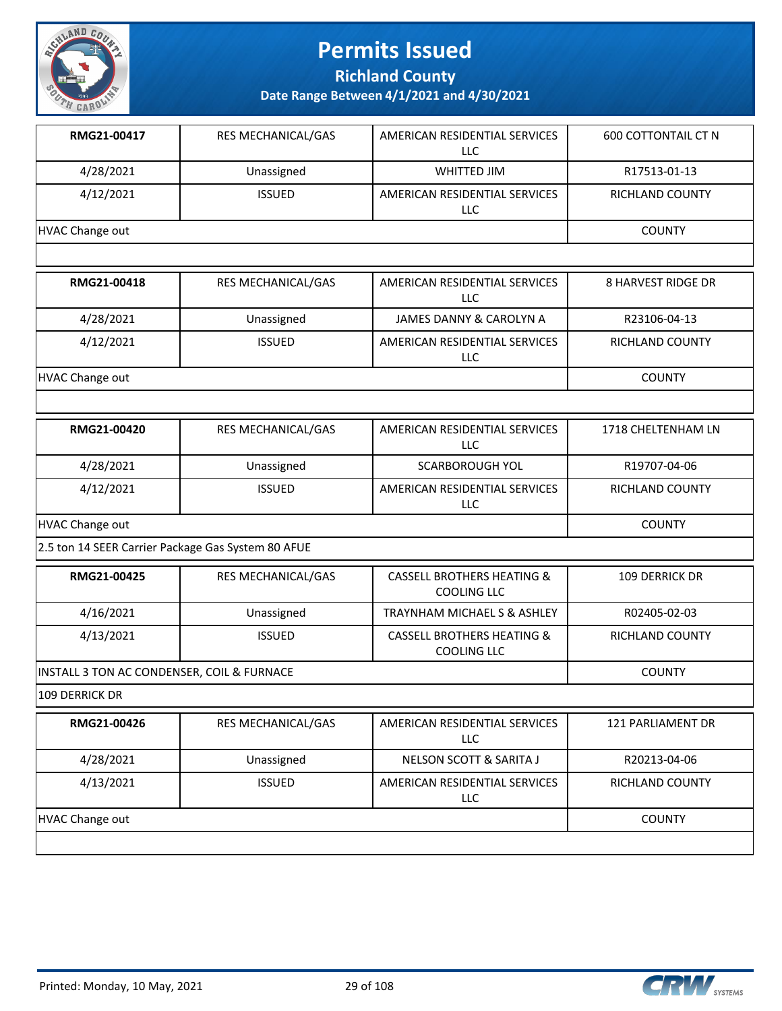

**Richland County**

| RMG21-00417                                        | RES MECHANICAL/GAS | AMERICAN RESIDENTIAL SERVICES<br><b>LLC</b>                 | <b>600 COTTONTAIL CT N</b> |
|----------------------------------------------------|--------------------|-------------------------------------------------------------|----------------------------|
| 4/28/2021                                          | Unassigned         | WHITTED JIM                                                 | R17513-01-13               |
| 4/12/2021                                          | <b>ISSUED</b>      | AMERICAN RESIDENTIAL SERVICES<br><b>LLC</b>                 | RICHLAND COUNTY            |
| <b>HVAC Change out</b>                             |                    |                                                             | <b>COUNTY</b>              |
|                                                    |                    |                                                             |                            |
| RMG21-00418                                        | RES MECHANICAL/GAS | AMERICAN RESIDENTIAL SERVICES<br><b>LLC</b>                 | <b>8 HARVEST RIDGE DR</b>  |
| 4/28/2021                                          | Unassigned         | JAMES DANNY & CAROLYN A                                     | R23106-04-13               |
| 4/12/2021                                          | <b>ISSUED</b>      | AMERICAN RESIDENTIAL SERVICES<br><b>LLC</b>                 | RICHLAND COUNTY            |
| <b>HVAC Change out</b>                             |                    |                                                             | <b>COUNTY</b>              |
|                                                    |                    |                                                             |                            |
| RMG21-00420                                        | RES MECHANICAL/GAS | AMERICAN RESIDENTIAL SERVICES<br><b>LLC</b>                 | 1718 CHELTENHAM LN         |
| 4/28/2021                                          | Unassigned         | <b>SCARBOROUGH YOL</b>                                      | R19707-04-06               |
| 4/12/2021                                          | <b>ISSUED</b>      | AMERICAN RESIDENTIAL SERVICES<br><b>LLC</b>                 | RICHLAND COUNTY            |
| <b>HVAC Change out</b>                             | <b>COUNTY</b>      |                                                             |                            |
| 2.5 ton 14 SEER Carrier Package Gas System 80 AFUE |                    |                                                             |                            |
| RMG21-00425                                        | RES MECHANICAL/GAS | <b>CASSELL BROTHERS HEATING &amp;</b><br><b>COOLING LLC</b> | 109 DERRICK DR             |
| 4/16/2021                                          | Unassigned         | TRAYNHAM MICHAEL S & ASHLEY                                 | R02405-02-03               |
| 4/13/2021                                          | <b>ISSUED</b>      | <b>CASSELL BROTHERS HEATING &amp;</b><br><b>COOLING LLC</b> | RICHLAND COUNTY            |
| INSTALL 3 TON AC CONDENSER, COIL & FURNACE         |                    |                                                             | <b>COUNTY</b>              |
| 109 DERRICK DR                                     |                    |                                                             |                            |
| RMG21-00426                                        | RES MECHANICAL/GAS | AMERICAN RESIDENTIAL SERVICES<br><b>LLC</b>                 | 121 PARLIAMENT DR          |
| 4/28/2021                                          | Unassigned         | NELSON SCOTT & SARITA J                                     | R20213-04-06               |
| 4/13/2021                                          | <b>ISSUED</b>      | AMERICAN RESIDENTIAL SERVICES<br><b>LLC</b>                 | RICHLAND COUNTY            |
| <b>HVAC Change out</b>                             |                    |                                                             | <b>COUNTY</b>              |
|                                                    |                    |                                                             |                            |

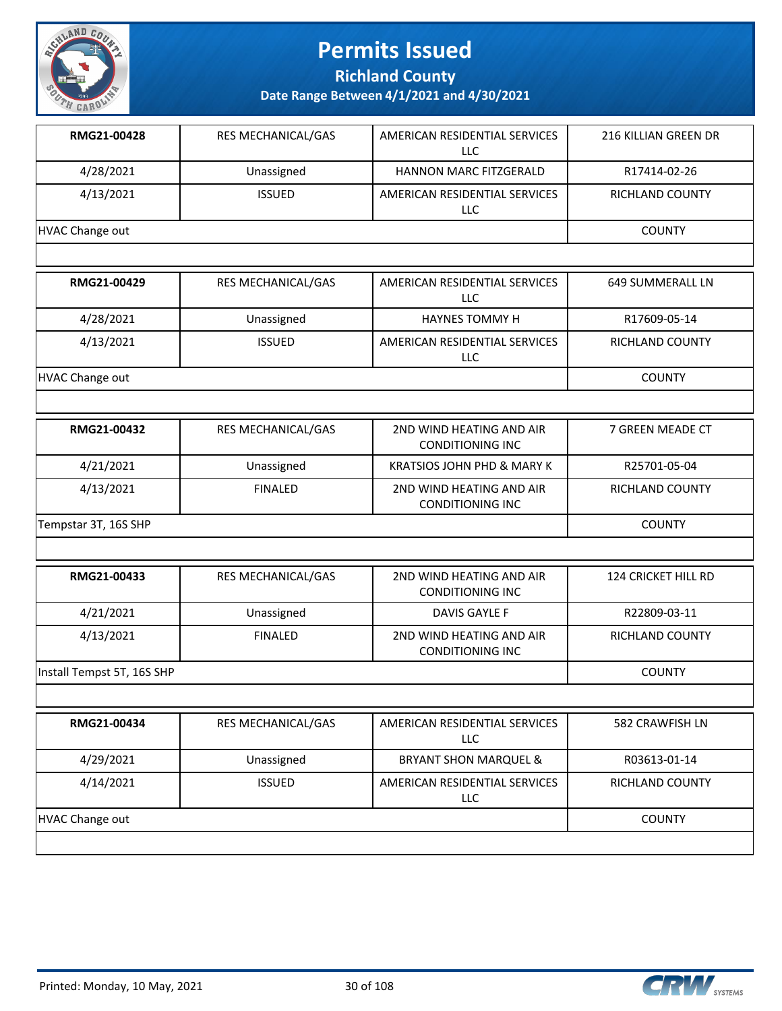

**Richland County**

| 4/28/2021<br>4/13/2021<br><b>HVAC Change out</b><br>RMG21-00429 | Unassigned<br><b>ISSUED</b><br>RES MECHANICAL/GAS | <b>HANNON MARC FITZGERALD</b><br>AMERICAN RESIDENTIAL SERVICES<br>LLC | R17414-02-26<br><b>RICHLAND COUNTY</b><br><b>COUNTY</b> |
|-----------------------------------------------------------------|---------------------------------------------------|-----------------------------------------------------------------------|---------------------------------------------------------|
|                                                                 |                                                   |                                                                       |                                                         |
|                                                                 |                                                   |                                                                       |                                                         |
|                                                                 |                                                   |                                                                       |                                                         |
|                                                                 |                                                   |                                                                       |                                                         |
|                                                                 |                                                   | AMERICAN RESIDENTIAL SERVICES<br><b>LLC</b>                           | 649 SUMMERALL LN                                        |
| 4/28/2021                                                       | Unassigned                                        | <b>HAYNES TOMMY H</b>                                                 | R17609-05-14                                            |
| 4/13/2021                                                       | <b>ISSUED</b>                                     | AMERICAN RESIDENTIAL SERVICES<br>LLC                                  | RICHLAND COUNTY                                         |
| <b>HVAC Change out</b>                                          |                                                   |                                                                       | <b>COUNTY</b>                                           |
|                                                                 |                                                   |                                                                       |                                                         |
| RMG21-00432                                                     | RES MECHANICAL/GAS                                | 2ND WIND HEATING AND AIR<br><b>CONDITIONING INC</b>                   | 7 GREEN MEADE CT                                        |
| 4/21/2021                                                       | Unassigned                                        | <b>KRATSIOS JOHN PHD &amp; MARY K</b>                                 | R25701-05-04                                            |
| 4/13/2021                                                       | <b>FINALED</b>                                    | 2ND WIND HEATING AND AIR<br><b>CONDITIONING INC</b>                   | RICHLAND COUNTY                                         |
| Tempstar 3T, 16S SHP                                            | <b>COUNTY</b>                                     |                                                                       |                                                         |
|                                                                 |                                                   |                                                                       |                                                         |
| RMG21-00433                                                     | RES MECHANICAL/GAS                                | 2ND WIND HEATING AND AIR<br><b>CONDITIONING INC</b>                   | 124 CRICKET HILL RD                                     |
| 4/21/2021                                                       | Unassigned                                        | DAVIS GAYLE F                                                         | R22809-03-11                                            |
| 4/13/2021                                                       | <b>FINALED</b>                                    | 2ND WIND HEATING AND AIR<br><b>CONDITIONING INC</b>                   | RICHLAND COUNTY                                         |
| Install Tempst 5T, 16S SHP                                      |                                                   |                                                                       | <b>COUNTY</b>                                           |
|                                                                 |                                                   |                                                                       |                                                         |
| RMG21-00434                                                     | RES MECHANICAL/GAS                                | AMERICAN RESIDENTIAL SERVICES<br><b>LLC</b>                           | 582 CRAWFISH LN                                         |
| 4/29/2021                                                       | Unassigned                                        | <b>BRYANT SHON MARQUEL &amp;</b>                                      | R03613-01-14                                            |
| 4/14/2021                                                       | <b>ISSUED</b>                                     | AMERICAN RESIDENTIAL SERVICES<br>LLC                                  | RICHLAND COUNTY                                         |
| <b>HVAC Change out</b>                                          |                                                   |                                                                       | <b>COUNTY</b>                                           |

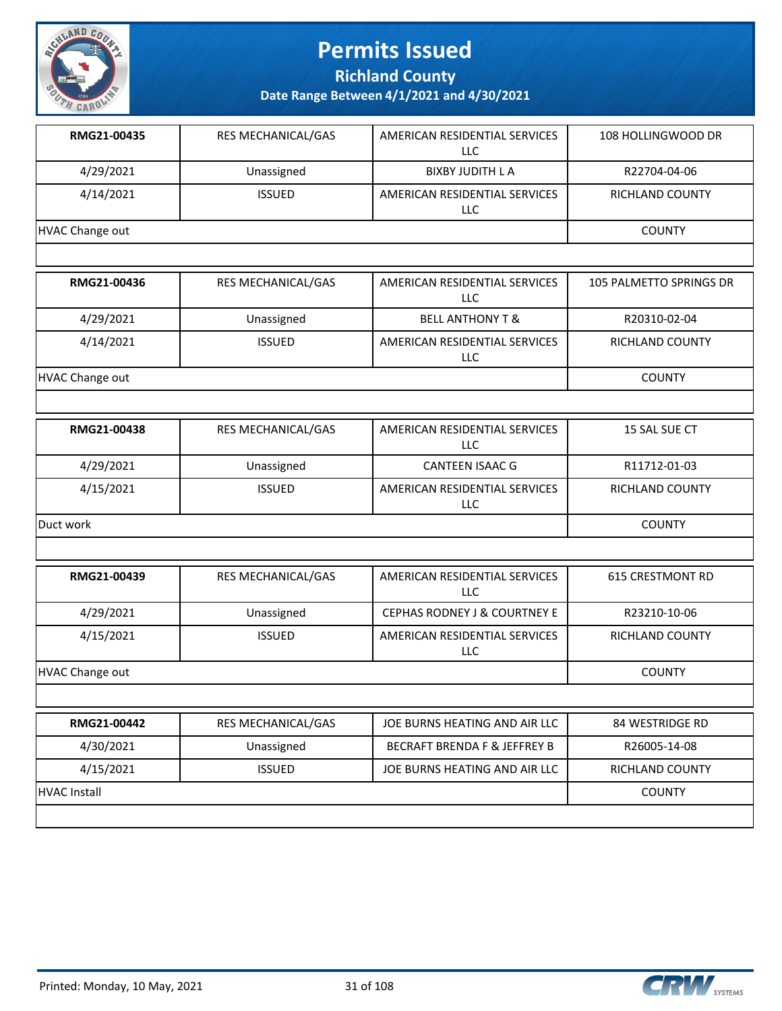

**Richland County**

| RMG21-00435            | RES MECHANICAL/GAS | AMERICAN RESIDENTIAL SERVICES<br><b>LLC</b> | 108 HOLLINGWOOD DR      |
|------------------------|--------------------|---------------------------------------------|-------------------------|
| 4/29/2021              | Unassigned         | <b>BIXBY JUDITH LA</b>                      | R22704-04-06            |
| 4/14/2021              | <b>ISSUED</b>      | AMERICAN RESIDENTIAL SERVICES<br><b>LLC</b> | <b>RICHLAND COUNTY</b>  |
| <b>HVAC Change out</b> |                    |                                             | <b>COUNTY</b>           |
|                        |                    |                                             |                         |
| RMG21-00436            | RES MECHANICAL/GAS | AMERICAN RESIDENTIAL SERVICES<br><b>LLC</b> | 105 PALMETTO SPRINGS DR |
| 4/29/2021              | Unassigned         | <b>BELL ANTHONY T &amp;</b>                 | R20310-02-04            |
| 4/14/2021              | <b>ISSUED</b>      | AMERICAN RESIDENTIAL SERVICES<br><b>LLC</b> | RICHLAND COUNTY         |
| <b>HVAC Change out</b> |                    |                                             | <b>COUNTY</b>           |
|                        |                    |                                             |                         |
| RMG21-00438            | RES MECHANICAL/GAS | AMERICAN RESIDENTIAL SERVICES<br><b>LLC</b> | 15 SAL SUE CT           |
| 4/29/2021              | Unassigned         | <b>CANTEEN ISAAC G</b>                      | R11712-01-03            |
| 4/15/2021              | <b>ISSUED</b>      | AMERICAN RESIDENTIAL SERVICES<br>LLC        | RICHLAND COUNTY         |
| Duct work              |                    |                                             | <b>COUNTY</b>           |
|                        |                    |                                             |                         |
| RMG21-00439            | RES MECHANICAL/GAS | AMERICAN RESIDENTIAL SERVICES<br>LLC        | <b>615 CRESTMONT RD</b> |
| 4/29/2021              | Unassigned         | <b>CEPHAS RODNEY J &amp; COURTNEY E</b>     | R23210-10-06            |
| 4/15/2021              | <b>ISSUED</b>      | AMERICAN RESIDENTIAL SERVICES<br>LLC        | RICHLAND COUNTY         |
| <b>HVAC Change out</b> |                    |                                             | <b>COUNTY</b>           |
|                        |                    |                                             |                         |
| RMG21-00442            | RES MECHANICAL/GAS | JOE BURNS HEATING AND AIR LLC               | 84 WESTRIDGE RD         |
| 4/30/2021              | Unassigned         | <b>BECRAFT BRENDA F &amp; JEFFREY B</b>     | R26005-14-08            |
| 4/15/2021              | <b>ISSUED</b>      | JOE BURNS HEATING AND AIR LLC               | RICHLAND COUNTY         |
| HVAC Install           | <b>COUNTY</b>      |                                             |                         |
|                        |                    |                                             |                         |

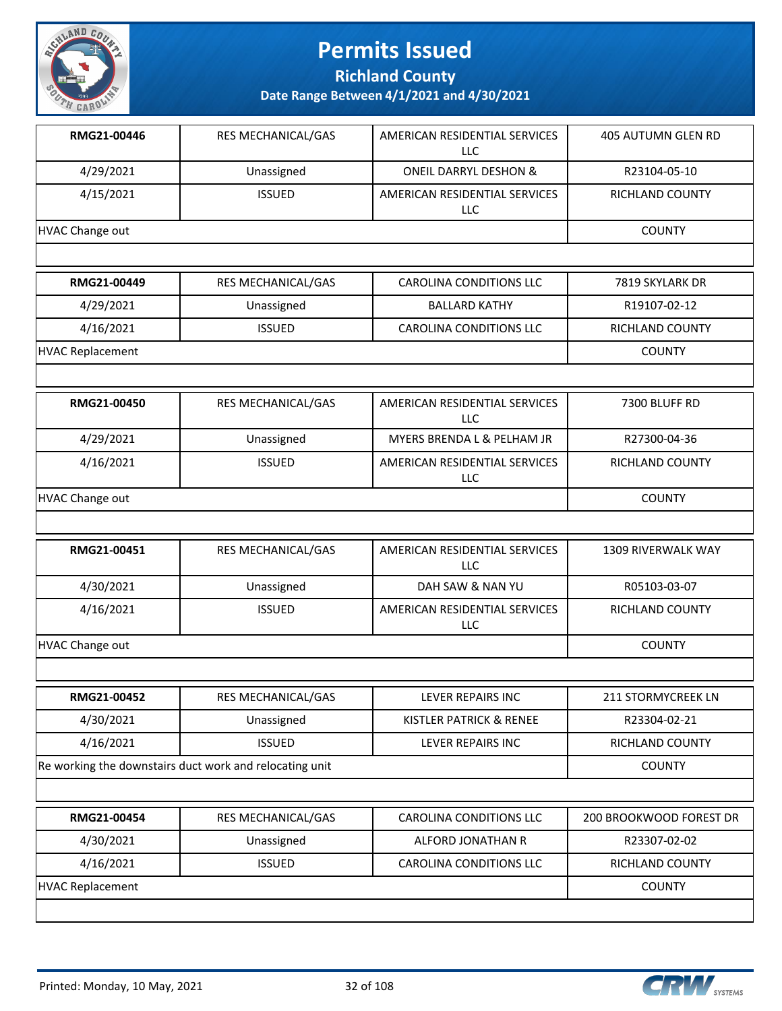

**Richland County**

| RMG21-00446             | RES MECHANICAL/GAS                                      | AMERICAN RESIDENTIAL SERVICES<br><b>LLC</b> | 405 AUTUMN GLEN RD        |
|-------------------------|---------------------------------------------------------|---------------------------------------------|---------------------------|
| 4/29/2021               | Unassigned                                              | <b>ONEIL DARRYL DESHON &amp;</b>            | R23104-05-10              |
| 4/15/2021               | <b>ISSUED</b>                                           | AMERICAN RESIDENTIAL SERVICES<br>LLC        | RICHLAND COUNTY           |
| <b>HVAC Change out</b>  |                                                         |                                             | <b>COUNTY</b>             |
|                         |                                                         |                                             |                           |
| RMG21-00449             | RES MECHANICAL/GAS                                      | <b>CAROLINA CONDITIONS LLC</b>              | 7819 SKYLARK DR           |
| 4/29/2021               | Unassigned                                              | <b>BALLARD KATHY</b>                        | R19107-02-12              |
| 4/16/2021               | <b>ISSUED</b>                                           | CAROLINA CONDITIONS LLC                     | RICHLAND COUNTY           |
| <b>HVAC Replacement</b> |                                                         |                                             | <b>COUNTY</b>             |
|                         |                                                         |                                             |                           |
| RMG21-00450             | RES MECHANICAL/GAS                                      | AMERICAN RESIDENTIAL SERVICES<br>LLC        | 7300 BLUFF RD             |
| 4/29/2021               | Unassigned                                              | MYERS BRENDA L & PELHAM JR                  | R27300-04-36              |
| 4/16/2021               | <b>ISSUED</b>                                           | AMERICAN RESIDENTIAL SERVICES<br>LLC        | RICHLAND COUNTY           |
| <b>HVAC Change out</b>  |                                                         |                                             | <b>COUNTY</b>             |
|                         |                                                         |                                             |                           |
| RMG21-00451             | RES MECHANICAL/GAS                                      | AMERICAN RESIDENTIAL SERVICES<br><b>LLC</b> | 1309 RIVERWALK WAY        |
| 4/30/2021               | Unassigned                                              | DAH SAW & NAN YU                            | R05103-03-07              |
| 4/16/2021               | <b>ISSUED</b>                                           | AMERICAN RESIDENTIAL SERVICES<br>LLC        | RICHLAND COUNTY           |
| <b>HVAC Change out</b>  |                                                         |                                             | <b>COUNTY</b>             |
|                         |                                                         |                                             |                           |
| RMG21-00452             | RES MECHANICAL/GAS                                      | LEVER REPAIRS INC                           | <b>211 STORMYCREEK LN</b> |
| 4/30/2021               | Unassigned                                              | KISTLER PATRICK & RENEE                     | R23304-02-21              |
| 4/16/2021               | <b>ISSUED</b>                                           | LEVER REPAIRS INC                           | RICHLAND COUNTY           |
|                         | Re working the downstairs duct work and relocating unit |                                             | <b>COUNTY</b>             |
|                         |                                                         |                                             |                           |
| RMG21-00454             | RES MECHANICAL/GAS                                      | <b>CAROLINA CONDITIONS LLC</b>              | 200 BROOKWOOD FOREST DR   |
| 4/30/2021               | Unassigned                                              | ALFORD JONATHAN R                           | R23307-02-02              |
| 4/16/2021               | <b>ISSUED</b>                                           | CAROLINA CONDITIONS LLC                     | RICHLAND COUNTY           |
| <b>HVAC Replacement</b> |                                                         |                                             | <b>COUNTY</b>             |
|                         |                                                         |                                             |                           |
|                         |                                                         |                                             |                           |

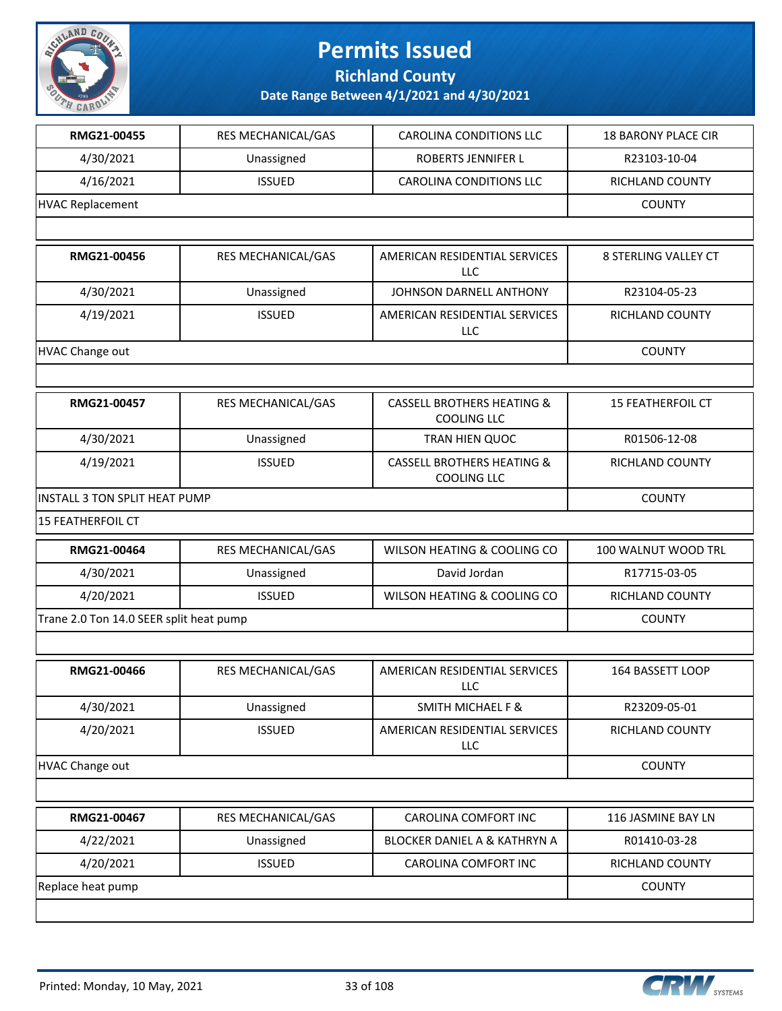

#### **Richland County**

| RMG21-00455                             | RES MECHANICAL/GAS | <b>CAROLINA CONDITIONS LLC</b>                              | <b>18 BARONY PLACE CIR</b> |
|-----------------------------------------|--------------------|-------------------------------------------------------------|----------------------------|
| 4/30/2021                               | Unassigned         | <b>ROBERTS JENNIFER L</b>                                   | R23103-10-04               |
| 4/16/2021                               | <b>ISSUED</b>      | <b>CAROLINA CONDITIONS LLC</b>                              | RICHLAND COUNTY            |
| <b>HVAC Replacement</b>                 |                    |                                                             | <b>COUNTY</b>              |
|                                         |                    |                                                             |                            |
| RMG21-00456                             | RES MECHANICAL/GAS | AMERICAN RESIDENTIAL SERVICES<br><b>LLC</b>                 | 8 STERLING VALLEY CT       |
| 4/30/2021                               | Unassigned         | JOHNSON DARNELL ANTHONY                                     | R23104-05-23               |
| 4/19/2021                               | <b>ISSUED</b>      | AMERICAN RESIDENTIAL SERVICES<br>LLC                        | RICHLAND COUNTY            |
| <b>HVAC Change out</b>                  |                    |                                                             | <b>COUNTY</b>              |
|                                         |                    |                                                             |                            |
| RMG21-00457                             | RES MECHANICAL/GAS | <b>CASSELL BROTHERS HEATING &amp;</b><br><b>COOLING LLC</b> | <b>15 FEATHERFOIL CT</b>   |
| 4/30/2021                               | Unassigned         | TRAN HIEN QUOC                                              | R01506-12-08               |
| 4/19/2021                               | <b>ISSUED</b>      | <b>CASSELL BROTHERS HEATING &amp;</b><br><b>COOLING LLC</b> | RICHLAND COUNTY            |
| <b>INSTALL 3 TON SPLIT HEAT PUMP</b>    | <b>COUNTY</b>      |                                                             |                            |
| <b>15 FEATHERFOIL CT</b>                |                    |                                                             |                            |
| RMG21-00464                             | RES MECHANICAL/GAS | WILSON HEATING & COOLING CO                                 | 100 WALNUT WOOD TRL        |
| 4/30/2021                               | Unassigned         | David Jordan                                                | R17715-03-05               |
| 4/20/2021                               | <b>ISSUED</b>      | WILSON HEATING & COOLING CO                                 | RICHLAND COUNTY            |
| Trane 2.0 Ton 14.0 SEER split heat pump | <b>COUNTY</b>      |                                                             |                            |
|                                         |                    |                                                             |                            |
| RMG21-00466                             | RES MECHANICAL/GAS | AMERICAN RESIDENTIAL SERVICES<br>LLC                        | 164 BASSETT LOOP           |
| 4/30/2021                               | Unassigned         | <b>SMITH MICHAEL F &amp;</b>                                | R23209-05-01               |
| 4/20/2021                               | <b>ISSUED</b>      | AMERICAN RESIDENTIAL SERVICES<br><b>LLC</b>                 | RICHLAND COUNTY            |
| HVAC Change out                         |                    |                                                             | <b>COUNTY</b>              |
|                                         |                    |                                                             |                            |
| RMG21-00467                             | RES MECHANICAL/GAS | CAROLINA COMFORT INC                                        | 116 JASMINE BAY LN         |
| 4/22/2021                               | Unassigned         | <b>BLOCKER DANIEL A &amp; KATHRYN A</b>                     | R01410-03-28               |
| 4/20/2021                               | <b>ISSUED</b>      | CAROLINA COMFORT INC                                        | RICHLAND COUNTY            |
| Replace heat pump                       |                    |                                                             | <b>COUNTY</b>              |
|                                         |                    |                                                             |                            |

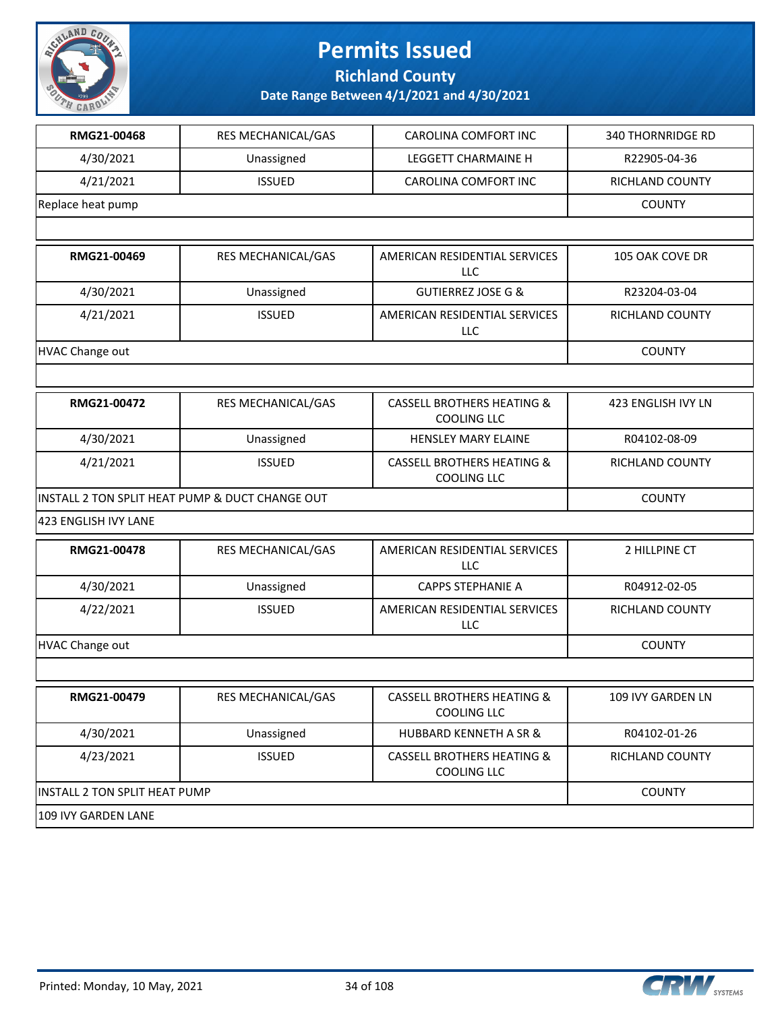

**Richland County**

| RMG21-00468                                     | RES MECHANICAL/GAS | CAROLINA COMFORT INC                                        | <b>340 THORNRIDGE RD</b> |
|-------------------------------------------------|--------------------|-------------------------------------------------------------|--------------------------|
| 4/30/2021                                       | Unassigned         | LEGGETT CHARMAINE H                                         | R22905-04-36             |
| 4/21/2021                                       | <b>ISSUED</b>      | CAROLINA COMFORT INC                                        | RICHLAND COUNTY          |
| Replace heat pump                               |                    |                                                             | <b>COUNTY</b>            |
|                                                 |                    |                                                             |                          |
| RMG21-00469                                     | RES MECHANICAL/GAS | AMERICAN RESIDENTIAL SERVICES<br><b>LLC</b>                 | 105 OAK COVE DR          |
| 4/30/2021                                       | Unassigned         | <b>GUTIERREZ JOSE G &amp;</b>                               | R23204-03-04             |
| 4/21/2021                                       | <b>ISSUED</b>      | AMERICAN RESIDENTIAL SERVICES<br>LLC                        | RICHLAND COUNTY          |
| <b>HVAC Change out</b>                          |                    |                                                             | <b>COUNTY</b>            |
|                                                 |                    |                                                             |                          |
| RMG21-00472                                     | RES MECHANICAL/GAS | <b>CASSELL BROTHERS HEATING &amp;</b><br><b>COOLING LLC</b> | 423 ENGLISH IVY LN       |
| 4/30/2021                                       | Unassigned         | HENSLEY MARY ELAINE                                         | R04102-08-09             |
| 4/21/2021                                       | <b>ISSUED</b>      | <b>CASSELL BROTHERS HEATING &amp;</b><br><b>COOLING LLC</b> | RICHLAND COUNTY          |
| INSTALL 2 TON SPLIT HEAT PUMP & DUCT CHANGE OUT |                    |                                                             | <b>COUNTY</b>            |
| 423 ENGLISH IVY LANE                            |                    |                                                             |                          |
| RMG21-00478                                     | RES MECHANICAL/GAS | AMERICAN RESIDENTIAL SERVICES<br>LLC                        | 2 HILLPINE CT            |
| 4/30/2021                                       | Unassigned         | <b>CAPPS STEPHANIE A</b>                                    | R04912-02-05             |
| 4/22/2021                                       | <b>ISSUED</b>      | AMERICAN RESIDENTIAL SERVICES<br>LLC                        | RICHLAND COUNTY          |
| <b>HVAC Change out</b>                          |                    |                                                             | <b>COUNTY</b>            |
|                                                 |                    |                                                             |                          |
| RMG21-00479                                     | RES MECHANICAL/GAS | <b>CASSELL BROTHERS HEATING &amp;</b><br><b>COOLING LLC</b> | 109 IVY GARDEN LN        |
| 4/30/2021                                       | Unassigned         | <b>HUBBARD KENNETH A SR &amp;</b>                           | R04102-01-26             |
| 4/23/2021                                       | <b>ISSUED</b>      | <b>CASSELL BROTHERS HEATING &amp;</b><br>COOLING LLC        | RICHLAND COUNTY          |
| INSTALL 2 TON SPLIT HEAT PUMP                   |                    |                                                             | <b>COUNTY</b>            |
| 109 IVY GARDEN LANE                             |                    |                                                             |                          |

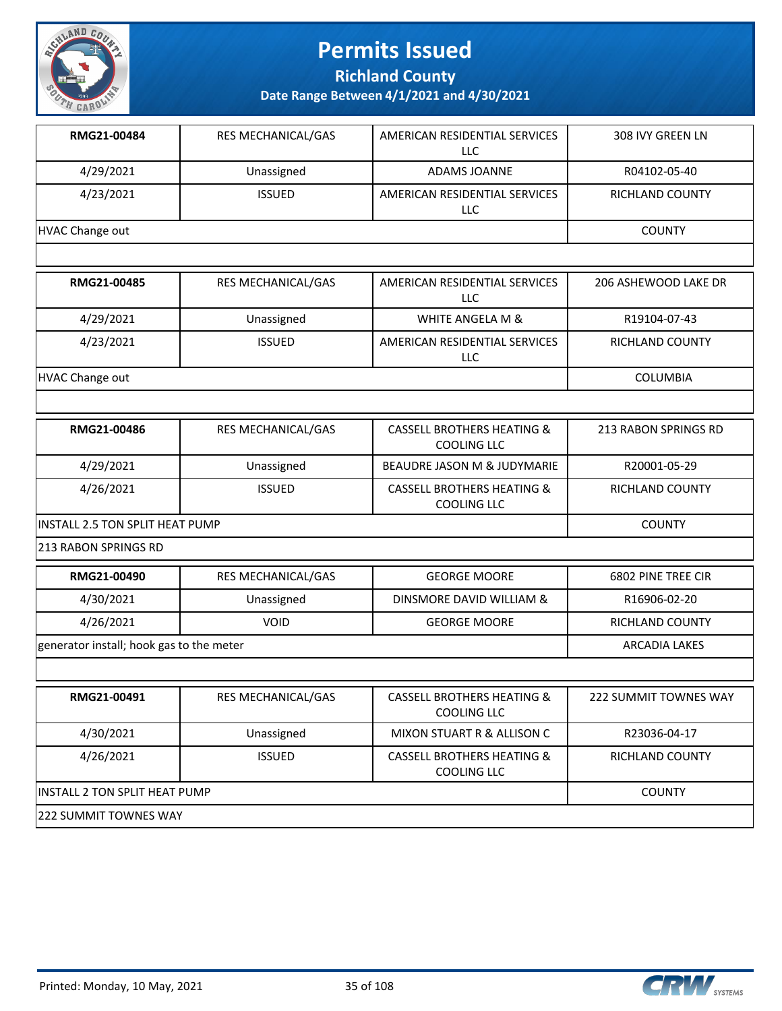

**Richland County**

| RMG21-00484                              | RES MECHANICAL/GAS   | AMERICAN RESIDENTIAL SERVICES<br><b>LLC</b>                 | 308 IVY GREEN LN      |
|------------------------------------------|----------------------|-------------------------------------------------------------|-----------------------|
| 4/29/2021                                | Unassigned           | ADAMS JOANNE                                                | R04102-05-40          |
| 4/23/2021                                | <b>ISSUED</b>        | AMERICAN RESIDENTIAL SERVICES<br><b>LLC</b>                 | RICHLAND COUNTY       |
| <b>HVAC Change out</b>                   |                      |                                                             | <b>COUNTY</b>         |
|                                          |                      |                                                             |                       |
| RMG21-00485                              | RES MECHANICAL/GAS   | AMERICAN RESIDENTIAL SERVICES<br>LLC                        | 206 ASHEWOOD LAKE DR  |
| 4/29/2021                                | Unassigned           | WHITE ANGELA M &                                            | R19104-07-43          |
| 4/23/2021                                | <b>ISSUED</b>        | AMERICAN RESIDENTIAL SERVICES<br><b>LLC</b>                 | RICHLAND COUNTY       |
| <b>HVAC Change out</b>                   |                      |                                                             | COLUMBIA              |
|                                          |                      |                                                             |                       |
| RMG21-00486                              | RES MECHANICAL/GAS   | <b>CASSELL BROTHERS HEATING &amp;</b><br><b>COOLING LLC</b> | 213 RABON SPRINGS RD  |
| 4/29/2021                                | Unassigned           | BEAUDRE JASON M & JUDYMARIE                                 | R20001-05-29          |
| 4/26/2021                                | <b>ISSUED</b>        | <b>CASSELL BROTHERS HEATING &amp;</b><br><b>COOLING LLC</b> | RICHLAND COUNTY       |
| INSTALL 2.5 TON SPLIT HEAT PUMP          |                      |                                                             | <b>COUNTY</b>         |
| 213 RABON SPRINGS RD                     |                      |                                                             |                       |
| RMG21-00490                              | RES MECHANICAL/GAS   | <b>GEORGE MOORE</b>                                         | 6802 PINE TREE CIR    |
| 4/30/2021                                | Unassigned           | DINSMORE DAVID WILLIAM &                                    | R16906-02-20          |
| 4/26/2021                                | <b>VOID</b>          | <b>GEORGE MOORE</b>                                         | RICHLAND COUNTY       |
| generator install; hook gas to the meter | <b>ARCADIA LAKES</b> |                                                             |                       |
|                                          |                      |                                                             |                       |
| RMG21-00491                              | RES MECHANICAL/GAS   | <b>CASSELL BROTHERS HEATING &amp;</b><br><b>COOLING LLC</b> | 222 SUMMIT TOWNES WAY |
| 4/30/2021                                | Unassigned           | MIXON STUART R & ALLISON C                                  | R23036-04-17          |
| 4/26/2021                                | <b>ISSUED</b>        | <b>CASSELL BROTHERS HEATING &amp;</b><br><b>COOLING LLC</b> | RICHLAND COUNTY       |
| INSTALL 2 TON SPLIT HEAT PUMP            |                      |                                                             | <b>COUNTY</b>         |
| 222 SUMMIT TOWNES WAY                    |                      |                                                             |                       |

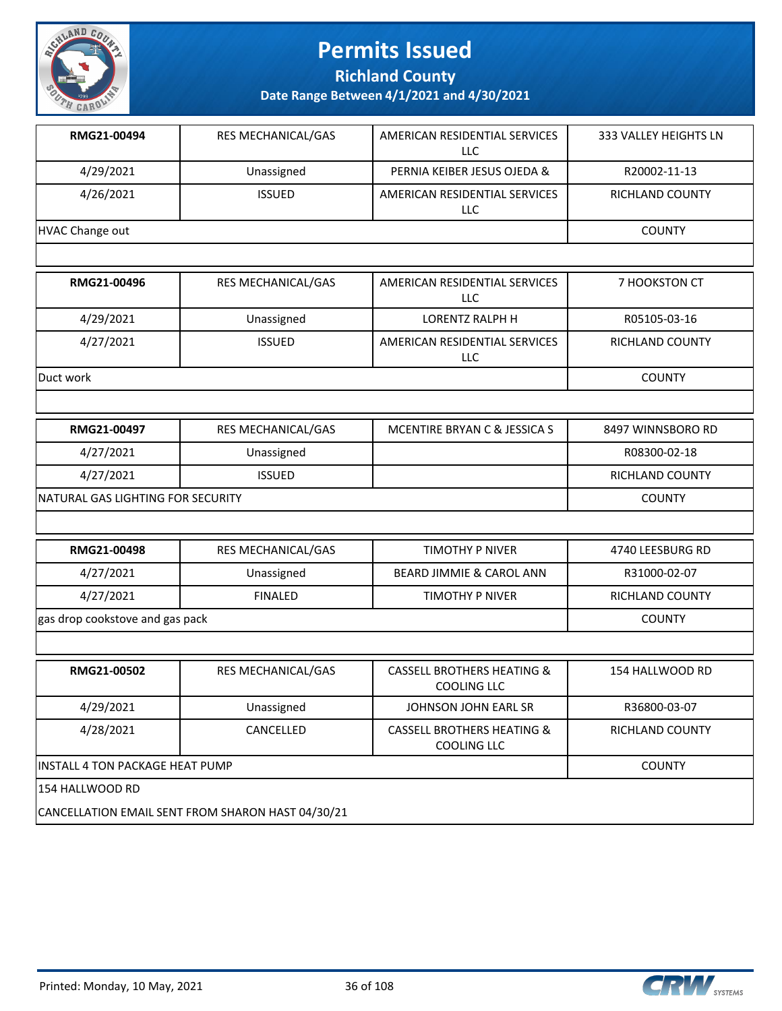

**Richland County**

**Date Range Between 4/1/2021 and 4/30/2021**

| RMG21-00494     | <b>RES MECHANICAL/GAS</b> | AMERICAN RESIDENTIAL SERVICES<br>LLC.       | 333 VALLEY HEIGHTS LN  |
|-----------------|---------------------------|---------------------------------------------|------------------------|
| 4/29/2021       | Unassigned                | PERNIA KEIBER JESUS OJEDA &                 | R20002-11-13           |
| 4/26/2021       | <b>ISSUED</b>             | AMERICAN RESIDENTIAL SERVICES<br>LLC.       | <b>RICHLAND COUNTY</b> |
| HVAC Change out |                           |                                             | <b>COUNTY</b>          |
|                 |                           |                                             |                        |
| RMG21-00496     | <b>RES MECHANICAL/GAS</b> | AMERICAN RESIDENTIAL SERVICES<br>LLC.       | 7 HOOKSTON CT          |
| 4/29/2021       | Unassigned                | LORENTZ RALPH H                             | R05105-03-16           |
| 4/27/2021       | <b>ISSUED</b>             | AMERICAN RESIDENTIAL SERVICES<br><b>LLC</b> | <b>RICHLAND COUNTY</b> |

Duct work COUNTY

| RMG21-00497                        | RES MECHANICAL/GAS | MCENTIRE BRYAN C & JESSICA S | 8497 WINNSBORO RD |
|------------------------------------|--------------------|------------------------------|-------------------|
| 4/27/2021                          | Unassigned         |                              | R08300-02-18      |
| 4/27/2021                          | <b>ISSUED</b>      |                              | RICHLAND COUNTY   |
| INATURAL GAS LIGHTING FOR SECURITY |                    |                              | <b>COUNTY</b>     |

| RMG21-00498                     | <b>RES MECHANICAL/GAS</b> | TIMOTHY P NIVER          | 4740 LEESBURG RD |
|---------------------------------|---------------------------|--------------------------|------------------|
| 4/27/2021                       | Unassigned                | BEARD JIMMIE & CAROL ANN | R31000-02-07     |
| 4/27/2021                       | <b>FINALED</b>            | TIMOTHY P NIVER          | RICHLAND COUNTY  |
| gas drop cookstove and gas pack |                           |                          | <b>COUNTY</b>    |

| RMG21-00502                                       | <b>RES MECHANICAL/GAS</b> | <b>CASSELL BROTHERS HEATING &amp;</b><br>COOLING LLC | 154 HALLWOOD RD        |
|---------------------------------------------------|---------------------------|------------------------------------------------------|------------------------|
| 4/29/2021                                         | Unassigned                | JOHNSON JOHN EARL SR                                 | R36800-03-07           |
| 4/28/2021                                         | CANCELLED                 | <b>CASSELL BROTHERS HEATING &amp;</b><br>COOLING LLC | <b>RICHLAND COUNTY</b> |
| IINSTALL 4 TON PACKAGE HEAT PUMP                  |                           |                                                      | <b>COUNTY</b>          |
| 154 HALLWOOD RD                                   |                           |                                                      |                        |
| CANCELLATION EMAIL SENT FROM SHARON HAST 04/30/21 |                           |                                                      |                        |

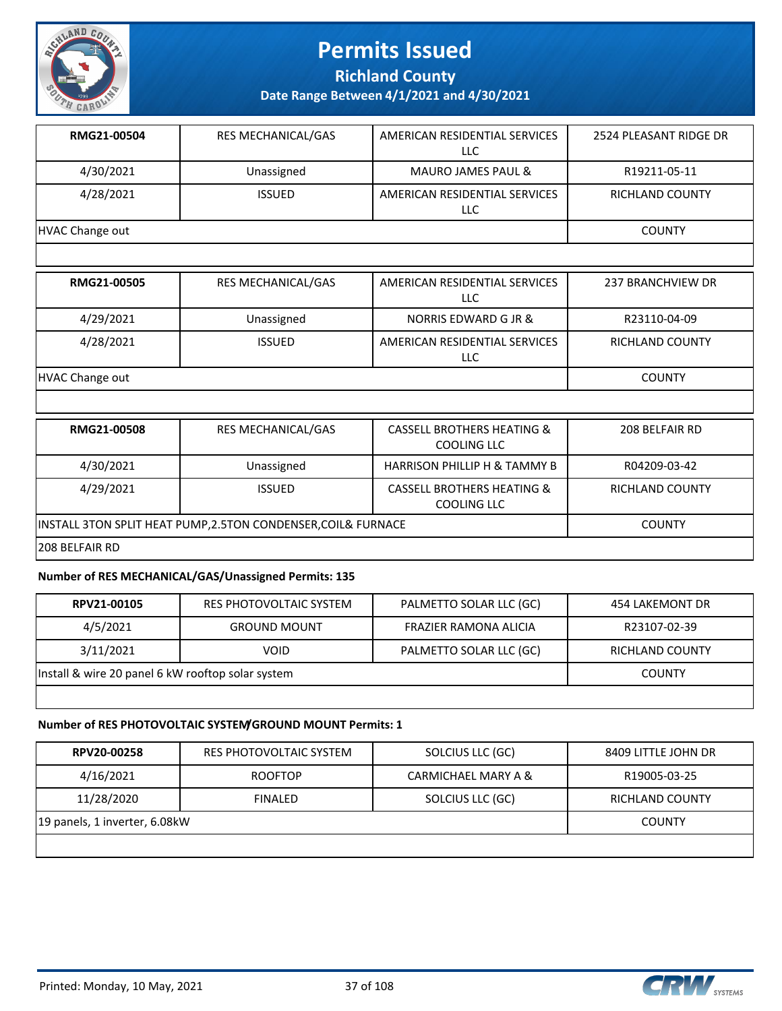

**Richland County**

**Date Range Between 4/1/2021 and 4/30/2021**

| RMG21-00504     | <b>RES MECHANICAL/GAS</b> | AMERICAN RESIDENTIAL SERVICES<br>LLC | 2524 PLEASANT RIDGE DR |
|-----------------|---------------------------|--------------------------------------|------------------------|
| 4/30/2021       | Unassigned                | <b>MAURO JAMES PAUL &amp;</b>        | R19211-05-11           |
| 4/28/2021       | <b>ISSUED</b>             | AMERICAN RESIDENTIAL SERVICES<br>LLC | RICHLAND COUNTY        |
| HVAC Change out |                           |                                      | <b>COUNTY</b>          |

| RMG21-00505     | <b>RES MECHANICAL/GAS</b> | AMERICAN RESIDENTIAL SERVICES<br>LLC | 237 BRANCHVIEW DR |
|-----------------|---------------------------|--------------------------------------|-------------------|
| 4/29/2021       | Unassigned                | NORRIS EDWARD G JR &                 | R23110-04-09      |
| 4/28/2021       | <b>ISSUED</b>             | AMERICAN RESIDENTIAL SERVICES<br>LLC | RICHLAND COUNTY   |
| HVAC Change out |                           |                                      | <b>COUNTY</b>     |

| <b>RMG21-00508</b>                                          | <b>RES MECHANICAL/GAS</b> | <b>CASSELL BROTHERS HEATING &amp;</b><br>COOLING LLC | 208 BELFAIR RD  |  |
|-------------------------------------------------------------|---------------------------|------------------------------------------------------|-----------------|--|
| 4/30/2021                                                   | Unassigned                | <b>HARRISON PHILLIP H &amp; TAMMY B</b>              | R04209-03-42    |  |
| 4/29/2021                                                   | <b>ISSUED</b>             | <b>CASSELL BROTHERS HEATING &amp;</b><br>COOLING LLC | RICHLAND COUNTY |  |
| INSTALL 3TON SPLIT HEAT PUMP,2.5TON CONDENSER,COIL& FURNACE |                           |                                                      | <b>COUNTY</b>   |  |
| 1208 BELFAIR RD                                             |                           |                                                      |                 |  |

#### **Number of RES MECHANICAL/GAS/Unassigned Permits: 135**

| RPV21-00105                                       | RES PHOTOVOLTAIC SYSTEM | PALMETTO SOLAR LLC (GC) | 454 LAKEMONT DR |
|---------------------------------------------------|-------------------------|-------------------------|-----------------|
| 4/5/2021                                          | <b>GROUND MOUNT</b>     | FRAZIER RAMONA ALICIA   | R23107-02-39    |
| 3/11/2021                                         | VOID                    | PALMETTO SOLAR LLC (GC) | RICHLAND COUNTY |
| Install & wire 20 panel 6 kW rooftop solar system |                         |                         | <b>COUNTY</b>   |
|                                                   |                         |                         |                 |

#### **Number of RES PHOTOVOLTAIC SYSTEM/GROUND MOUNT Permits: 1**

| RPV20-00258                   | RES PHOTOVOLTAIC SYSTEM | SOLCIUS LLC (GC)    | 8409 LITTLE JOHN DR |
|-------------------------------|-------------------------|---------------------|---------------------|
| 4/16/2021                     | <b>ROOFTOP</b>          | CARMICHAEL MARY A & | R19005-03-25        |
| 11/28/2020                    | FINAL FD                | SOLCIUS LLC (GC)    | RICHLAND COUNTY     |
| 19 panels, 1 inverter, 6.08kW | <b>COUNTY</b>           |                     |                     |
|                               |                         |                     |                     |

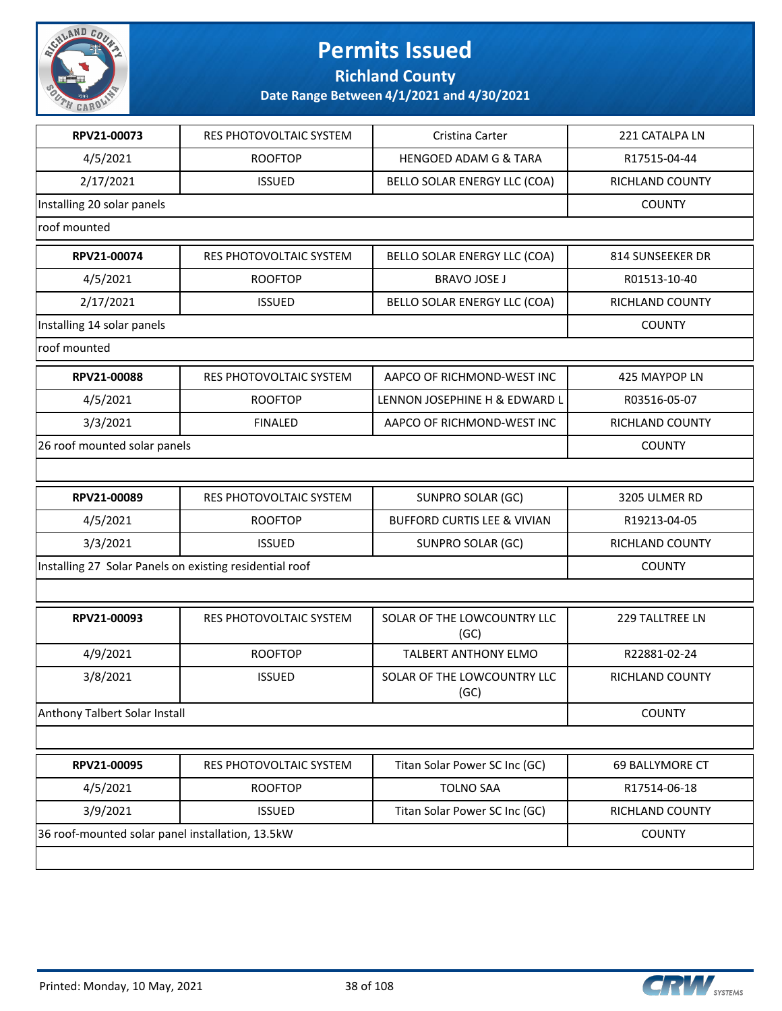

**Richland County**

| RPV21-00073                                             | RES PHOTOVOLTAIC SYSTEM | Cristina Carter                        | 221 CATALPA LN   |
|---------------------------------------------------------|-------------------------|----------------------------------------|------------------|
| 4/5/2021                                                | <b>ROOFTOP</b>          | <b>HENGOED ADAM G &amp; TARA</b>       | R17515-04-44     |
| 2/17/2021                                               | <b>ISSUED</b>           | BELLO SOLAR ENERGY LLC (COA)           | RICHLAND COUNTY  |
| Installing 20 solar panels                              |                         |                                        | <b>COUNTY</b>    |
| roof mounted                                            |                         |                                        |                  |
| RPV21-00074                                             | RES PHOTOVOLTAIC SYSTEM | BELLO SOLAR ENERGY LLC (COA)           | 814 SUNSEEKER DR |
| 4/5/2021                                                | <b>ROOFTOP</b>          | <b>BRAVO JOSE J</b>                    | R01513-10-40     |
| 2/17/2021                                               | <b>ISSUED</b>           | BELLO SOLAR ENERGY LLC (COA)           | RICHLAND COUNTY  |
| Installing 14 solar panels                              |                         |                                        | <b>COUNTY</b>    |
| roof mounted                                            |                         |                                        |                  |
| RPV21-00088                                             | RES PHOTOVOLTAIC SYSTEM | AAPCO OF RICHMOND-WEST INC             | 425 MAYPOP LN    |
| 4/5/2021                                                | <b>ROOFTOP</b>          | LENNON JOSEPHINE H & EDWARD L          | R03516-05-07     |
| 3/3/2021                                                | <b>FINALED</b>          | AAPCO OF RICHMOND-WEST INC             | RICHLAND COUNTY  |
| 26 roof mounted solar panels                            |                         |                                        | <b>COUNTY</b>    |
|                                                         |                         |                                        |                  |
| RPV21-00089                                             | RES PHOTOVOLTAIC SYSTEM | <b>SUNPRO SOLAR (GC)</b>               | 3205 ULMER RD    |
| 4/5/2021                                                | <b>ROOFTOP</b>          | <b>BUFFORD CURTIS LEE &amp; VIVIAN</b> | R19213-04-05     |
| 3/3/2021                                                | <b>ISSUED</b>           | <b>SUNPRO SOLAR (GC)</b>               | RICHLAND COUNTY  |
| Installing 27 Solar Panels on existing residential roof |                         |                                        | <b>COUNTY</b>    |
|                                                         |                         |                                        |                  |
| RPV21-00093                                             | RES PHOTOVOLTAIC SYSTEM | SOLAR OF THE LOWCOUNTRY LLC<br>(GC)    | 229 TALLTREE LN  |
| 4/9/2021                                                | <b>ROOFTOP</b>          | <b>TALBERT ANTHONY ELMO</b>            | R22881-02-24     |
| 3/8/2021                                                | <b>ISSUED</b>           | SOLAR OF THE LOWCOUNTRY LLC<br>(GC)    | RICHLAND COUNTY  |
| Anthony Talbert Solar Install                           |                         |                                        | <b>COUNTY</b>    |
|                                                         |                         |                                        |                  |
| RPV21-00095                                             | RES PHOTOVOLTAIC SYSTEM | Titan Solar Power SC Inc (GC)          | 69 BALLYMORE CT  |
| 4/5/2021                                                | <b>ROOFTOP</b>          | <b>TOLNO SAA</b>                       | R17514-06-18     |
| 3/9/2021                                                | <b>ISSUED</b>           | Titan Solar Power SC Inc (GC)          | RICHLAND COUNTY  |
| 36 roof-mounted solar panel installation, 13.5kW        |                         |                                        | <b>COUNTY</b>    |
|                                                         |                         |                                        |                  |

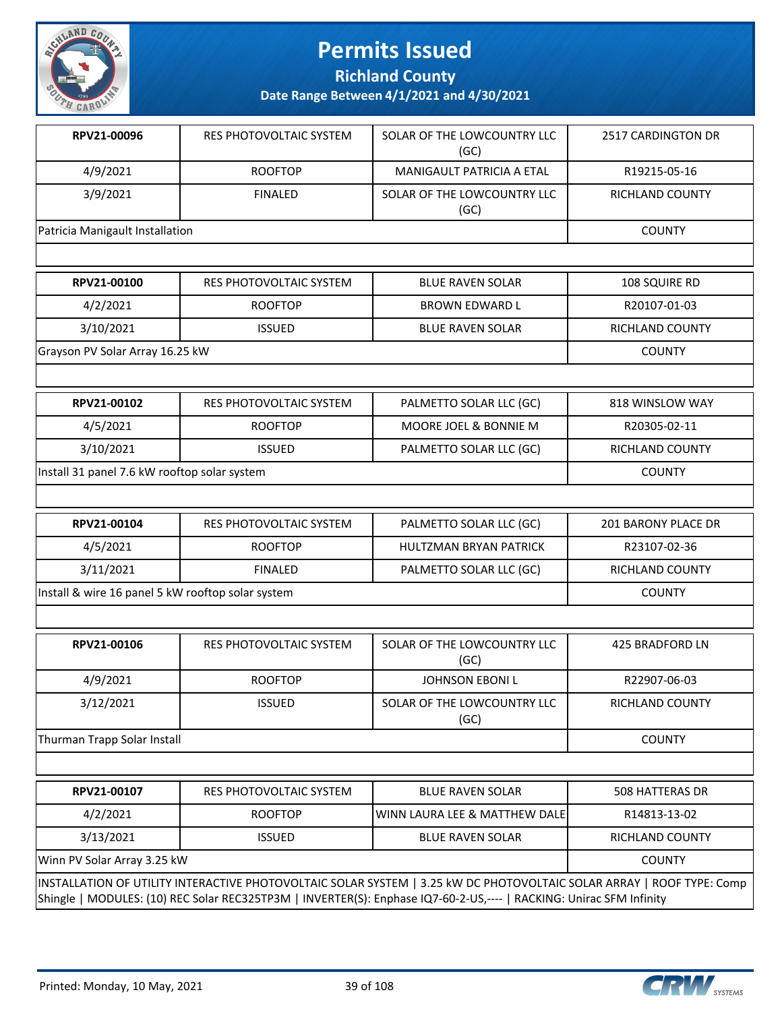

**Richland County**

| RPV21-00096                     | RES PHOTOVOLTAIC SYSTEM | SOLAR OF THE LOWCOUNTRY LLC<br>(GC) | 2517 CARDINGTON DR |
|---------------------------------|-------------------------|-------------------------------------|--------------------|
| 4/9/2021                        | <b>ROOFTOP</b>          | MANIGAULT PATRICIA A ETAL           | R19215-05-16       |
| 3/9/2021                        | <b>FINALED</b>          | SOLAR OF THE LOWCOUNTRY LLC<br>(GC) | RICHLAND COUNTY    |
| Patricia Manigault Installation |                         |                                     | <b>COUNTY</b>      |

| RPV21-00100                     | RES PHOTOVOLTAIC SYSTEM | <b>BLUE RAVEN SOLAR</b> | 108 SQUIRE RD   |
|---------------------------------|-------------------------|-------------------------|-----------------|
| 4/2/2021                        | <b>ROOFTOP</b>          | BROWN EDWARD L          | R20107-01-03    |
| 3/10/2021                       | <b>ISSUED</b>           | <b>BLUE RAVEN SOLAR</b> | RICHLAND COUNTY |
| Grayson PV Solar Array 16.25 kW |                         |                         | <b>COUNTY</b>   |

| RPV21-00102                                  | RES PHOTOVOLTAIC SYSTEM | PALMETTO SOLAR LLC (GC) | 818 WINSLOW WAY |
|----------------------------------------------|-------------------------|-------------------------|-----------------|
| 4/5/2021                                     | <b>ROOFTOP</b>          | MOORE JOEL & BONNIE M   | R20305-02-11    |
| 3/10/2021                                    | <b>ISSUED</b>           | PALMETTO SOLAR LLC (GC) | RICHLAND COUNTY |
| Install 31 panel 7.6 kW rooftop solar system |                         |                         | <b>COUNTY</b>   |

| RPV21-00104                                       | RES PHOTOVOLTAIC SYSTEM | PALMETTO SOLAR LLC (GC) | 201 BARONY PLACE DR    |
|---------------------------------------------------|-------------------------|-------------------------|------------------------|
| 4/5/2021                                          | <b>ROOFTOP</b>          | HULTZMAN BRYAN PATRICK  | R23107-02-36           |
| 3/11/2021                                         | <b>FINALED</b>          | PALMETTO SOLAR LLC (GC) | <b>RICHLAND COUNTY</b> |
| Install & wire 16 panel 5 kW rooftop solar system |                         |                         | <b>COUNTY</b>          |

| RPV21-00106                 | RES PHOTOVOLTAIC SYSTEM | SOLAR OF THE LOWCOUNTRY LLC<br>(GC) | 425 BRADFORD LN |
|-----------------------------|-------------------------|-------------------------------------|-----------------|
| 4/9/2021                    | <b>ROOFTOP</b>          | JOHNSON EBONI L                     | R22907-06-03    |
| 3/12/2021                   | <b>ISSUED</b>           | SOLAR OF THE LOWCOUNTRY LLC<br>(GC) | RICHLAND COUNTY |
| Thurman Trapp Solar Install |                         |                                     | <b>COUNTY</b>   |

| RPV21-00107                                                                                                           | RES PHOTOVOLTAIC SYSTEM | <b>BLUE RAVEN SOLAR</b>                    | 508 HATTERAS DR |  |
|-----------------------------------------------------------------------------------------------------------------------|-------------------------|--------------------------------------------|-----------------|--|
| 4/2/2021                                                                                                              | <b>ROOFTOP</b>          | <b>IWINN LAURA LEE &amp; MATTHEW DALEI</b> | R14813-13-02    |  |
| 3/13/2021                                                                                                             | <b>ISSUED</b>           | <b>BLUE RAVEN SOLAR</b>                    | RICHLAND COUNTY |  |
| Winn PV Solar Array 3.25 kW<br><b>COUNTY</b>                                                                          |                         |                                            |                 |  |
| INSTALLATION OF UTILITY INTERACTIVE PHOTOVOLTAIC SOLAR SYSTEM   3.25 kW DC PHOTOVOLTAIC SOLAR ARRAY   ROOF TYPE: Comp |                         |                                            |                 |  |
| Shingle   MODULES: (10) REC Solar REC325TP3M   INVERTER(S): Enphase IQ7-60-2-US,----   RACKING: Unirac SFM Infinity   |                         |                                            |                 |  |

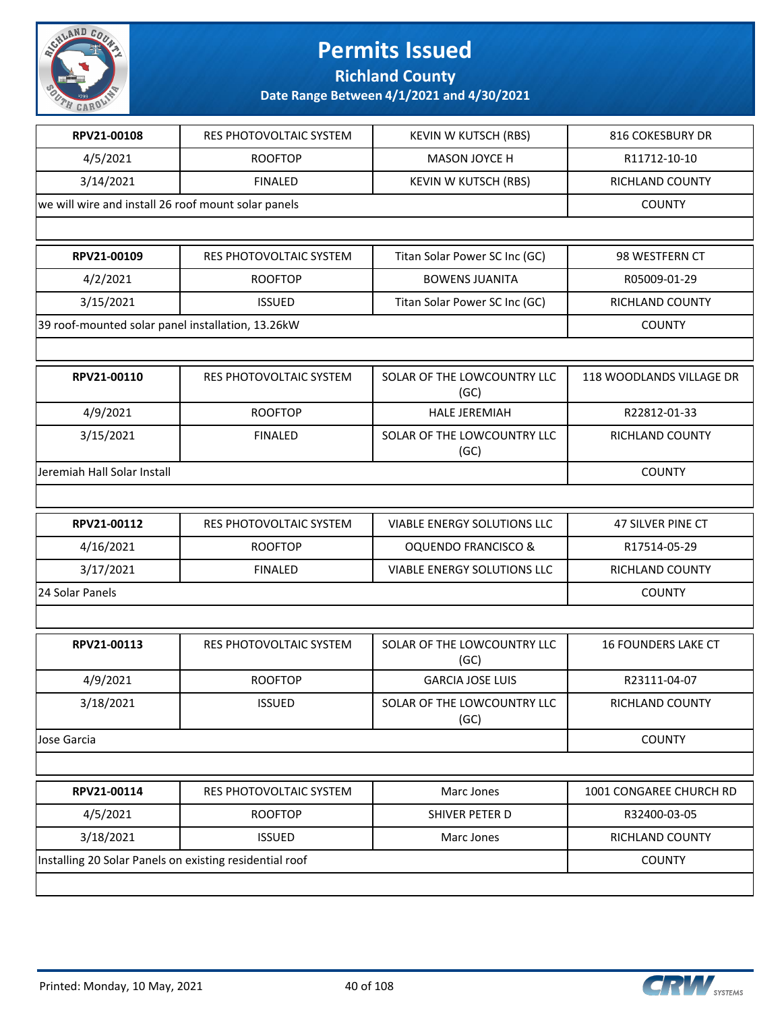

**Richland County**

| RPV21-00108                                         | <b>RES PHOTOVOLTAIC SYSTEM</b>                          | <b>KEVIN W KUTSCH (RBS)</b>         | 816 COKESBURY DR           |
|-----------------------------------------------------|---------------------------------------------------------|-------------------------------------|----------------------------|
| 4/5/2021                                            | <b>ROOFTOP</b>                                          | MASON JOYCE H                       | R11712-10-10               |
| 3/14/2021                                           | <b>FINALED</b>                                          | <b>KEVIN W KUTSCH (RBS)</b>         | RICHLAND COUNTY            |
| we will wire and install 26 roof mount solar panels |                                                         |                                     | <b>COUNTY</b>              |
|                                                     |                                                         |                                     |                            |
|                                                     |                                                         |                                     |                            |
| RPV21-00109                                         | RES PHOTOVOLTAIC SYSTEM                                 | Titan Solar Power SC Inc (GC)       | 98 WESTFERN CT             |
| 4/2/2021                                            | <b>ROOFTOP</b>                                          | <b>BOWENS JUANITA</b>               | R05009-01-29               |
| 3/15/2021                                           | <b>ISSUED</b>                                           | Titan Solar Power SC Inc (GC)       | RICHLAND COUNTY            |
| 39 roof-mounted solar panel installation, 13.26kW   |                                                         |                                     | <b>COUNTY</b>              |
|                                                     |                                                         |                                     |                            |
| RPV21-00110                                         | <b>RES PHOTOVOLTAIC SYSTEM</b>                          | SOLAR OF THE LOWCOUNTRY LLC<br>(GC) | 118 WOODLANDS VILLAGE DR   |
| 4/9/2021                                            | <b>ROOFTOP</b>                                          | <b>HALE JEREMIAH</b>                | R22812-01-33               |
| 3/15/2021                                           | <b>FINALED</b>                                          | SOLAR OF THE LOWCOUNTRY LLC<br>(GC) | <b>RICHLAND COUNTY</b>     |
| Jeremiah Hall Solar Install                         |                                                         |                                     | <b>COUNTY</b>              |
|                                                     |                                                         |                                     |                            |
| RPV21-00112                                         | RES PHOTOVOLTAIC SYSTEM                                 | <b>VIABLE ENERGY SOLUTIONS LLC</b>  | <b>47 SILVER PINE CT</b>   |
| 4/16/2021                                           | <b>ROOFTOP</b>                                          | <b>OQUENDO FRANCISCO &amp;</b>      | R17514-05-29               |
| 3/17/2021                                           | <b>FINALED</b>                                          | VIABLE ENERGY SOLUTIONS LLC         | RICHLAND COUNTY            |
| 24 Solar Panels                                     |                                                         |                                     | <b>COUNTY</b>              |
|                                                     |                                                         |                                     |                            |
| RPV21-00113                                         | <b>RES PHOTOVOLTAIC SYSTEM</b>                          | SOLAR OF THE LOWCOUNTRY LLC<br>(GC) | <b>16 FOUNDERS LAKE CT</b> |
| 4/9/2021                                            | <b>ROOFTOP</b>                                          | <b>GARCIA JOSE LUIS</b>             | R23111-04-07               |
| 3/18/2021                                           | <b>ISSUED</b>                                           | SOLAR OF THE LOWCOUNTRY LLC<br>(GC) | RICHLAND COUNTY            |
| Jose Garcia                                         |                                                         |                                     | <b>COUNTY</b>              |
|                                                     |                                                         |                                     |                            |
| RPV21-00114                                         | RES PHOTOVOLTAIC SYSTEM                                 | Marc Jones                          | 1001 CONGAREE CHURCH RD    |
| 4/5/2021                                            | <b>ROOFTOP</b>                                          | SHIVER PETER D                      | R32400-03-05               |
| 3/18/2021                                           | <b>ISSUED</b>                                           | Marc Jones                          | RICHLAND COUNTY            |
|                                                     | Installing 20 Solar Panels on existing residential roof |                                     | <b>COUNTY</b>              |
|                                                     |                                                         |                                     |                            |

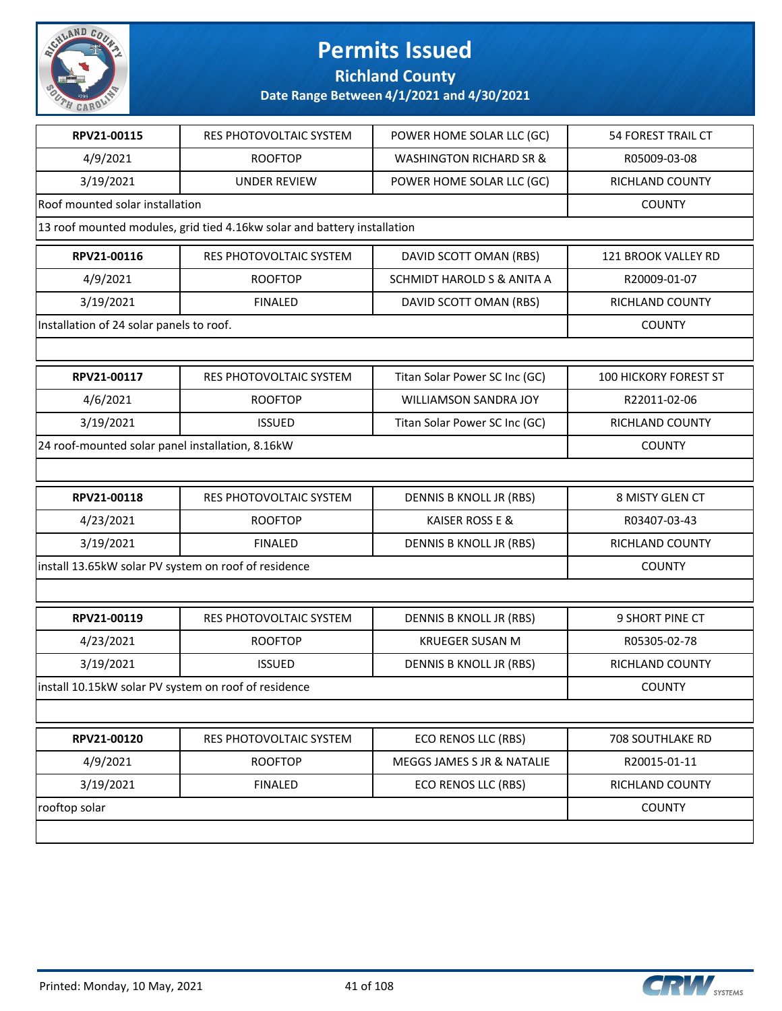

#### **Richland County**

| RPV21-00115                                          | RES PHOTOVOLTAIC SYSTEM                                                  | POWER HOME SOLAR LLC (GC)          | <b>54 FOREST TRAIL CT</b>    |
|------------------------------------------------------|--------------------------------------------------------------------------|------------------------------------|------------------------------|
| 4/9/2021                                             | <b>ROOFTOP</b>                                                           | <b>WASHINGTON RICHARD SR &amp;</b> | R05009-03-08                 |
| 3/19/2021                                            | <b>UNDER REVIEW</b>                                                      | POWER HOME SOLAR LLC (GC)          | RICHLAND COUNTY              |
| Roof mounted solar installation                      |                                                                          |                                    | <b>COUNTY</b>                |
|                                                      | 13 roof mounted modules, grid tied 4.16kw solar and battery installation |                                    |                              |
| RPV21-00116                                          | RES PHOTOVOLTAIC SYSTEM                                                  | DAVID SCOTT OMAN (RBS)             | 121 BROOK VALLEY RD          |
| 4/9/2021                                             | <b>ROOFTOP</b>                                                           | SCHMIDT HAROLD S & ANITA A         | R20009-01-07                 |
| 3/19/2021                                            | <b>FINALED</b>                                                           | DAVID SCOTT OMAN (RBS)             | RICHLAND COUNTY              |
| Installation of 24 solar panels to roof.             |                                                                          |                                    | <b>COUNTY</b>                |
|                                                      |                                                                          |                                    |                              |
| RPV21-00117                                          | RES PHOTOVOLTAIC SYSTEM                                                  | Titan Solar Power SC Inc (GC)      | <b>100 HICKORY FOREST ST</b> |
| 4/6/2021                                             | <b>ROOFTOP</b>                                                           | <b>WILLIAMSON SANDRA JOY</b>       | R22011-02-06                 |
| 3/19/2021                                            | <b>ISSUED</b>                                                            | Titan Solar Power SC Inc (GC)      | RICHLAND COUNTY              |
| 24 roof-mounted solar panel installation, 8.16kW     |                                                                          |                                    | <b>COUNTY</b>                |
|                                                      |                                                                          |                                    |                              |
| RPV21-00118                                          | RES PHOTOVOLTAIC SYSTEM                                                  | DENNIS B KNOLL JR (RBS)            | 8 MISTY GLEN CT              |
| 4/23/2021                                            | <b>ROOFTOP</b>                                                           | KAISER ROSS E &                    | R03407-03-43                 |
| 3/19/2021                                            | <b>FINALED</b>                                                           | DENNIS B KNOLL JR (RBS)            | RICHLAND COUNTY              |
| install 13.65kW solar PV system on roof of residence |                                                                          |                                    | <b>COUNTY</b>                |
|                                                      |                                                                          |                                    |                              |
| RPV21-00119                                          | RES PHOTOVOLTAIC SYSTEM                                                  | DENNIS B KNOLL JR (RBS)            | 9 SHORT PINE CT              |
| 4/23/2021                                            | <b>ROOFTOP</b>                                                           | <b>KRUEGER SUSAN M</b>             | R05305-02-78                 |
| 3/19/2021                                            | <b>ISSUED</b>                                                            | <b>DENNIS B KNOLL JR (RBS)</b>     | RICHLAND COUNTY              |
| install 10.15kW solar PV system on roof of residence |                                                                          |                                    | <b>COUNTY</b>                |
|                                                      |                                                                          |                                    |                              |
| RPV21-00120                                          | RES PHOTOVOLTAIC SYSTEM                                                  | ECO RENOS LLC (RBS)                | 708 SOUTHLAKE RD             |
| 4/9/2021                                             | <b>ROOFTOP</b>                                                           | MEGGS JAMES S JR & NATALIE         | R20015-01-11                 |
| 3/19/2021                                            | <b>FINALED</b>                                                           | ECO RENOS LLC (RBS)                | RICHLAND COUNTY              |
| rooftop solar                                        |                                                                          |                                    | <b>COUNTY</b>                |
|                                                      |                                                                          |                                    |                              |

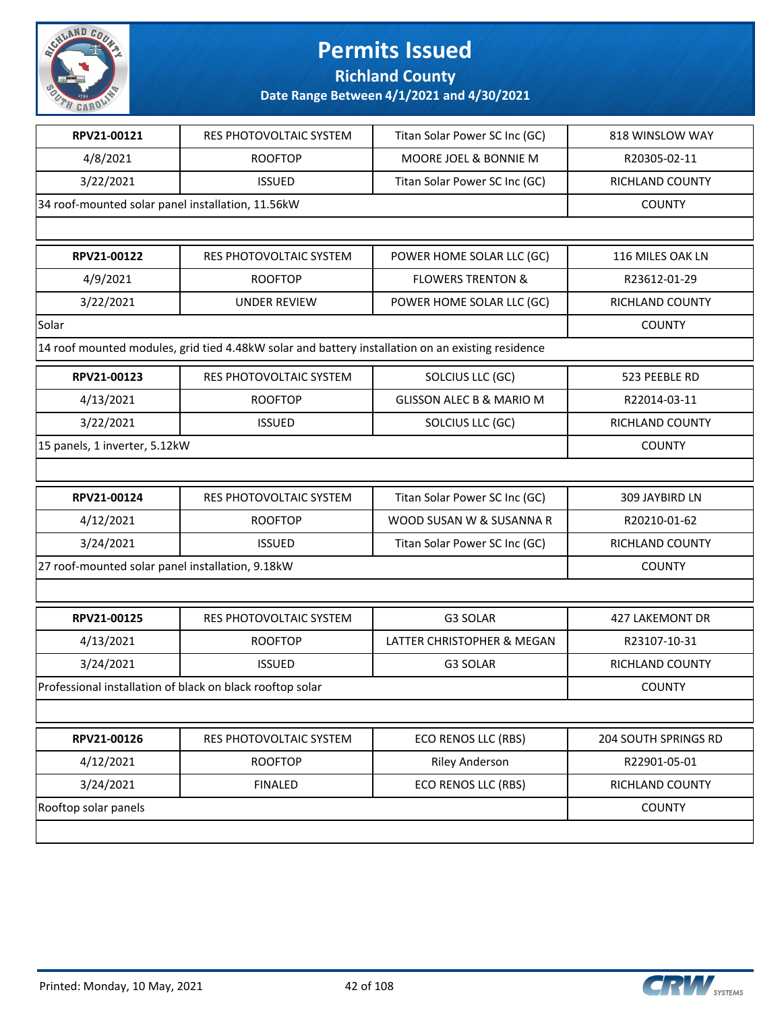

**Richland County**

| RPV21-00121                                       | RES PHOTOVOLTAIC SYSTEM                                                                           | Titan Solar Power SC Inc (GC)       | 818 WINSLOW WAY      |
|---------------------------------------------------|---------------------------------------------------------------------------------------------------|-------------------------------------|----------------------|
| 4/8/2021                                          | <b>ROOFTOP</b>                                                                                    | MOORE JOEL & BONNIE M               | R20305-02-11         |
| 3/22/2021                                         | <b>ISSUED</b>                                                                                     | Titan Solar Power SC Inc (GC)       | RICHLAND COUNTY      |
| 34 roof-mounted solar panel installation, 11.56kW |                                                                                                   |                                     | <b>COUNTY</b>        |
|                                                   |                                                                                                   |                                     |                      |
| RPV21-00122                                       | RES PHOTOVOLTAIC SYSTEM                                                                           | POWER HOME SOLAR LLC (GC)           | 116 MILES OAK LN     |
| 4/9/2021                                          | <b>ROOFTOP</b>                                                                                    | <b>FLOWERS TRENTON &amp;</b>        | R23612-01-29         |
| 3/22/2021                                         | <b>UNDER REVIEW</b>                                                                               | POWER HOME SOLAR LLC (GC)           | RICHLAND COUNTY      |
| Solar                                             |                                                                                                   |                                     | <b>COUNTY</b>        |
|                                                   | 14 roof mounted modules, grid tied 4.48kW solar and battery installation on an existing residence |                                     |                      |
| RPV21-00123                                       | RES PHOTOVOLTAIC SYSTEM                                                                           | SOLCIUS LLC (GC)                    | 523 PEEBLE RD        |
| 4/13/2021                                         | <b>ROOFTOP</b>                                                                                    | <b>GLISSON ALEC B &amp; MARIO M</b> | R22014-03-11         |
| 3/22/2021                                         | <b>ISSUED</b>                                                                                     | SOLCIUS LLC (GC)                    | RICHLAND COUNTY      |
| 15 panels, 1 inverter, 5.12kW                     |                                                                                                   |                                     | <b>COUNTY</b>        |
|                                                   |                                                                                                   |                                     |                      |
| RPV21-00124                                       | RES PHOTOVOLTAIC SYSTEM                                                                           | Titan Solar Power SC Inc (GC)       | 309 JAYBIRD LN       |
| 4/12/2021                                         | <b>ROOFTOP</b>                                                                                    | WOOD SUSAN W & SUSANNA R            | R20210-01-62         |
| 3/24/2021                                         | <b>ISSUED</b>                                                                                     | Titan Solar Power SC Inc (GC)       | RICHLAND COUNTY      |
| 27 roof-mounted solar panel installation, 9.18kW  |                                                                                                   |                                     | <b>COUNTY</b>        |
|                                                   |                                                                                                   |                                     |                      |
| RPV21-00125                                       | <b>RES PHOTOVOLTAIC SYSTEM</b>                                                                    | G3 SOLAR                            | 427 LAKEMONT DR      |
| 4/13/2021                                         | <b>ROOFTOP</b>                                                                                    | LATTER CHRISTOPHER & MEGAN          | R23107-10-31         |
| 3/24/2021                                         | <b>ISSUED</b>                                                                                     | G3 SOLAR                            | RICHLAND COUNTY      |
|                                                   | Professional installation of black on black rooftop solar                                         |                                     | <b>COUNTY</b>        |
|                                                   |                                                                                                   |                                     |                      |
| RPV21-00126                                       | RES PHOTOVOLTAIC SYSTEM                                                                           | ECO RENOS LLC (RBS)                 | 204 SOUTH SPRINGS RD |
| 4/12/2021                                         | <b>ROOFTOP</b>                                                                                    | <b>Riley Anderson</b>               | R22901-05-01         |
| 3/24/2021                                         | <b>FINALED</b>                                                                                    | <b>ECO RENOS LLC (RBS)</b>          | RICHLAND COUNTY      |
| Rooftop solar panels                              |                                                                                                   |                                     | <b>COUNTY</b>        |
|                                                   |                                                                                                   |                                     |                      |

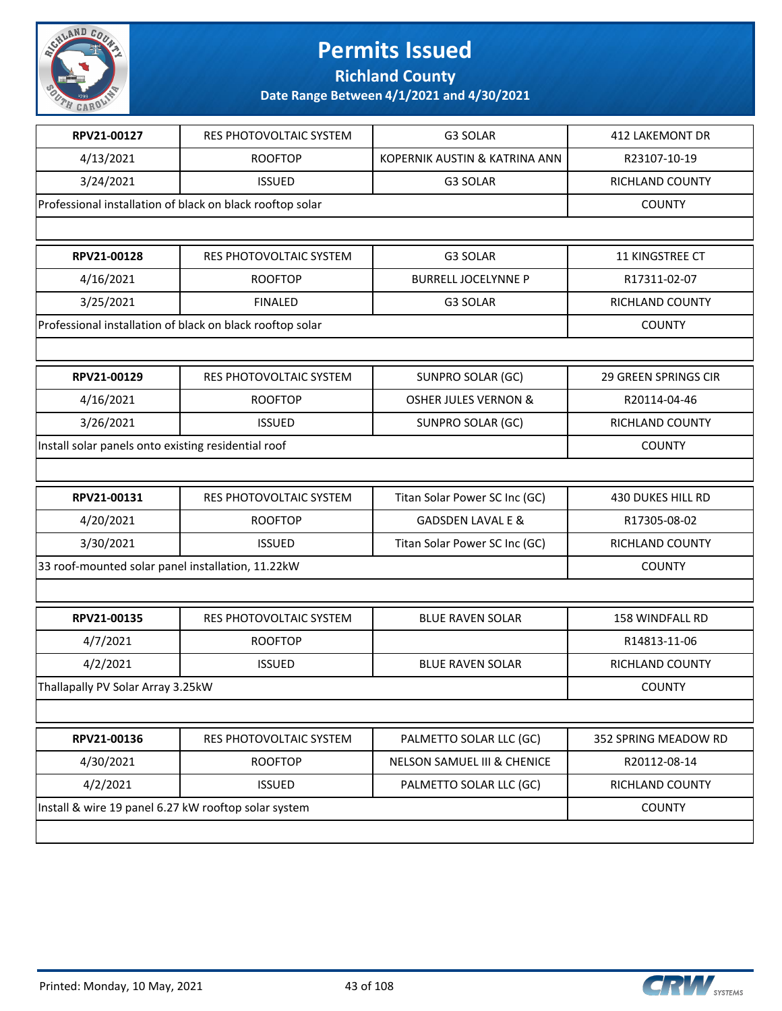

**Richland County**

| RPV21-00127                                          | RES PHOTOVOLTAIC SYSTEM                                   | G3 SOLAR                               | <b>412 LAKEMONT DR</b>      |
|------------------------------------------------------|-----------------------------------------------------------|----------------------------------------|-----------------------------|
| 4/13/2021                                            | <b>ROOFTOP</b>                                            | KOPERNIK AUSTIN & KATRINA ANN          | R23107-10-19                |
| 3/24/2021                                            | <b>ISSUED</b>                                             | G3 SOLAR                               | RICHLAND COUNTY             |
|                                                      | Professional installation of black on black rooftop solar |                                        | <b>COUNTY</b>               |
|                                                      |                                                           |                                        |                             |
| RPV21-00128                                          | RES PHOTOVOLTAIC SYSTEM                                   | G3 SOLAR                               | 11 KINGSTREE CT             |
| 4/16/2021                                            | <b>ROOFTOP</b>                                            | <b>BURRELL JOCELYNNE P</b>             | R17311-02-07                |
| 3/25/2021                                            | <b>FINALED</b>                                            | G3 SOLAR                               | <b>RICHLAND COUNTY</b>      |
|                                                      | Professional installation of black on black rooftop solar |                                        | <b>COUNTY</b>               |
|                                                      |                                                           |                                        |                             |
| RPV21-00129                                          | RES PHOTOVOLTAIC SYSTEM                                   | <b>SUNPRO SOLAR (GC)</b>               | <b>29 GREEN SPRINGS CIR</b> |
| 4/16/2021                                            | <b>ROOFTOP</b>                                            | <b>OSHER JULES VERNON &amp;</b>        | R20114-04-46                |
| 3/26/2021                                            | <b>ISSUED</b>                                             | SUNPRO SOLAR (GC)                      | RICHLAND COUNTY             |
| Install solar panels onto existing residential roof  |                                                           |                                        | <b>COUNTY</b>               |
|                                                      |                                                           |                                        |                             |
| RPV21-00131                                          | RES PHOTOVOLTAIC SYSTEM                                   | Titan Solar Power SC Inc (GC)          | 430 DUKES HILL RD           |
| 4/20/2021                                            | <b>ROOFTOP</b>                                            | <b>GADSDEN LAVAL E &amp;</b>           | R17305-08-02                |
| 3/30/2021                                            | <b>ISSUED</b>                                             | Titan Solar Power SC Inc (GC)          | RICHLAND COUNTY             |
| 33 roof-mounted solar panel installation, 11.22kW    |                                                           |                                        | <b>COUNTY</b>               |
|                                                      |                                                           |                                        |                             |
| RPV21-00135                                          | RES PHOTOVOLTAIC SYSTEM                                   | <b>BLUE RAVEN SOLAR</b>                | 158 WINDFALL RD             |
| 4/7/2021                                             | <b>ROOFTOP</b>                                            |                                        | R14813-11-06                |
| 4/2/2021                                             | <b>ISSUED</b>                                             | <b>BLUE RAVEN SOLAR</b>                | RICHLAND COUNTY             |
| Thallapally PV Solar Array 3.25kW                    |                                                           |                                        | <b>COUNTY</b>               |
|                                                      |                                                           |                                        |                             |
| RPV21-00136                                          | RES PHOTOVOLTAIC SYSTEM                                   | PALMETTO SOLAR LLC (GC)                | 352 SPRING MEADOW RD        |
| 4/30/2021                                            | <b>ROOFTOP</b>                                            | <b>NELSON SAMUEL III &amp; CHENICE</b> | R20112-08-14                |
| 4/2/2021                                             | <b>ISSUED</b>                                             | PALMETTO SOLAR LLC (GC)                | RICHLAND COUNTY             |
| Install & wire 19 panel 6.27 kW rooftop solar system |                                                           |                                        | <b>COUNTY</b>               |
|                                                      |                                                           |                                        |                             |
|                                                      |                                                           |                                        |                             |

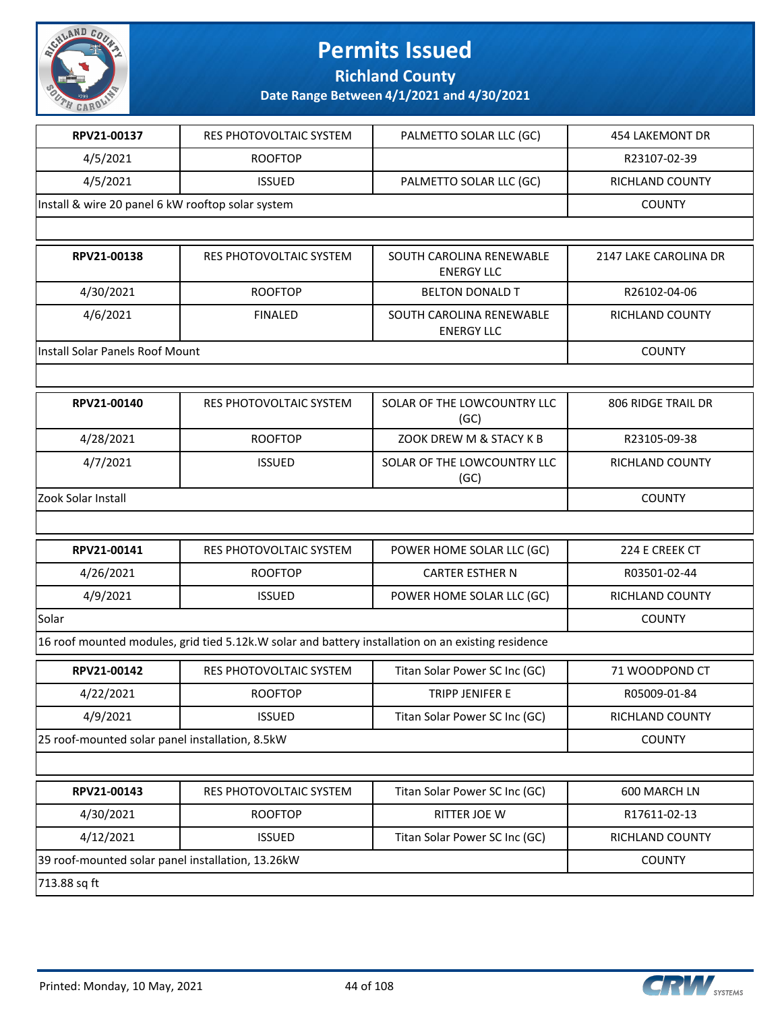

**Richland County**

| RPV21-00137                                       | RES PHOTOVOLTAIC SYSTEM                                                                            | PALMETTO SOLAR LLC (GC)                       | 454 LAKEMONT DR       |
|---------------------------------------------------|----------------------------------------------------------------------------------------------------|-----------------------------------------------|-----------------------|
| 4/5/2021                                          | <b>ROOFTOP</b>                                                                                     |                                               | R23107-02-39          |
| 4/5/2021                                          | <b>ISSUED</b>                                                                                      | PALMETTO SOLAR LLC (GC)                       | RICHLAND COUNTY       |
| Install & wire 20 panel 6 kW rooftop solar system |                                                                                                    |                                               | <b>COUNTY</b>         |
|                                                   |                                                                                                    |                                               |                       |
| RPV21-00138                                       | <b>RES PHOTOVOLTAIC SYSTEM</b>                                                                     | SOUTH CAROLINA RENEWABLE<br><b>ENERGY LLC</b> | 2147 LAKE CAROLINA DR |
| 4/30/2021                                         | <b>ROOFTOP</b>                                                                                     | <b>BELTON DONALD T</b>                        | R26102-04-06          |
| 4/6/2021                                          | <b>FINALED</b>                                                                                     | SOUTH CAROLINA RENEWABLE<br><b>ENERGY LLC</b> | RICHLAND COUNTY       |
| <b>Install Solar Panels Roof Mount</b>            |                                                                                                    |                                               | <b>COUNTY</b>         |
|                                                   |                                                                                                    |                                               |                       |
| RPV21-00140                                       | RES PHOTOVOLTAIC SYSTEM                                                                            | SOLAR OF THE LOWCOUNTRY LLC<br>(GC)           | 806 RIDGE TRAIL DR    |
| 4/28/2021                                         | <b>ROOFTOP</b>                                                                                     | ZOOK DREW M & STACY K B                       | R23105-09-38          |
| 4/7/2021                                          | <b>ISSUED</b>                                                                                      | SOLAR OF THE LOWCOUNTRY LLC<br>(GC)           | RICHLAND COUNTY       |
| Zook Solar Install                                |                                                                                                    |                                               | <b>COUNTY</b>         |
|                                                   |                                                                                                    |                                               |                       |
| RPV21-00141                                       | RES PHOTOVOLTAIC SYSTEM                                                                            | POWER HOME SOLAR LLC (GC)                     | 224 E CREEK CT        |
| 4/26/2021                                         | <b>ROOFTOP</b>                                                                                     | <b>CARTER ESTHER N</b>                        | R03501-02-44          |
| 4/9/2021                                          | <b>ISSUED</b>                                                                                      | POWER HOME SOLAR LLC (GC)                     | RICHLAND COUNTY       |
| Solar                                             |                                                                                                    |                                               | <b>COUNTY</b>         |
|                                                   | 16 roof mounted modules, grid tied 5.12k.W solar and battery installation on an existing residence |                                               |                       |
| RPV21-00142                                       | RES PHOTOVOLTAIC SYSTEM                                                                            | Titan Solar Power SC Inc (GC)                 | 71 WOODPOND CT        |
| 4/22/2021                                         | <b>ROOFTOP</b>                                                                                     | TRIPP JENIFER E                               | R05009-01-84          |
| 4/9/2021                                          | <b>ISSUED</b>                                                                                      | Titan Solar Power SC Inc (GC)                 | RICHLAND COUNTY       |
| 25 roof-mounted solar panel installation, 8.5kW   |                                                                                                    |                                               | <b>COUNTY</b>         |
|                                                   |                                                                                                    |                                               |                       |
| RPV21-00143                                       | RES PHOTOVOLTAIC SYSTEM                                                                            | Titan Solar Power SC Inc (GC)                 | 600 MARCH LN          |
| 4/30/2021                                         | <b>ROOFTOP</b>                                                                                     | RITTER JOE W                                  | R17611-02-13          |
| 4/12/2021                                         | <b>ISSUED</b>                                                                                      | Titan Solar Power SC Inc (GC)                 | RICHLAND COUNTY       |
| 39 roof-mounted solar panel installation, 13.26kW |                                                                                                    |                                               | <b>COUNTY</b>         |
| 713.88 sq ft                                      |                                                                                                    |                                               |                       |

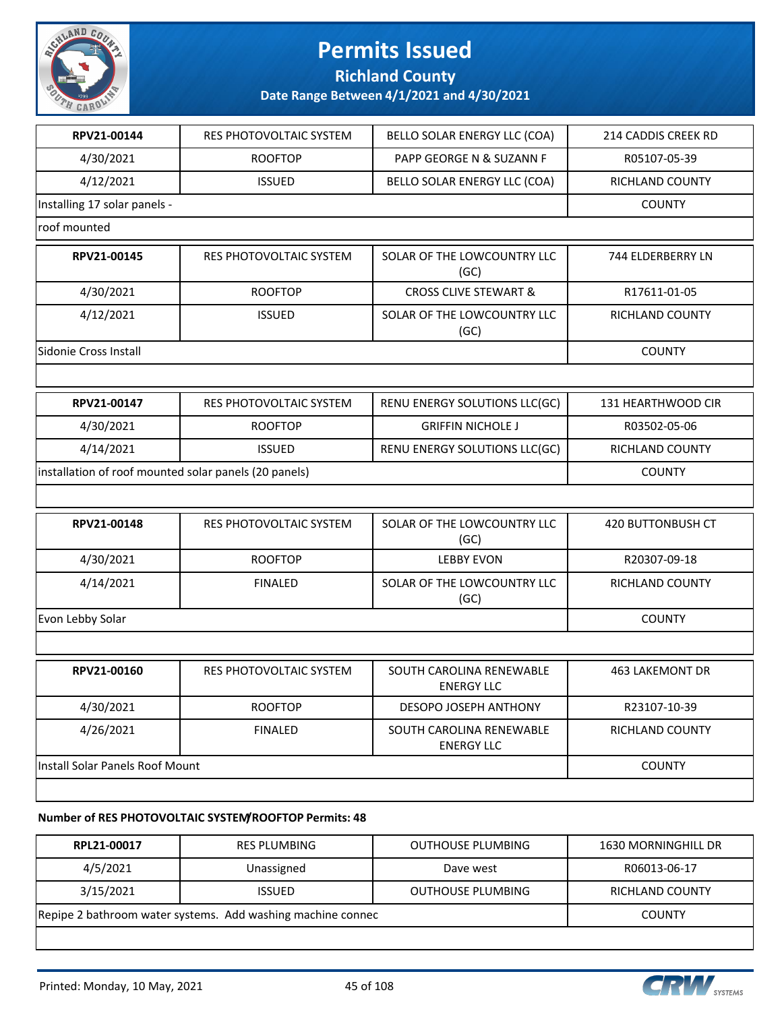

#### **Richland County**

**Date Range Between 4/1/2021 and 4/30/2021**

| RPV21-00144                                           | RES PHOTOVOLTAIC SYSTEM        | BELLO SOLAR ENERGY LLC (COA)                  | 214 CADDIS CREEK RD    |
|-------------------------------------------------------|--------------------------------|-----------------------------------------------|------------------------|
| 4/30/2021                                             | <b>ROOFTOP</b>                 | PAPP GEORGE N & SUZANN F                      | R05107-05-39           |
| 4/12/2021                                             | <b>ISSUED</b>                  | BELLO SOLAR ENERGY LLC (COA)                  | RICHLAND COUNTY        |
| Installing 17 solar panels -                          |                                |                                               | <b>COUNTY</b>          |
| roof mounted                                          |                                |                                               |                        |
| RPV21-00145                                           | RES PHOTOVOLTAIC SYSTEM        | SOLAR OF THE LOWCOUNTRY LLC<br>(GC)           | 744 ELDERBERRY LN      |
| 4/30/2021                                             | <b>ROOFTOP</b>                 | <b>CROSS CLIVE STEWART &amp;</b>              | R17611-01-05           |
| 4/12/2021                                             | <b>ISSUED</b>                  | SOLAR OF THE LOWCOUNTRY LLC<br>(GC)           | RICHLAND COUNTY        |
| Sidonie Cross Install                                 |                                |                                               | <b>COUNTY</b>          |
|                                                       |                                |                                               |                        |
| RPV21-00147                                           | RES PHOTOVOLTAIC SYSTEM        | RENU ENERGY SOLUTIONS LLC(GC)                 | 131 HEARTHWOOD CIR     |
| 4/30/2021                                             | <b>ROOFTOP</b>                 | <b>GRIFFIN NICHOLE J</b>                      | R03502-05-06           |
| 4/14/2021                                             | <b>ISSUED</b>                  | RENU ENERGY SOLUTIONS LLC(GC)                 | RICHLAND COUNTY        |
| installation of roof mounted solar panels (20 panels) | <b>COUNTY</b>                  |                                               |                        |
|                                                       |                                |                                               |                        |
| RPV21-00148                                           | <b>RES PHOTOVOLTAIC SYSTEM</b> | SOLAR OF THE LOWCOUNTRY LLC<br>(GC)           | 420 BUTTONBUSH CT      |
| 4/30/2021                                             | <b>ROOFTOP</b>                 | <b>LEBBY EVON</b>                             | R20307-09-18           |
| 4/14/2021                                             | <b>FINALED</b>                 | SOLAR OF THE LOWCOUNTRY LLC<br>(GC)           | RICHLAND COUNTY        |
| Evon Lebby Solar                                      |                                |                                               | <b>COUNTY</b>          |
|                                                       |                                |                                               |                        |
| RPV21-00160                                           | <b>RES PHOTOVOLTAIC SYSTEM</b> | SOUTH CAROLINA RENEWABLE<br><b>ENERGY LLC</b> | <b>463 LAKEMONT DR</b> |
| 4/30/2021                                             | <b>ROOFTOP</b>                 | DESOPO JOSEPH ANTHONY                         | R23107-10-39           |
| 4/26/2021                                             | <b>FINALED</b>                 | SOUTH CAROLINA RENEWABLE<br><b>ENERGY LLC</b> | <b>RICHLAND COUNTY</b> |
| Install Solar Panels Roof Mount                       |                                |                                               | <b>COUNTY</b>          |
|                                                       |                                |                                               |                        |
|                                                       |                                |                                               |                        |

#### **Number of RES PHOTOVOLTAIC SYSTEM/ROOFTOP Permits: 48**

| RPL21-00017                                                 | RES PLUMBING  | <b>OUTHOUSE PLUMBING</b> | 1630 MORNINGHILL DR |
|-------------------------------------------------------------|---------------|--------------------------|---------------------|
| 4/5/2021                                                    | Unassigned    | Dave west                | R06013-06-17        |
| 3/15/2021                                                   | <b>ISSUED</b> | <b>OUTHOUSE PLUMBING</b> | RICHLAND COUNTY     |
| Repipe 2 bathroom water systems. Add washing machine connec |               |                          | <b>COUNTY</b>       |
|                                                             |               |                          |                     |

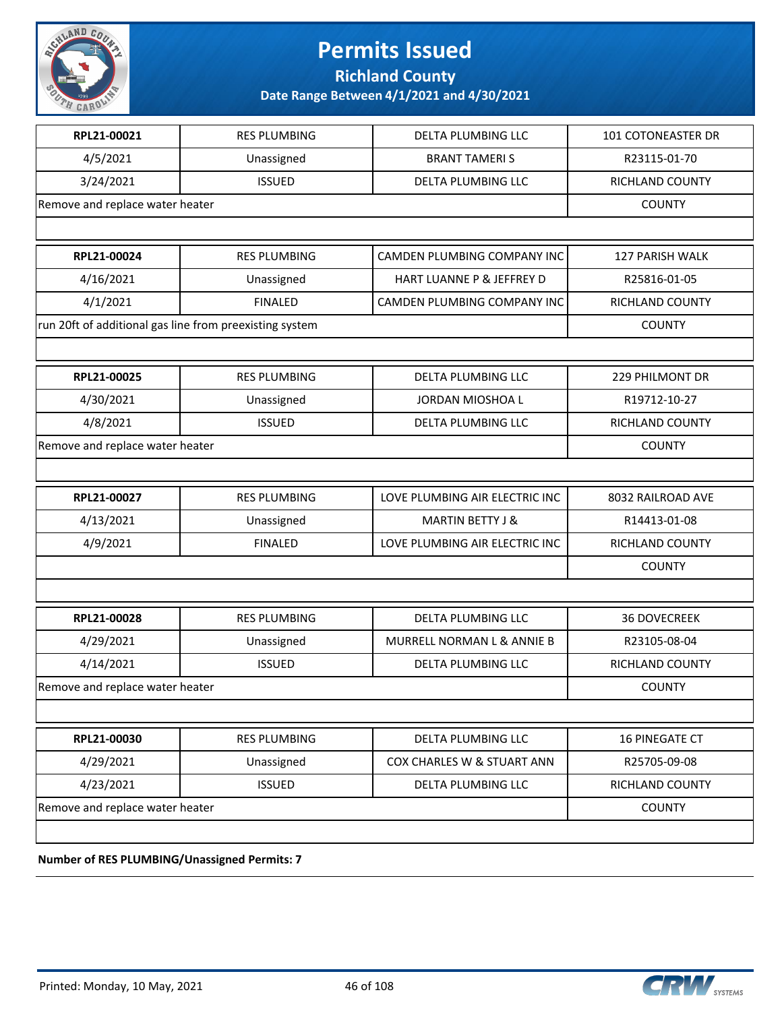

**Richland County**

**Date Range Between 4/1/2021 and 4/30/2021**

| RPL21-00021                                             | <b>RES PLUMBING</b> | <b>DELTA PLUMBING LLC</b>      | 101 COTONEASTER DR     |
|---------------------------------------------------------|---------------------|--------------------------------|------------------------|
| 4/5/2021                                                | Unassigned          | <b>BRANT TAMERIS</b>           | R23115-01-70           |
| 3/24/2021                                               | <b>ISSUED</b>       | DELTA PLUMBING LLC             | RICHLAND COUNTY        |
| Remove and replace water heater                         |                     |                                | <b>COUNTY</b>          |
|                                                         |                     |                                |                        |
| RPL21-00024                                             | <b>RES PLUMBING</b> | CAMDEN PLUMBING COMPANY INC    | <b>127 PARISH WALK</b> |
| 4/16/2021                                               | Unassigned          | HART LUANNE P & JEFFREY D      | R25816-01-05           |
| 4/1/2021                                                | <b>FINALED</b>      | CAMDEN PLUMBING COMPANY INC    | RICHLAND COUNTY        |
| run 20ft of additional gas line from preexisting system |                     |                                | <b>COUNTY</b>          |
|                                                         |                     |                                |                        |
| RPL21-00025                                             | <b>RES PLUMBING</b> | DELTA PLUMBING LLC             | 229 PHILMONT DR        |
| 4/30/2021                                               | Unassigned          | JORDAN MIOSHOA L               | R19712-10-27           |
| 4/8/2021                                                | <b>ISSUED</b>       | DELTA PLUMBING LLC             | RICHLAND COUNTY        |
| Remove and replace water heater                         |                     |                                | <b>COUNTY</b>          |
|                                                         |                     |                                |                        |
| RPL21-00027                                             | <b>RES PLUMBING</b> | LOVE PLUMBING AIR ELECTRIC INC | 8032 RAILROAD AVE      |
| 4/13/2021                                               | Unassigned          | <b>MARTIN BETTY J &amp;</b>    | R14413-01-08           |
| 4/9/2021                                                | <b>FINALED</b>      | LOVE PLUMBING AIR ELECTRIC INC | RICHLAND COUNTY        |
|                                                         |                     |                                | <b>COUNTY</b>          |
|                                                         |                     |                                |                        |
| RPL21-00028                                             | <b>RES PLUMBING</b> | DELTA PLUMBING LLC             | <b>36 DOVECREEK</b>    |
| 4/29/2021                                               | Unassigned          | MURRELL NORMAN L & ANNIE B     | R23105-08-04           |
| 4/14/2021                                               | <b>ISSUED</b>       | DELTA PLUMBING LLC             | RICHLAND COUNTY        |
| Remove and replace water heater                         |                     |                                | <b>COUNTY</b>          |
|                                                         |                     |                                |                        |
| RPL21-00030                                             | <b>RES PLUMBING</b> | DELTA PLUMBING LLC             | <b>16 PINEGATE CT</b>  |
| 4/29/2021                                               | Unassigned          | COX CHARLES W & STUART ANN     | R25705-09-08           |
| 4/23/2021                                               | <b>ISSUED</b>       | DELTA PLUMBING LLC             | RICHLAND COUNTY        |
| Remove and replace water heater                         |                     |                                | <b>COUNTY</b>          |
|                                                         |                     |                                |                        |
| Number of PES DUIMBING/Unassigned Permits: 7            |                     |                                |                        |

**Number of RES PLUMBING/Unassigned Permits: 7**

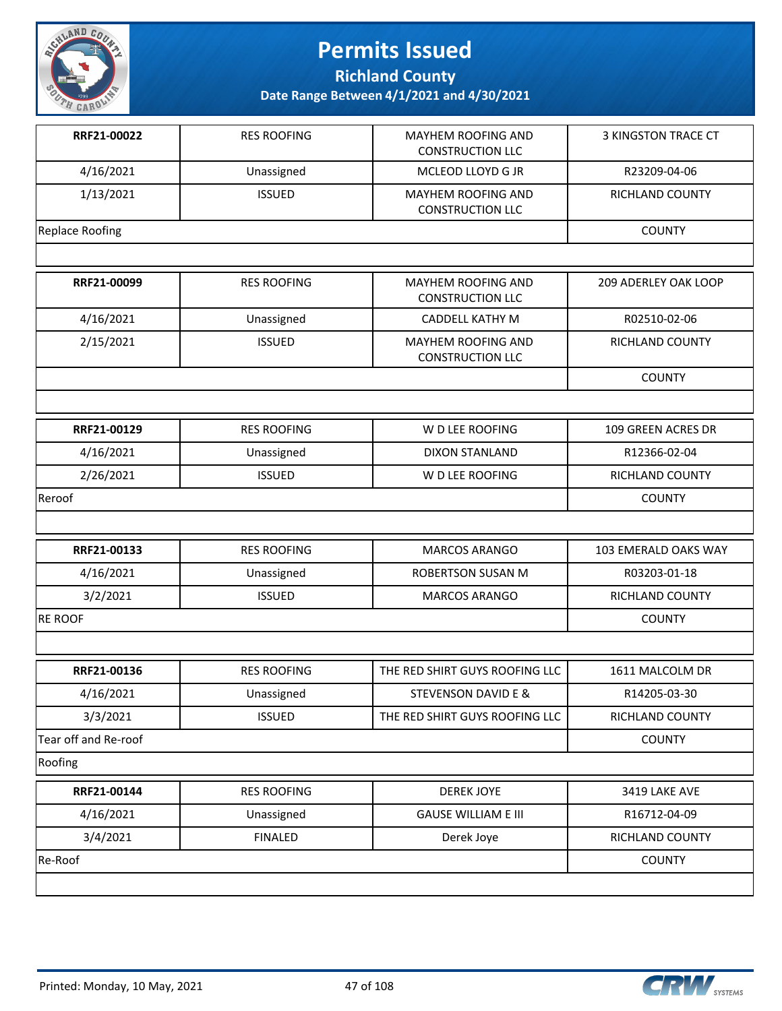

**Richland County**

| RRF21-00022            | <b>RES ROOFING</b> | <b>MAYHEM ROOFING AND</b><br><b>CONSTRUCTION LLC</b> | <b>3 KINGSTON TRACE CT</b> |
|------------------------|--------------------|------------------------------------------------------|----------------------------|
| 4/16/2021              | Unassigned         | MCLEOD LLOYD G JR                                    | R23209-04-06               |
| 1/13/2021              | <b>ISSUED</b>      | <b>MAYHEM ROOFING AND</b><br><b>CONSTRUCTION LLC</b> | RICHLAND COUNTY            |
| <b>Replace Roofing</b> |                    |                                                      | <b>COUNTY</b>              |
|                        |                    |                                                      |                            |
| RRF21-00099            | <b>RES ROOFING</b> | MAYHEM ROOFING AND<br><b>CONSTRUCTION LLC</b>        | 209 ADERLEY OAK LOOP       |
| 4/16/2021              | Unassigned         | CADDELL KATHY M                                      | R02510-02-06               |
| 2/15/2021              | <b>ISSUED</b>      | <b>MAYHEM ROOFING AND</b><br><b>CONSTRUCTION LLC</b> | RICHLAND COUNTY            |
|                        |                    |                                                      | <b>COUNTY</b>              |
|                        |                    |                                                      |                            |
| RRF21-00129            | <b>RES ROOFING</b> | W D LEE ROOFING                                      | 109 GREEN ACRES DR         |
| 4/16/2021              | Unassigned         | <b>DIXON STANLAND</b>                                | R12366-02-04               |
| 2/26/2021              | <b>ISSUED</b>      | W D LEE ROOFING                                      | RICHLAND COUNTY            |
| Reroof                 |                    |                                                      | <b>COUNTY</b>              |
|                        |                    |                                                      |                            |
| RRF21-00133            | <b>RES ROOFING</b> | MARCOS ARANGO                                        | 103 EMERALD OAKS WAY       |
| 4/16/2021              | Unassigned         | <b>ROBERTSON SUSAN M</b>                             | R03203-01-18               |
| 3/2/2021               | <b>ISSUED</b>      | MARCOS ARANGO                                        | RICHLAND COUNTY            |
| <b>RE ROOF</b>         |                    |                                                      | <b>COUNTY</b>              |
|                        |                    |                                                      |                            |
| RRF21-00136            | <b>RES ROOFING</b> | THE RED SHIRT GUYS ROOFING LLC                       | 1611 MALCOLM DR            |
| 4/16/2021              | Unassigned         | STEVENSON DAVID E &                                  | R14205-03-30               |
| 3/3/2021               | <b>ISSUED</b>      | THE RED SHIRT GUYS ROOFING LLC                       | RICHLAND COUNTY            |
| Tear off and Re-roof   |                    |                                                      | <b>COUNTY</b>              |
| Roofing                |                    |                                                      |                            |
| RRF21-00144            | <b>RES ROOFING</b> | <b>DEREK JOYE</b>                                    | 3419 LAKE AVE              |
| 4/16/2021              | Unassigned         | <b>GAUSE WILLIAM E III</b>                           | R16712-04-09               |
| 3/4/2021               | <b>FINALED</b>     | Derek Joye                                           | RICHLAND COUNTY            |
| Re-Roof                |                    |                                                      | <b>COUNTY</b>              |
|                        |                    |                                                      |                            |





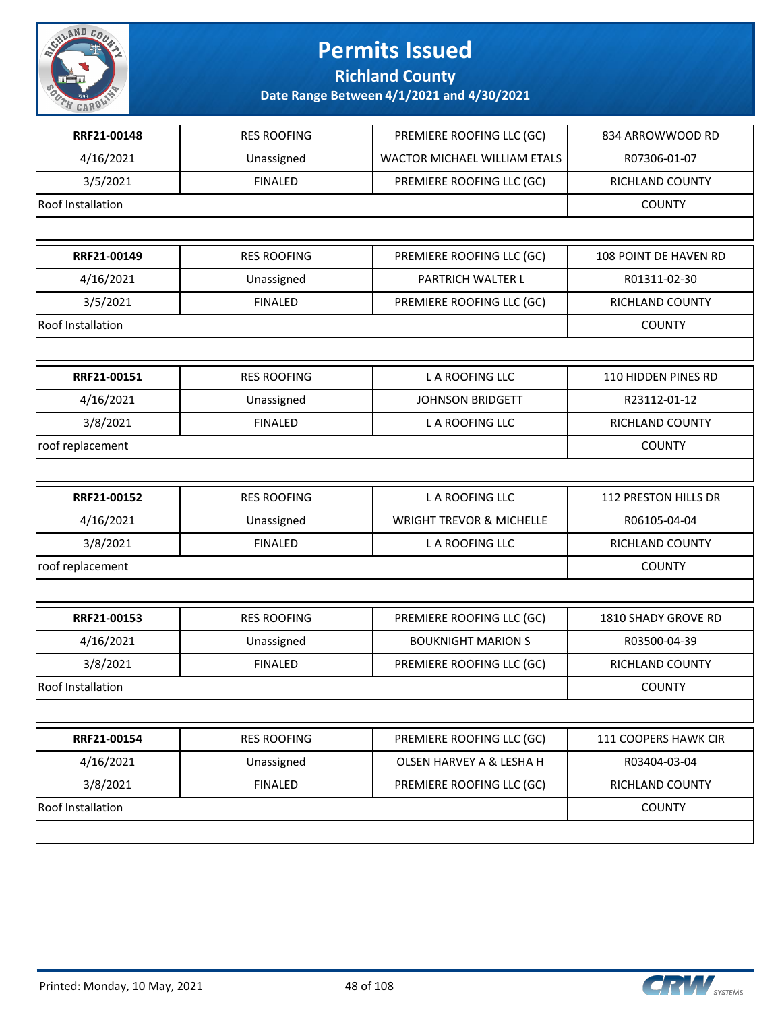

**Richland County**

| RRF21-00148              | <b>RES ROOFING</b> | PREMIERE ROOFING LLC (GC)           | 834 ARROWWOOD RD      |
|--------------------------|--------------------|-------------------------------------|-----------------------|
| 4/16/2021                | Unassigned         | <b>WACTOR MICHAEL WILLIAM ETALS</b> | R07306-01-07          |
| 3/5/2021                 | <b>FINALED</b>     | PREMIERE ROOFING LLC (GC)           | RICHLAND COUNTY       |
| Roof Installation        |                    |                                     | <b>COUNTY</b>         |
|                          |                    |                                     |                       |
| RRF21-00149              | <b>RES ROOFING</b> | PREMIERE ROOFING LLC (GC)           | 108 POINT DE HAVEN RD |
| 4/16/2021                | Unassigned         | PARTRICH WALTER L                   | R01311-02-30          |
| 3/5/2021                 | <b>FINALED</b>     | PREMIERE ROOFING LLC (GC)           | RICHLAND COUNTY       |
| Roof Installation        |                    |                                     | <b>COUNTY</b>         |
|                          |                    |                                     |                       |
| RRF21-00151              | <b>RES ROOFING</b> | L A ROOFING LLC                     | 110 HIDDEN PINES RD   |
| 4/16/2021                | Unassigned         | <b>JOHNSON BRIDGETT</b>             | R23112-01-12          |
| 3/8/2021                 | <b>FINALED</b>     | L A ROOFING LLC                     | RICHLAND COUNTY       |
| roof replacement         |                    |                                     | <b>COUNTY</b>         |
|                          |                    |                                     |                       |
| RRF21-00152              | <b>RES ROOFING</b> | L A ROOFING LLC                     | 112 PRESTON HILLS DR  |
| 4/16/2021                | Unassigned         | <b>WRIGHT TREVOR &amp; MICHELLE</b> | R06105-04-04          |
| 3/8/2021                 | <b>FINALED</b>     | L A ROOFING LLC                     | RICHLAND COUNTY       |
| roof replacement         |                    |                                     | <b>COUNTY</b>         |
|                          |                    |                                     |                       |
| RRF21-00153              | <b>RES ROOFING</b> | PREMIERE ROOFING LLC (GC)           | 1810 SHADY GROVE RD   |
| 4/16/2021                | Unassigned         | <b>BOUKNIGHT MARION S</b>           | R03500-04-39          |
| 3/8/2021                 | <b>FINALED</b>     | PREMIERE ROOFING LLC (GC)           | RICHLAND COUNTY       |
| <b>Roof Installation</b> |                    |                                     | <b>COUNTY</b>         |
|                          |                    |                                     |                       |
| RRF21-00154              | <b>RES ROOFING</b> | PREMIERE ROOFING LLC (GC)           | 111 COOPERS HAWK CIR  |
| 4/16/2021                | Unassigned         | <b>OLSEN HARVEY A &amp; LESHA H</b> | R03404-03-04          |
| 3/8/2021                 | <b>FINALED</b>     | PREMIERE ROOFING LLC (GC)           | RICHLAND COUNTY       |
| Roof Installation        |                    |                                     | <b>COUNTY</b>         |
|                          |                    |                                     |                       |

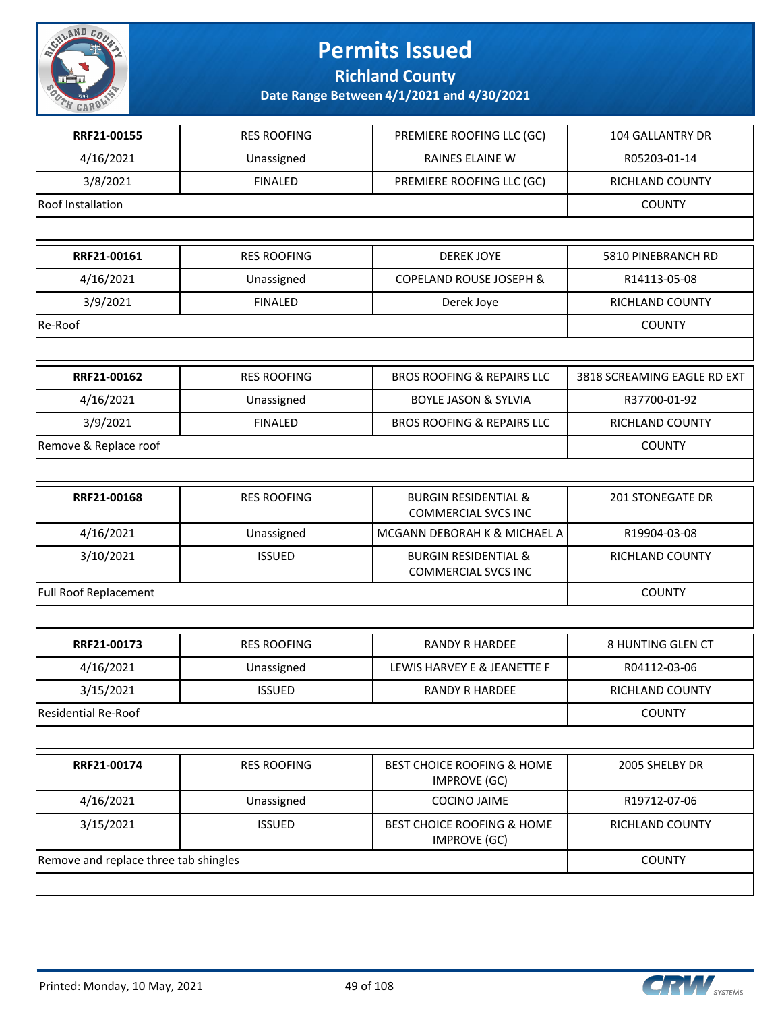

**Richland County**

| RRF21-00155                           | <b>RES ROOFING</b> | PREMIERE ROOFING LLC (GC)                                     | 104 GALLANTRY DR            |
|---------------------------------------|--------------------|---------------------------------------------------------------|-----------------------------|
| 4/16/2021                             | Unassigned         | RAINES ELAINE W                                               | R05203-01-14                |
| 3/8/2021                              | <b>FINALED</b>     | PREMIERE ROOFING LLC (GC)                                     | RICHLAND COUNTY             |
| Roof Installation                     |                    |                                                               | <b>COUNTY</b>               |
|                                       |                    |                                                               |                             |
| RRF21-00161                           | <b>RES ROOFING</b> | <b>DEREK JOYE</b>                                             | 5810 PINEBRANCH RD          |
| 4/16/2021                             | Unassigned         | COPELAND ROUSE JOSEPH &                                       | R14113-05-08                |
| 3/9/2021                              | <b>FINALED</b>     | Derek Joye                                                    | RICHLAND COUNTY             |
| Re-Roof                               |                    |                                                               | <b>COUNTY</b>               |
|                                       |                    |                                                               |                             |
| RRF21-00162                           | <b>RES ROOFING</b> | <b>BROS ROOFING &amp; REPAIRS LLC</b>                         | 3818 SCREAMING EAGLE RD EXT |
| 4/16/2021                             | Unassigned         | <b>BOYLE JASON &amp; SYLVIA</b>                               | R37700-01-92                |
| 3/9/2021                              | <b>FINALED</b>     | <b>BROS ROOFING &amp; REPAIRS LLC</b>                         | RICHLAND COUNTY             |
| Remove & Replace roof                 |                    |                                                               | <b>COUNTY</b>               |
|                                       |                    |                                                               |                             |
| RRF21-00168                           | <b>RES ROOFING</b> | <b>BURGIN RESIDENTIAL &amp;</b><br><b>COMMERCIAL SVCS INC</b> | <b>201 STONEGATE DR</b>     |
| 4/16/2021                             | Unassigned         | MCGANN DEBORAH K & MICHAEL A                                  | R19904-03-08                |
| 3/10/2021                             | <b>ISSUED</b>      | <b>BURGIN RESIDENTIAL &amp;</b><br><b>COMMERCIAL SVCS INC</b> | RICHLAND COUNTY             |
| <b>Full Roof Replacement</b>          |                    |                                                               | <b>COUNTY</b>               |
|                                       |                    |                                                               |                             |
| RRF21-00173                           | <b>RES ROOFING</b> | <b>RANDY R HARDEE</b>                                         | 8 HUNTING GLEN CT           |
| 4/16/2021                             | Unassigned         | LEWIS HARVEY E & JEANETTE F                                   | R04112-03-06                |
| 3/15/2021                             | <b>ISSUED</b>      | RANDY R HARDEE                                                | RICHLAND COUNTY             |
| <b>Residential Re-Roof</b>            |                    |                                                               | <b>COUNTY</b>               |
|                                       |                    |                                                               |                             |
| RRF21-00174                           | <b>RES ROOFING</b> | <b>BEST CHOICE ROOFING &amp; HOME</b><br><b>IMPROVE (GC)</b>  | 2005 SHELBY DR              |
| 4/16/2021                             | Unassigned         | <b>COCINO JAIME</b>                                           | R19712-07-06                |
| 3/15/2021                             | <b>ISSUED</b>      | BEST CHOICE ROOFING & HOME<br><b>IMPROVE (GC)</b>             | RICHLAND COUNTY             |
| Remove and replace three tab shingles |                    |                                                               | <b>COUNTY</b>               |
|                                       |                    |                                                               |                             |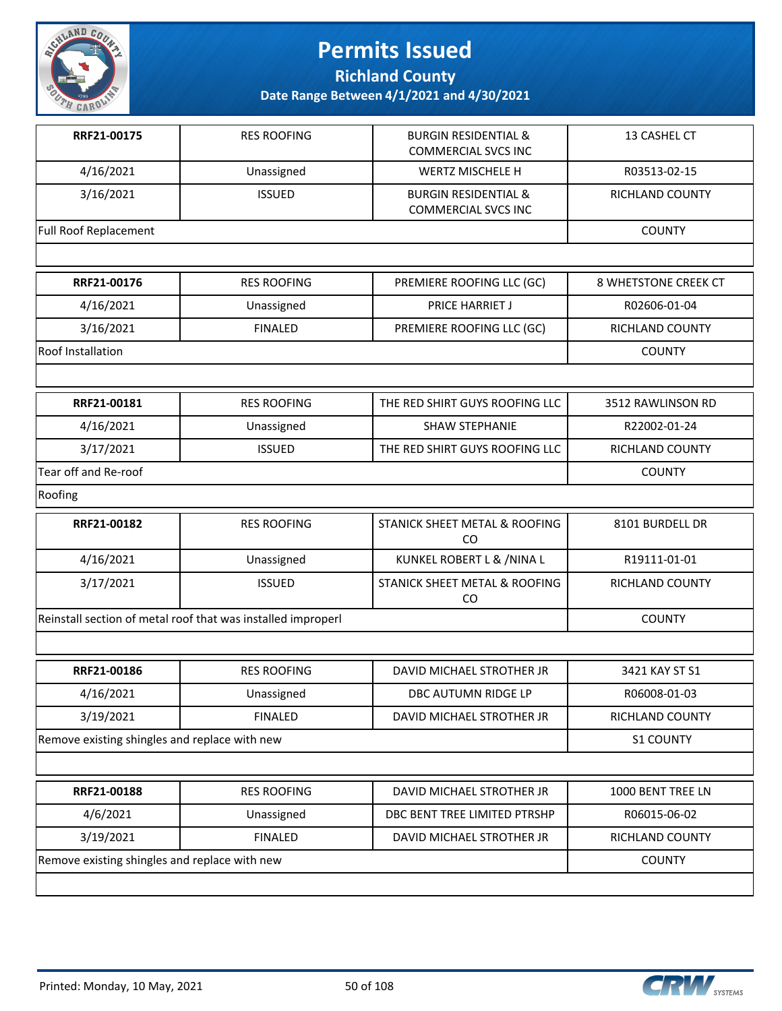

**Richland County**

| RRF21-00175                                   | <b>RES ROOFING</b>                                           | <b>BURGIN RESIDENTIAL &amp;</b><br><b>COMMERCIAL SVCS INC</b> | 13 CASHEL CT         |
|-----------------------------------------------|--------------------------------------------------------------|---------------------------------------------------------------|----------------------|
| 4/16/2021                                     | Unassigned                                                   | WERTZ MISCHELE H                                              | R03513-02-15         |
| 3/16/2021                                     | <b>ISSUED</b>                                                | <b>BURGIN RESIDENTIAL &amp;</b><br><b>COMMERCIAL SVCS INC</b> | RICHLAND COUNTY      |
| Full Roof Replacement                         |                                                              |                                                               | <b>COUNTY</b>        |
|                                               |                                                              |                                                               |                      |
| RRF21-00176                                   | <b>RES ROOFING</b>                                           | PREMIERE ROOFING LLC (GC)                                     | 8 WHETSTONE CREEK CT |
| 4/16/2021                                     | Unassigned                                                   | PRICE HARRIET J                                               | R02606-01-04         |
| 3/16/2021                                     | <b>FINALED</b>                                               | PREMIERE ROOFING LLC (GC)                                     | RICHLAND COUNTY      |
| <b>Roof Installation</b>                      |                                                              |                                                               | <b>COUNTY</b>        |
|                                               |                                                              |                                                               |                      |
| RRF21-00181                                   | <b>RES ROOFING</b>                                           | THE RED SHIRT GUYS ROOFING LLC                                | 3512 RAWLINSON RD    |
| 4/16/2021                                     | Unassigned                                                   | <b>SHAW STEPHANIE</b>                                         | R22002-01-24         |
| 3/17/2021                                     | <b>ISSUED</b>                                                | THE RED SHIRT GUYS ROOFING LLC                                | RICHLAND COUNTY      |
| Tear off and Re-roof                          |                                                              |                                                               | <b>COUNTY</b>        |
| Roofing                                       |                                                              |                                                               |                      |
| RRF21-00182                                   | <b>RES ROOFING</b>                                           | STANICK SHEET METAL & ROOFING<br>CO                           | 8101 BURDELL DR      |
| 4/16/2021                                     | Unassigned                                                   | KUNKEL ROBERT L & /NINA L                                     | R19111-01-01         |
| 3/17/2021                                     | <b>ISSUED</b>                                                | STANICK SHEET METAL & ROOFING<br>CO                           | RICHLAND COUNTY      |
|                                               | Reinstall section of metal roof that was installed improperl |                                                               | <b>COUNTY</b>        |
|                                               |                                                              |                                                               |                      |
| RRF21-00186                                   | <b>RES ROOFING</b>                                           | DAVID MICHAEL STROTHER JR                                     | 3421 KAY ST S1       |
| 4/16/2021                                     | Unassigned                                                   | DBC AUTUMN RIDGE LP                                           | R06008-01-03         |
| 3/19/2021                                     | <b>FINALED</b>                                               | DAVID MICHAEL STROTHER JR                                     | RICHLAND COUNTY      |
| Remove existing shingles and replace with new |                                                              |                                                               | <b>S1 COUNTY</b>     |
|                                               |                                                              |                                                               |                      |
| RRF21-00188                                   | <b>RES ROOFING</b>                                           | DAVID MICHAEL STROTHER JR                                     | 1000 BENT TREE LN    |
| 4/6/2021                                      | Unassigned                                                   | DBC BENT TREE LIMITED PTRSHP                                  | R06015-06-02         |
| 3/19/2021                                     | <b>FINALED</b>                                               | DAVID MICHAEL STROTHER JR                                     | RICHLAND COUNTY      |
| Remove existing shingles and replace with new |                                                              |                                                               | <b>COUNTY</b>        |
|                                               |                                                              |                                                               |                      |

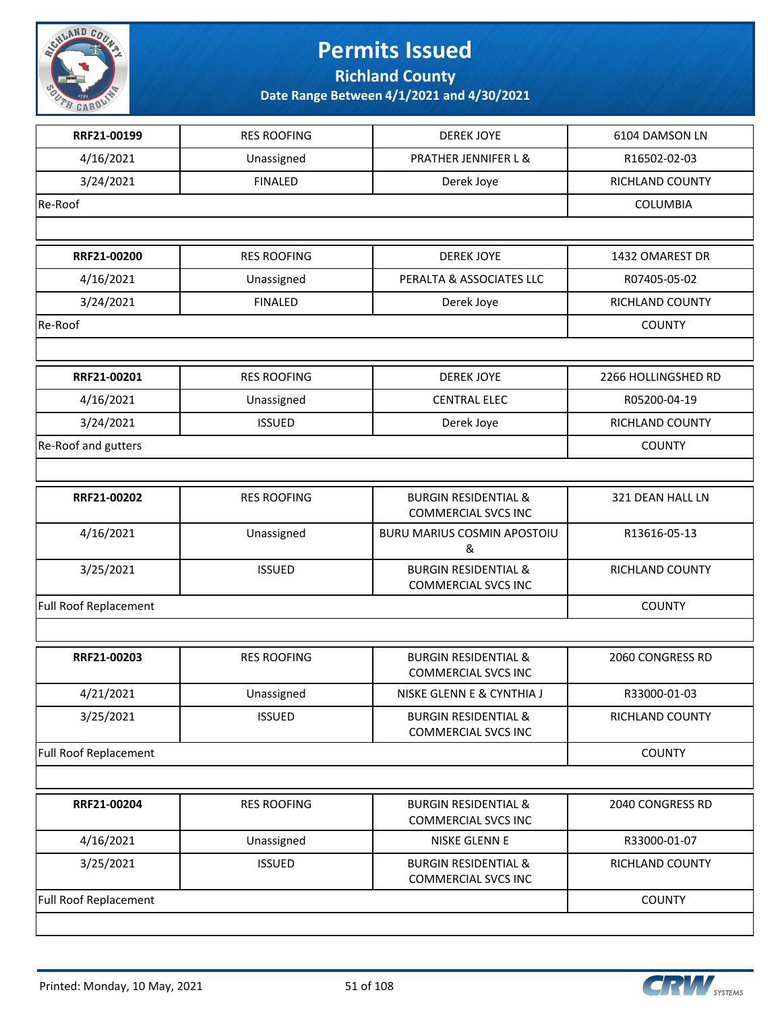

**Richland County**

| RRF21-00199                  | <b>RES ROOFING</b> | <b>DEREK JOYE</b>                                             | 6104 DAMSON LN      |
|------------------------------|--------------------|---------------------------------------------------------------|---------------------|
| 4/16/2021                    | Unassigned         | PRATHER JENNIFER L &                                          | R16502-02-03        |
| 3/24/2021                    | <b>FINALED</b>     | Derek Joye                                                    | RICHLAND COUNTY     |
| Re-Roof                      |                    |                                                               | <b>COLUMBIA</b>     |
|                              |                    |                                                               |                     |
| RRF21-00200                  | <b>RES ROOFING</b> | <b>DEREK JOYE</b>                                             | 1432 OMAREST DR     |
| 4/16/2021                    | Unassigned         | PERALTA & ASSOCIATES LLC                                      | R07405-05-02        |
| 3/24/2021                    | <b>FINALED</b>     | Derek Joye                                                    | RICHLAND COUNTY     |
| Re-Roof                      |                    |                                                               | <b>COUNTY</b>       |
|                              |                    |                                                               |                     |
| RRF21-00201                  | <b>RES ROOFING</b> | <b>DEREK JOYE</b>                                             | 2266 HOLLINGSHED RD |
| 4/16/2021                    | Unassigned         | <b>CENTRAL ELEC</b>                                           | R05200-04-19        |
| 3/24/2021                    | <b>ISSUED</b>      | Derek Joye                                                    | RICHLAND COUNTY     |
| Re-Roof and gutters          |                    |                                                               | <b>COUNTY</b>       |
|                              |                    |                                                               |                     |
| RRF21-00202                  | <b>RES ROOFING</b> | <b>BURGIN RESIDENTIAL &amp;</b><br><b>COMMERCIAL SVCS INC</b> | 321 DEAN HALL LN    |
| 4/16/2021                    | Unassigned         | BURU MARIUS COSMIN APOSTOIU<br>&                              | R13616-05-13        |
| 3/25/2021                    | <b>ISSUED</b>      | <b>BURGIN RESIDENTIAL &amp;</b><br><b>COMMERCIAL SVCS INC</b> | RICHLAND COUNTY     |
| <b>Full Roof Replacement</b> |                    |                                                               | <b>COUNTY</b>       |
|                              |                    |                                                               |                     |
| RRF21-00203                  | <b>RES ROOFING</b> | <b>BURGIN RESIDENTIAL &amp;</b><br><b>COMMERCIAL SVCS INC</b> | 2060 CONGRESS RD    |
| 4/21/2021                    | Unassigned         | NISKE GLENN E & CYNTHIA J                                     | R33000-01-03        |
| 3/25/2021                    | <b>ISSUED</b>      | <b>BURGIN RESIDENTIAL &amp;</b><br><b>COMMERCIAL SVCS INC</b> | RICHLAND COUNTY     |
| <b>Full Roof Replacement</b> |                    |                                                               | <b>COUNTY</b>       |
|                              |                    |                                                               |                     |
| RRF21-00204                  | <b>RES ROOFING</b> | <b>BURGIN RESIDENTIAL &amp;</b><br><b>COMMERCIAL SVCS INC</b> | 2040 CONGRESS RD    |
| 4/16/2021                    | Unassigned         | NISKE GLENN E                                                 | R33000-01-07        |
| 3/25/2021                    | <b>ISSUED</b>      | <b>BURGIN RESIDENTIAL &amp;</b><br><b>COMMERCIAL SVCS INC</b> | RICHLAND COUNTY     |
| Full Roof Replacement        |                    |                                                               | <b>COUNTY</b>       |
|                              |                    |                                                               |                     |

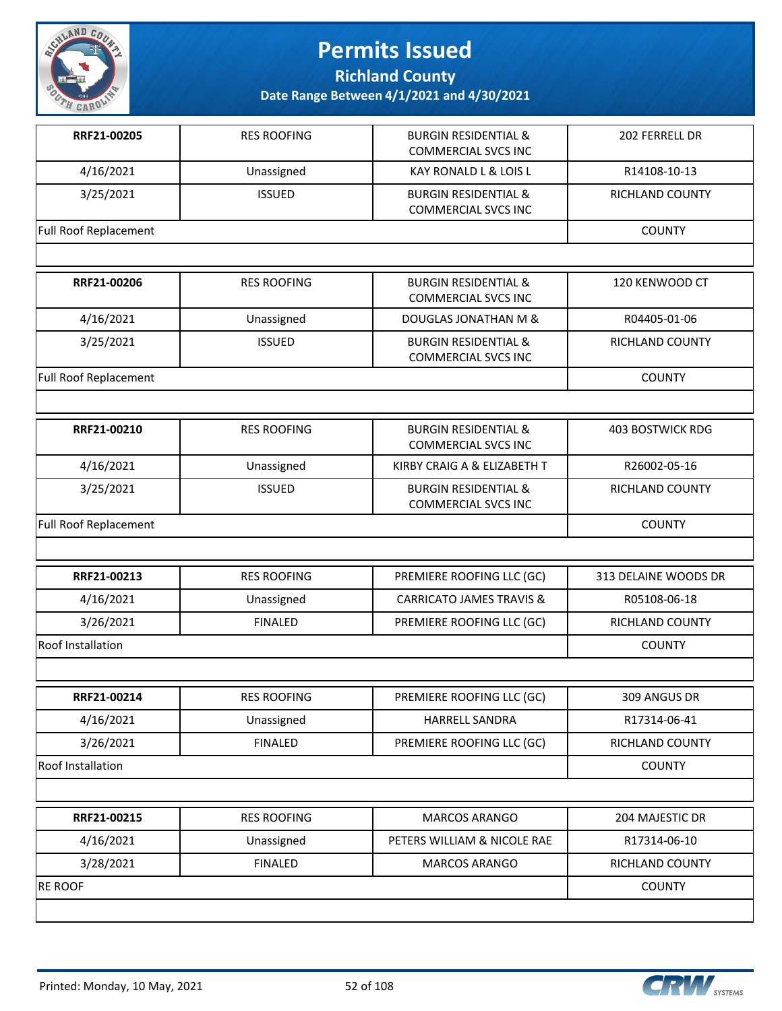

**Richland County**

| RRF21-00205                  | <b>RES ROOFING</b> | <b>BURGIN RESIDENTIAL &amp;</b><br><b>COMMERCIAL SVCS INC</b> | 202 FERRELL DR          |
|------------------------------|--------------------|---------------------------------------------------------------|-------------------------|
| 4/16/2021                    | Unassigned         | KAY RONALD L & LOIS L                                         | R14108-10-13            |
| 3/25/2021                    | <b>ISSUED</b>      | <b>BURGIN RESIDENTIAL &amp;</b><br><b>COMMERCIAL SVCS INC</b> | RICHLAND COUNTY         |
| Full Roof Replacement        |                    |                                                               | <b>COUNTY</b>           |
|                              |                    |                                                               |                         |
| RRF21-00206                  | <b>RES ROOFING</b> | <b>BURGIN RESIDENTIAL &amp;</b><br><b>COMMERCIAL SVCS INC</b> | 120 KENWOOD CT          |
| 4/16/2021                    | Unassigned         | DOUGLAS JONATHAN M &                                          | R04405-01-06            |
| 3/25/2021                    | <b>ISSUED</b>      | <b>BURGIN RESIDENTIAL &amp;</b><br><b>COMMERCIAL SVCS INC</b> | RICHLAND COUNTY         |
| Full Roof Replacement        |                    |                                                               | <b>COUNTY</b>           |
|                              |                    |                                                               |                         |
| RRF21-00210                  | <b>RES ROOFING</b> | <b>BURGIN RESIDENTIAL &amp;</b><br><b>COMMERCIAL SVCS INC</b> | <b>403 BOSTWICK RDG</b> |
| 4/16/2021                    | Unassigned         | KIRBY CRAIG A & ELIZABETH T                                   | R26002-05-16            |
| 3/25/2021                    | <b>ISSUED</b>      | <b>BURGIN RESIDENTIAL &amp;</b><br><b>COMMERCIAL SVCS INC</b> | RICHLAND COUNTY         |
| <b>Full Roof Replacement</b> |                    |                                                               | <b>COUNTY</b>           |
|                              |                    |                                                               |                         |
| RRF21-00213                  | <b>RES ROOFING</b> | PREMIERE ROOFING LLC (GC)                                     | 313 DELAINE WOODS DR    |
| 4/16/2021                    | Unassigned         | <b>CARRICATO JAMES TRAVIS &amp;</b>                           | R05108-06-18            |
| 3/26/2021                    | <b>FINALED</b>     | PREMIERE ROOFING LLC (GC)                                     | RICHLAND COUNTY         |
| Roof Installation            |                    |                                                               | <b>COUNTY</b>           |
|                              |                    |                                                               |                         |
| RRF21-00214                  | <b>RES ROOFING</b> | PREMIERE ROOFING LLC (GC)                                     | 309 ANGUS DR            |
| 4/16/2021                    | Unassigned         | HARRELL SANDRA                                                | R17314-06-41            |
| 3/26/2021                    | <b>FINALED</b>     | PREMIERE ROOFING LLC (GC)                                     | RICHLAND COUNTY         |
| <b>Roof Installation</b>     |                    |                                                               | <b>COUNTY</b>           |
|                              |                    |                                                               |                         |
| RRF21-00215                  | <b>RES ROOFING</b> | <b>MARCOS ARANGO</b>                                          | 204 MAJESTIC DR         |
| 4/16/2021                    | Unassigned         | PETERS WILLIAM & NICOLE RAE                                   | R17314-06-10            |
| 3/28/2021                    | <b>FINALED</b>     | MARCOS ARANGO                                                 | RICHLAND COUNTY         |
| <b>RE ROOF</b>               |                    |                                                               | <b>COUNTY</b>           |
|                              |                    |                                                               |                         |

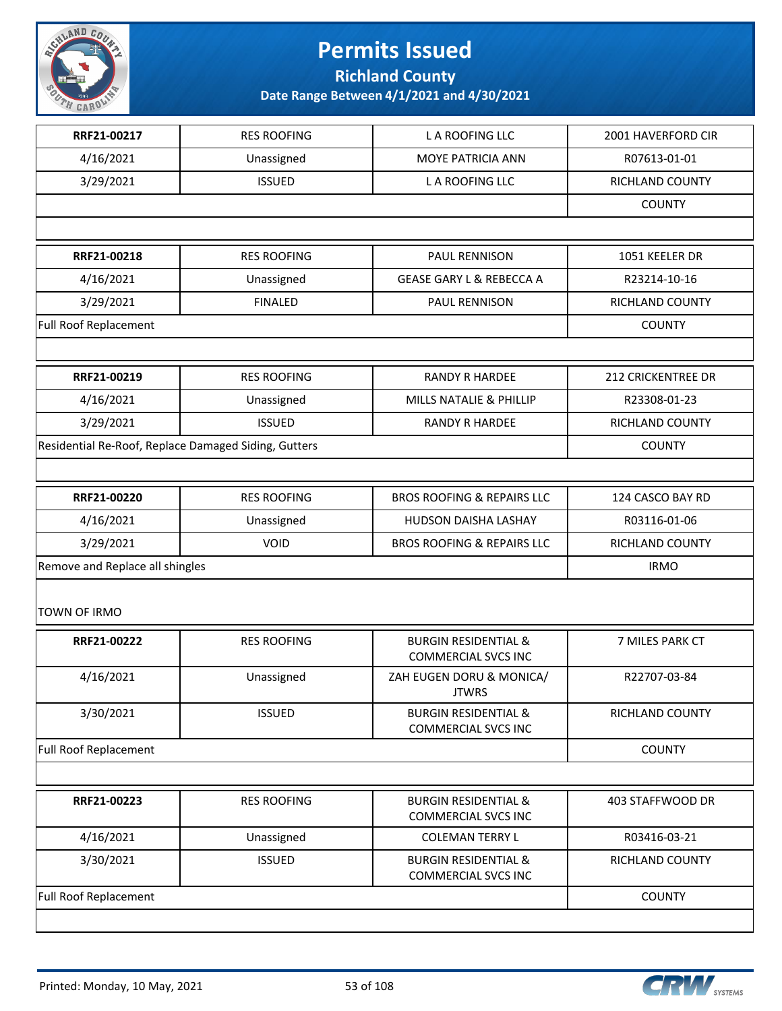

**Richland County**

| RRF21-00217                                          | <b>RES ROOFING</b> | L A ROOFING LLC                                               | 2001 HAVERFORD CIR |
|------------------------------------------------------|--------------------|---------------------------------------------------------------|--------------------|
| 4/16/2021                                            | Unassigned         | MOYE PATRICIA ANN                                             | R07613-01-01       |
| 3/29/2021                                            | <b>ISSUED</b>      | L A ROOFING LLC                                               | RICHLAND COUNTY    |
|                                                      |                    |                                                               | <b>COUNTY</b>      |
|                                                      |                    |                                                               |                    |
| RRF21-00218                                          | <b>RES ROOFING</b> | PAUL RENNISON                                                 | 1051 KEELER DR     |
| 4/16/2021                                            | Unassigned         | <b>GEASE GARY L &amp; REBECCA A</b>                           | R23214-10-16       |
| 3/29/2021                                            | <b>FINALED</b>     | PAUL RENNISON                                                 | RICHLAND COUNTY    |
| Full Roof Replacement                                |                    |                                                               | <b>COUNTY</b>      |
|                                                      |                    |                                                               |                    |
| RRF21-00219                                          | <b>RES ROOFING</b> | <b>RANDY R HARDEE</b>                                         | 212 CRICKENTREE DR |
| 4/16/2021                                            | Unassigned         | MILLS NATALIE & PHILLIP                                       | R23308-01-23       |
| 3/29/2021                                            | <b>ISSUED</b>      | <b>RANDY R HARDEE</b>                                         | RICHLAND COUNTY    |
| Residential Re-Roof, Replace Damaged Siding, Gutters |                    |                                                               | <b>COUNTY</b>      |
|                                                      |                    |                                                               |                    |
| RRF21-00220                                          | <b>RES ROOFING</b> | <b>BROS ROOFING &amp; REPAIRS LLC</b>                         | 124 CASCO BAY RD   |
| 4/16/2021                                            | Unassigned         | HUDSON DAISHA LASHAY                                          | R03116-01-06       |
| 3/29/2021                                            | <b>VOID</b>        | <b>BROS ROOFING &amp; REPAIRS LLC</b>                         | RICHLAND COUNTY    |
| Remove and Replace all shingles                      |                    |                                                               | <b>IRMO</b>        |
| TOWN OF IRMO                                         |                    |                                                               |                    |
| RRF21-00222                                          | <b>RES ROOFING</b> | <b>BURGIN RESIDENTIAL &amp;</b><br><b>COMMERCIAL SVCS INC</b> | 7 MILES PARK CT    |
| 4/16/2021                                            | Unassigned         | ZAH EUGEN DORU & MONICA/<br><b>JTWRS</b>                      | R22707-03-84       |
| 3/30/2021                                            | <b>ISSUED</b>      | <b>BURGIN RESIDENTIAL &amp;</b><br>COMMERCIAL SVCS INC        | RICHLAND COUNTY    |
| <b>Full Roof Replacement</b>                         |                    |                                                               | <b>COUNTY</b>      |
|                                                      |                    |                                                               |                    |
| RRF21-00223                                          | <b>RES ROOFING</b> | <b>BURGIN RESIDENTIAL &amp;</b><br><b>COMMERCIAL SVCS INC</b> | 403 STAFFWOOD DR   |
| 4/16/2021                                            | Unassigned         | <b>COLEMAN TERRY L</b>                                        | R03416-03-21       |
| 3/30/2021                                            | <b>ISSUED</b>      | <b>BURGIN RESIDENTIAL &amp;</b><br><b>COMMERCIAL SVCS INC</b> | RICHLAND COUNTY    |
| <b>Full Roof Replacement</b>                         |                    |                                                               | <b>COUNTY</b>      |
|                                                      |                    |                                                               |                    |

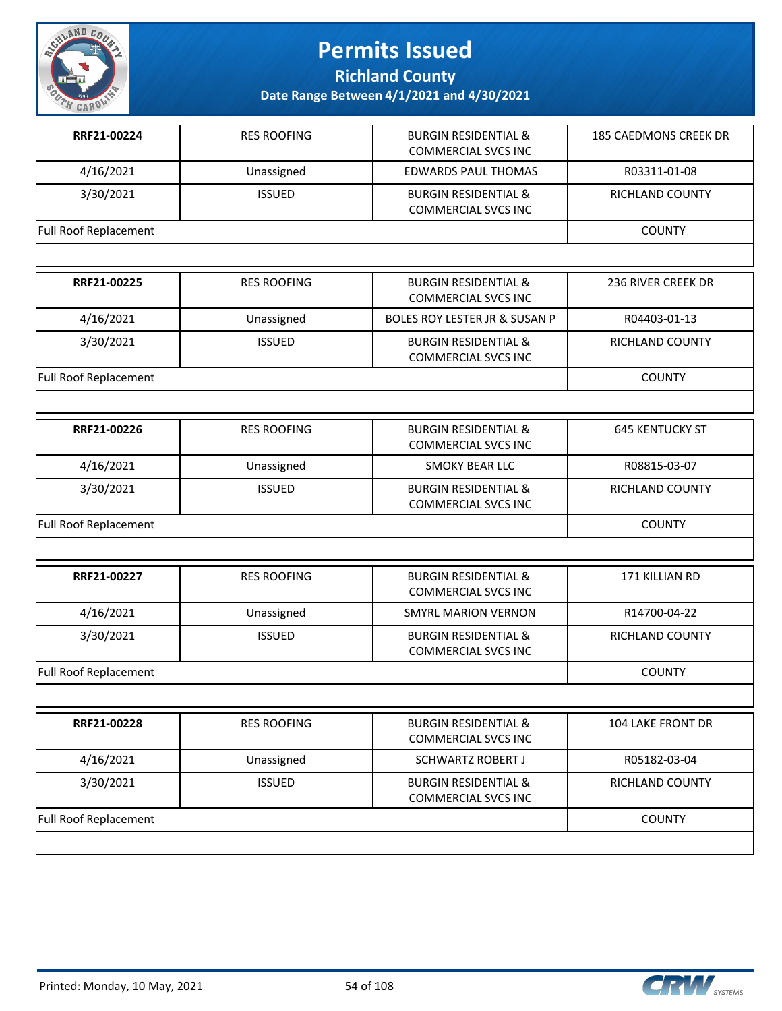

**Richland County**

| RRF21-00224                  | <b>RES ROOFING</b> | <b>BURGIN RESIDENTIAL &amp;</b><br><b>COMMERCIAL SVCS INC</b> | 185 CAEDMONS CREEK DR    |
|------------------------------|--------------------|---------------------------------------------------------------|--------------------------|
| 4/16/2021                    | Unassigned         | <b>EDWARDS PAUL THOMAS</b>                                    | R03311-01-08             |
| 3/30/2021                    | <b>ISSUED</b>      | <b>BURGIN RESIDENTIAL &amp;</b><br><b>COMMERCIAL SVCS INC</b> | RICHLAND COUNTY          |
| <b>Full Roof Replacement</b> |                    |                                                               | <b>COUNTY</b>            |
|                              |                    |                                                               |                          |
| RRF21-00225                  | <b>RES ROOFING</b> | <b>BURGIN RESIDENTIAL &amp;</b><br><b>COMMERCIAL SVCS INC</b> | 236 RIVER CREEK DR       |
| 4/16/2021                    | Unassigned         | BOLES ROY LESTER JR & SUSAN P                                 | R04403-01-13             |
| 3/30/2021                    | <b>ISSUED</b>      | <b>BURGIN RESIDENTIAL &amp;</b><br><b>COMMERCIAL SVCS INC</b> | RICHLAND COUNTY          |
| <b>Full Roof Replacement</b> |                    |                                                               | <b>COUNTY</b>            |
|                              |                    |                                                               |                          |
| RRF21-00226                  | <b>RES ROOFING</b> | <b>BURGIN RESIDENTIAL &amp;</b><br><b>COMMERCIAL SVCS INC</b> | <b>645 KENTUCKY ST</b>   |
| 4/16/2021                    | Unassigned         | <b>SMOKY BEAR LLC</b>                                         | R08815-03-07             |
| 3/30/2021                    | <b>ISSUED</b>      | <b>BURGIN RESIDENTIAL &amp;</b><br><b>COMMERCIAL SVCS INC</b> | RICHLAND COUNTY          |
| <b>Full Roof Replacement</b> | <b>COUNTY</b>      |                                                               |                          |
|                              |                    |                                                               |                          |
| RRF21-00227                  | <b>RES ROOFING</b> | <b>BURGIN RESIDENTIAL &amp;</b><br><b>COMMERCIAL SVCS INC</b> | 171 KILLIAN RD           |
| 4/16/2021                    | Unassigned         | <b>SMYRL MARION VERNON</b>                                    | R14700-04-22             |
| 3/30/2021                    | <b>ISSUED</b>      | <b>BURGIN RESIDENTIAL &amp;</b><br><b>COMMERCIAL SVCS INC</b> | RICHLAND COUNTY          |
| Full Roof Replacement        |                    |                                                               | <b>COUNTY</b>            |
|                              |                    |                                                               |                          |
| RRF21-00228                  | <b>RES ROOFING</b> | <b>BURGIN RESIDENTIAL &amp;</b><br><b>COMMERCIAL SVCS INC</b> | <b>104 LAKE FRONT DR</b> |
| 4/16/2021                    | Unassigned         | <b>SCHWARTZ ROBERT J</b>                                      | R05182-03-04             |
| 3/30/2021                    | <b>ISSUED</b>      | <b>BURGIN RESIDENTIAL &amp;</b><br><b>COMMERCIAL SVCS INC</b> | RICHLAND COUNTY          |
| Full Roof Replacement        |                    |                                                               | <b>COUNTY</b>            |

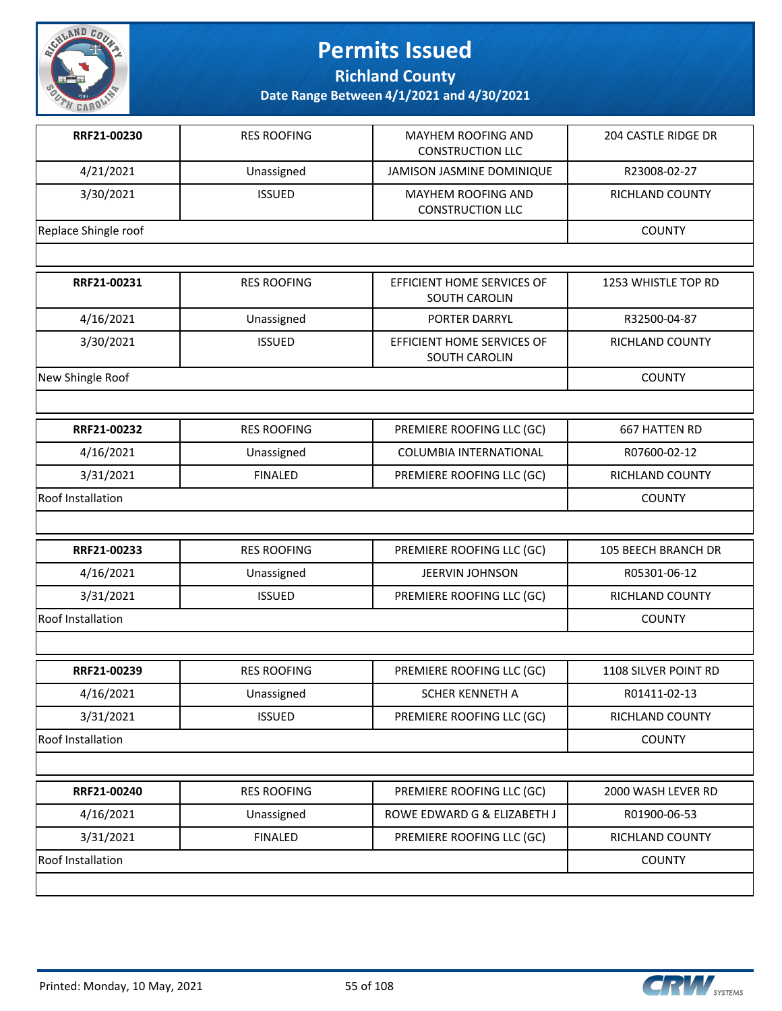

**Richland County**

| RRF21-00230              | <b>RES ROOFING</b> | MAYHEM ROOFING AND<br><b>CONSTRUCTION LLC</b>      | 204 CASTLE RIDGE DR    |
|--------------------------|--------------------|----------------------------------------------------|------------------------|
| 4/21/2021                | Unassigned         | JAMISON JASMINE DOMINIQUE                          | R23008-02-27           |
| 3/30/2021                | <b>ISSUED</b>      | MAYHEM ROOFING AND<br><b>CONSTRUCTION LLC</b>      | RICHLAND COUNTY        |
| Replace Shingle roof     |                    |                                                    | <b>COUNTY</b>          |
|                          |                    |                                                    |                        |
| RRF21-00231              | <b>RES ROOFING</b> | EFFICIENT HOME SERVICES OF<br><b>SOUTH CAROLIN</b> | 1253 WHISTLE TOP RD    |
| 4/16/2021                | Unassigned         | PORTER DARRYL                                      | R32500-04-87           |
| 3/30/2021                | <b>ISSUED</b>      | EFFICIENT HOME SERVICES OF<br><b>SOUTH CAROLIN</b> | RICHLAND COUNTY        |
| New Shingle Roof         |                    |                                                    | <b>COUNTY</b>          |
|                          |                    |                                                    |                        |
| RRF21-00232              | <b>RES ROOFING</b> | PREMIERE ROOFING LLC (GC)                          | <b>667 HATTEN RD</b>   |
| 4/16/2021                | Unassigned         | COLUMBIA INTERNATIONAL                             | R07600-02-12           |
| 3/31/2021                | <b>FINALED</b>     | PREMIERE ROOFING LLC (GC)                          | RICHLAND COUNTY        |
| <b>Roof Installation</b> |                    |                                                    | <b>COUNTY</b>          |
|                          |                    |                                                    |                        |
| RRF21-00233              | <b>RES ROOFING</b> | PREMIERE ROOFING LLC (GC)                          | 105 BEECH BRANCH DR    |
| 4/16/2021                | Unassigned         | JEERVIN JOHNSON                                    | R05301-06-12           |
| 3/31/2021                | <b>ISSUED</b>      | PREMIERE ROOFING LLC (GC)                          | <b>RICHLAND COUNTY</b> |
| <b>Roof Installation</b> |                    |                                                    | <b>COUNTY</b>          |
|                          |                    |                                                    |                        |
| RRF21-00239              | <b>RES ROOFING</b> | PREMIERE ROOFING LLC (GC)                          | 1108 SILVER POINT RD   |
| 4/16/2021                | Unassigned         | SCHER KENNETH A                                    | R01411-02-13           |
| 3/31/2021                | <b>ISSUED</b>      | PREMIERE ROOFING LLC (GC)                          | RICHLAND COUNTY        |
| Roof Installation        |                    |                                                    | <b>COUNTY</b>          |
|                          |                    |                                                    |                        |
| RRF21-00240              | <b>RES ROOFING</b> | PREMIERE ROOFING LLC (GC)                          | 2000 WASH LEVER RD     |
| 4/16/2021                | Unassigned         | ROWE EDWARD G & ELIZABETH J                        | R01900-06-53           |
| 3/31/2021                | <b>FINALED</b>     | PREMIERE ROOFING LLC (GC)                          | RICHLAND COUNTY        |
| Roof Installation        |                    |                                                    | <b>COUNTY</b>          |
|                          |                    |                                                    |                        |

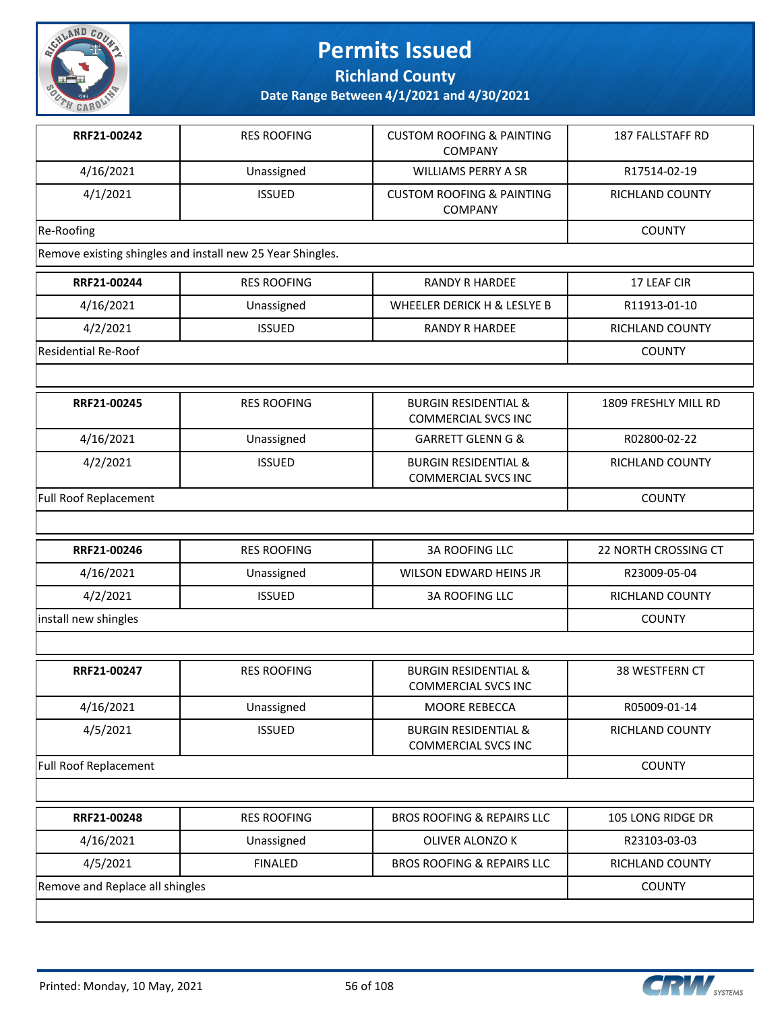

**Richland County**

| RRF21-00242                                                | <b>RES ROOFING</b> | <b>CUSTOM ROOFING &amp; PAINTING</b><br><b>COMPANY</b>        | 187 FALLSTAFF RD       |
|------------------------------------------------------------|--------------------|---------------------------------------------------------------|------------------------|
| 4/16/2021                                                  | Unassigned         | <b>WILLIAMS PERRY A SR</b>                                    | R17514-02-19           |
| 4/1/2021                                                   | <b>ISSUED</b>      | <b>CUSTOM ROOFING &amp; PAINTING</b><br><b>COMPANY</b>        | <b>RICHLAND COUNTY</b> |
| Re-Roofing                                                 |                    |                                                               | <b>COUNTY</b>          |
| Remove existing shingles and install new 25 Year Shingles. |                    |                                                               |                        |
| RRF21-00244                                                | <b>RES ROOFING</b> | <b>RANDY R HARDEE</b>                                         | 17 LEAF CIR            |
| 4/16/2021                                                  | Unassigned         | WHEELER DERICK H & LESLYE B                                   | R11913-01-10           |
| 4/2/2021                                                   | <b>ISSUED</b>      | <b>RANDY R HARDEE</b>                                         | RICHLAND COUNTY        |
| <b>Residential Re-Roof</b>                                 |                    |                                                               | <b>COUNTY</b>          |
|                                                            |                    |                                                               |                        |
| RRF21-00245                                                | <b>RES ROOFING</b> | <b>BURGIN RESIDENTIAL &amp;</b><br><b>COMMERCIAL SVCS INC</b> | 1809 FRESHLY MILL RD   |
| 4/16/2021                                                  | Unassigned         | <b>GARRETT GLENN G &amp;</b>                                  | R02800-02-22           |
| 4/2/2021                                                   | <b>ISSUED</b>      | <b>BURGIN RESIDENTIAL &amp;</b><br><b>COMMERCIAL SVCS INC</b> | <b>RICHLAND COUNTY</b> |
| <b>Full Roof Replacement</b>                               |                    |                                                               | <b>COUNTY</b>          |
|                                                            |                    |                                                               |                        |
| RRF21-00246                                                | <b>RES ROOFING</b> | <b>3A ROOFING LLC</b>                                         | 22 NORTH CROSSING CT   |
| 4/16/2021                                                  | Unassigned         | WILSON EDWARD HEINS JR                                        | R23009-05-04           |
| 4/2/2021                                                   | <b>ISSUED</b>      | <b>3A ROOFING LLC</b>                                         | RICHLAND COUNTY        |
| install new shingles                                       |                    |                                                               | <b>COUNTY</b>          |
|                                                            |                    |                                                               |                        |
| RRF21-00247                                                | <b>RES ROOFING</b> | <b>BURGIN RESIDENTIAL &amp;</b><br><b>COMMERCIAL SVCS INC</b> | 38 WESTFERN CT         |
| 4/16/2021                                                  | Unassigned         | MOORE REBECCA                                                 | R05009-01-14           |
| 4/5/2021                                                   | <b>ISSUED</b>      | <b>BURGIN RESIDENTIAL &amp;</b><br><b>COMMERCIAL SVCS INC</b> | RICHLAND COUNTY        |
| Full Roof Replacement                                      |                    |                                                               | <b>COUNTY</b>          |
|                                                            |                    |                                                               |                        |
| RRF21-00248                                                | <b>RES ROOFING</b> | <b>BROS ROOFING &amp; REPAIRS LLC</b>                         | 105 LONG RIDGE DR      |
| 4/16/2021                                                  | Unassigned         | OLIVER ALONZO K                                               | R23103-03-03           |
| 4/5/2021                                                   | <b>FINALED</b>     | <b>BROS ROOFING &amp; REPAIRS LLC</b>                         | RICHLAND COUNTY        |
| Remove and Replace all shingles                            |                    |                                                               | <b>COUNTY</b>          |
|                                                            |                    |                                                               |                        |

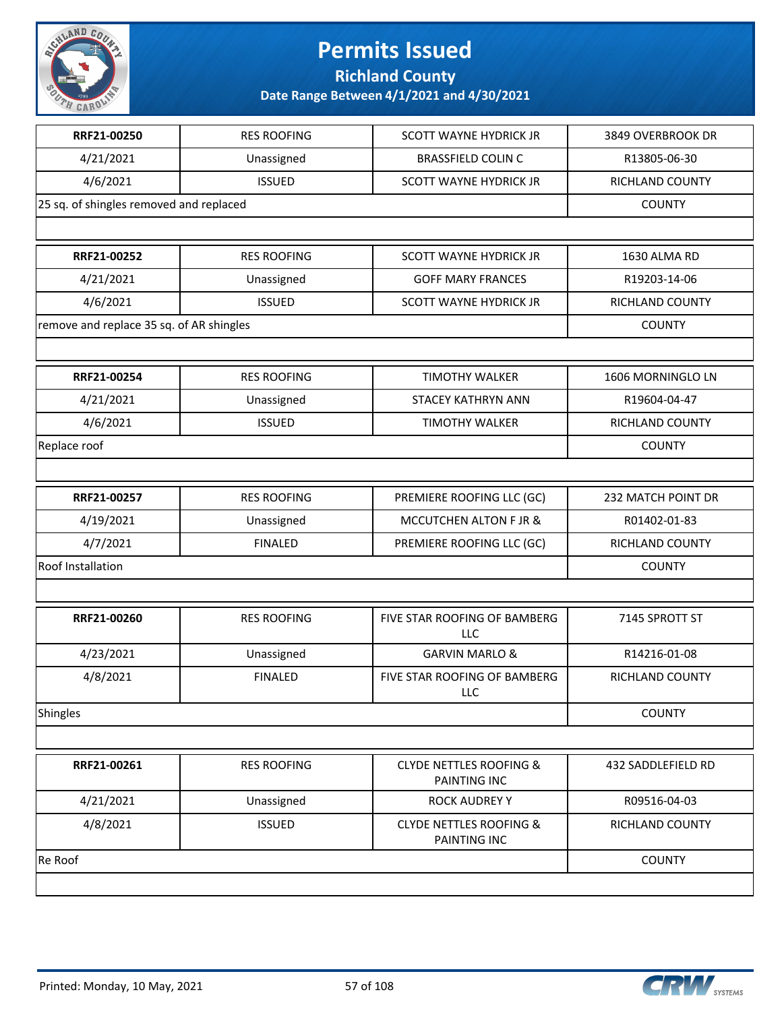

**Richland County**

| RRF21-00250                              | <b>RES ROOFING</b> | <b>SCOTT WAYNE HYDRICK JR</b>                             | 3849 OVERBROOK DR  |
|------------------------------------------|--------------------|-----------------------------------------------------------|--------------------|
| 4/21/2021                                | Unassigned         | <b>BRASSFIELD COLIN C</b>                                 | R13805-06-30       |
| 4/6/2021                                 | <b>ISSUED</b>      | <b>SCOTT WAYNE HYDRICK JR</b>                             | RICHLAND COUNTY    |
| 25 sq. of shingles removed and replaced  |                    |                                                           | <b>COUNTY</b>      |
|                                          |                    |                                                           |                    |
| RRF21-00252                              | <b>RES ROOFING</b> | <b>SCOTT WAYNE HYDRICK JR</b>                             | 1630 ALMA RD       |
| 4/21/2021                                | Unassigned         | <b>GOFF MARY FRANCES</b>                                  | R19203-14-06       |
| 4/6/2021                                 | <b>ISSUED</b>      | <b>SCOTT WAYNE HYDRICK JR</b>                             | RICHLAND COUNTY    |
| remove and replace 35 sq. of AR shingles |                    |                                                           | <b>COUNTY</b>      |
|                                          |                    |                                                           |                    |
| RRF21-00254                              | <b>RES ROOFING</b> | <b>TIMOTHY WALKER</b>                                     | 1606 MORNINGLO LN  |
| 4/21/2021                                | Unassigned         | STACEY KATHRYN ANN                                        | R19604-04-47       |
| 4/6/2021                                 | <b>ISSUED</b>      | <b>TIMOTHY WALKER</b>                                     | RICHLAND COUNTY    |
| Replace roof                             |                    |                                                           | <b>COUNTY</b>      |
|                                          |                    |                                                           |                    |
| RRF21-00257                              | <b>RES ROOFING</b> | PREMIERE ROOFING LLC (GC)                                 | 232 MATCH POINT DR |
| 4/19/2021                                | Unassigned         | <b>MCCUTCHEN ALTON F JR &amp;</b>                         | R01402-01-83       |
| 4/7/2021                                 | <b>FINALED</b>     | PREMIERE ROOFING LLC (GC)                                 | RICHLAND COUNTY    |
| Roof Installation                        |                    |                                                           | <b>COUNTY</b>      |
|                                          |                    |                                                           |                    |
| RRF21-00260                              | <b>RES ROOFING</b> | FIVE STAR ROOFING OF BAMBERG<br>LLC                       | 7145 SPROTT ST     |
| 4/23/2021                                | Unassigned         | <b>GARVIN MARLO &amp;</b>                                 | R14216-01-08       |
| 4/8/2021                                 | <b>FINALED</b>     | FIVE STAR ROOFING OF BAMBERG<br>LLC                       | RICHLAND COUNTY    |
| Shingles                                 |                    |                                                           | <b>COUNTY</b>      |
|                                          |                    |                                                           |                    |
| RRF21-00261                              | <b>RES ROOFING</b> | <b>CLYDE NETTLES ROOFING &amp;</b><br><b>PAINTING INC</b> | 432 SADDLEFIELD RD |
| 4/21/2021                                | Unassigned         | <b>ROCK AUDREY Y</b>                                      | R09516-04-03       |
| 4/8/2021                                 | <b>ISSUED</b>      | <b>CLYDE NETTLES ROOFING &amp;</b><br>PAINTING INC        | RICHLAND COUNTY    |
| Re Roof                                  |                    |                                                           | <b>COUNTY</b>      |
|                                          |                    |                                                           |                    |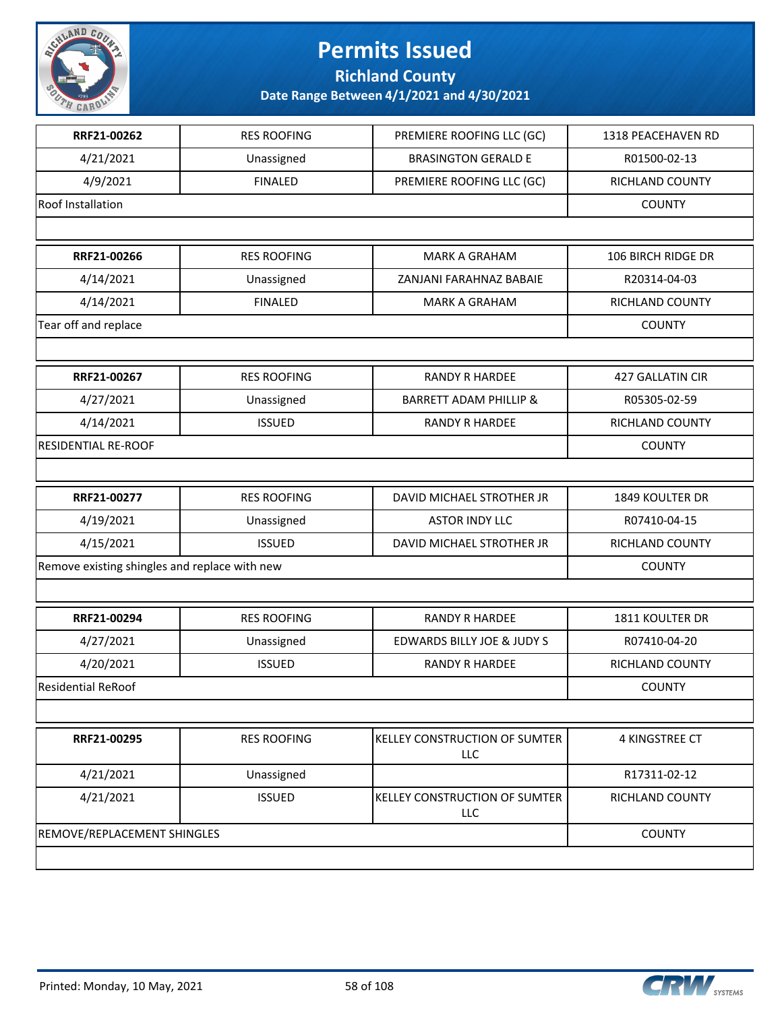

**Richland County**

| RRF21-00262                                   | <b>RES ROOFING</b> | PREMIERE ROOFING LLC (GC)             | 1318 PEACEHAVEN RD |
|-----------------------------------------------|--------------------|---------------------------------------|--------------------|
| 4/21/2021                                     | Unassigned         | <b>BRASINGTON GERALD E</b>            | R01500-02-13       |
| 4/9/2021                                      | <b>FINALED</b>     | PREMIERE ROOFING LLC (GC)             | RICHLAND COUNTY    |
| Roof Installation                             |                    |                                       | <b>COUNTY</b>      |
|                                               |                    |                                       |                    |
| RRF21-00266                                   | <b>RES ROOFING</b> | <b>MARK A GRAHAM</b>                  | 106 BIRCH RIDGE DR |
| 4/14/2021                                     | Unassigned         | ZANJANI FARAHNAZ BABAIE               | R20314-04-03       |
| 4/14/2021                                     | <b>FINALED</b>     | <b>MARK A GRAHAM</b>                  | RICHLAND COUNTY    |
| Tear off and replace                          |                    |                                       | <b>COUNTY</b>      |
|                                               |                    |                                       |                    |
| RRF21-00267                                   | <b>RES ROOFING</b> | <b>RANDY R HARDEE</b>                 | 427 GALLATIN CIR   |
| 4/27/2021                                     | Unassigned         | <b>BARRETT ADAM PHILLIP &amp;</b>     | R05305-02-59       |
| 4/14/2021                                     | <b>ISSUED</b>      | <b>RANDY R HARDEE</b>                 | RICHLAND COUNTY    |
| RESIDENTIAL RE-ROOF                           |                    |                                       | <b>COUNTY</b>      |
|                                               |                    |                                       |                    |
| RRF21-00277                                   | <b>RES ROOFING</b> | DAVID MICHAEL STROTHER JR             | 1849 KOULTER DR    |
| 4/19/2021                                     | Unassigned         | <b>ASTOR INDY LLC</b>                 | R07410-04-15       |
| 4/15/2021                                     | <b>ISSUED</b>      | DAVID MICHAEL STROTHER JR             | RICHLAND COUNTY    |
| Remove existing shingles and replace with new | <b>COUNTY</b>      |                                       |                    |
|                                               |                    |                                       |                    |
| RRF21-00294                                   | <b>RES ROOFING</b> | <b>RANDY R HARDEE</b>                 | 1811 KOULTER DR    |
| 4/27/2021                                     | Unassigned         | <b>EDWARDS BILLY JOE &amp; JUDY S</b> | R07410-04-20       |
| 4/20/2021                                     | <b>ISSUED</b>      | <b>RANDY R HARDEE</b>                 | RICHLAND COUNTY    |
| <b>Residential ReRoof</b>                     |                    |                                       | <b>COUNTY</b>      |
|                                               |                    |                                       |                    |
| RRF21-00295                                   | <b>RES ROOFING</b> | KELLEY CONSTRUCTION OF SUMTER<br>LLC  | 4 KINGSTREE CT     |
| 4/21/2021                                     | Unassigned         |                                       | R17311-02-12       |
| 4/21/2021                                     | <b>ISSUED</b>      | KELLEY CONSTRUCTION OF SUMTER<br>LLC  | RICHLAND COUNTY    |
| REMOVE/REPLACEMENT SHINGLES                   |                    |                                       | <b>COUNTY</b>      |
|                                               |                    |                                       |                    |

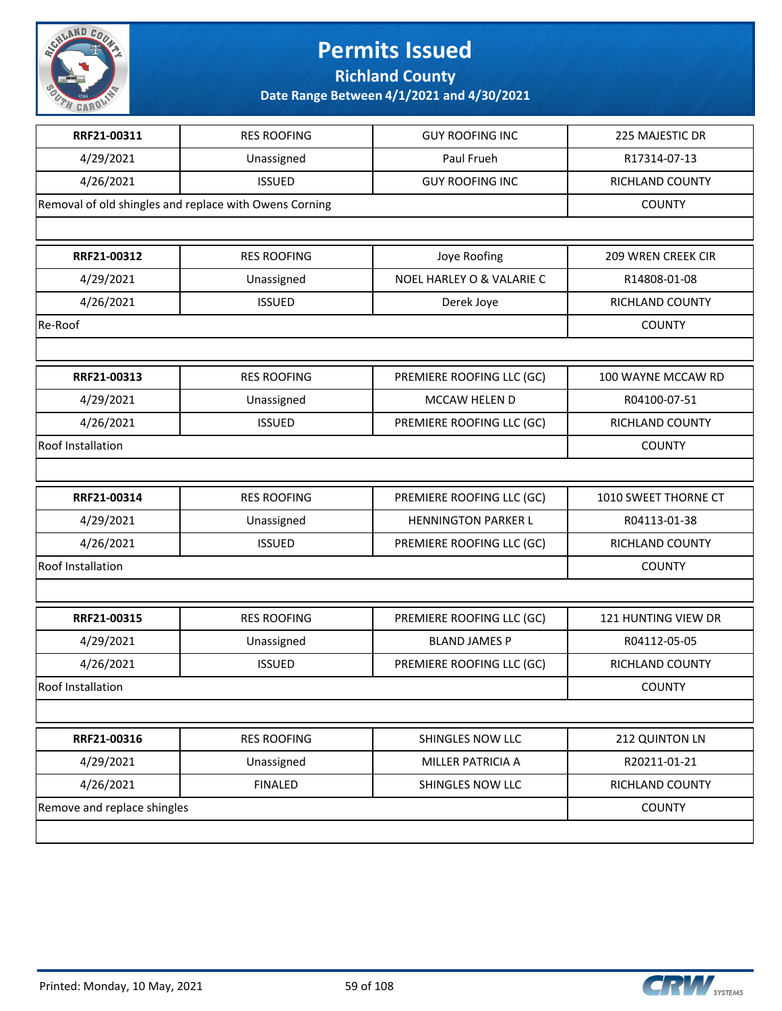

**Richland County**

| RRF21-00311                 | <b>RES ROOFING</b>                                     | <b>GUY ROOFING INC</b>     | 225 MAJESTIC DR        |
|-----------------------------|--------------------------------------------------------|----------------------------|------------------------|
| 4/29/2021                   | Unassigned                                             | Paul Frueh                 | R17314-07-13           |
| 4/26/2021                   | <b>ISSUED</b>                                          | <b>GUY ROOFING INC</b>     | RICHLAND COUNTY        |
|                             | Removal of old shingles and replace with Owens Corning |                            | <b>COUNTY</b>          |
|                             |                                                        |                            |                        |
| RRF21-00312                 | <b>RES ROOFING</b>                                     | Joye Roofing               | 209 WREN CREEK CIR     |
| 4/29/2021                   | Unassigned                                             | NOEL HARLEY O & VALARIE C  | R14808-01-08           |
| 4/26/2021                   | <b>ISSUED</b>                                          | Derek Joye                 | RICHLAND COUNTY        |
| Re-Roof                     |                                                        |                            | <b>COUNTY</b>          |
|                             |                                                        |                            |                        |
| RRF21-00313                 | <b>RES ROOFING</b>                                     | PREMIERE ROOFING LLC (GC)  | 100 WAYNE MCCAW RD     |
| 4/29/2021                   | Unassigned                                             | MCCAW HELEN D              | R04100-07-51           |
| 4/26/2021                   | <b>ISSUED</b>                                          | PREMIERE ROOFING LLC (GC)  | <b>RICHLAND COUNTY</b> |
| Roof Installation           |                                                        |                            | <b>COUNTY</b>          |
|                             |                                                        |                            |                        |
| RRF21-00314                 | <b>RES ROOFING</b>                                     | PREMIERE ROOFING LLC (GC)  | 1010 SWEET THORNE CT   |
| 4/29/2021                   | Unassigned                                             | <b>HENNINGTON PARKER L</b> | R04113-01-38           |
| 4/26/2021                   | <b>ISSUED</b>                                          | PREMIERE ROOFING LLC (GC)  | RICHLAND COUNTY        |
| Roof Installation           |                                                        |                            | <b>COUNTY</b>          |
|                             |                                                        |                            |                        |
| RRF21-00315                 | <b>RES ROOFING</b>                                     | PREMIERE ROOFING LLC (GC)  | 121 HUNTING VIEW DR    |
| 4/29/2021                   | Unassigned                                             | <b>BLAND JAMES P</b>       | R04112-05-05           |
| 4/26/2021                   | <b>ISSUED</b>                                          | PREMIERE ROOFING LLC (GC)  | RICHLAND COUNTY        |
| Roof Installation           |                                                        |                            | <b>COUNTY</b>          |
|                             |                                                        |                            |                        |
| RRF21-00316                 | <b>RES ROOFING</b>                                     | SHINGLES NOW LLC           | 212 QUINTON LN         |
| 4/29/2021                   | Unassigned                                             | MILLER PATRICIA A          | R20211-01-21           |
| 4/26/2021                   | <b>FINALED</b>                                         | SHINGLES NOW LLC           | RICHLAND COUNTY        |
| Remove and replace shingles |                                                        |                            | <b>COUNTY</b>          |
|                             |                                                        |                            |                        |

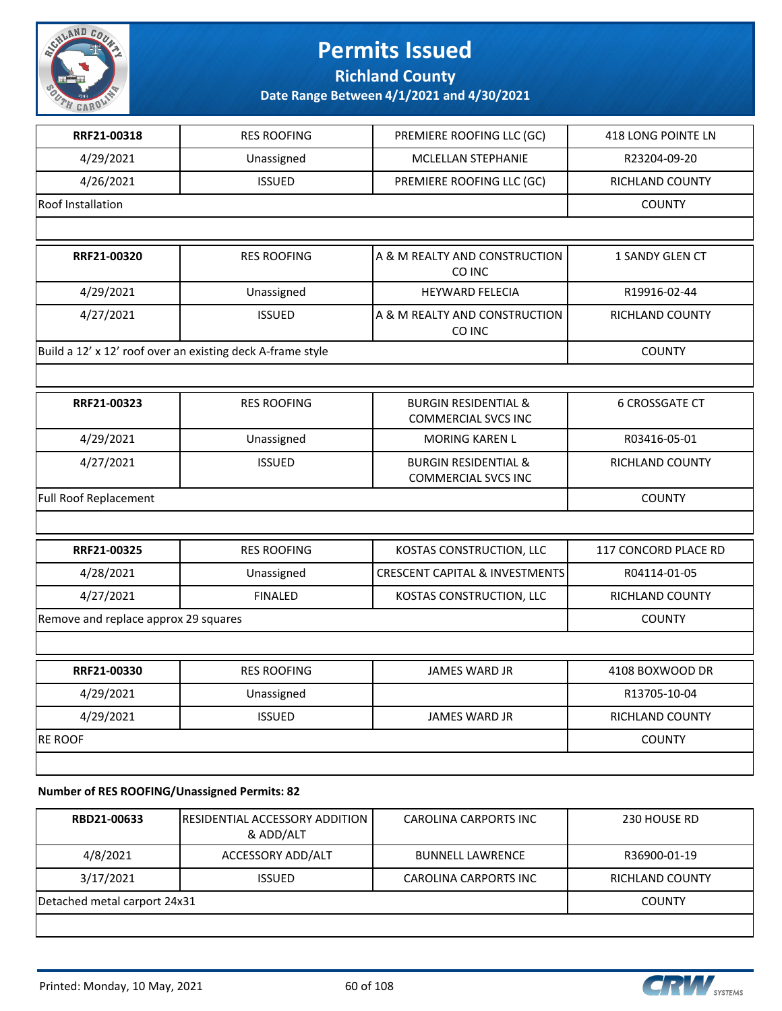

**Richland County**

**Date Range Between 4/1/2021 and 4/30/2021**

| RRF21-00318                          | <b>RES ROOFING</b>                                         | PREMIERE ROOFING LLC (GC)                                     | 418 LONG POINTE LN          |
|--------------------------------------|------------------------------------------------------------|---------------------------------------------------------------|-----------------------------|
| 4/29/2021                            | Unassigned                                                 | MCLELLAN STEPHANIE                                            | R23204-09-20                |
| 4/26/2021                            | <b>ISSUED</b>                                              | PREMIERE ROOFING LLC (GC)                                     | RICHLAND COUNTY             |
| <b>Roof Installation</b>             |                                                            |                                                               | <b>COUNTY</b>               |
|                                      |                                                            |                                                               |                             |
| RRF21-00320                          | <b>RES ROOFING</b>                                         | A & M REALTY AND CONSTRUCTION<br>CO INC                       | <b>1 SANDY GLEN CT</b>      |
| 4/29/2021                            | Unassigned                                                 | <b>HEYWARD FELECIA</b>                                        | R19916-02-44                |
| 4/27/2021                            | <b>ISSUED</b>                                              | A & M REALTY AND CONSTRUCTION<br>CO INC                       | RICHLAND COUNTY             |
|                                      | Build a 12' x 12' roof over an existing deck A-frame style |                                                               | <b>COUNTY</b>               |
|                                      |                                                            |                                                               |                             |
| RRF21-00323                          | <b>RES ROOFING</b>                                         | <b>BURGIN RESIDENTIAL &amp;</b><br><b>COMMERCIAL SVCS INC</b> | <b>6 CROSSGATE CT</b>       |
| 4/29/2021                            | Unassigned                                                 | <b>MORING KAREN L</b>                                         | R03416-05-01                |
| 4/27/2021                            | <b>ISSUED</b>                                              | <b>BURGIN RESIDENTIAL &amp;</b><br>COMMERCIAL SVCS INC        | <b>RICHLAND COUNTY</b>      |
| <b>Full Roof Replacement</b>         | <b>COUNTY</b>                                              |                                                               |                             |
|                                      |                                                            |                                                               |                             |
| RRF21-00325                          | <b>RES ROOFING</b>                                         | KOSTAS CONSTRUCTION, LLC                                      | <b>117 CONCORD PLACE RD</b> |
| 4/28/2021                            | Unassigned                                                 | <b>CRESCENT CAPITAL &amp; INVESTMENTS</b>                     | R04114-01-05                |
| 4/27/2021                            | <b>FINALED</b>                                             | KOSTAS CONSTRUCTION, LLC                                      | <b>RICHLAND COUNTY</b>      |
| Remove and replace approx 29 squares |                                                            |                                                               | <b>COUNTY</b>               |
|                                      |                                                            |                                                               |                             |
| RRF21-00330                          | <b>RES ROOFING</b>                                         | <b>JAMES WARD JR</b>                                          | 4108 BOXWOOD DR             |
| 4/29/2021                            | Unassigned                                                 |                                                               | R13705-10-04                |
| 4/29/2021                            | <b>ISSUED</b>                                              | <b>JAMES WARD JR</b>                                          | <b>RICHLAND COUNTY</b>      |
| <b>RE ROOF</b>                       |                                                            |                                                               | <b>COUNTY</b>               |
|                                      |                                                            |                                                               |                             |

**Number of RES ROOFING/Unassigned Permits: 82**

| RBD21-00633                  | <b>IRESIDENTIAL ACCESSORY ADDITION</b><br>& ADD/ALT | <b>CAROLINA CARPORTS INC</b> | 230 HOUSE RD           |
|------------------------------|-----------------------------------------------------|------------------------------|------------------------|
| 4/8/2021                     | ACCESSORY ADD/ALT                                   | <b>BUNNELL LAWRENCE</b>      | R36900-01-19           |
| 3/17/2021                    | <b>ISSUED</b>                                       | <b>CAROLINA CARPORTS INC</b> | <b>RICHLAND COUNTY</b> |
| Detached metal carport 24x31 |                                                     |                              | <b>COUNTY</b>          |
|                              |                                                     |                              |                        |

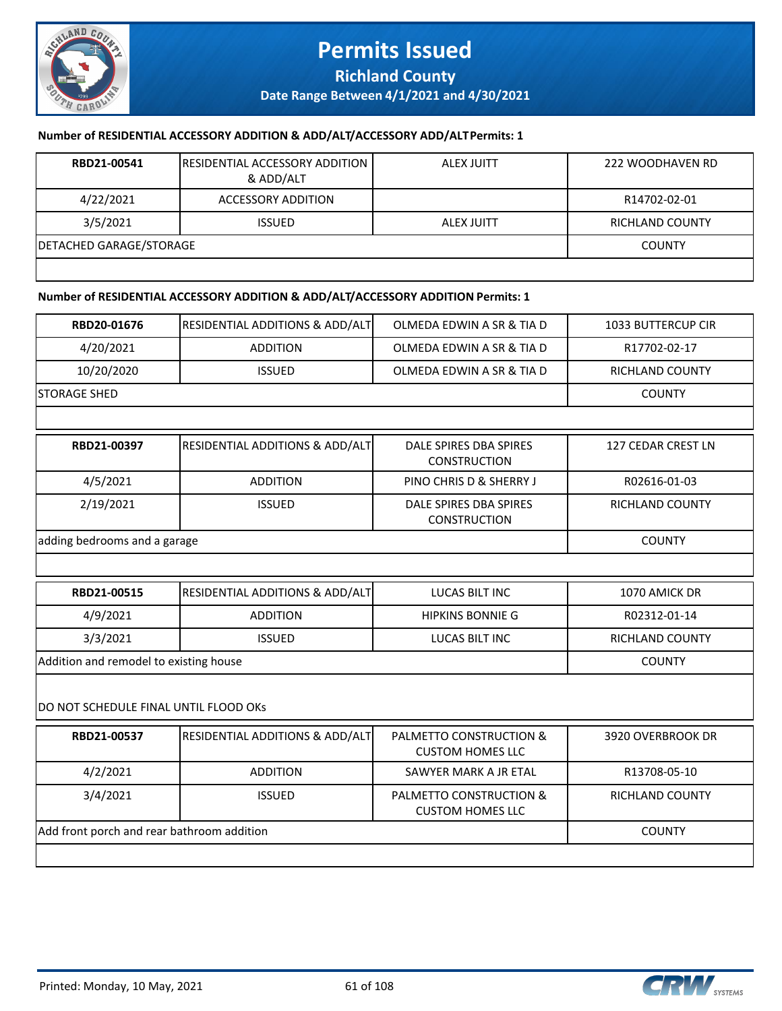

## **Permits Issued Richland County**

**Date Range Between 4/1/2021 and 4/30/2021**

#### **Number of RESIDENTIAL ACCESSORY ADDITION & ADD/ALT/ACCESSORY ADD/ALT Permits: 1**

| RBD21-00541             | <b>IRESIDENTIAL ACCESSORY ADDITION</b><br>& ADD/ALT | ALEX JUITT        | 222 WOODHAVEN RD |
|-------------------------|-----------------------------------------------------|-------------------|------------------|
| 4/22/2021               | ACCESSORY ADDITION                                  |                   | R14702-02-01     |
| 3/5/2021                | <b>ISSUED</b>                                       | <b>ALEX JUITT</b> | RICHLAND COUNTY  |
| DETACHED GARAGE/STORAGE |                                                     |                   | <b>COUNTY</b>    |
|                         |                                                     |                   |                  |

#### **Number of RESIDENTIAL ACCESSORY ADDITION & ADD/ALT/ACCESSORY ADDITION Permits: 1**

| <b>RBD20-01676</b> | <b>RESIDENTIAL ADDITIONS &amp; ADD/ALTI</b> | OLMEDA EDWIN A SR & TIA D | <b>1033 BUTTERCUP CIR</b> |
|--------------------|---------------------------------------------|---------------------------|---------------------------|
| 4/20/2021          | <b>ADDITION</b>                             | OLMEDA EDWIN A SR & TIA D | R17702-02-17              |
| 10/20/2020         | <b>ISSUED</b>                               | OLMEDA EDWIN A SR & TIA D | RICHLAND COUNTY           |
| ISTORAGE SHED      |                                             |                           | <b>COUNTY</b>             |
|                    |                                             |                           |                           |

| RBD21-00397                  | <b>RESIDENTIAL ADDITIONS &amp; ADD/ALT</b> | DALE SPIRES DBA SPIRES<br><b>CONSTRUCTION</b> | 127 CEDAR CREST LN |
|------------------------------|--------------------------------------------|-----------------------------------------------|--------------------|
| 4/5/2021                     | <b>ADDITION</b>                            | PINO CHRIS D & SHERRY J                       | R02616-01-03       |
| 2/19/2021                    | <b>ISSUED</b>                              | DALE SPIRES DBA SPIRES<br><b>CONSTRUCTION</b> | RICHLAND COUNTY    |
| adding bedrooms and a garage | <b>COUNTY</b>                              |                                               |                    |

| <b>RBD21-00515</b>                     | <b>RESIDENTIAL ADDITIONS &amp; ADD/ALT</b> | LUCAS BILT INC          | 1070 AMICK DR          |  |
|----------------------------------------|--------------------------------------------|-------------------------|------------------------|--|
| 4/9/2021                               | <b>ADDITION</b>                            | <b>HIPKINS BONNIE G</b> | R02312-01-14           |  |
| 3/3/2021                               | <b>ISSUED</b>                              | LUCAS BILT INC          | <b>RICHLAND COUNTY</b> |  |
| Addition and remodel to existing house |                                            |                         | <b>COUNTY</b>          |  |

#### DO NOT SCHEDULE FINAL UNTIL FLOOD OKs

| RBD21-00537                                | <b>RESIDENTIAL ADDITIONS &amp; ADD/ALT</b> | PALMETTO CONSTRUCTION &<br><b>CUSTOM HOMES LLC</b> | 3920 OVERBROOK DR |
|--------------------------------------------|--------------------------------------------|----------------------------------------------------|-------------------|
| 4/2/2021                                   | <b>ADDITION</b>                            | SAWYER MARK A JR ETAL                              | R13708-05-10      |
| 3/4/2021                                   | <b>ISSUED</b>                              | PALMETTO CONSTRUCTION &<br><b>CUSTOM HOMES LLC</b> | RICHLAND COUNTY   |
| Add front porch and rear bathroom addition |                                            |                                                    | <b>COUNTY</b>     |
|                                            |                                            |                                                    |                   |

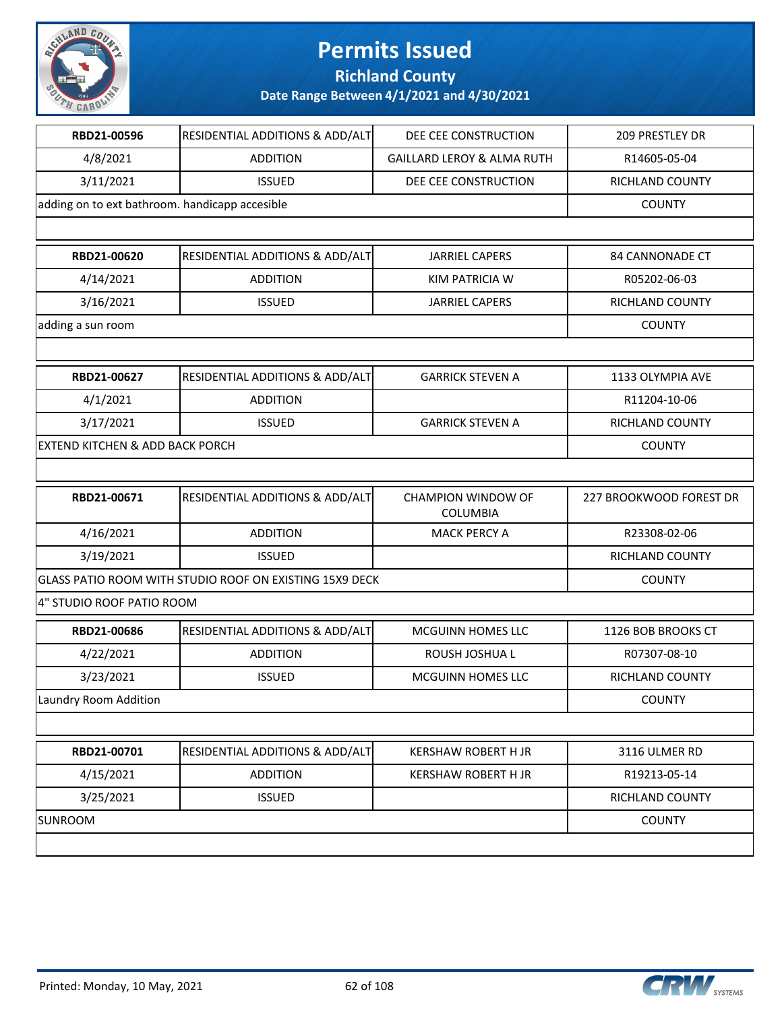

**Richland County**

| RBD21-00596                                | RESIDENTIAL ADDITIONS & ADD/ALT                         | DEE CEE CONSTRUCTION                         | 209 PRESTLEY DR         |  |  |
|--------------------------------------------|---------------------------------------------------------|----------------------------------------------|-------------------------|--|--|
| 4/8/2021                                   | <b>ADDITION</b>                                         | <b>GAILLARD LEROY &amp; ALMA RUTH</b>        | R14605-05-04            |  |  |
| 3/11/2021                                  | <b>ISSUED</b>                                           | DEE CEE CONSTRUCTION                         | RICHLAND COUNTY         |  |  |
|                                            | adding on to ext bathroom. handicapp accesible          |                                              |                         |  |  |
|                                            |                                                         |                                              |                         |  |  |
| RBD21-00620                                | RESIDENTIAL ADDITIONS & ADD/ALT                         | <b>JARRIEL CAPERS</b>                        | <b>84 CANNONADE CT</b>  |  |  |
| 4/14/2021                                  | <b>ADDITION</b>                                         | KIM PATRICIA W                               | R05202-06-03            |  |  |
| 3/16/2021                                  | <b>ISSUED</b>                                           | <b>JARRIEL CAPERS</b>                        | RICHLAND COUNTY         |  |  |
| adding a sun room                          |                                                         |                                              | <b>COUNTY</b>           |  |  |
|                                            |                                                         |                                              |                         |  |  |
| RBD21-00627                                | RESIDENTIAL ADDITIONS & ADD/ALT                         | <b>GARRICK STEVEN A</b>                      | 1133 OLYMPIA AVE        |  |  |
| 4/1/2021                                   | <b>ADDITION</b>                                         |                                              | R11204-10-06            |  |  |
| 3/17/2021                                  | <b>ISSUED</b>                                           | <b>GARRICK STEVEN A</b>                      | RICHLAND COUNTY         |  |  |
| <b>EXTEND KITCHEN &amp; ADD BACK PORCH</b> |                                                         |                                              | <b>COUNTY</b>           |  |  |
|                                            |                                                         |                                              |                         |  |  |
|                                            |                                                         |                                              |                         |  |  |
| RBD21-00671                                | RESIDENTIAL ADDITIONS & ADD/ALT                         | <b>CHAMPION WINDOW OF</b><br><b>COLUMBIA</b> | 227 BROOKWOOD FOREST DR |  |  |
| 4/16/2021                                  | <b>ADDITION</b>                                         | <b>MACK PERCY A</b>                          | R23308-02-06            |  |  |
| 3/19/2021                                  | <b>ISSUED</b>                                           |                                              | RICHLAND COUNTY         |  |  |
|                                            | GLASS PATIO ROOM WITH STUDIO ROOF ON EXISTING 15X9 DECK |                                              | <b>COUNTY</b>           |  |  |
| 4" STUDIO ROOF PATIO ROOM                  |                                                         |                                              |                         |  |  |
| RBD21-00686                                | RESIDENTIAL ADDITIONS & ADD/ALT                         | MCGUINN HOMES LLC                            | 1126 BOB BROOKS CT      |  |  |
| 4/22/2021                                  | <b>ADDITION</b>                                         | ROUSH JOSHUA L                               | R07307-08-10            |  |  |
| 3/23/2021                                  | <b>ISSUED</b>                                           | MCGUINN HOMES LLC                            | RICHLAND COUNTY         |  |  |
| Laundry Room Addition                      |                                                         |                                              | <b>COUNTY</b>           |  |  |
|                                            |                                                         |                                              |                         |  |  |
| RBD21-00701                                | RESIDENTIAL ADDITIONS & ADD/ALT                         | <b>KERSHAW ROBERT H JR</b>                   | 3116 ULMER RD           |  |  |
| 4/15/2021                                  | <b>ADDITION</b>                                         | <b>KERSHAW ROBERT H JR</b>                   | R19213-05-14            |  |  |
| 3/25/2021                                  | <b>ISSUED</b>                                           |                                              | RICHLAND COUNTY         |  |  |

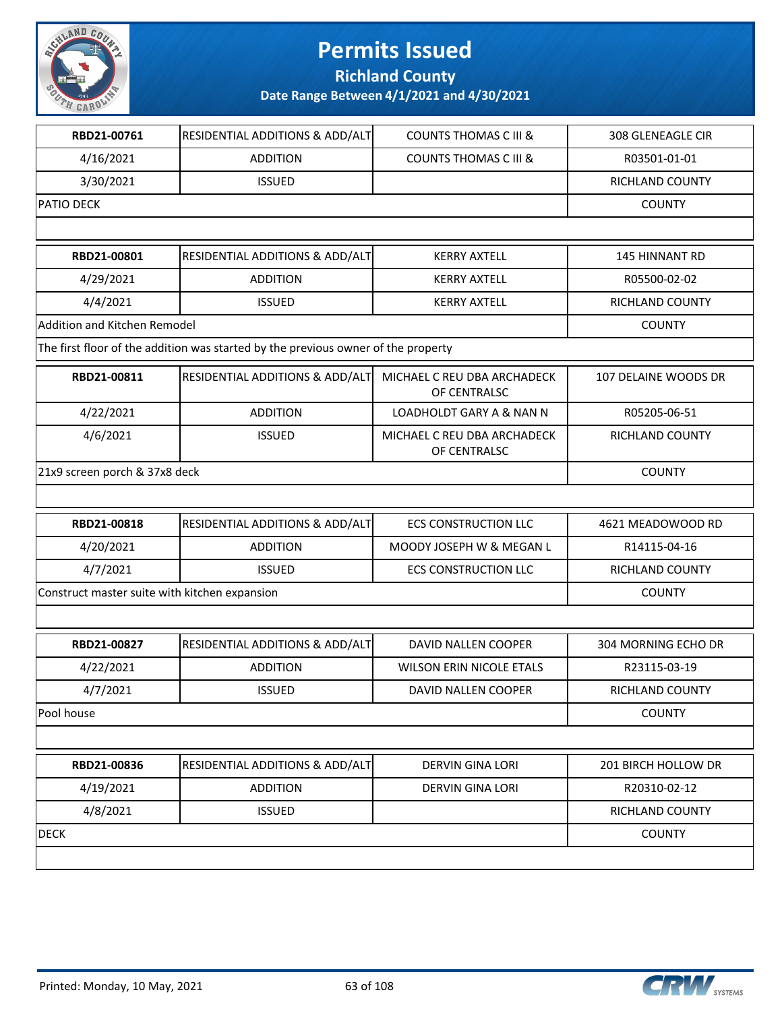

**Richland County**

| 4/16/2021<br>3/30/2021<br><b>PATIO DECK</b><br>RBD21-00801<br>4/29/2021 | <b>ADDITION</b><br><b>ISSUED</b><br>RESIDENTIAL ADDITIONS & ADD/ALT<br><b>ADDITION</b> | <b>COUNTS THOMAS C III &amp;</b><br><b>KERRY AXTELL</b> | R03501-01-01<br>RICHLAND COUNTY<br><b>COUNTY</b> |
|-------------------------------------------------------------------------|----------------------------------------------------------------------------------------|---------------------------------------------------------|--------------------------------------------------|
|                                                                         |                                                                                        |                                                         |                                                  |
|                                                                         |                                                                                        |                                                         |                                                  |
|                                                                         |                                                                                        |                                                         |                                                  |
|                                                                         |                                                                                        |                                                         |                                                  |
|                                                                         |                                                                                        |                                                         | 145 HINNANT RD                                   |
|                                                                         |                                                                                        | <b>KERRY AXTELL</b>                                     | R05500-02-02                                     |
| 4/4/2021                                                                | <b>ISSUED</b>                                                                          | <b>KERRY AXTELL</b>                                     | RICHLAND COUNTY                                  |
| Addition and Kitchen Remodel                                            |                                                                                        |                                                         | <b>COUNTY</b>                                    |
|                                                                         | The first floor of the addition was started by the previous owner of the property      |                                                         |                                                  |
| RBD21-00811                                                             | RESIDENTIAL ADDITIONS & ADD/ALT                                                        | MICHAEL C REU DBA ARCHADECK<br>OF CENTRALSC             | 107 DELAINE WOODS DR                             |
| 4/22/2021                                                               | <b>ADDITION</b>                                                                        | LOADHOLDT GARY A & NAN N                                | R05205-06-51                                     |
| 4/6/2021                                                                | <b>ISSUED</b>                                                                          | MICHAEL C REU DBA ARCHADECK<br>OF CENTRALSC             | RICHLAND COUNTY                                  |
| 21x9 screen porch & 37x8 deck                                           |                                                                                        |                                                         | <b>COUNTY</b>                                    |
|                                                                         |                                                                                        |                                                         |                                                  |
| RBD21-00818                                                             | RESIDENTIAL ADDITIONS & ADD/ALT                                                        | <b>ECS CONSTRUCTION LLC</b>                             | 4621 MEADOWOOD RD                                |
| 4/20/2021                                                               | <b>ADDITION</b>                                                                        | MOODY JOSEPH W & MEGAN L                                | R14115-04-16                                     |
| 4/7/2021                                                                | <b>ISSUED</b>                                                                          | <b>ECS CONSTRUCTION LLC</b>                             | RICHLAND COUNTY                                  |
| Construct master suite with kitchen expansion                           |                                                                                        |                                                         | <b>COUNTY</b>                                    |
|                                                                         |                                                                                        |                                                         |                                                  |
| RBD21-00827                                                             | RESIDENTIAL ADDITIONS & ADD/ALT                                                        | DAVID NALLEN COOPER                                     | 304 MORNING ECHO DR                              |
| 4/22/2021                                                               | <b>ADDITION</b>                                                                        | <b>WILSON ERIN NICOLE ETALS</b>                         | R23115-03-19                                     |
| 4/7/2021                                                                | <b>ISSUED</b>                                                                          | DAVID NALLEN COOPER                                     | RICHLAND COUNTY                                  |
| Pool house                                                              |                                                                                        |                                                         | <b>COUNTY</b>                                    |
|                                                                         |                                                                                        |                                                         |                                                  |
| RBD21-00836                                                             | RESIDENTIAL ADDITIONS & ADD/ALT                                                        | DERVIN GINA LORI                                        | 201 BIRCH HOLLOW DR                              |
| 4/19/2021                                                               | <b>ADDITION</b>                                                                        | <b>DERVIN GINA LORI</b>                                 | R20310-02-12                                     |
| 4/8/2021                                                                | <b>ISSUED</b>                                                                          |                                                         | RICHLAND COUNTY                                  |
| <b>DECK</b>                                                             |                                                                                        |                                                         | <b>COUNTY</b>                                    |

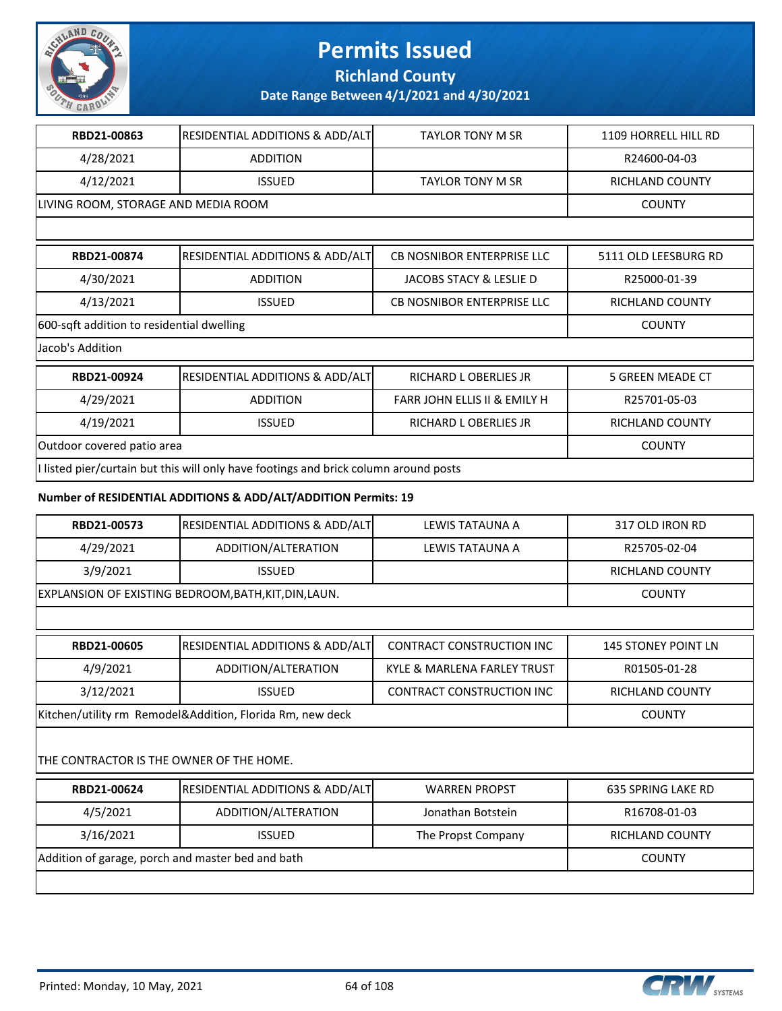

**Richland County**

**Date Range Between 4/1/2021 and 4/30/2021**

| RBD21-00863                               | <b>RESIDENTIAL ADDITIONS &amp; ADD/ALT</b> | <b>TAYLOR TONY M SR</b>                 | 1109 HORRELL HILL RD    |
|-------------------------------------------|--------------------------------------------|-----------------------------------------|-------------------------|
| 4/28/2021                                 | <b>ADDITION</b>                            |                                         | R24600-04-03            |
| 4/12/2021                                 | <b>ISSUED</b>                              | <b>TAYLOR TONY M SR</b>                 | <b>RICHLAND COUNTY</b>  |
| LIVING ROOM, STORAGE AND MEDIA ROOM       |                                            |                                         | <b>COUNTY</b>           |
|                                           |                                            |                                         |                         |
| RBD21-00874                               | <b>RESIDENTIAL ADDITIONS &amp; ADD/ALT</b> | <b>CB NOSNIBOR ENTERPRISE LLC</b>       | 5111 OLD LEESBURG RD    |
| 4/30/2021                                 | <b>ADDITION</b>                            | JACOBS STACY & LESLIE D                 | R25000-01-39            |
| 4/13/2021                                 | <b>ISSUED</b>                              | CB NOSNIBOR ENTERPRISE LLC              | RICHLAND COUNTY         |
| 600-sqft addition to residential dwelling | <b>COUNTY</b>                              |                                         |                         |
| Jacob's Addition                          |                                            |                                         |                         |
| RBD21-00924                               | <b>RESIDENTIAL ADDITIONS &amp; ADD/ALT</b> | RICHARD L OBERLIES JR                   | <b>5 GREEN MEADE CT</b> |
| 4/29/2021                                 | <b>ADDITION</b>                            | <b>FARR JOHN ELLIS II &amp; EMILY H</b> | R25701-05-03            |
| 4/19/2021                                 | <b>ISSUED</b>                              | RICHARD L OBERLIES JR                   | RICHLAND COUNTY         |
| Outdoor covered patio area                | <b>COUNTY</b>                              |                                         |                         |

I listed pier/curtain but this will only have footings and brick column around posts

#### **Number of RESIDENTIAL ADDITIONS & ADD/ALT/ADDITION Permits: 19**

| RBD21-00573                                               | <b>RESIDENTIAL ADDITIONS &amp; ADD/ALT</b>            | LEWIS TATAUNA A                  | 317 OLD IRON RD            |  |  |
|-----------------------------------------------------------|-------------------------------------------------------|----------------------------------|----------------------------|--|--|
| 4/29/2021                                                 | ADDITION/ALTERATION                                   | LEWIS TATAUNA A                  | R25705-02-04               |  |  |
| 3/9/2021                                                  | <b>ISSUED</b>                                         |                                  | RICHLAND COUNTY            |  |  |
|                                                           | EXPLANSION OF EXISTING BEDROOM, BATH, KIT, DIN, LAUN. |                                  |                            |  |  |
|                                                           |                                                       |                                  |                            |  |  |
| RBD21-00605                                               | <b>RESIDENTIAL ADDITIONS &amp; ADD/ALT</b>            | <b>CONTRACT CONSTRUCTION INC</b> | <b>145 STONEY POINT LN</b> |  |  |
| 4/9/2021                                                  | ADDITION/ALTERATION                                   | KYLE & MARLENA FARLEY TRUST      | R01505-01-28               |  |  |
| 3/12/2021                                                 | <b>ISSUED</b>                                         | <b>CONTRACT CONSTRUCTION INC</b> | RICHLAND COUNTY            |  |  |
| Kitchen/utility rm Remodel&Addition, Florida Rm, new deck | <b>COUNTY</b>                                         |                                  |                            |  |  |

#### THE CONTRACTOR IS THE OWNER OF THE HOME.

| RBD21-00624                                       | RESIDENTIAL ADDITIONS & ADD/ALT | <b>WARREN PROPST</b> | 635 SPRING LAKE RD |
|---------------------------------------------------|---------------------------------|----------------------|--------------------|
| 4/5/2021                                          | ADDITION/ALTERATION             | Jonathan Botstein    | R16708-01-03       |
| 3/16/2021                                         | <b>ISSUED</b>                   | The Propst Company   | RICHLAND COUNTY    |
| Addition of garage, porch and master bed and bath |                                 |                      | <b>COUNTY</b>      |
|                                                   |                                 |                      |                    |

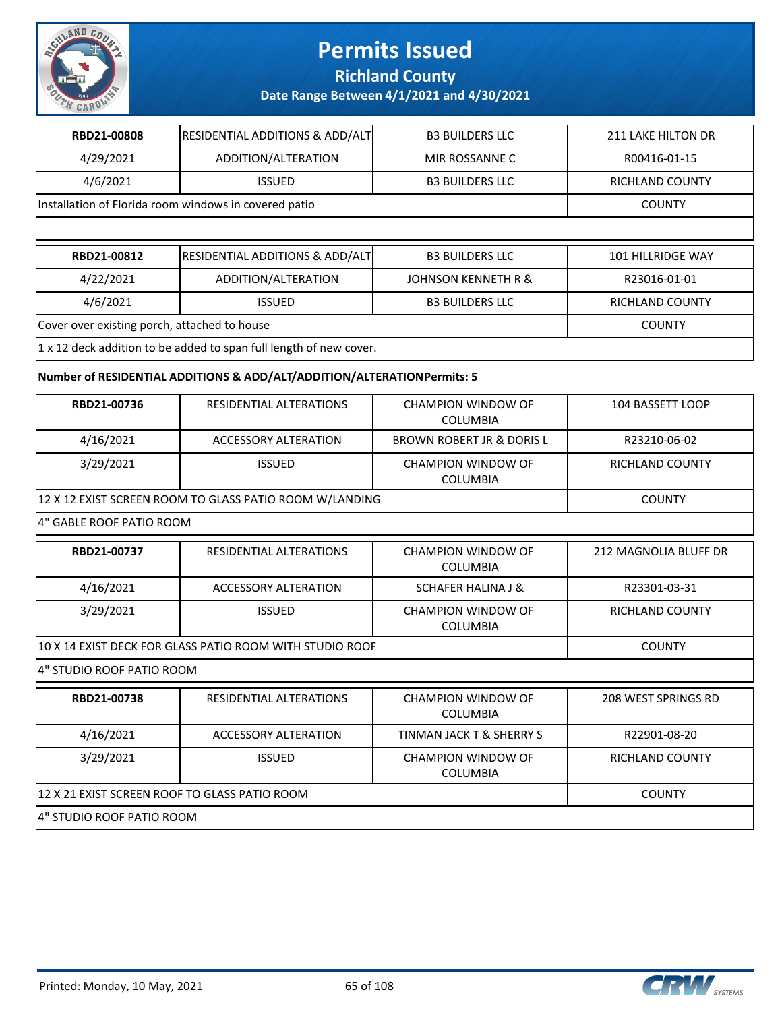

**Richland County**

**Date Range Between 4/1/2021 and 4/30/2021**

| RBD21-00808                                  | <b>RESIDENTIAL ADDITIONS &amp; ADD/ALT</b>                             | <b>B3 BUILDERS LLC</b>         | <b>211 LAKE HILTON DR</b> |  |  |
|----------------------------------------------|------------------------------------------------------------------------|--------------------------------|---------------------------|--|--|
| 4/29/2021                                    | ADDITION/ALTERATION                                                    | MIR ROSSANNE C                 | R00416-01-15              |  |  |
| 4/6/2021                                     | <b>ISSUED</b>                                                          | <b>B3 BUILDERS LLC</b>         | <b>RICHLAND COUNTY</b>    |  |  |
|                                              | Installation of Florida room windows in covered patio<br><b>COUNTY</b> |                                |                           |  |  |
|                                              |                                                                        |                                |                           |  |  |
|                                              |                                                                        |                                |                           |  |  |
| RBD21-00812                                  | <b>RESIDENTIAL ADDITIONS &amp; ADD/ALT</b>                             | <b>B3 BUILDERS LLC</b>         | <b>101 HILLRIDGE WAY</b>  |  |  |
| 4/22/2021                                    | ADDITION/ALTERATION                                                    | <b>JOHNSON KENNETH R &amp;</b> | R23016-01-01              |  |  |
| 4/6/2021                                     | <b>ISSUED</b>                                                          | <b>B3 BUILDERS LLC</b>         | <b>RICHLAND COUNTY</b>    |  |  |
| Cover over existing porch, attached to house |                                                                        |                                | <b>COUNTY</b>             |  |  |

#### **Number of RESIDENTIAL ADDITIONS & ADD/ALT/ADDITION/ALTERATION Permits: 5**

| RBD21-00736                                              | RESIDENTIAL ALTERATIONS                                 | <b>CHAMPION WINDOW OF</b><br><b>COLUMBIA</b> | 104 BASSETT LOOP             |  |
|----------------------------------------------------------|---------------------------------------------------------|----------------------------------------------|------------------------------|--|
| 4/16/2021                                                | <b>ACCESSORY ALTERATION</b>                             | <b>BROWN ROBERT JR &amp; DORIS L</b>         | R23210-06-02                 |  |
| 3/29/2021                                                | <b>ISSUED</b>                                           | CHAMPION WINDOW OF<br><b>COLUMBIA</b>        | <b>RICHLAND COUNTY</b>       |  |
|                                                          | 12 X 12 EXIST SCREEN ROOM TO GLASS PATIO ROOM W/LANDING |                                              | <b>COUNTY</b>                |  |
| 4" GABLE ROOF PATIO ROOM                                 |                                                         |                                              |                              |  |
| RBD21-00737                                              | RESIDENTIAL ALTERATIONS                                 | CHAMPION WINDOW OF<br><b>COLUMBIA</b>        | <b>212 MAGNOLIA BLUFF DR</b> |  |
| 4/16/2021                                                | ACCESSORY ALTERATION                                    | <b>SCHAFER HALINA J &amp;</b>                | R23301-03-31                 |  |
| 3/29/2021                                                | <b>ISSUED</b>                                           | <b>CHAMPION WINDOW OF</b><br><b>COLUMBIA</b> | <b>RICHLAND COUNTY</b>       |  |
| 10 X 14 EXIST DECK FOR GLASS PATIO ROOM WITH STUDIO ROOF | <b>COUNTY</b>                                           |                                              |                              |  |
| 4" STUDIO ROOF PATIO ROOM                                |                                                         |                                              |                              |  |
| RBD21-00738                                              | RESIDENTIAL ALTERATIONS                                 | CHAMPION WINDOW OF<br><b>COLUMBIA</b>        | 208 WEST SPRINGS RD          |  |
| 4/16/2021                                                | <b>ACCESSORY ALTERATION</b>                             | <b>TINMAN JACK T &amp; SHERRY S</b>          | R22901-08-20                 |  |
| 3/29/2021                                                | <b>ISSUED</b>                                           | CHAMPION WINDOW OF<br><b>COLUMBIA</b>        | <b>RICHLAND COUNTY</b>       |  |
|                                                          | 12 X 21 EXIST SCREEN ROOF TO GLASS PATIO ROOM           |                                              |                              |  |
| 4" STUDIO ROOF PATIO ROOM                                |                                                         |                                              |                              |  |

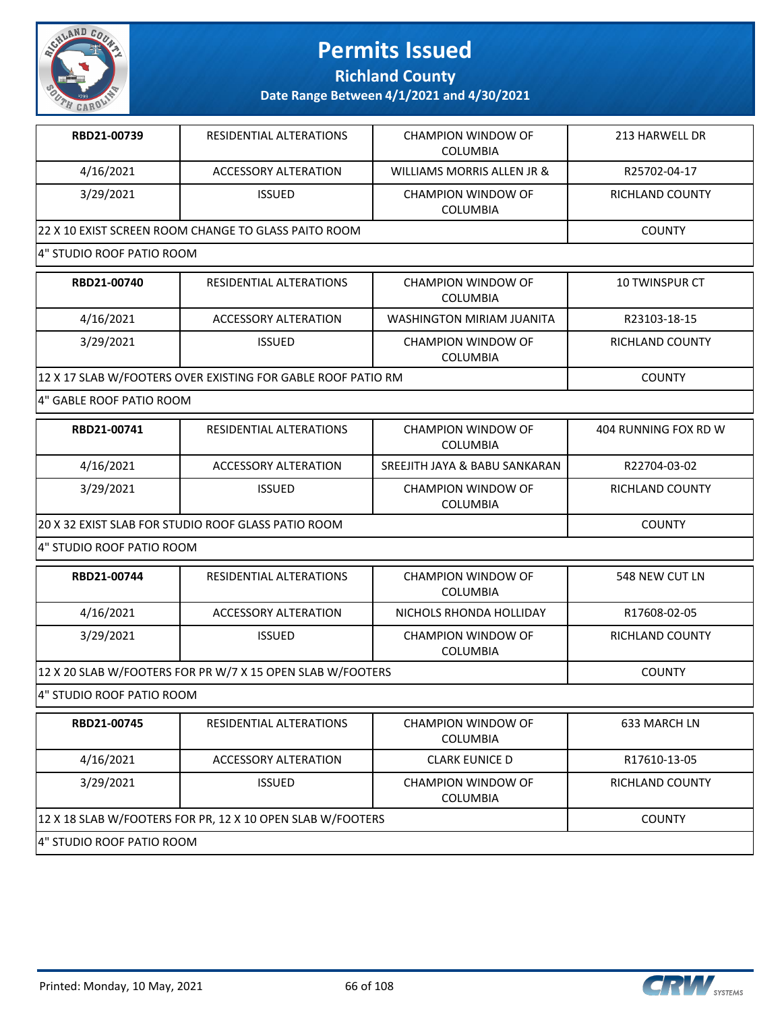

**Richland County**

**Date Range Between 4/1/2021 and 4/30/2021**

| RBD21-00739 | RESIDENTIAL ALTERATIONS                              | CHAMPION WINDOW OF<br>COLUMBIA        | 213 HARWELL DR  |
|-------------|------------------------------------------------------|---------------------------------------|-----------------|
| 4/16/2021   | ACCESSORY ALTERATION                                 | WILLIAMS MORRIS ALLEN JR &            | R25702-04-17    |
| 3/29/2021   | <b>ISSUED</b>                                        | CHAMPION WINDOW OF<br><b>COLUMBIA</b> | RICHLAND COUNTY |
|             | 22 X 10 EXIST SCREEN ROOM CHANGE TO GLASS PAITO ROOM |                                       | <b>COUNTY</b>   |

#### 4" STUDIO ROOF PATIO ROOM

| RBD21-00740                                                  | RESIDENTIAL ALTERATIONS | CHAMPION WINDOW OF<br>COLUMBIA        | 10 TWINSPUR CT  |
|--------------------------------------------------------------|-------------------------|---------------------------------------|-----------------|
| 4/16/2021                                                    | ACCESSORY ALTERATION    | WASHINGTON MIRIAM JUANITA             | R23103-18-15    |
| 3/29/2021                                                    | <b>ISSUED</b>           | CHAMPION WINDOW OF<br><b>COLUMBIA</b> | RICHLAND COUNTY |
| 12 X 17 SLAB W/FOOTERS OVER EXISTING FOR GABLE ROOF PATIO RM |                         |                                       | <b>COUNTY</b>   |

#### 4" GABLE ROOF PATIO ROOM

| RBD21-00741                                         | RESIDENTIAL ALTERATIONS | CHAMPION WINDOW OF<br>COLUMBIA | 404 RUNNING FOX RD W |
|-----------------------------------------------------|-------------------------|--------------------------------|----------------------|
| 4/16/2021                                           | ACCESSORY ALTERATION    | SREEJITH JAYA & BABU SANKARAN  | R22704-03-02         |
| 3/29/2021                                           | <b>ISSUED</b>           | CHAMPION WINDOW OF<br>COLUMBIA | RICHLAND COUNTY      |
| 20 X 32 EXIST SLAB FOR STUDIO ROOF GLASS PATIO ROOM |                         |                                | COUNTY               |

4" STUDIO ROOF PATIO ROOM

| RBD21-00744                                                | RESIDENTIAL ALTERATIONS | CHAMPION WINDOW OF<br><b>COLUMBIA</b> | 548 NEW CUT LN  |
|------------------------------------------------------------|-------------------------|---------------------------------------|-----------------|
| 4/16/2021                                                  | ACCESSORY ALTERATION    | NICHOLS RHONDA HOLLIDAY               | R17608-02-05    |
| 3/29/2021                                                  | <b>ISSUED</b>           | CHAMPION WINDOW OF<br><b>COLUMBIA</b> | RICHLAND COUNTY |
| 12 X 20 SLAB W/FOOTERS FOR PR W/7 X 15 OPEN SLAB W/FOOTERS |                         |                                       | <b>COUNTY</b>   |

4" STUDIO ROOF PATIO ROOM

| RBD21-00745                                                | RESIDENTIAL ALTERATIONS | CHAMPION WINDOW OF<br><b>COLUMBIA</b> | 633 MARCH LN    |
|------------------------------------------------------------|-------------------------|---------------------------------------|-----------------|
| 4/16/2021                                                  | ACCESSORY ALTERATION    | <b>CLARK EUNICE D</b>                 | R17610-13-05    |
| 3/29/2021                                                  | <b>ISSUED</b>           | CHAMPION WINDOW OF<br><b>COLUMBIA</b> | RICHLAND COUNTY |
| 12 X 18 SLAB W/FOOTERS FOR PR, 12 X 10 OPEN SLAB W/FOOTERS | <b>COUNTY</b>           |                                       |                 |
| 4" STUDIO ROOF PATIO ROOM                                  |                         |                                       |                 |

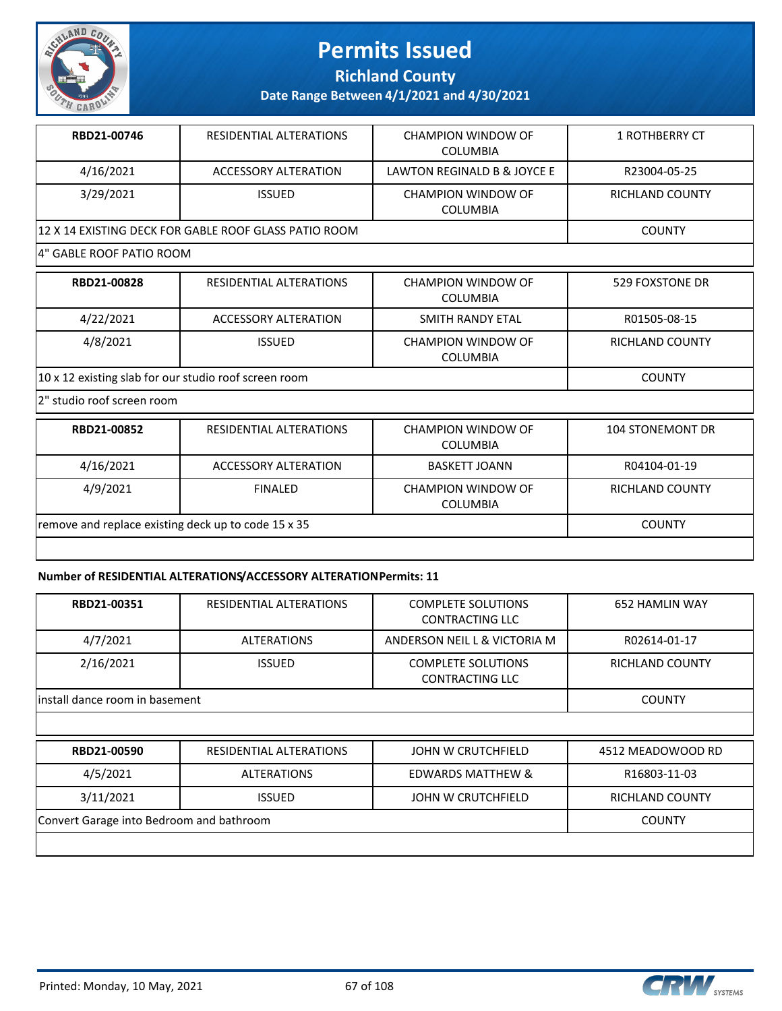

**Richland County**

**Date Range Between 4/1/2021 and 4/30/2021**

| RBD21-00746                                           | RESIDENTIAL ALTERATIONS | CHAMPION WINDOW OF<br>COLUMBIA | 1 ROTHBERRY CT  |
|-------------------------------------------------------|-------------------------|--------------------------------|-----------------|
| 4/16/2021                                             | ACCESSORY ALTERATION    | LAWTON REGINALD B & JOYCE E    | R23004-05-25    |
| 3/29/2021                                             | <b>ISSUED</b>           | CHAMPION WINDOW OF<br>COLUMBIA | RICHLAND COUNTY |
| 12 X 14 EXISTING DECK FOR GABLE ROOF GLASS PATIO ROOM |                         |                                | COUNTY          |

#### 4" GABLE ROOF PATIO ROOM

| RBD21-00828                                           | RESIDENTIAL ALTERATIONS | <b>CHAMPION WINDOW OF</b><br>COLUMBIA        | 529 FOXSTONE DR |
|-------------------------------------------------------|-------------------------|----------------------------------------------|-----------------|
| 4/22/2021                                             | ACCESSORY ALTERATION    | SMITH RANDY ETAL                             | R01505-08-15    |
| 4/8/2021                                              | <b>ISSUED</b>           | <b>CHAMPION WINDOW OF</b><br><b>COLUMBIA</b> | RICHLAND COUNTY |
| 10 x 12 existing slab for our studio roof screen room |                         |                                              | <b>COUNTY</b>   |

2" studio roof screen room

| RBD21-00852                                         | RESIDENTIAL ALTERATIONS | CHAMPION WINDOW OF<br>COLUMBIA        | <b>104 STONEMONT DR</b> |
|-----------------------------------------------------|-------------------------|---------------------------------------|-------------------------|
| 4/16/2021                                           | ACCESSORY ALTERATION    | BASKETT JOANN                         | R04104-01-19            |
| 4/9/2021                                            | FINAL FD                | CHAMPION WINDOW OF<br><b>COLUMBIA</b> | RICHLAND COUNTY         |
| remove and replace existing deck up to code 15 x 35 |                         |                                       | <b>COUNTY</b>           |
|                                                     |                         |                                       |                         |

#### **Number of RESIDENTIAL ALTERATIONS/ACCESSORY ALTERATION Permits: 11**

| RBD21-00351                              | RESIDENTIAL ALTERATIONS | <b>COMPLETE SOLUTIONS</b><br><b>CONTRACTING LLC</b> | <b>652 HAMLIN WAY</b> |
|------------------------------------------|-------------------------|-----------------------------------------------------|-----------------------|
| 4/7/2021                                 | <b>ALTERATIONS</b>      | ANDERSON NEIL L & VICTORIA M                        | R02614-01-17          |
| 2/16/2021                                | <b>ISSUED</b>           | <b>COMPLETE SOLUTIONS</b><br><b>CONTRACTING LLC</b> | RICHLAND COUNTY       |
| linstall dance room in basement          | <b>COUNTY</b>           |                                                     |                       |
|                                          |                         |                                                     |                       |
| RBD21-00590                              | RESIDENTIAL ALTERATIONS | JOHN W CRUTCHFIELD                                  | 4512 MEADOWOOD RD     |
| 4/5/2021                                 | <b>ALTERATIONS</b>      | <b>EDWARDS MATTHEW &amp;</b>                        | R16803-11-03          |
| 3/11/2021                                | RICHLAND COUNTY         |                                                     |                       |
| Convert Garage into Bedroom and bathroom |                         |                                                     | <b>COUNTY</b>         |
|                                          |                         |                                                     |                       |



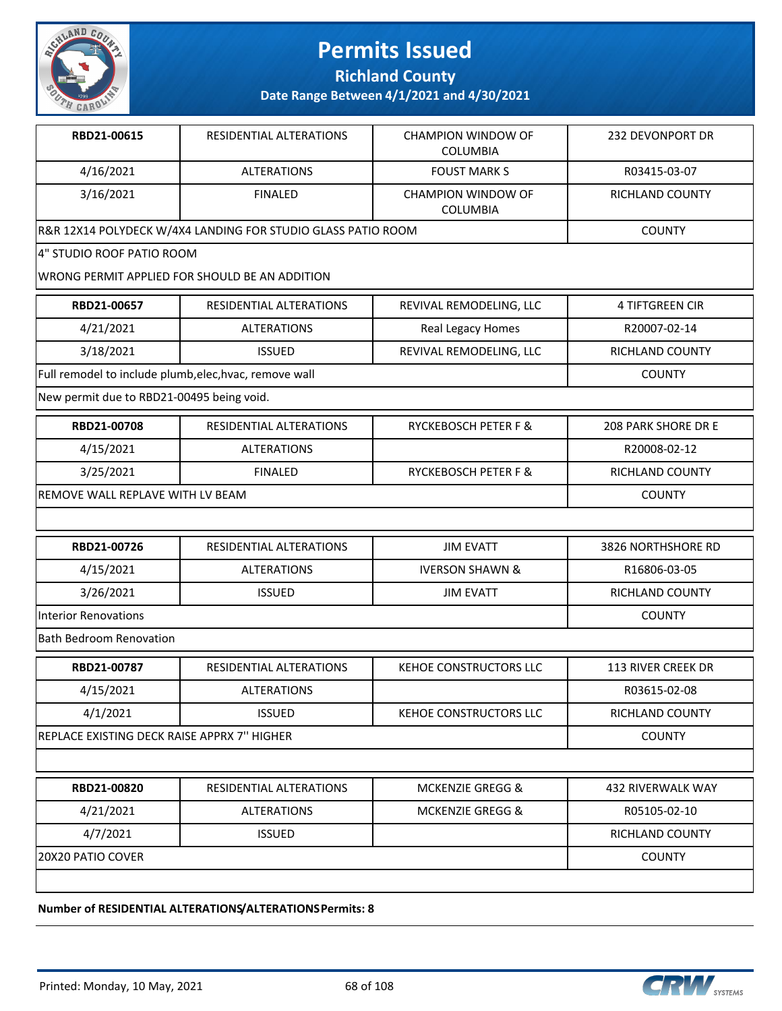

**Richland County**

**Date Range Between 4/1/2021 and 4/30/2021**

| RBD21-00615                                 | RESIDENTIAL ALTERATIONS                                      | <b>CHAMPION WINDOW OF</b><br><b>COLUMBIA</b> | 232 DEVONPORT DR       |
|---------------------------------------------|--------------------------------------------------------------|----------------------------------------------|------------------------|
| 4/16/2021                                   | <b>ALTERATIONS</b>                                           | <b>FOUST MARK S</b>                          | R03415-03-07           |
| 3/16/2021                                   | <b>FINALED</b>                                               | <b>CHAMPION WINDOW OF</b><br>COLUMBIA        | RICHLAND COUNTY        |
|                                             | R&R 12X14 POLYDECK W/4X4 LANDING FOR STUDIO GLASS PATIO ROOM |                                              | <b>COUNTY</b>          |
| 4" STUDIO ROOF PATIO ROOM                   |                                                              |                                              |                        |
|                                             | WRONG PERMIT APPLIED FOR SHOULD BE AN ADDITION               |                                              |                        |
| RBD21-00657                                 | RESIDENTIAL ALTERATIONS                                      | REVIVAL REMODELING, LLC                      | 4 TIFTGREEN CIR        |
| 4/21/2021                                   | <b>ALTERATIONS</b>                                           | Real Legacy Homes                            | R20007-02-14           |
| 3/18/2021                                   | <b>ISSUED</b>                                                | REVIVAL REMODELING, LLC                      | RICHLAND COUNTY        |
|                                             | Full remodel to include plumb, elec, hvac, remove wall       |                                              | <b>COUNTY</b>          |
| New permit due to RBD21-00495 being void.   |                                                              |                                              |                        |
| RBD21-00708                                 | RESIDENTIAL ALTERATIONS                                      | RYCKEBOSCH PETER F &                         | 208 PARK SHORE DR E    |
| 4/15/2021                                   | <b>ALTERATIONS</b>                                           |                                              | R20008-02-12           |
| 3/25/2021                                   | <b>FINALED</b>                                               | RYCKEBOSCH PETER F &                         | <b>RICHLAND COUNTY</b> |
| REMOVE WALL REPLAVE WITH LV BEAM            |                                                              |                                              | <b>COUNTY</b>          |
|                                             |                                                              |                                              |                        |
| RBD21-00726                                 | RESIDENTIAL ALTERATIONS                                      | <b>JIM EVATT</b>                             | 3826 NORTHSHORE RD     |
| 4/15/2021                                   | <b>ALTERATIONS</b>                                           | <b>IVERSON SHAWN &amp;</b>                   | R16806-03-05           |
| 3/26/2021                                   | <b>ISSUED</b>                                                | <b>JIM EVATT</b>                             | RICHLAND COUNTY        |
| <b>Interior Renovations</b>                 | <b>COUNTY</b>                                                |                                              |                        |
| <b>Bath Bedroom Renovation</b>              |                                                              |                                              |                        |
| RBD21-00787                                 | RESIDENTIAL ALTERATIONS                                      | KEHOE CONSTRUCTORS LLC                       | 113 RIVER CREEK DR     |
| 4/15/2021                                   | <b>ALTERATIONS</b>                                           |                                              | R03615-02-08           |
| 4/1/2021                                    | <b>ISSUED</b>                                                | KEHOE CONSTRUCTORS LLC                       | RICHLAND COUNTY        |
| REPLACE EXISTING DECK RAISE APPRX 7" HIGHER |                                                              |                                              | <b>COUNTY</b>          |
|                                             |                                                              |                                              |                        |
| RBD21-00820                                 | RESIDENTIAL ALTERATIONS                                      | <b>MCKENZIE GREGG &amp;</b>                  | 432 RIVERWALK WAY      |
| 4/21/2021                                   | <b>ALTERATIONS</b>                                           | <b>MCKENZIE GREGG &amp;</b>                  | R05105-02-10           |
|                                             |                                                              |                                              |                        |
| 4/7/2021                                    | <b>ISSUED</b>                                                |                                              | RICHLAND COUNTY        |

**Number of RESIDENTIAL ALTERATIONS/ALTERATIONS Permits: 8**

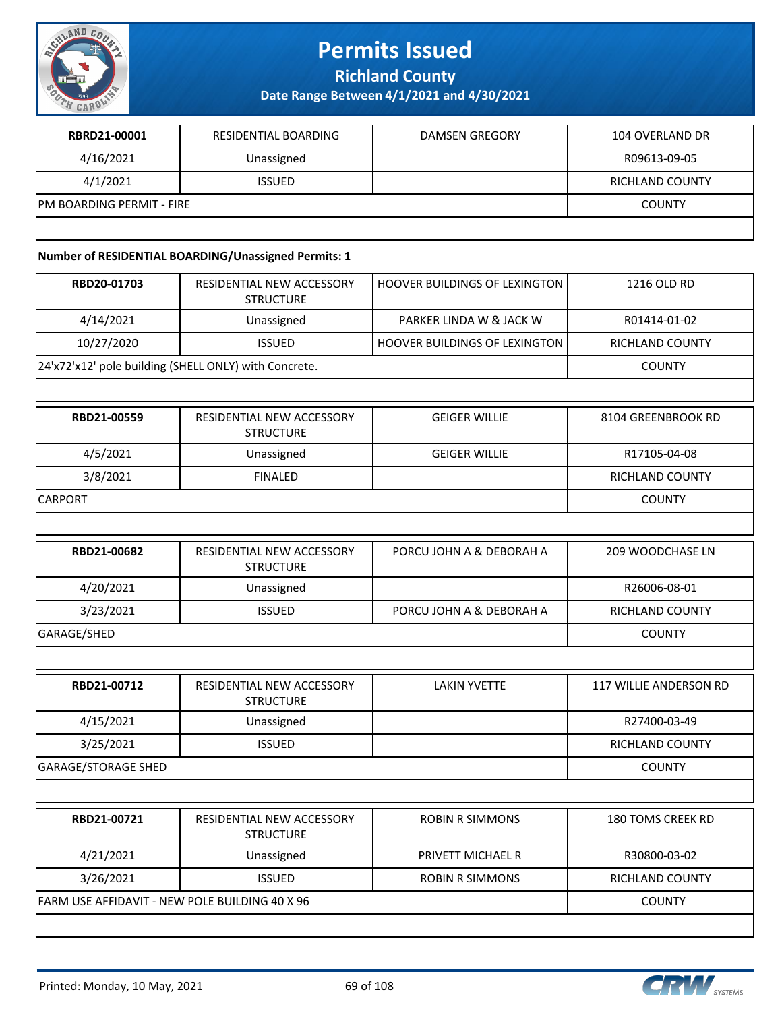

**Richland County**

**Date Range Between 4/1/2021 and 4/30/2021**

| <b>RBRD21-00001</b>        | RESIDENTIAL BOARDING | DAMSEN GREGORY | 104 OVERLAND DR |
|----------------------------|----------------------|----------------|-----------------|
| 4/16/2021                  | Unassigned           |                | R09613-09-05    |
| 4/1/2021                   | <b>ISSUED</b>        |                | RICHLAND COUNTY |
| IPM BOARDING PERMIT - FIRE |                      |                | <b>COUNTY</b>   |
|                            |                      |                |                 |

#### **Number of RESIDENTIAL BOARDING/Unassigned Permits: 1**

| RBD20-01703                                    | RESIDENTIAL NEW ACCESSORY<br><b>STRUCTURE</b>         | HOOVER BUILDINGS OF LEXINGTON        | 1216 OLD RD                   |
|------------------------------------------------|-------------------------------------------------------|--------------------------------------|-------------------------------|
| 4/14/2021                                      | Unassigned                                            | PARKER LINDA W & JACK W              | R01414-01-02                  |
| 10/27/2020                                     | <b>ISSUED</b>                                         | <b>HOOVER BUILDINGS OF LEXINGTON</b> | <b>RICHLAND COUNTY</b>        |
|                                                | 24'x72'x12' pole building (SHELL ONLY) with Concrete. |                                      | <b>COUNTY</b>                 |
|                                                |                                                       |                                      |                               |
| RBD21-00559                                    | RESIDENTIAL NEW ACCESSORY<br><b>STRUCTURE</b>         | <b>GEIGER WILLIE</b>                 | 8104 GREENBROOK RD            |
| 4/5/2021                                       | Unassigned                                            | <b>GEIGER WILLIE</b>                 | R17105-04-08                  |
| 3/8/2021                                       | <b>FINALED</b>                                        |                                      | <b>RICHLAND COUNTY</b>        |
| CARPORT                                        |                                                       |                                      | <b>COUNTY</b>                 |
|                                                |                                                       |                                      |                               |
| RBD21-00682                                    | RESIDENTIAL NEW ACCESSORY<br><b>STRUCTURE</b>         | PORCU JOHN A & DEBORAH A             | 209 WOODCHASE LN              |
| 4/20/2021                                      | Unassigned                                            |                                      | R26006-08-01                  |
| 3/23/2021                                      | <b>ISSUED</b>                                         | PORCU JOHN A & DEBORAH A             | RICHLAND COUNTY               |
| GARAGE/SHED                                    |                                                       |                                      | <b>COUNTY</b>                 |
|                                                |                                                       |                                      |                               |
| RBD21-00712                                    | RESIDENTIAL NEW ACCESSORY<br><b>STRUCTURE</b>         | <b>LAKIN YVETTE</b>                  | <b>117 WILLIE ANDERSON RD</b> |
| 4/15/2021                                      | Unassigned                                            |                                      | R27400-03-49                  |
| 3/25/2021                                      | <b>ISSUED</b>                                         |                                      | RICHLAND COUNTY               |
| <b>GARAGE/STORAGE SHED</b>                     |                                                       |                                      | <b>COUNTY</b>                 |
|                                                |                                                       |                                      |                               |
| RBD21-00721                                    | RESIDENTIAL NEW ACCESSORY<br><b>STRUCTURE</b>         | <b>ROBIN R SIMMONS</b>               | <b>180 TOMS CREEK RD</b>      |
| 4/21/2021                                      | Unassigned                                            | PRIVETT MICHAEL R                    | R30800-03-02                  |
| 3/26/2021                                      | <b>ISSUED</b>                                         | <b>ROBIN R SIMMONS</b>               | RICHLAND COUNTY               |
| FARM USE AFFIDAVIT - NEW POLE BUILDING 40 X 96 | <b>COUNTY</b>                                         |                                      |                               |
|                                                |                                                       |                                      |                               |

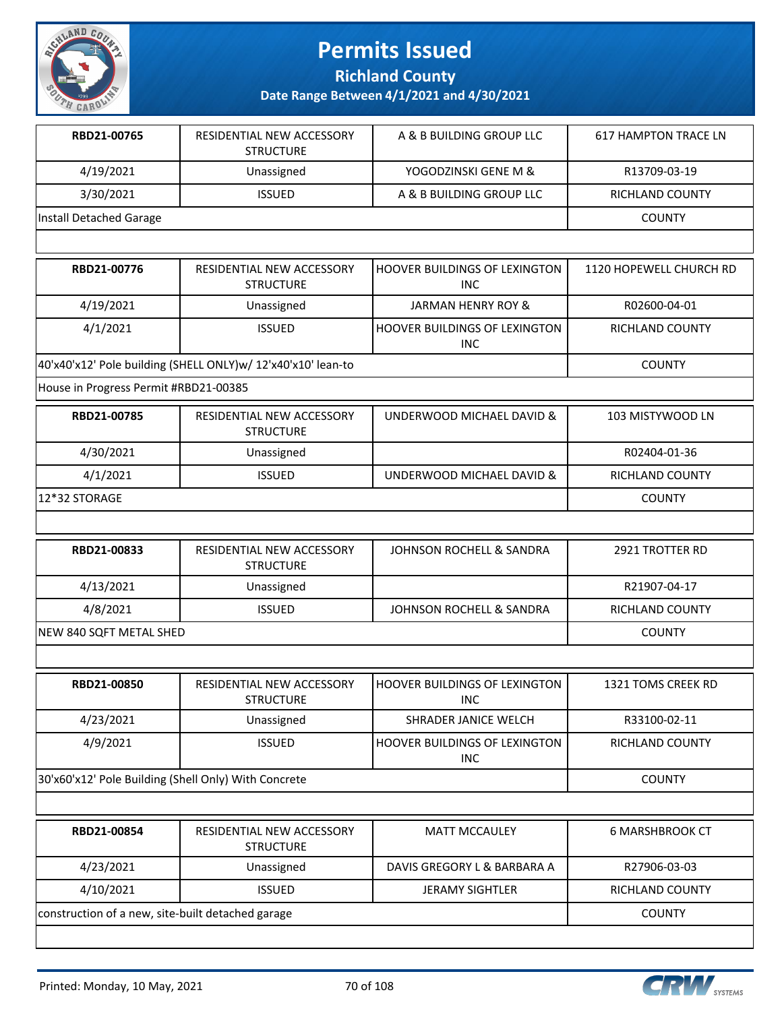

**Richland County**

| RBD21-00765                                                  | RESIDENTIAL NEW ACCESSORY<br><b>STRUCTURE</b> | A & B BUILDING GROUP LLC                     | <b>617 HAMPTON TRACE LN</b> |
|--------------------------------------------------------------|-----------------------------------------------|----------------------------------------------|-----------------------------|
| 4/19/2021                                                    | Unassigned                                    | YOGODZINSKI GENE M &                         | R13709-03-19                |
| 3/30/2021                                                    | <b>ISSUED</b>                                 | A & B BUILDING GROUP LLC                     | RICHLAND COUNTY             |
| Install Detached Garage                                      |                                               |                                              | <b>COUNTY</b>               |
|                                                              |                                               |                                              |                             |
| RBD21-00776                                                  | RESIDENTIAL NEW ACCESSORY<br><b>STRUCTURE</b> | HOOVER BUILDINGS OF LEXINGTON<br>INC.        | 1120 HOPEWELL CHURCH RD     |
| 4/19/2021                                                    | Unassigned                                    | JARMAN HENRY ROY &                           | R02600-04-01                |
| 4/1/2021                                                     | <b>ISSUED</b>                                 | <b>HOOVER BUILDINGS OF LEXINGTON</b><br>INC. | <b>RICHLAND COUNTY</b>      |
| 40'x40'x12' Pole building (SHELL ONLY)w/ 12'x40'x10' lean-to | <b>COUNTY</b>                                 |                                              |                             |
| House in Progress Permit #RBD21-00385                        |                                               |                                              |                             |
|                                                              |                                               |                                              |                             |

| RBD21-00785   | RESIDENTIAL NEW ACCESSORY<br><b>STRUCTURE</b> | UNDERWOOD MICHAEL DAVID & | 103 MISTYWOOD LN |
|---------------|-----------------------------------------------|---------------------------|------------------|
| 4/30/2021     | Unassigned                                    |                           | R02404-01-36     |
| 4/1/2021      | <b>ISSUED</b>                                 | UNDERWOOD MICHAEL DAVID & | RICHLAND COUNTY  |
| 12*32 STORAGE |                                               |                           | <b>COUNTY</b>    |

| RBD21-00833             | RESIDENTIAL NEW ACCESSORY<br><b>STRUCTURE</b> | JOHNSON ROCHELL & SANDRA | 2921 TROTTER RD |
|-------------------------|-----------------------------------------------|--------------------------|-----------------|
| 4/13/2021               | Unassigned                                    |                          | R21907-04-17    |
| 4/8/2021                | <b>ISSUED</b>                                 | JOHNSON ROCHELL & SANDRA | RICHLAND COUNTY |
| NEW 840 SQFT METAL SHED |                                               |                          | <b>COUNTY</b>   |

| RBD21-00850                                          | RESIDENTIAL NEW ACCESSORY<br><b>STRUCTURE</b> | <b>IHOOVER BUILDINGS OF LEXINGTON</b><br><b>INC</b> | 1321 TOMS CREEK RD |
|------------------------------------------------------|-----------------------------------------------|-----------------------------------------------------|--------------------|
| 4/23/2021                                            | Unassigned                                    | SHRADER JANICE WELCH                                | R33100-02-11       |
| 4/9/2021                                             | <b>ISSUED</b>                                 | <b>I HOOVER BUILDINGS OF LEXINGTON</b><br>INC       | RICHLAND COUNTY    |
| 30'x60'x12' Pole Building (Shell Only) With Concrete |                                               |                                                     | <b>COUNTY</b>      |

| RESIDENTIAL NEW ACCESSORY<br><b>STRUCTURE</b>     | <b>MATT MCCAULEY</b>        | 6 MARSHBROOK CT |
|---------------------------------------------------|-----------------------------|-----------------|
| Unassigned                                        | DAVIS GREGORY L & BARBARA A | R27906-03-03    |
| <b>ISSUED</b>                                     | <b>JERAMY SIGHTLER</b>      | RICHLAND COUNTY |
| construction of a new, site-built detached garage |                             |                 |
|                                                   |                             |                 |

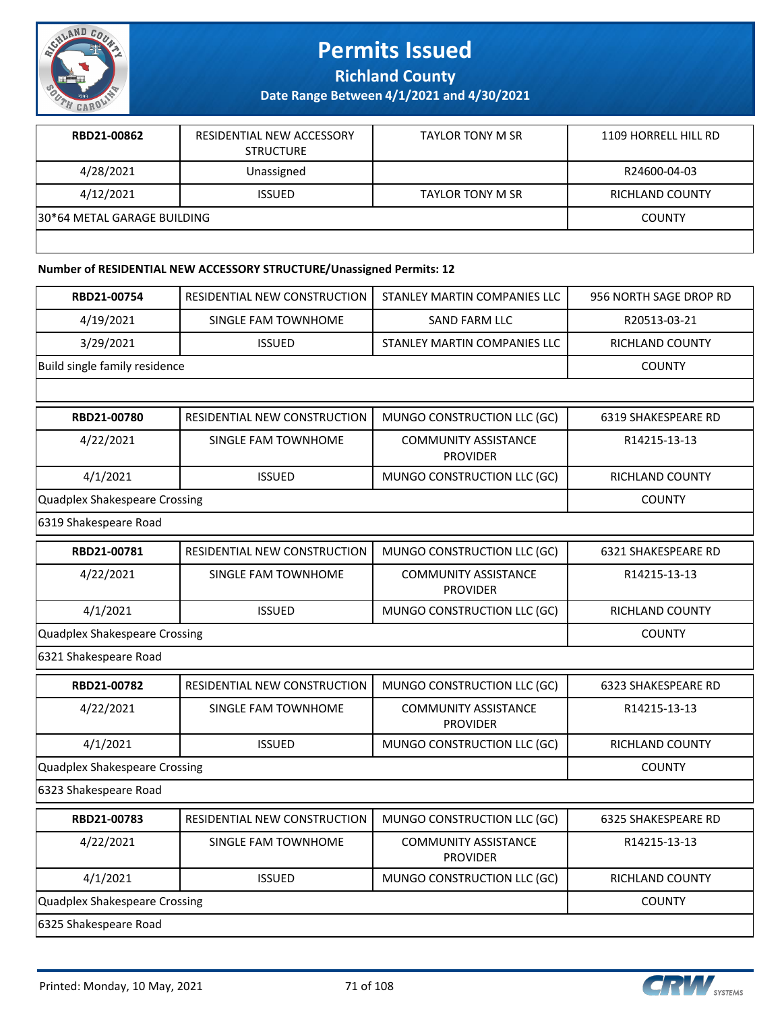

**Richland County**

**Date Range Between 4/1/2021 and 4/30/2021**

| RBD21-00862                  | RESIDENTIAL NEW ACCESSORY<br><b>STRUCTURE</b> | <b>TAYLOR TONY M SR</b> | 1109 HORRELL HILL RD   |
|------------------------------|-----------------------------------------------|-------------------------|------------------------|
| 4/28/2021                    | Unassigned                                    |                         | R24600-04-03           |
| 4/12/2021                    | <b>ISSUED</b>                                 | <b>TAYLOR TONY M SR</b> | <b>RICHLAND COUNTY</b> |
| 130*64 METAL GARAGE BUILDING |                                               |                         | <b>COUNTY</b>          |
|                              |                                               |                         |                        |

#### **Number of RESIDENTIAL NEW ACCESSORY STRUCTURE/Unassigned Permits: 12**

| RBD21-00754                          | RESIDENTIAL NEW CONSTRUCTION        | STANLEY MARTIN COMPANIES LLC                   | 956 NORTH SAGE DROP RD     |
|--------------------------------------|-------------------------------------|------------------------------------------------|----------------------------|
| 4/19/2021                            | SINGLE FAM TOWNHOME                 | SAND FARM LLC                                  | R20513-03-21               |
| 3/29/2021                            | <b>ISSUED</b>                       | STANLEY MARTIN COMPANIES LLC                   | <b>RICHLAND COUNTY</b>     |
| Build single family residence        |                                     |                                                | <b>COUNTY</b>              |
|                                      |                                     |                                                |                            |
| RBD21-00780                          | RESIDENTIAL NEW CONSTRUCTION        | MUNGO CONSTRUCTION LLC (GC)                    | 6319 SHAKESPEARE RD        |
| 4/22/2021                            | SINGLE FAM TOWNHOME                 | <b>COMMUNITY ASSISTANCE</b><br><b>PROVIDER</b> | R14215-13-13               |
| 4/1/2021                             | <b>ISSUED</b>                       | MUNGO CONSTRUCTION LLC (GC)                    | RICHLAND COUNTY            |
| <b>Quadplex Shakespeare Crossing</b> |                                     |                                                | <b>COUNTY</b>              |
| 6319 Shakespeare Road                |                                     |                                                |                            |
| RBD21-00781                          | <b>RESIDENTIAL NEW CONSTRUCTION</b> | MUNGO CONSTRUCTION LLC (GC)                    | <b>6321 SHAKESPEARE RD</b> |
| 4/22/2021                            | SINGLE FAM TOWNHOME                 | <b>COMMUNITY ASSISTANCE</b><br><b>PROVIDER</b> | R14215-13-13               |
| 4/1/2021                             | <b>ISSUED</b>                       | MUNGO CONSTRUCTION LLC (GC)                    | <b>RICHLAND COUNTY</b>     |
| <b>Quadplex Shakespeare Crossing</b> |                                     |                                                | <b>COUNTY</b>              |
| 6321 Shakespeare Road                |                                     |                                                |                            |
| RBD21-00782                          | RESIDENTIAL NEW CONSTRUCTION        | MUNGO CONSTRUCTION LLC (GC)                    | <b>6323 SHAKESPEARE RD</b> |
| 4/22/2021                            | SINGLE FAM TOWNHOME                 | <b>COMMUNITY ASSISTANCE</b><br><b>PROVIDER</b> | R14215-13-13               |
| 4/1/2021                             | <b>ISSUED</b>                       | MUNGO CONSTRUCTION LLC (GC)                    | RICHLAND COUNTY            |
| <b>Quadplex Shakespeare Crossing</b> |                                     |                                                | <b>COUNTY</b>              |
| 6323 Shakespeare Road                |                                     |                                                |                            |
| RBD21-00783                          | <b>RESIDENTIAL NEW CONSTRUCTION</b> | MUNGO CONSTRUCTION LLC (GC)                    | 6325 SHAKESPEARE RD        |
| 4/22/2021                            | SINGLE FAM TOWNHOME                 | <b>COMMUNITY ASSISTANCE</b><br><b>PROVIDER</b> | R14215-13-13               |
| 4/1/2021                             | <b>ISSUED</b>                       | MUNGO CONSTRUCTION LLC (GC)                    | RICHLAND COUNTY            |
| <b>Quadplex Shakespeare Crossing</b> |                                     |                                                | <b>COUNTY</b>              |
| 6325 Shakespeare Road                |                                     |                                                |                            |

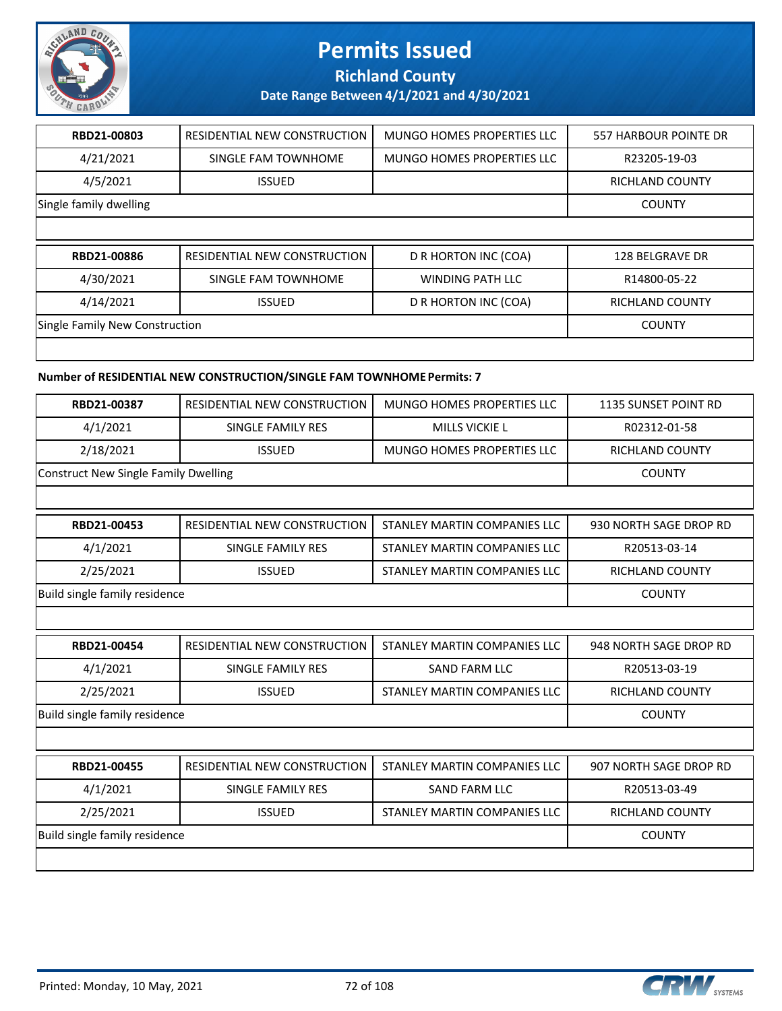

**Richland County**

**Date Range Between 4/1/2021 and 4/30/2021**

| RBD21-00803                    | RESIDENTIAL NEW CONSTRUCTION | MUNGO HOMES PROPERTIES LLC | 557 HARBOUR POINTE DR  |
|--------------------------------|------------------------------|----------------------------|------------------------|
| 4/21/2021                      | SINGLE FAM TOWNHOME          | MUNGO HOMES PROPERTIES LLC | R23205-19-03           |
| 4/5/2021                       | <b>ISSUED</b>                |                            | <b>RICHLAND COUNTY</b> |
| Single family dwelling         | <b>COUNTY</b>                |                            |                        |
|                                |                              |                            |                        |
|                                |                              |                            |                        |
| RBD21-00886                    | RESIDENTIAL NEW CONSTRUCTION | D R HORTON INC (COA)       | 128 BELGRAVE DR        |
| 4/30/2021                      | SINGLE FAM TOWNHOME          | <b>WINDING PATH LLC</b>    | R14800-05-22           |
| 4/14/2021                      | <b>ISSUED</b>                | D R HORTON INC (COA)       | <b>RICHLAND COUNTY</b> |
| Single Family New Construction |                              |                            | <b>COUNTY</b>          |

#### **Number of RESIDENTIAL NEW CONSTRUCTION/SINGLE FAM TOWNHOME Permits: 7**

| RBD21-00387                          | <b>RESIDENTIAL NEW CONSTRUCTION</b> | MUNGO HOMES PROPERTIES LLC   | <b>1135 SUNSET POINT RD</b> |  |
|--------------------------------------|-------------------------------------|------------------------------|-----------------------------|--|
| 4/1/2021                             | SINGLE FAMILY RES                   | <b>MILLS VICKIE L</b>        | R02312-01-58                |  |
| 2/18/2021                            | <b>ISSUED</b>                       | MUNGO HOMES PROPERTIES LLC   | <b>RICHLAND COUNTY</b>      |  |
| Construct New Single Family Dwelling |                                     |                              | <b>COUNTY</b>               |  |
|                                      |                                     |                              |                             |  |
| RBD21-00453                          | RESIDENTIAL NEW CONSTRUCTION        | STANLEY MARTIN COMPANIES LLC | 930 NORTH SAGE DROP RD      |  |
| 4/1/2021                             | SINGLE FAMILY RES                   | STANLEY MARTIN COMPANIES LLC | R20513-03-14                |  |
| 2/25/2021                            | <b>ISSUED</b>                       | STANLEY MARTIN COMPANIES LLC | <b>RICHLAND COUNTY</b>      |  |
| Build single family residence        |                                     |                              | <b>COUNTY</b>               |  |
|                                      |                                     |                              |                             |  |
| RBD21-00454                          | RESIDENTIAL NEW CONSTRUCTION        | STANLEY MARTIN COMPANIES LLC | 948 NORTH SAGE DROP RD      |  |
| 4/1/2021                             | SINGLE FAMILY RES                   | <b>SAND FARM LLC</b>         | R20513-03-19                |  |
| 2/25/2021                            | <b>ISSUED</b>                       | STANLEY MARTIN COMPANIES LLC | <b>RICHLAND COUNTY</b>      |  |
| Build single family residence        |                                     |                              | <b>COUNTY</b>               |  |
|                                      |                                     |                              |                             |  |
| RBD21-00455                          | RESIDENTIAL NEW CONSTRUCTION        | STANLEY MARTIN COMPANIES LLC | 907 NORTH SAGE DROP RD      |  |
| 4/1/2021                             | SINGLE FAMILY RES                   | <b>SAND FARM LLC</b>         | R20513-03-49                |  |
| 2/25/2021                            | <b>ISSUED</b>                       | STANLEY MARTIN COMPANIES LLC | <b>RICHLAND COUNTY</b>      |  |
| Build single family residence        |                                     |                              | <b>COUNTY</b>               |  |
|                                      |                                     |                              |                             |  |

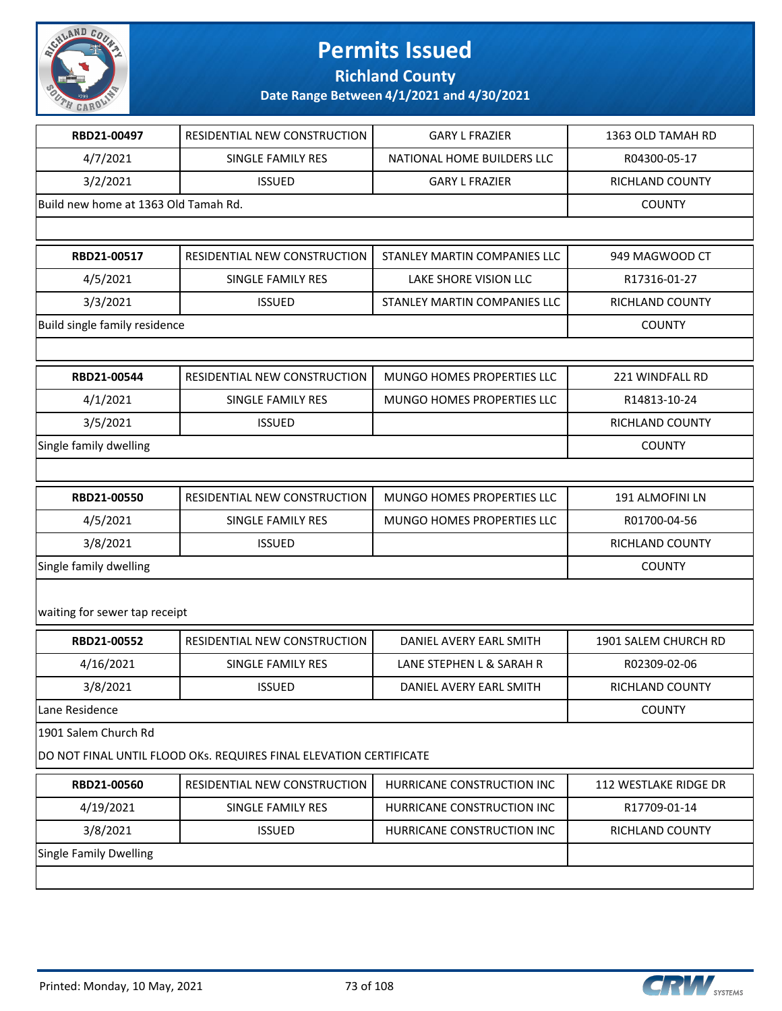

**Richland County**

| RBD21-00497                          | RESIDENTIAL NEW CONSTRUCTION                                       | <b>GARY L FRAZIER</b>        | 1363 OLD TAMAH RD      |
|--------------------------------------|--------------------------------------------------------------------|------------------------------|------------------------|
| 4/7/2021                             | SINGLE FAMILY RES                                                  | NATIONAL HOME BUILDERS LLC   | R04300-05-17           |
| 3/2/2021                             | <b>ISSUED</b>                                                      | <b>GARY L FRAZIER</b>        | RICHLAND COUNTY        |
| Build new home at 1363 Old Tamah Rd. |                                                                    |                              | <b>COUNTY</b>          |
|                                      |                                                                    |                              |                        |
| RBD21-00517                          | RESIDENTIAL NEW CONSTRUCTION                                       | STANLEY MARTIN COMPANIES LLC | 949 MAGWOOD CT         |
| 4/5/2021                             | SINGLE FAMILY RES                                                  | LAKE SHORE VISION LLC        | R17316-01-27           |
| 3/3/2021                             | <b>ISSUED</b>                                                      | STANLEY MARTIN COMPANIES LLC | RICHLAND COUNTY        |
| Build single family residence        |                                                                    |                              | <b>COUNTY</b>          |
|                                      |                                                                    |                              |                        |
| RBD21-00544                          | RESIDENTIAL NEW CONSTRUCTION                                       | MUNGO HOMES PROPERTIES LLC   | 221 WINDFALL RD        |
| 4/1/2021                             | SINGLE FAMILY RES                                                  | MUNGO HOMES PROPERTIES LLC   | R14813-10-24           |
| 3/5/2021                             | <b>ISSUED</b>                                                      |                              | <b>RICHLAND COUNTY</b> |
| Single family dwelling               |                                                                    |                              | <b>COUNTY</b>          |
|                                      |                                                                    |                              |                        |
| RBD21-00550                          | RESIDENTIAL NEW CONSTRUCTION                                       | MUNGO HOMES PROPERTIES LLC   | 191 ALMOFINI LN        |
| 4/5/2021                             | SINGLE FAMILY RES                                                  | MUNGO HOMES PROPERTIES LLC   | R01700-04-56           |
| 3/8/2021                             | <b>ISSUED</b>                                                      |                              | RICHLAND COUNTY        |
| Single family dwelling               | <b>COUNTY</b>                                                      |                              |                        |
| waiting for sewer tap receipt        |                                                                    |                              |                        |
| RBD21-00552                          | RESIDENTIAL NEW CONSTRUCTION                                       | DANIEL AVERY EARL SMITH      | 1901 SALEM CHURCH RD   |
| 4/16/2021                            | SINGLE FAMILY RES                                                  | LANE STEPHEN L & SARAH R     | R02309-02-06           |
| 3/8/2021                             | <b>ISSUED</b>                                                      | DANIEL AVERY EARL SMITH      | <b>RICHLAND COUNTY</b> |
| Lane Residence                       |                                                                    |                              | <b>COUNTY</b>          |
| 1901 Salem Church Rd                 |                                                                    |                              |                        |
|                                      | DO NOT FINAL UNTIL FLOOD OKS. REQUIRES FINAL ELEVATION CERTIFICATE |                              |                        |
| RBD21-00560                          | RESIDENTIAL NEW CONSTRUCTION                                       | HURRICANE CONSTRUCTION INC   | 112 WESTLAKE RIDGE DR  |
| 4/19/2021                            | SINGLE FAMILY RES                                                  | HURRICANE CONSTRUCTION INC   | R17709-01-14           |
| 3/8/2021                             | <b>ISSUED</b>                                                      | HURRICANE CONSTRUCTION INC   | RICHLAND COUNTY        |
| <b>Single Family Dwelling</b>        |                                                                    |                              |                        |
|                                      |                                                                    |                              |                        |

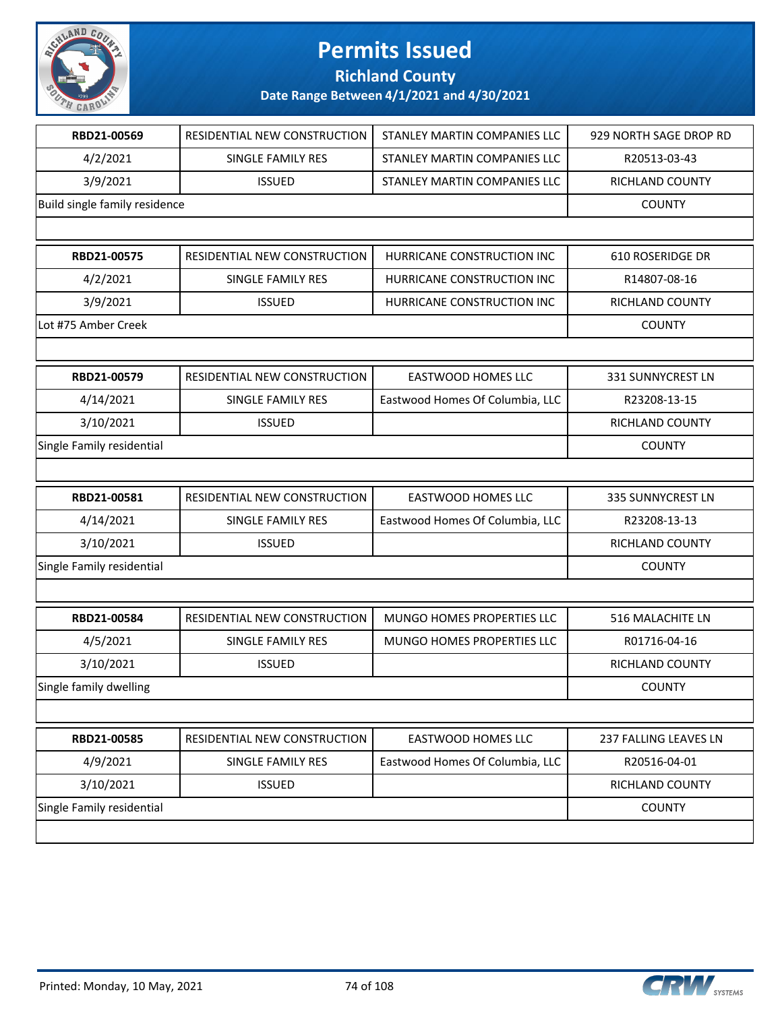

### **Richland County**

| RBD21-00569               | RESIDENTIAL NEW CONSTRUCTION  | STANLEY MARTIN COMPANIES LLC    | 929 NORTH SAGE DROP RD |
|---------------------------|-------------------------------|---------------------------------|------------------------|
| 4/2/2021                  | SINGLE FAMILY RES             | STANLEY MARTIN COMPANIES LLC    | R20513-03-43           |
| 3/9/2021                  | <b>ISSUED</b>                 | STANLEY MARTIN COMPANIES LLC    | RICHLAND COUNTY        |
|                           | Build single family residence |                                 |                        |
|                           |                               |                                 |                        |
| RBD21-00575               | RESIDENTIAL NEW CONSTRUCTION  | HURRICANE CONSTRUCTION INC      | 610 ROSERIDGE DR       |
| 4/2/2021                  | SINGLE FAMILY RES             | HURRICANE CONSTRUCTION INC      | R14807-08-16           |
| 3/9/2021                  | <b>ISSUED</b>                 | HURRICANE CONSTRUCTION INC      | RICHLAND COUNTY        |
| Lot #75 Amber Creek       |                               |                                 | <b>COUNTY</b>          |
|                           |                               |                                 |                        |
| RBD21-00579               | RESIDENTIAL NEW CONSTRUCTION  | EASTWOOD HOMES LLC              | 331 SUNNYCREST LN      |
| 4/14/2021                 | SINGLE FAMILY RES             | Eastwood Homes Of Columbia, LLC | R23208-13-15           |
| 3/10/2021                 | <b>ISSUED</b>                 |                                 | RICHLAND COUNTY        |
| Single Family residential |                               |                                 | <b>COUNTY</b>          |
|                           |                               |                                 |                        |
| RBD21-00581               | RESIDENTIAL NEW CONSTRUCTION  | EASTWOOD HOMES LLC              | 335 SUNNYCREST LN      |
| 4/14/2021                 | SINGLE FAMILY RES             | Eastwood Homes Of Columbia, LLC | R23208-13-13           |
| 3/10/2021                 | <b>ISSUED</b>                 |                                 | RICHLAND COUNTY        |
| Single Family residential |                               |                                 | <b>COUNTY</b>          |
|                           |                               |                                 |                        |
| RBD21-00584               | RESIDENTIAL NEW CONSTRUCTION  | MUNGO HOMES PROPERTIES LLC      | 516 MALACHITE LN       |
| 4/5/2021                  | SINGLE FAMILY RES             | MUNGO HOMES PROPERTIES LLC      | R01716-04-16           |
| 3/10/2021                 | <b>ISSUED</b>                 |                                 | RICHLAND COUNTY        |
| Single family dwelling    |                               |                                 | <b>COUNTY</b>          |
|                           |                               |                                 |                        |
| RBD21-00585               | RESIDENTIAL NEW CONSTRUCTION  | EASTWOOD HOMES LLC              | 237 FALLING LEAVES LN  |
| 4/9/2021                  | SINGLE FAMILY RES             | Eastwood Homes Of Columbia, LLC | R20516-04-01           |
| 3/10/2021                 | <b>ISSUED</b>                 |                                 | RICHLAND COUNTY        |
| Single Family residential |                               |                                 | <b>COUNTY</b>          |
|                           |                               |                                 |                        |

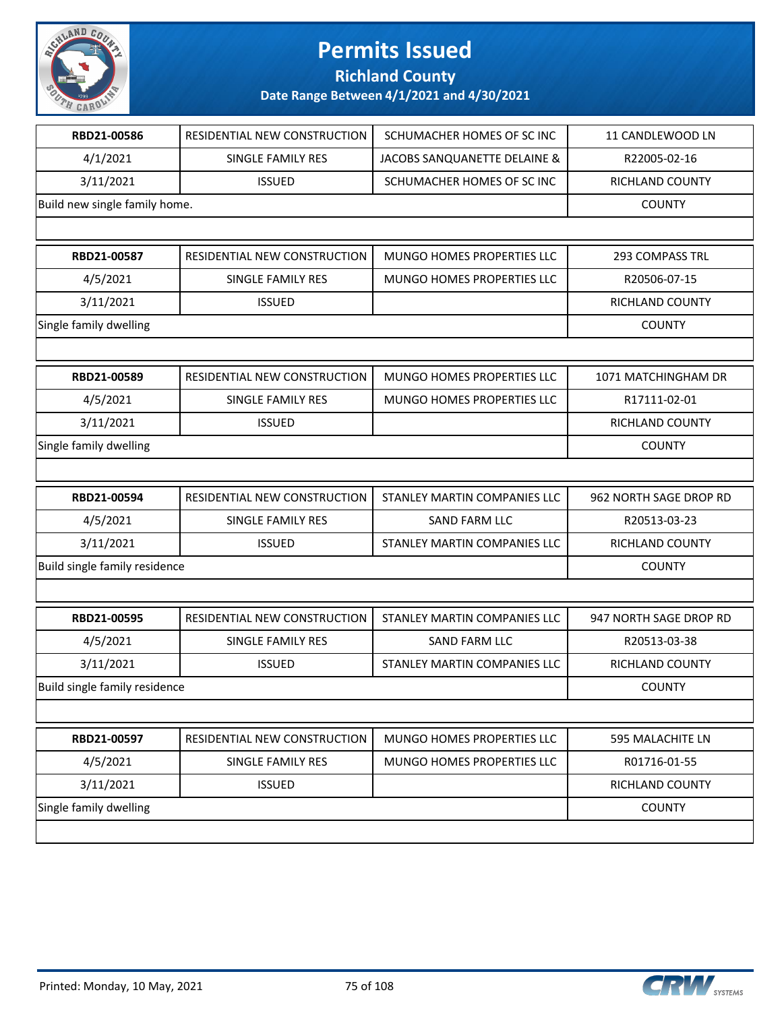

### **Richland County**

| RBD21-00586                   | RESIDENTIAL NEW CONSTRUCTION | SCHUMACHER HOMES OF SC INC   | 11 CANDLEWOOD LN       |
|-------------------------------|------------------------------|------------------------------|------------------------|
| 4/1/2021                      | SINGLE FAMILY RES            | JACOBS SANQUANETTE DELAINE & | R22005-02-16           |
| 3/11/2021                     | <b>ISSUED</b>                | SCHUMACHER HOMES OF SC INC   | RICHLAND COUNTY        |
| Build new single family home. |                              |                              | <b>COUNTY</b>          |
|                               |                              |                              |                        |
| RBD21-00587                   | RESIDENTIAL NEW CONSTRUCTION | MUNGO HOMES PROPERTIES LLC   | 293 COMPASS TRL        |
| 4/5/2021                      | SINGLE FAMILY RES            | MUNGO HOMES PROPERTIES LLC   | R20506-07-15           |
| 3/11/2021                     | <b>ISSUED</b>                |                              | <b>RICHLAND COUNTY</b> |
| Single family dwelling        |                              |                              | <b>COUNTY</b>          |
|                               |                              |                              |                        |
| RBD21-00589                   | RESIDENTIAL NEW CONSTRUCTION | MUNGO HOMES PROPERTIES LLC   | 1071 MATCHINGHAM DR    |
| 4/5/2021                      | SINGLE FAMILY RES            | MUNGO HOMES PROPERTIES LLC   | R17111-02-01           |
| 3/11/2021                     | <b>ISSUED</b>                |                              | RICHLAND COUNTY        |
| Single family dwelling        |                              |                              | <b>COUNTY</b>          |
|                               |                              |                              |                        |
| RBD21-00594                   | RESIDENTIAL NEW CONSTRUCTION | STANLEY MARTIN COMPANIES LLC | 962 NORTH SAGE DROP RD |
| 4/5/2021                      | SINGLE FAMILY RES            | SAND FARM LLC                | R20513-03-23           |
| 3/11/2021                     | <b>ISSUED</b>                | STANLEY MARTIN COMPANIES LLC | RICHLAND COUNTY        |
|                               |                              |                              |                        |
| Build single family residence |                              |                              | <b>COUNTY</b>          |
|                               |                              |                              |                        |
| RBD21-00595                   | RESIDENTIAL NEW CONSTRUCTION | STANLEY MARTIN COMPANIES LLC | 947 NORTH SAGE DROP RD |
| 4/5/2021                      | SINGLE FAMILY RES            | SAND FARM LLC                | R20513-03-38           |
| 3/11/2021                     | <b>ISSUED</b>                | STANLEY MARTIN COMPANIES LLC | RICHLAND COUNTY        |
| Build single family residence |                              |                              | <b>COUNTY</b>          |
|                               |                              |                              |                        |
| RBD21-00597                   | RESIDENTIAL NEW CONSTRUCTION | MUNGO HOMES PROPERTIES LLC   | 595 MALACHITE LN       |
| 4/5/2021                      | SINGLE FAMILY RES            | MUNGO HOMES PROPERTIES LLC   | R01716-01-55           |
| 3/11/2021                     | <b>ISSUED</b>                |                              | RICHLAND COUNTY        |
| Single family dwelling        |                              |                              | <b>COUNTY</b>          |

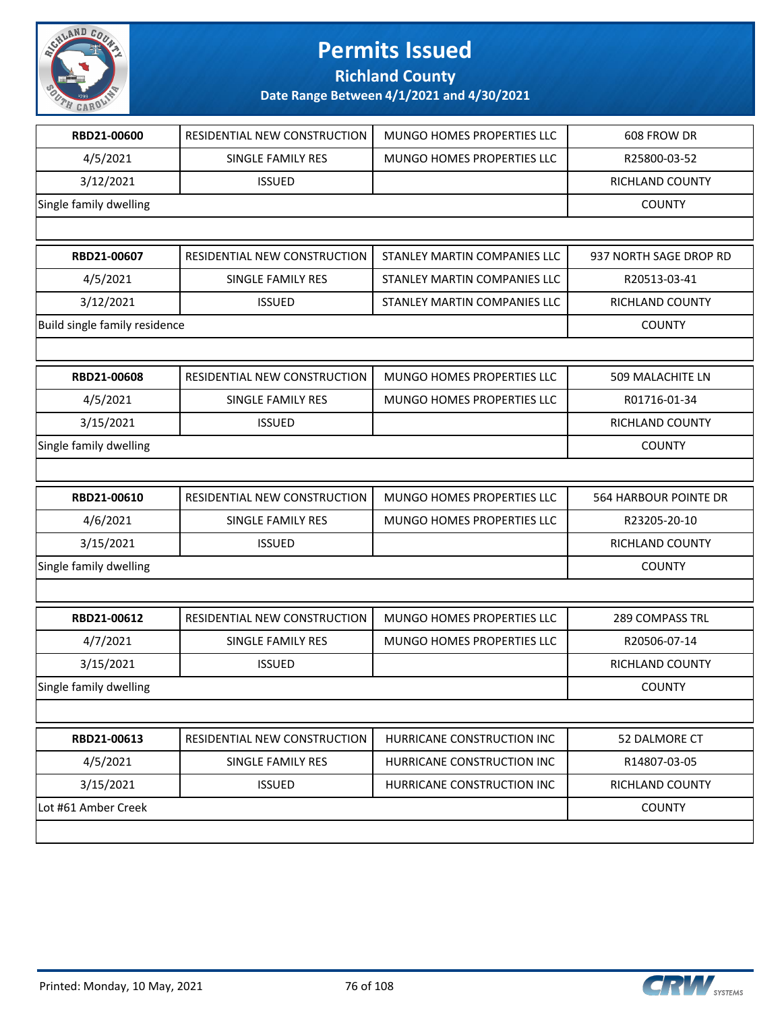

**Richland County**

| RBD21-00600                   | RESIDENTIAL NEW CONSTRUCTION | MUNGO HOMES PROPERTIES LLC   | 608 FROW DR            |
|-------------------------------|------------------------------|------------------------------|------------------------|
| 4/5/2021                      | SINGLE FAMILY RES            | MUNGO HOMES PROPERTIES LLC   | R25800-03-52           |
| 3/12/2021                     | <b>ISSUED</b>                |                              | RICHLAND COUNTY        |
| Single family dwelling        |                              |                              | <b>COUNTY</b>          |
|                               |                              |                              |                        |
| RBD21-00607                   | RESIDENTIAL NEW CONSTRUCTION | STANLEY MARTIN COMPANIES LLC | 937 NORTH SAGE DROP RD |
| 4/5/2021                      | SINGLE FAMILY RES            | STANLEY MARTIN COMPANIES LLC | R20513-03-41           |
| 3/12/2021                     | <b>ISSUED</b>                | STANLEY MARTIN COMPANIES LLC | RICHLAND COUNTY        |
| Build single family residence |                              |                              | <b>COUNTY</b>          |
|                               |                              |                              |                        |
| RBD21-00608                   | RESIDENTIAL NEW CONSTRUCTION | MUNGO HOMES PROPERTIES LLC   | 509 MALACHITE LN       |
| 4/5/2021                      | SINGLE FAMILY RES            | MUNGO HOMES PROPERTIES LLC   | R01716-01-34           |
| 3/15/2021                     | <b>ISSUED</b>                |                              | RICHLAND COUNTY        |
| Single family dwelling        |                              |                              | <b>COUNTY</b>          |
|                               |                              |                              |                        |
| RBD21-00610                   | RESIDENTIAL NEW CONSTRUCTION | MUNGO HOMES PROPERTIES LLC   | 564 HARBOUR POINTE DR  |
| 4/6/2021                      | SINGLE FAMILY RES            | MUNGO HOMES PROPERTIES LLC   | R23205-20-10           |
| 3/15/2021                     | <b>ISSUED</b>                |                              | RICHLAND COUNTY        |
| Single family dwelling        |                              |                              | <b>COUNTY</b>          |
|                               |                              |                              |                        |
| RBD21-00612                   | RESIDENTIAL NEW CONSTRUCTION | MUNGO HOMES PROPERTIES LLC   | <b>289 COMPASS TRL</b> |
| 4/7/2021                      | SINGLE FAMILY RES            | MUNGO HOMES PROPERTIES LLC   | R20506-07-14           |
| 3/15/2021                     | <b>ISSUED</b>                |                              | RICHLAND COUNTY        |
| Single family dwelling        |                              |                              | <b>COUNTY</b>          |
|                               |                              |                              |                        |
| RBD21-00613                   | RESIDENTIAL NEW CONSTRUCTION | HURRICANE CONSTRUCTION INC   | 52 DALMORE CT          |
| 4/5/2021                      | <b>SINGLE FAMILY RES</b>     | HURRICANE CONSTRUCTION INC   | R14807-03-05           |
| 3/15/2021                     | <b>ISSUED</b>                | HURRICANE CONSTRUCTION INC   | RICHLAND COUNTY        |
| Lot #61 Amber Creek           |                              |                              | <b>COUNTY</b>          |
|                               |                              |                              |                        |

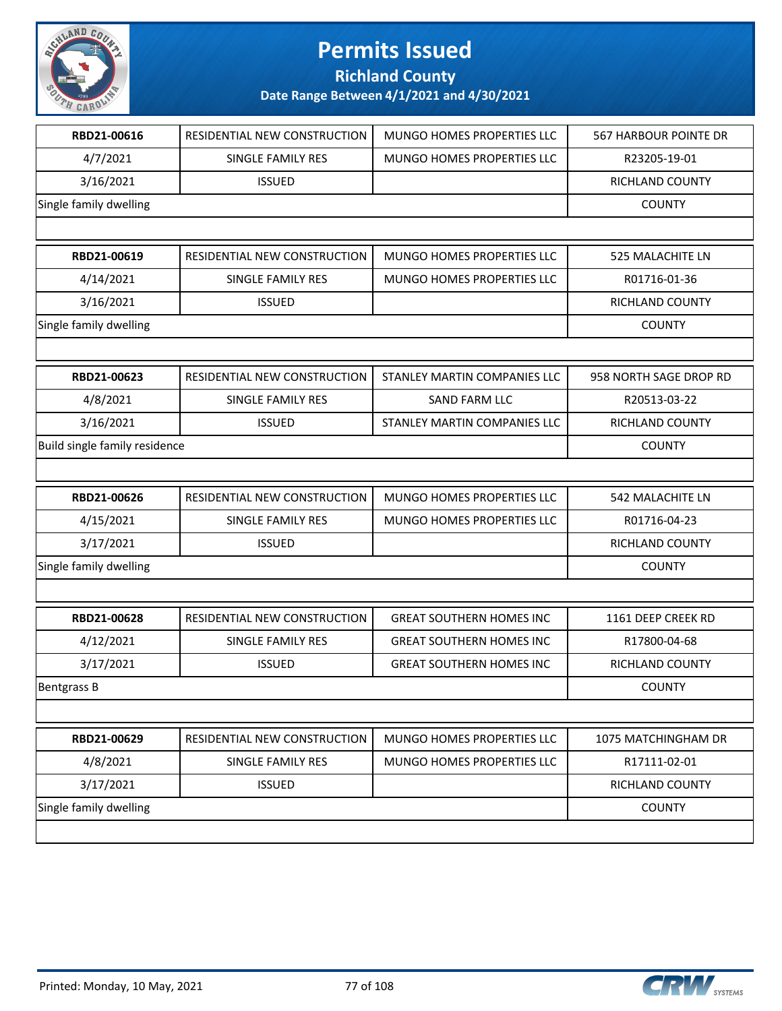

**Richland County**

| RBD21-00616                   | RESIDENTIAL NEW CONSTRUCTION | MUNGO HOMES PROPERTIES LLC      | 567 HARBOUR POINTE DR   |
|-------------------------------|------------------------------|---------------------------------|-------------------------|
| 4/7/2021                      | SINGLE FAMILY RES            | MUNGO HOMES PROPERTIES LLC      | R23205-19-01            |
| 3/16/2021                     | <b>ISSUED</b>                |                                 | RICHLAND COUNTY         |
| Single family dwelling        |                              |                                 | <b>COUNTY</b>           |
|                               |                              |                                 |                         |
| RBD21-00619                   | RESIDENTIAL NEW CONSTRUCTION | MUNGO HOMES PROPERTIES LLC      | 525 MALACHITE LN        |
| 4/14/2021                     | SINGLE FAMILY RES            | MUNGO HOMES PROPERTIES LLC      | R01716-01-36            |
| 3/16/2021                     | <b>ISSUED</b>                |                                 | RICHLAND COUNTY         |
| Single family dwelling        |                              |                                 | <b>COUNTY</b>           |
|                               |                              |                                 |                         |
| RBD21-00623                   | RESIDENTIAL NEW CONSTRUCTION | STANLEY MARTIN COMPANIES LLC    | 958 NORTH SAGE DROP RD  |
| 4/8/2021                      | SINGLE FAMILY RES            | <b>SAND FARM LLC</b>            | R20513-03-22            |
| 3/16/2021                     | <b>ISSUED</b>                | STANLEY MARTIN COMPANIES LLC    | <b>RICHLAND COUNTY</b>  |
| Build single family residence |                              |                                 | <b>COUNTY</b>           |
|                               |                              |                                 |                         |
| RBD21-00626                   | RESIDENTIAL NEW CONSTRUCTION | MUNGO HOMES PROPERTIES LLC      | <b>542 MALACHITE LN</b> |
| 4/15/2021                     | SINGLE FAMILY RES            | MUNGO HOMES PROPERTIES LLC      | R01716-04-23            |
| 3/17/2021                     | <b>ISSUED</b>                |                                 | RICHLAND COUNTY         |
| Single family dwelling        |                              |                                 | <b>COUNTY</b>           |
|                               |                              |                                 |                         |
| RBD21-00628                   | RESIDENTIAL NEW CONSTRUCTION | <b>GREAT SOUTHERN HOMES INC</b> | 1161 DEEP CREEK RD      |
| 4/12/2021                     | SINGLE FAMILY RES            | <b>GREAT SOUTHERN HOMES INC</b> | R17800-04-68            |
| 3/17/2021                     | <b>ISSUED</b>                | <b>GREAT SOUTHERN HOMES INC</b> | RICHLAND COUNTY         |
| <b>Bentgrass B</b>            |                              |                                 | <b>COUNTY</b>           |
|                               |                              |                                 |                         |
| RBD21-00629                   | RESIDENTIAL NEW CONSTRUCTION | MUNGO HOMES PROPERTIES LLC      | 1075 MATCHINGHAM DR     |
| 4/8/2021                      | SINGLE FAMILY RES            | MUNGO HOMES PROPERTIES LLC      | R17111-02-01            |
| 3/17/2021                     | <b>ISSUED</b>                |                                 | RICHLAND COUNTY         |
| Single family dwelling        |                              |                                 | <b>COUNTY</b>           |
|                               |                              |                                 |                         |

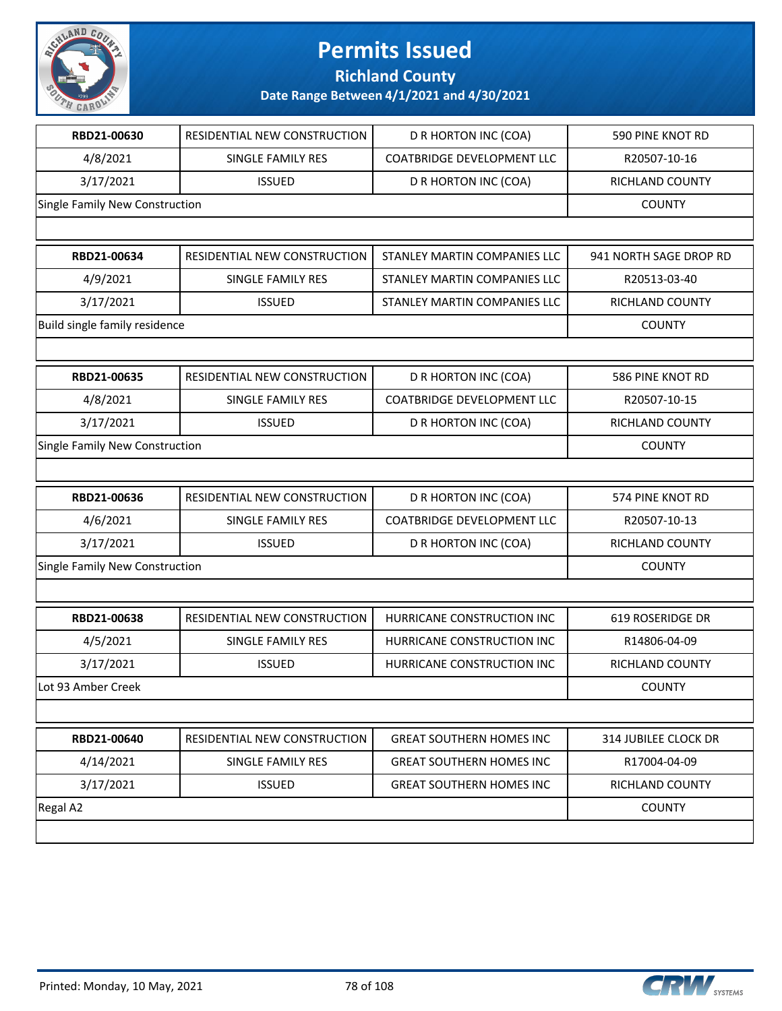

**Richland County**

| RBD21-00630                    | RESIDENTIAL NEW CONSTRUCTION | D R HORTON INC (COA)              | 590 PINE KNOT RD            |
|--------------------------------|------------------------------|-----------------------------------|-----------------------------|
| 4/8/2021                       | SINGLE FAMILY RES            | <b>COATBRIDGE DEVELOPMENT LLC</b> | R20507-10-16                |
| 3/17/2021                      | <b>ISSUED</b>                | D R HORTON INC (COA)              | RICHLAND COUNTY             |
| Single Family New Construction |                              |                                   | <b>COUNTY</b>               |
|                                |                              |                                   |                             |
| RBD21-00634                    | RESIDENTIAL NEW CONSTRUCTION | STANLEY MARTIN COMPANIES LLC      | 941 NORTH SAGE DROP RD      |
| 4/9/2021                       | SINGLE FAMILY RES            | STANLEY MARTIN COMPANIES LLC      | R20513-03-40                |
| 3/17/2021                      | <b>ISSUED</b>                | STANLEY MARTIN COMPANIES LLC      | RICHLAND COUNTY             |
| Build single family residence  |                              |                                   | <b>COUNTY</b>               |
|                                |                              |                                   |                             |
| RBD21-00635                    | RESIDENTIAL NEW CONSTRUCTION | D R HORTON INC (COA)              | 586 PINE KNOT RD            |
| 4/8/2021                       | SINGLE FAMILY RES            | <b>COATBRIDGE DEVELOPMENT LLC</b> | R20507-10-15                |
| 3/17/2021                      | <b>ISSUED</b>                | D R HORTON INC (COA)              | <b>RICHLAND COUNTY</b>      |
| Single Family New Construction |                              |                                   | <b>COUNTY</b>               |
|                                |                              |                                   |                             |
| RBD21-00636                    | RESIDENTIAL NEW CONSTRUCTION | D R HORTON INC (COA)              | 574 PINE KNOT RD            |
| 4/6/2021                       | SINGLE FAMILY RES            | <b>COATBRIDGE DEVELOPMENT LLC</b> | R20507-10-13                |
| 3/17/2021                      | <b>ISSUED</b>                | D R HORTON INC (COA)              | RICHLAND COUNTY             |
| Single Family New Construction |                              |                                   | <b>COUNTY</b>               |
|                                |                              |                                   |                             |
| RBD21-00638                    | RESIDENTIAL NEW CONSTRUCTION | HURRICANE CONSTRUCTION INC        | 619 ROSERIDGE DR            |
| 4/5/2021                       | SINGLE FAMILY RES            | HURRICANE CONSTRUCTION INC        | R14806-04-09                |
| 3/17/2021                      | <b>ISSUED</b>                | HURRICANE CONSTRUCTION INC        | RICHLAND COUNTY             |
| Lot 93 Amber Creek             |                              |                                   | <b>COUNTY</b>               |
|                                |                              |                                   |                             |
| RBD21-00640                    | RESIDENTIAL NEW CONSTRUCTION | <b>GREAT SOUTHERN HOMES INC</b>   | <b>314 JUBILEE CLOCK DR</b> |
| 4/14/2021                      | SINGLE FAMILY RES            | <b>GREAT SOUTHERN HOMES INC</b>   | R17004-04-09                |
| 3/17/2021                      | <b>ISSUED</b>                | <b>GREAT SOUTHERN HOMES INC</b>   | RICHLAND COUNTY             |
| Regal A2                       |                              |                                   | <b>COUNTY</b>               |
|                                |                              |                                   |                             |

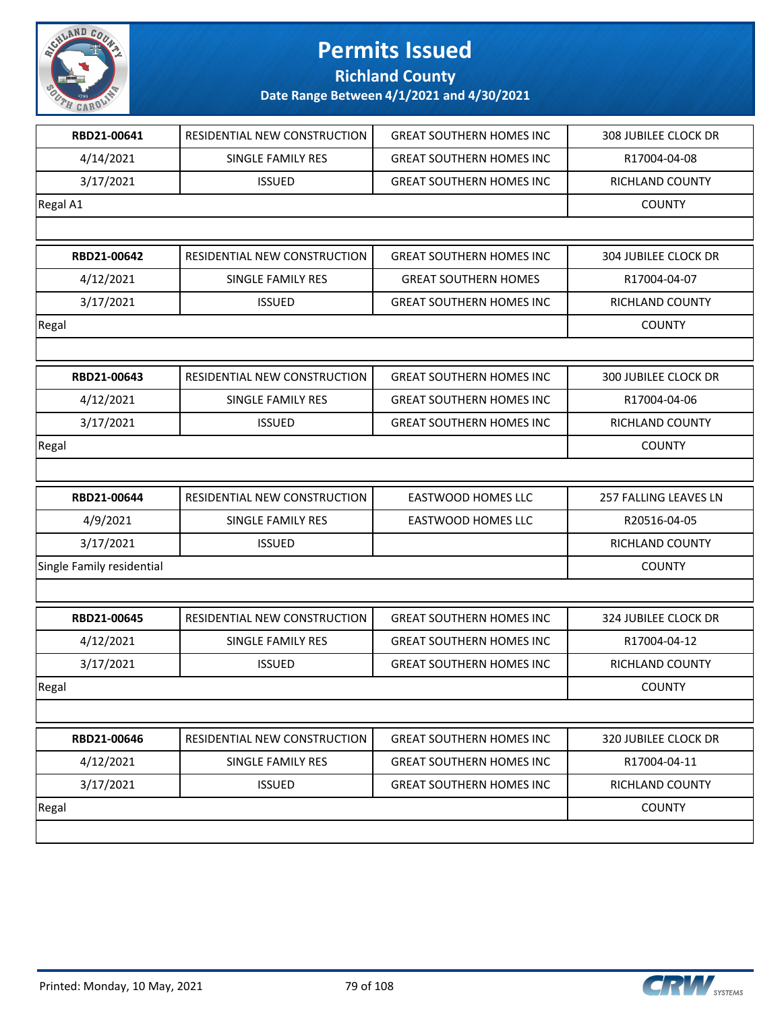

**Richland County**

| RBD21-00641               | RESIDENTIAL NEW CONSTRUCTION | <b>GREAT SOUTHERN HOMES INC</b> | 308 JUBILEE CLOCK DR        |
|---------------------------|------------------------------|---------------------------------|-----------------------------|
| 4/14/2021                 | SINGLE FAMILY RES            | <b>GREAT SOUTHERN HOMES INC</b> | R17004-04-08                |
| 3/17/2021                 | <b>ISSUED</b>                | <b>GREAT SOUTHERN HOMES INC</b> | RICHLAND COUNTY             |
| Regal A1                  |                              |                                 | <b>COUNTY</b>               |
|                           |                              |                                 |                             |
| RBD21-00642               | RESIDENTIAL NEW CONSTRUCTION | <b>GREAT SOUTHERN HOMES INC</b> | <b>304 JUBILEE CLOCK DR</b> |
| 4/12/2021                 | SINGLE FAMILY RES            | <b>GREAT SOUTHERN HOMES</b>     | R17004-04-07                |
| 3/17/2021                 | <b>ISSUED</b>                | <b>GREAT SOUTHERN HOMES INC</b> | RICHLAND COUNTY             |
| Regal                     |                              |                                 | <b>COUNTY</b>               |
|                           |                              |                                 |                             |
| RBD21-00643               | RESIDENTIAL NEW CONSTRUCTION | <b>GREAT SOUTHERN HOMES INC</b> | <b>300 JUBILEE CLOCK DR</b> |
| 4/12/2021                 | SINGLE FAMILY RES            | <b>GREAT SOUTHERN HOMES INC</b> | R17004-04-06                |
| 3/17/2021                 | <b>ISSUED</b>                | <b>GREAT SOUTHERN HOMES INC</b> | RICHLAND COUNTY             |
| Regal                     |                              |                                 | <b>COUNTY</b>               |
|                           |                              |                                 |                             |
| RBD21-00644               | RESIDENTIAL NEW CONSTRUCTION | <b>EASTWOOD HOMES LLC</b>       | 257 FALLING LEAVES LN       |
| 4/9/2021                  | SINGLE FAMILY RES            | EASTWOOD HOMES LLC              | R20516-04-05                |
| 3/17/2021                 | <b>ISSUED</b>                |                                 | RICHLAND COUNTY             |
| Single Family residential |                              |                                 | <b>COUNTY</b>               |
|                           |                              |                                 |                             |
| RBD21-00645               | RESIDENTIAL NEW CONSTRUCTION | <b>GREAT SOUTHERN HOMES INC</b> | 324 JUBILEE CLOCK DR        |
| 4/12/2021                 | <b>SINGLE FAMILY RES</b>     | <b>GREAT SOUTHERN HOMES INC</b> | R17004-04-12                |
| 3/17/2021                 | <b>ISSUED</b>                | <b>GREAT SOUTHERN HOMES INC</b> | RICHLAND COUNTY             |
| $ $ Regal                 |                              |                                 | <b>COUNTY</b>               |
|                           |                              |                                 |                             |
| RBD21-00646               | RESIDENTIAL NEW CONSTRUCTION | <b>GREAT SOUTHERN HOMES INC</b> | 320 JUBILEE CLOCK DR        |
| 4/12/2021                 | SINGLE FAMILY RES            | <b>GREAT SOUTHERN HOMES INC</b> | R17004-04-11                |
| 3/17/2021                 | <b>ISSUED</b>                | <b>GREAT SOUTHERN HOMES INC</b> | RICHLAND COUNTY             |
|                           |                              |                                 |                             |
| Regal                     |                              |                                 | <b>COUNTY</b>               |

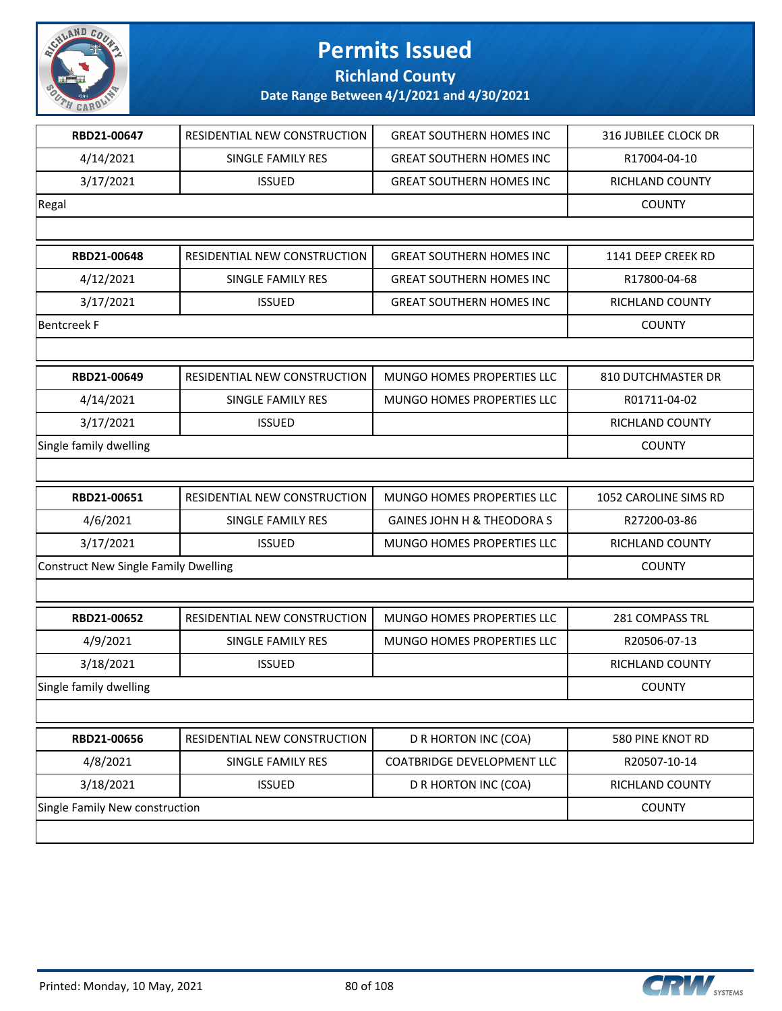

**Richland County**

| RBD21-00647                                 |                              |                                   |                        |
|---------------------------------------------|------------------------------|-----------------------------------|------------------------|
|                                             | RESIDENTIAL NEW CONSTRUCTION | <b>GREAT SOUTHERN HOMES INC</b>   | 316 JUBILEE CLOCK DR   |
| 4/14/2021                                   | SINGLE FAMILY RES            | <b>GREAT SOUTHERN HOMES INC</b>   | R17004-04-10           |
| 3/17/2021                                   | <b>ISSUED</b>                | <b>GREAT SOUTHERN HOMES INC</b>   | RICHLAND COUNTY        |
| Regal                                       |                              |                                   | <b>COUNTY</b>          |
|                                             |                              |                                   |                        |
| RBD21-00648                                 | RESIDENTIAL NEW CONSTRUCTION | <b>GREAT SOUTHERN HOMES INC</b>   | 1141 DEEP CREEK RD     |
| 4/12/2021                                   | <b>SINGLE FAMILY RES</b>     | <b>GREAT SOUTHERN HOMES INC</b>   | R17800-04-68           |
| 3/17/2021                                   | <b>ISSUED</b>                | <b>GREAT SOUTHERN HOMES INC</b>   | <b>RICHLAND COUNTY</b> |
| <b>Bentcreek F</b>                          |                              |                                   | <b>COUNTY</b>          |
|                                             |                              |                                   |                        |
| RBD21-00649                                 | RESIDENTIAL NEW CONSTRUCTION | MUNGO HOMES PROPERTIES LLC        | 810 DUTCHMASTER DR     |
| 4/14/2021                                   | <b>SINGLE FAMILY RES</b>     | MUNGO HOMES PROPERTIES LLC        | R01711-04-02           |
| 3/17/2021                                   | <b>ISSUED</b>                |                                   | RICHLAND COUNTY        |
| Single family dwelling                      |                              |                                   | <b>COUNTY</b>          |
|                                             |                              |                                   |                        |
| RBD21-00651                                 | RESIDENTIAL NEW CONSTRUCTION | MUNGO HOMES PROPERTIES LLC        | 1052 CAROLINE SIMS RD  |
| 4/6/2021                                    | SINGLE FAMILY RES            | GAINES JOHN H & THEODORA S        | R27200-03-86           |
| 3/17/2021                                   | <b>ISSUED</b>                | MUNGO HOMES PROPERTIES LLC        | RICHLAND COUNTY        |
| <b>Construct New Single Family Dwelling</b> |                              |                                   | <b>COUNTY</b>          |
|                                             |                              |                                   |                        |
|                                             |                              |                                   |                        |
| RBD21-00652                                 | RESIDENTIAL NEW CONSTRUCTION | <b>MUNGO HOMES PROPERTIES LLC</b> | <b>281 COMPASS TRL</b> |
| 4/9/2021                                    | SINGLE FAMILY RES            | MUNGO HOMES PROPERTIES LLC        | R20506-07-13           |
| 3/18/2021                                   | <b>ISSUED</b>                |                                   | RICHLAND COUNTY        |
| Single family dwelling                      |                              |                                   | <b>COUNTY</b>          |
|                                             |                              |                                   |                        |
| RBD21-00656                                 | RESIDENTIAL NEW CONSTRUCTION | D R HORTON INC (COA)              | 580 PINE KNOT RD       |
| 4/8/2021                                    | SINGLE FAMILY RES            | COATBRIDGE DEVELOPMENT LLC        | R20507-10-14           |
| 3/18/2021                                   | <b>ISSUED</b>                | D R HORTON INC (COA)              | RICHLAND COUNTY        |

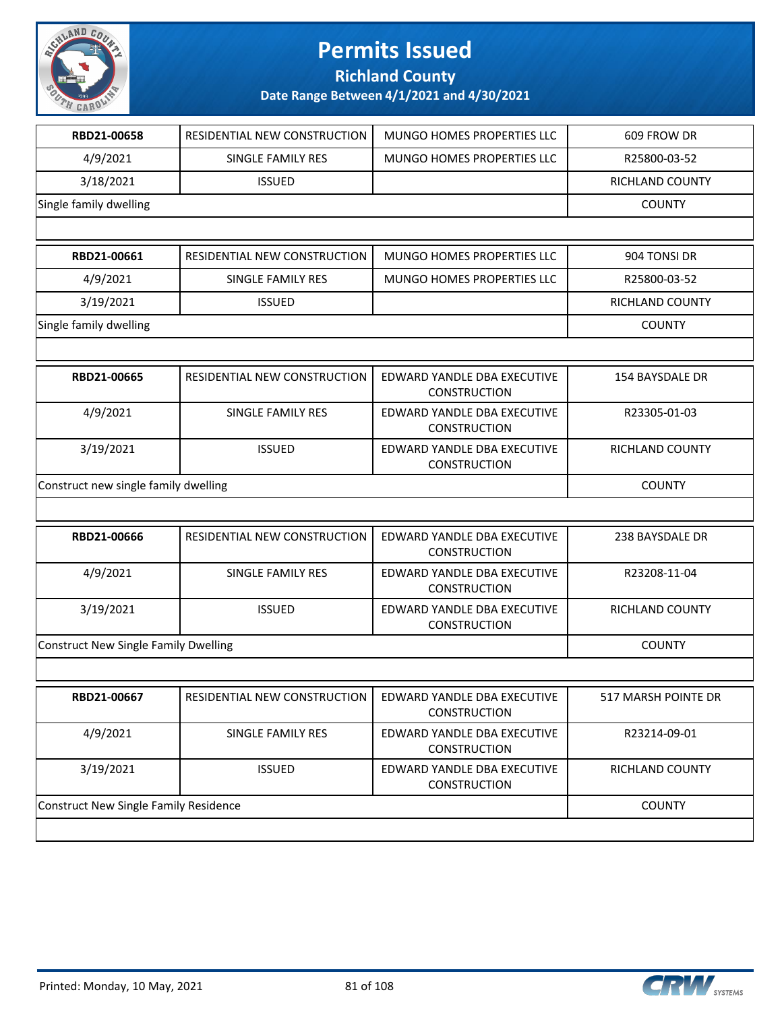

**Richland County**

| RBD21-00658                                 | RESIDENTIAL NEW CONSTRUCTION | MUNGO HOMES PROPERTIES LLC                         | 609 FROW DR            |
|---------------------------------------------|------------------------------|----------------------------------------------------|------------------------|
| 4/9/2021                                    | SINGLE FAMILY RES            | MUNGO HOMES PROPERTIES LLC                         | R25800-03-52           |
| 3/18/2021                                   | <b>ISSUED</b>                |                                                    | <b>RICHLAND COUNTY</b> |
| Single family dwelling                      |                              |                                                    | <b>COUNTY</b>          |
|                                             |                              |                                                    |                        |
| RBD21-00661                                 | RESIDENTIAL NEW CONSTRUCTION | MUNGO HOMES PROPERTIES LLC                         | 904 TONSI DR           |
| 4/9/2021                                    | SINGLE FAMILY RES            | MUNGO HOMES PROPERTIES LLC                         | R25800-03-52           |
| 3/19/2021                                   | <b>ISSUED</b>                |                                                    | RICHLAND COUNTY        |
| Single family dwelling                      |                              |                                                    | <b>COUNTY</b>          |
|                                             |                              |                                                    |                        |
| RBD21-00665                                 | RESIDENTIAL NEW CONSTRUCTION | EDWARD YANDLE DBA EXECUTIVE<br><b>CONSTRUCTION</b> | 154 BAYSDALE DR        |
| 4/9/2021                                    | SINGLE FAMILY RES            | EDWARD YANDLE DBA EXECUTIVE<br><b>CONSTRUCTION</b> | R23305-01-03           |
| 3/19/2021                                   | <b>ISSUED</b>                | EDWARD YANDLE DBA EXECUTIVE<br><b>CONSTRUCTION</b> | RICHLAND COUNTY        |
| Construct new single family dwelling        | <b>COUNTY</b>                |                                                    |                        |
|                                             |                              |                                                    |                        |
| RBD21-00666                                 | RESIDENTIAL NEW CONSTRUCTION | EDWARD YANDLE DBA EXECUTIVE<br><b>CONSTRUCTION</b> | 238 BAYSDALE DR        |
| 4/9/2021                                    | SINGLE FAMILY RES            | EDWARD YANDLE DBA EXECUTIVE<br><b>CONSTRUCTION</b> | R23208-11-04           |
| 3/19/2021                                   | <b>ISSUED</b>                | EDWARD YANDLE DBA EXECUTIVE<br>CONSTRUCTION        | RICHLAND COUNTY        |
| <b>Construct New Single Family Dwelling</b> |                              |                                                    | <b>COUNTY</b>          |
|                                             |                              |                                                    |                        |
| RBD21-00667                                 | RESIDENTIAL NEW CONSTRUCTION | EDWARD YANDLE DBA EXECUTIVE<br><b>CONSTRUCTION</b> | 517 MARSH POINTE DR    |
| 4/9/2021                                    | SINGLE FAMILY RES            | EDWARD YANDLE DBA EXECUTIVE<br>CONSTRUCTION        | R23214-09-01           |
| 3/19/2021                                   | <b>ISSUED</b>                | EDWARD YANDLE DBA EXECUTIVE<br>CONSTRUCTION        | <b>RICHLAND COUNTY</b> |
|                                             |                              |                                                    |                        |

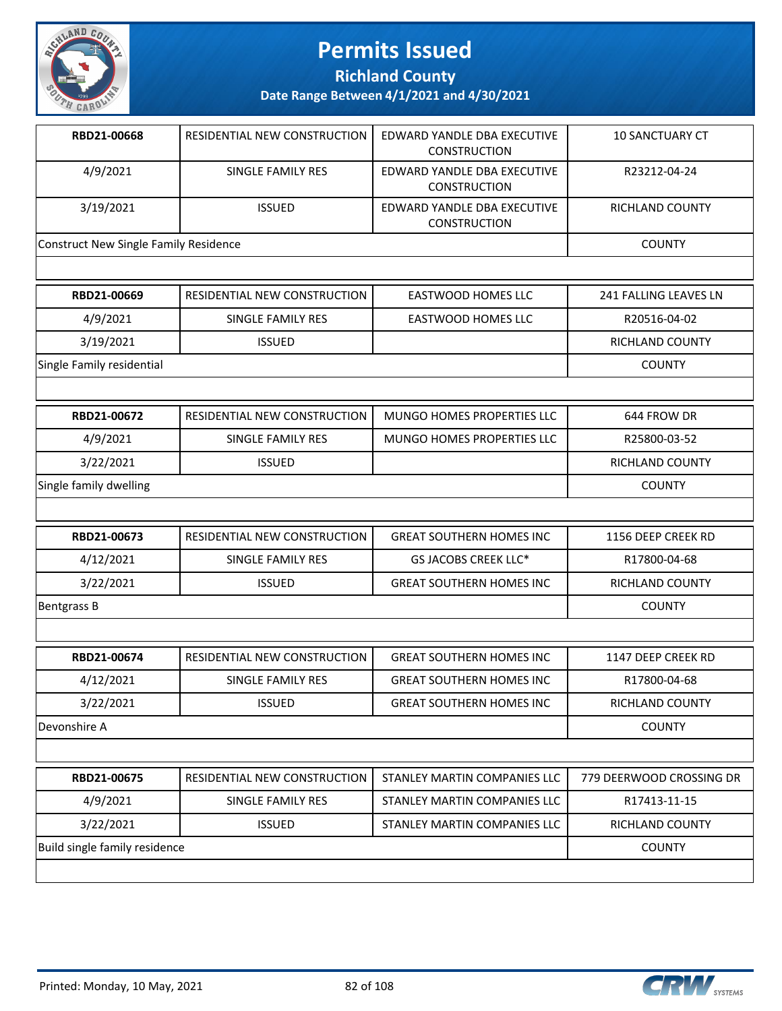

**Richland County**

| RBD21-00668                                  | RESIDENTIAL NEW CONSTRUCTION        | EDWARD YANDLE DBA EXECUTIVE<br><b>CONSTRUCTION</b> | <b>10 SANCTUARY CT</b>       |
|----------------------------------------------|-------------------------------------|----------------------------------------------------|------------------------------|
| 4/9/2021                                     | SINGLE FAMILY RES                   | EDWARD YANDLE DBA EXECUTIVE<br><b>CONSTRUCTION</b> | R23212-04-24                 |
| 3/19/2021                                    | <b>ISSUED</b>                       | EDWARD YANDLE DBA EXECUTIVE<br><b>CONSTRUCTION</b> | RICHLAND COUNTY              |
| <b>Construct New Single Family Residence</b> |                                     |                                                    | <b>COUNTY</b>                |
|                                              |                                     |                                                    |                              |
| RBD21-00669                                  | RESIDENTIAL NEW CONSTRUCTION        | <b>EASTWOOD HOMES LLC</b>                          | <b>241 FALLING LEAVES LN</b> |
| 4/9/2021                                     | <b>SINGLE FAMILY RES</b>            | <b>EASTWOOD HOMES LLC</b>                          | R20516-04-02                 |
| 3/19/2021                                    | <b>ISSUED</b>                       |                                                    | <b>RICHLAND COUNTY</b>       |
| Single Family residential                    |                                     |                                                    | <b>COUNTY</b>                |
|                                              |                                     |                                                    |                              |
| RBD21-00672                                  | <b>RESIDENTIAL NEW CONSTRUCTION</b> | MUNGO HOMES PROPERTIES LLC                         | 644 FROW DR                  |
| 4/9/2021                                     | SINGLE FAMILY RES                   | <b>MUNGO HOMES PROPERTIES LLC</b>                  | R25800-03-52                 |
| 3/22/2021                                    | <b>ISSUED</b>                       |                                                    | <b>RICHLAND COUNTY</b>       |
| Single family dwelling                       |                                     |                                                    | <b>COUNTY</b>                |
|                                              |                                     |                                                    |                              |
| RBD21-00673                                  | <b>RESIDENTIAL NEW CONSTRUCTION</b> | <b>GREAT SOUTHERN HOMES INC</b>                    | 1156 DEEP CREEK RD           |
| 4/12/2021                                    | SINGLE FAMILY RES                   | GS JACOBS CREEK LLC*                               | R17800-04-68                 |
| 3/22/2021                                    | <b>ISSUED</b>                       | <b>GREAT SOUTHERN HOMES INC</b>                    | <b>RICHLAND COUNTY</b>       |
| <b>Bentgrass B</b>                           |                                     |                                                    | <b>COUNTY</b>                |
|                                              |                                     |                                                    |                              |
| RBD21-00674                                  | <b>RESIDENTIAL NEW CONSTRUCTION</b> | <b>GREAT SOUTHERN HOMES INC</b>                    | 1147 DEEP CREEK RD           |
| 4/12/2021                                    | SINGLE FAMILY RES                   | <b>GREAT SOUTHERN HOMES INC</b>                    | R17800-04-68                 |
| 3/22/2021                                    | <b>ISSUED</b>                       | <b>GREAT SOUTHERN HOMES INC</b>                    | RICHLAND COUNTY              |
| Devonshire A                                 |                                     |                                                    | <b>COUNTY</b>                |
|                                              |                                     |                                                    |                              |

| RBD21-00675                   | RESIDENTIAL NEW CONSTRUCTION | STANLEY MARTIN COMPANIES LLC | 779 DEERWOOD CROSSING DR |
|-------------------------------|------------------------------|------------------------------|--------------------------|
| 4/9/2021                      | SINGLE FAMILY RES            | STANLEY MARTIN COMPANIES LLC | R17413-11-15             |
| 3/22/2021                     | <b>ISSUED</b>                | STANLEY MARTIN COMPANIES LLC | RICHLAND COUNTY          |
| Build single family residence |                              |                              | <b>COUNTY</b>            |
|                               |                              |                              |                          |

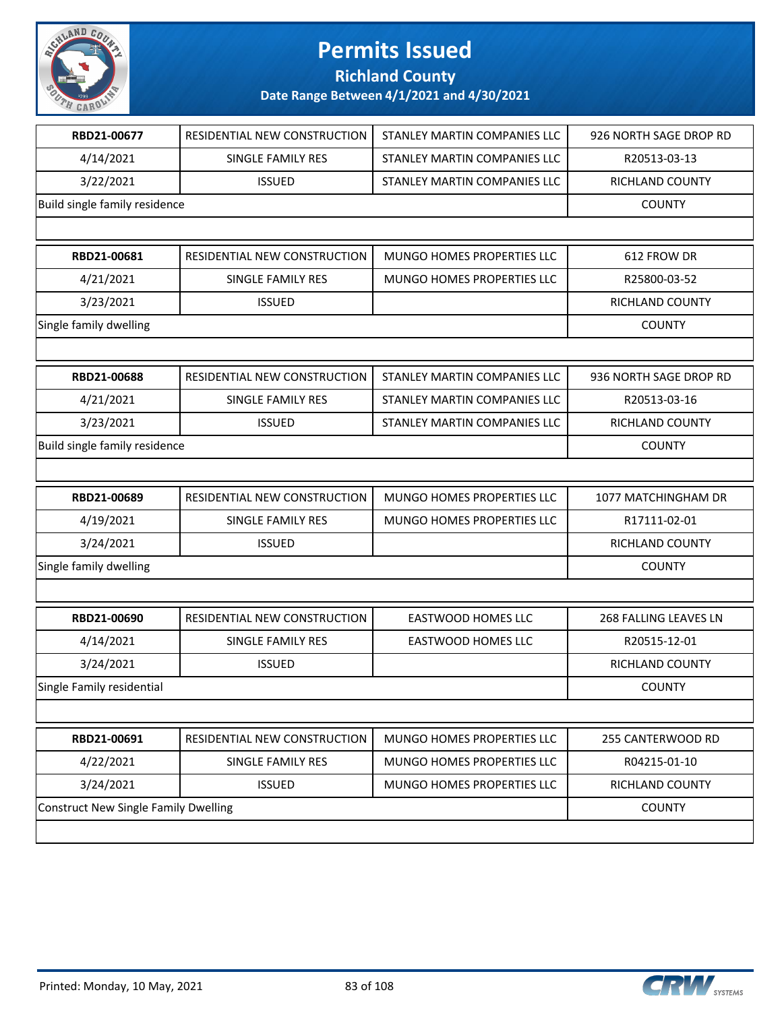

### **Richland County**

| RBD21-00677                                 | RESIDENTIAL NEW CONSTRUCTION | STANLEY MARTIN COMPANIES LLC | 926 NORTH SAGE DROP RD |
|---------------------------------------------|------------------------------|------------------------------|------------------------|
| 4/14/2021                                   | SINGLE FAMILY RES            | STANLEY MARTIN COMPANIES LLC | R20513-03-13           |
| 3/22/2021                                   | <b>ISSUED</b>                | STANLEY MARTIN COMPANIES LLC | RICHLAND COUNTY        |
| Build single family residence               |                              |                              | <b>COUNTY</b>          |
|                                             |                              |                              |                        |
| RBD21-00681                                 | RESIDENTIAL NEW CONSTRUCTION | MUNGO HOMES PROPERTIES LLC   | 612 FROW DR            |
| 4/21/2021                                   | SINGLE FAMILY RES            | MUNGO HOMES PROPERTIES LLC   | R25800-03-52           |
| 3/23/2021                                   | <b>ISSUED</b>                |                              | <b>RICHLAND COUNTY</b> |
| Single family dwelling                      |                              |                              | <b>COUNTY</b>          |
|                                             |                              |                              |                        |
| RBD21-00688                                 | RESIDENTIAL NEW CONSTRUCTION | STANLEY MARTIN COMPANIES LLC | 936 NORTH SAGE DROP RD |
| 4/21/2021                                   | SINGLE FAMILY RES            | STANLEY MARTIN COMPANIES LLC | R20513-03-16           |
| 3/23/2021                                   | <b>ISSUED</b>                | STANLEY MARTIN COMPANIES LLC | <b>RICHLAND COUNTY</b> |
| Build single family residence               |                              |                              | <b>COUNTY</b>          |
|                                             |                              |                              |                        |
| RBD21-00689                                 | RESIDENTIAL NEW CONSTRUCTION | MUNGO HOMES PROPERTIES LLC   | 1077 MATCHINGHAM DR    |
| 4/19/2021                                   | SINGLE FAMILY RES            | MUNGO HOMES PROPERTIES LLC   | R17111-02-01           |
| 3/24/2021                                   | <b>ISSUED</b>                |                              | RICHLAND COUNTY        |
| Single family dwelling                      |                              |                              | <b>COUNTY</b>          |
|                                             |                              |                              |                        |
| RBD21-00690                                 | RESIDENTIAL NEW CONSTRUCTION | <b>EASTWOOD HOMES LLC</b>    | 268 FALLING LEAVES LN  |
| 4/14/2021                                   | SINGLE FAMILY RES            | <b>EASTWOOD HOMES LLC</b>    | R20515-12-01           |
| 3/24/2021                                   | <b>ISSUED</b>                |                              | RICHLAND COUNTY        |
| Single Family residential                   |                              |                              | <b>COUNTY</b>          |
|                                             |                              |                              |                        |
| RBD21-00691                                 | RESIDENTIAL NEW CONSTRUCTION | MUNGO HOMES PROPERTIES LLC   | 255 CANTERWOOD RD      |
| 4/22/2021                                   | SINGLE FAMILY RES            | MUNGO HOMES PROPERTIES LLC   | R04215-01-10           |
| 3/24/2021                                   | <b>ISSUED</b>                | MUNGO HOMES PROPERTIES LLC   | RICHLAND COUNTY        |
| <b>Construct New Single Family Dwelling</b> |                              |                              | <b>COUNTY</b>          |
|                                             |                              |                              |                        |

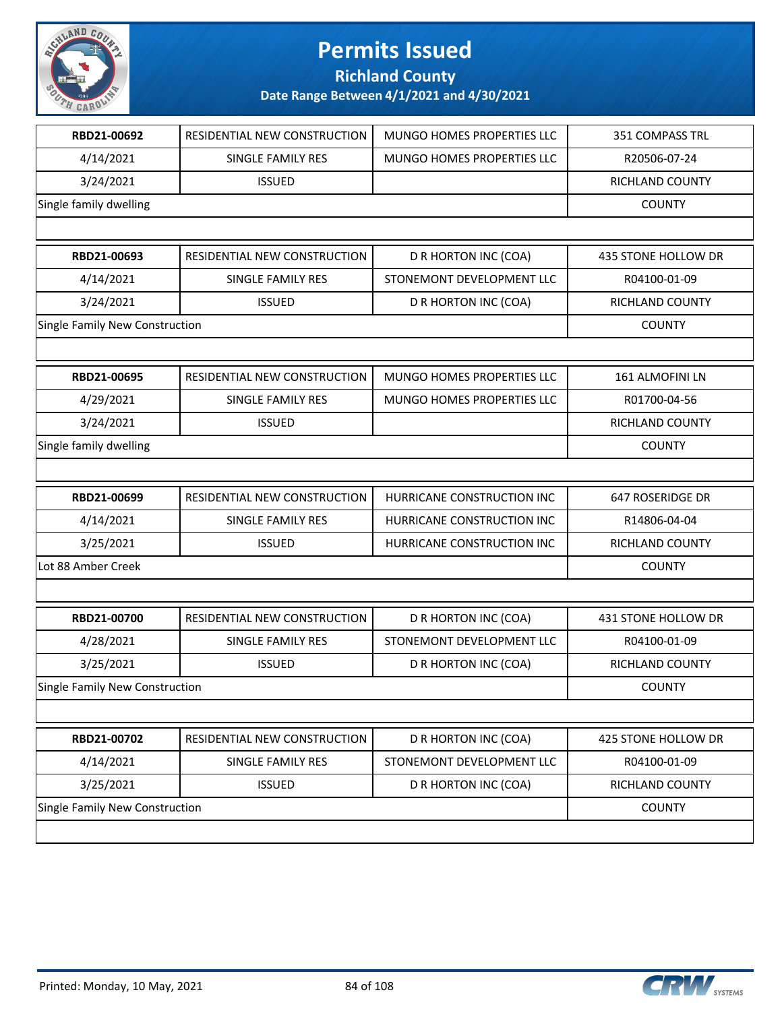

**Richland County**

| RBD21-00692                    | RESIDENTIAL NEW CONSTRUCTION | MUNGO HOMES PROPERTIES LLC | 351 COMPASS TRL        |
|--------------------------------|------------------------------|----------------------------|------------------------|
| 4/14/2021                      | SINGLE FAMILY RES            | MUNGO HOMES PROPERTIES LLC | R20506-07-24           |
| 3/24/2021                      | <b>ISSUED</b>                |                            | RICHLAND COUNTY        |
| Single family dwelling         |                              |                            | <b>COUNTY</b>          |
|                                |                              |                            |                        |
| RBD21-00693                    | RESIDENTIAL NEW CONSTRUCTION | D R HORTON INC (COA)       | 435 STONE HOLLOW DR    |
| 4/14/2021                      | SINGLE FAMILY RES            | STONEMONT DEVELOPMENT LLC  | R04100-01-09           |
| 3/24/2021                      | <b>ISSUED</b>                | D R HORTON INC (COA)       | <b>RICHLAND COUNTY</b> |
| Single Family New Construction |                              |                            | <b>COUNTY</b>          |
|                                |                              |                            |                        |
| RBD21-00695                    | RESIDENTIAL NEW CONSTRUCTION | MUNGO HOMES PROPERTIES LLC | 161 ALMOFINI LN        |
| 4/29/2021                      | SINGLE FAMILY RES            | MUNGO HOMES PROPERTIES LLC | R01700-04-56           |
| 3/24/2021                      | <b>ISSUED</b>                |                            | RICHLAND COUNTY        |
| Single family dwelling         |                              |                            | <b>COUNTY</b>          |
|                                |                              |                            |                        |
| RBD21-00699                    | RESIDENTIAL NEW CONSTRUCTION | HURRICANE CONSTRUCTION INC | 647 ROSERIDGE DR       |
| 4/14/2021                      | SINGLE FAMILY RES            | HURRICANE CONSTRUCTION INC | R14806-04-04           |
| 3/25/2021                      | <b>ISSUED</b>                | HURRICANE CONSTRUCTION INC | <b>RICHLAND COUNTY</b> |
| Lot 88 Amber Creek             |                              |                            | <b>COUNTY</b>          |
|                                |                              |                            |                        |
| RBD21-00700                    | RESIDENTIAL NEW CONSTRUCTION | D R HORTON INC (COA)       | 431 STONE HOLLOW DR    |
| 4/28/2021                      | SINGLE FAMILY RES            | STONEMONT DEVELOPMENT LLC  | R04100-01-09           |
| 3/25/2021                      | <b>ISSUED</b>                | D R HORTON INC (COA)       | RICHLAND COUNTY        |
| Single Family New Construction |                              |                            | <b>COUNTY</b>          |
|                                |                              |                            |                        |
| RBD21-00702                    | RESIDENTIAL NEW CONSTRUCTION | D R HORTON INC (COA)       | 425 STONE HOLLOW DR    |
| 4/14/2021                      | SINGLE FAMILY RES            | STONEMONT DEVELOPMENT LLC  | R04100-01-09           |
| 3/25/2021                      | <b>ISSUED</b>                | D R HORTON INC (COA)       | RICHLAND COUNTY        |
| Single Family New Construction |                              |                            | <b>COUNTY</b>          |
|                                |                              |                            |                        |

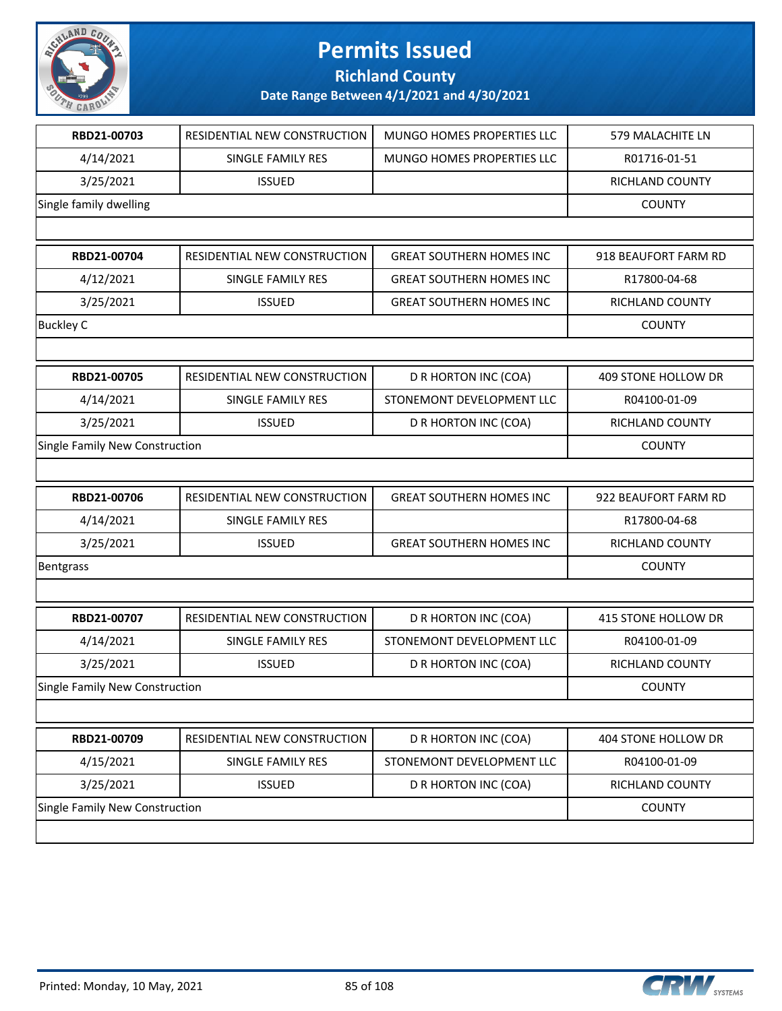

**Richland County**

| RBD21-00703                    | RESIDENTIAL NEW CONSTRUCTION | MUNGO HOMES PROPERTIES LLC      | 579 MALACHITE LN     |
|--------------------------------|------------------------------|---------------------------------|----------------------|
| 4/14/2021                      | SINGLE FAMILY RES            | MUNGO HOMES PROPERTIES LLC      | R01716-01-51         |
| 3/25/2021                      | <b>ISSUED</b>                |                                 | RICHLAND COUNTY      |
| Single family dwelling         |                              |                                 | <b>COUNTY</b>        |
|                                |                              |                                 |                      |
| RBD21-00704                    | RESIDENTIAL NEW CONSTRUCTION | <b>GREAT SOUTHERN HOMES INC</b> | 918 BEAUFORT FARM RD |
| 4/12/2021                      | SINGLE FAMILY RES            | <b>GREAT SOUTHERN HOMES INC</b> | R17800-04-68         |
| 3/25/2021                      | <b>ISSUED</b>                | <b>GREAT SOUTHERN HOMES INC</b> | RICHLAND COUNTY      |
| <b>Buckley C</b>               |                              |                                 | <b>COUNTY</b>        |
|                                |                              |                                 |                      |
| RBD21-00705                    | RESIDENTIAL NEW CONSTRUCTION | D R HORTON INC (COA)            | 409 STONE HOLLOW DR  |
| 4/14/2021                      | SINGLE FAMILY RES            | STONEMONT DEVELOPMENT LLC       | R04100-01-09         |
| 3/25/2021                      | <b>ISSUED</b>                | D R HORTON INC (COA)            | RICHLAND COUNTY      |
| Single Family New Construction |                              |                                 | <b>COUNTY</b>        |
|                                |                              |                                 |                      |
| RBD21-00706                    | RESIDENTIAL NEW CONSTRUCTION | <b>GREAT SOUTHERN HOMES INC</b> | 922 BEAUFORT FARM RD |
| 4/14/2021                      | SINGLE FAMILY RES            |                                 | R17800-04-68         |
| 3/25/2021                      | <b>ISSUED</b>                | <b>GREAT SOUTHERN HOMES INC</b> | RICHLAND COUNTY      |
| Bentgrass                      |                              |                                 | <b>COUNTY</b>        |
|                                |                              |                                 |                      |
| RBD21-00707                    | RESIDENTIAL NEW CONSTRUCTION | D R HORTON INC (COA)            | 415 STONE HOLLOW DR  |
| 4/14/2021                      | SINGLE FAMILY RES            | STONEMONT DEVELOPMENT LLC       | R04100-01-09         |
| 3/25/2021                      | <b>ISSUED</b>                | D R HORTON INC (COA)            | RICHLAND COUNTY      |
| Single Family New Construction |                              |                                 | <b>COUNTY</b>        |
|                                |                              |                                 |                      |
| RBD21-00709                    | RESIDENTIAL NEW CONSTRUCTION | D R HORTON INC (COA)            | 404 STONE HOLLOW DR  |
| 4/15/2021                      | SINGLE FAMILY RES            | STONEMONT DEVELOPMENT LLC       | R04100-01-09         |
| 3/25/2021                      | <b>ISSUED</b>                | D R HORTON INC (COA)            | RICHLAND COUNTY      |
| Single Family New Construction |                              |                                 | <b>COUNTY</b>        |
|                                |                              |                                 |                      |

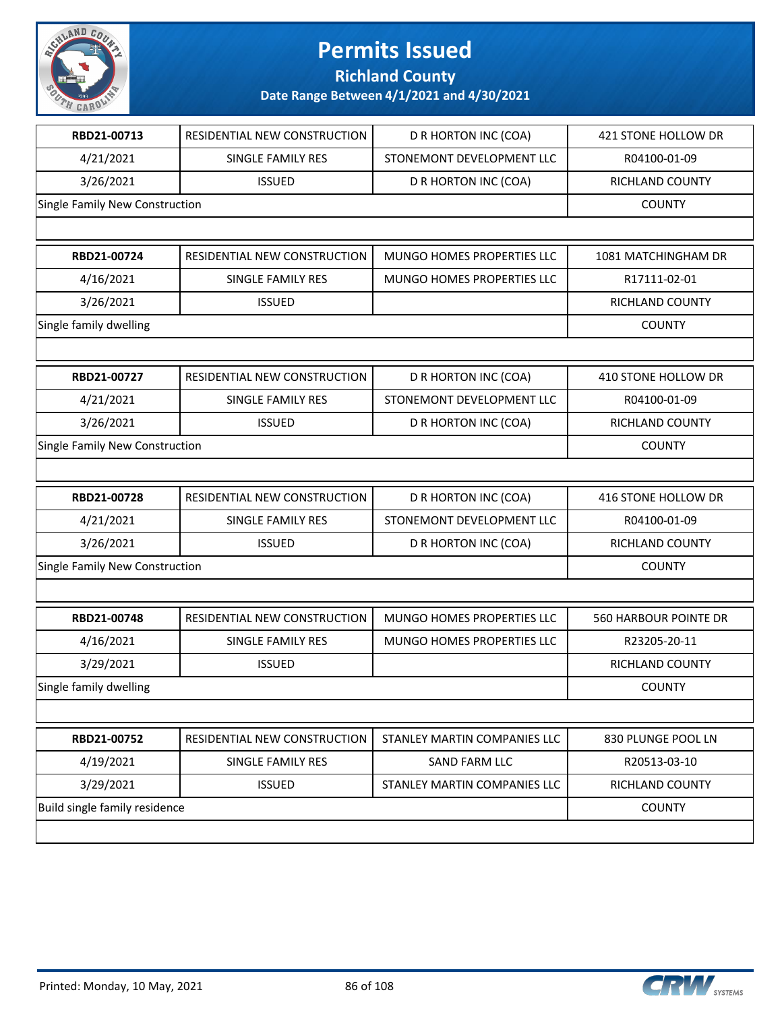

**Richland County**

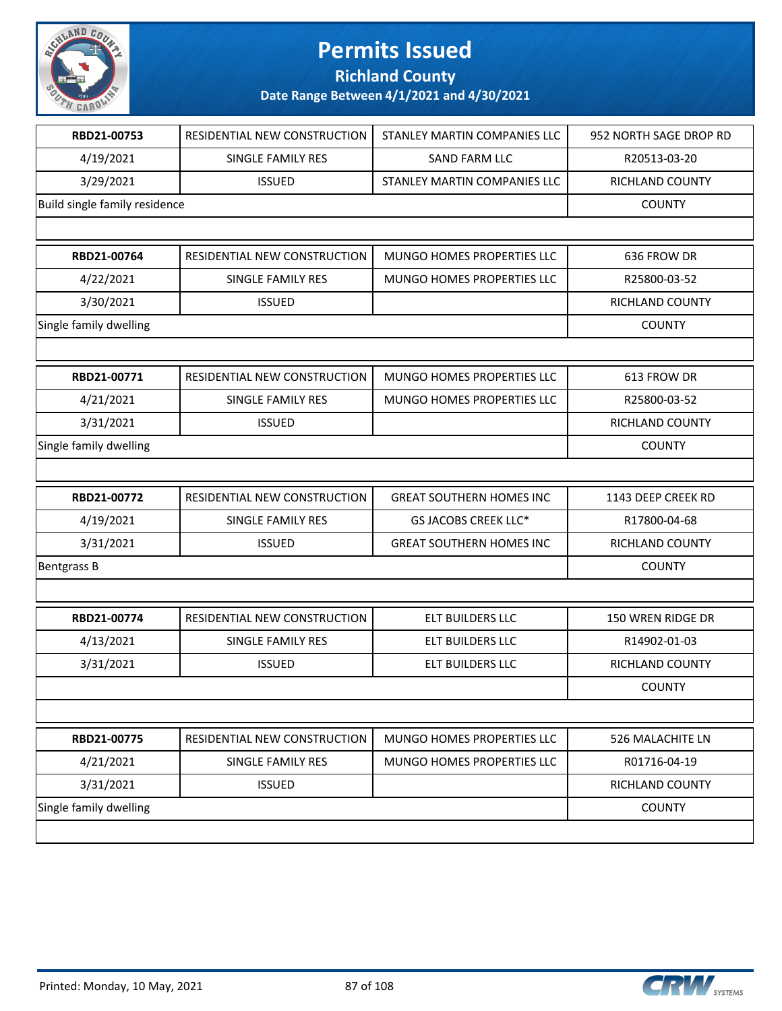

**Richland County**

| RBD21-00753                   | RESIDENTIAL NEW CONSTRUCTION | STANLEY MARTIN COMPANIES LLC    | 952 NORTH SAGE DROP RD |
|-------------------------------|------------------------------|---------------------------------|------------------------|
| 4/19/2021                     | SINGLE FAMILY RES            | <b>SAND FARM LLC</b>            | R20513-03-20           |
| 3/29/2021                     | <b>ISSUED</b>                | STANLEY MARTIN COMPANIES LLC    | RICHLAND COUNTY        |
| Build single family residence |                              |                                 | <b>COUNTY</b>          |
|                               |                              |                                 |                        |
| RBD21-00764                   | RESIDENTIAL NEW CONSTRUCTION | MUNGO HOMES PROPERTIES LLC      | 636 FROW DR            |
| 4/22/2021                     | SINGLE FAMILY RES            | MUNGO HOMES PROPERTIES LLC      | R25800-03-52           |
| 3/30/2021                     | <b>ISSUED</b>                |                                 | RICHLAND COUNTY        |
| Single family dwelling        |                              |                                 | <b>COUNTY</b>          |
|                               |                              |                                 |                        |
| RBD21-00771                   | RESIDENTIAL NEW CONSTRUCTION | MUNGO HOMES PROPERTIES LLC      | 613 FROW DR            |
| 4/21/2021                     | SINGLE FAMILY RES            | MUNGO HOMES PROPERTIES LLC      | R25800-03-52           |
| 3/31/2021                     | <b>ISSUED</b>                |                                 | <b>RICHLAND COUNTY</b> |
| Single family dwelling        |                              |                                 | <b>COUNTY</b>          |
|                               |                              |                                 |                        |
| RBD21-00772                   | RESIDENTIAL NEW CONSTRUCTION | <b>GREAT SOUTHERN HOMES INC</b> | 1143 DEEP CREEK RD     |
| 4/19/2021                     | SINGLE FAMILY RES            | GS JACOBS CREEK LLC*            | R17800-04-68           |
| 3/31/2021                     | <b>ISSUED</b>                | <b>GREAT SOUTHERN HOMES INC</b> | RICHLAND COUNTY        |
| <b>Bentgrass B</b>            |                              |                                 | <b>COUNTY</b>          |
|                               |                              |                                 |                        |
| RBD21-00774                   | RESIDENTIAL NEW CONSTRUCTION | ELT BUILDERS LLC                | 150 WREN RIDGE DR      |
| 4/13/2021                     | SINGLE FAMILY RES            | ELT BUILDERS LLC                | R14902-01-03           |
| 3/31/2021                     | <b>ISSUED</b>                | ELT BUILDERS LLC                | RICHLAND COUNTY        |
|                               |                              |                                 | <b>COUNTY</b>          |
|                               |                              |                                 |                        |
| RBD21-00775                   | RESIDENTIAL NEW CONSTRUCTION | MUNGO HOMES PROPERTIES LLC      | 526 MALACHITE LN       |
| 4/21/2021                     | SINGLE FAMILY RES            | MUNGO HOMES PROPERTIES LLC      | R01716-04-19           |
| 3/31/2021                     | <b>ISSUED</b>                |                                 | RICHLAND COUNTY        |
| Single family dwelling        |                              |                                 | <b>COUNTY</b>          |
|                               |                              |                                 |                        |
|                               |                              |                                 |                        |

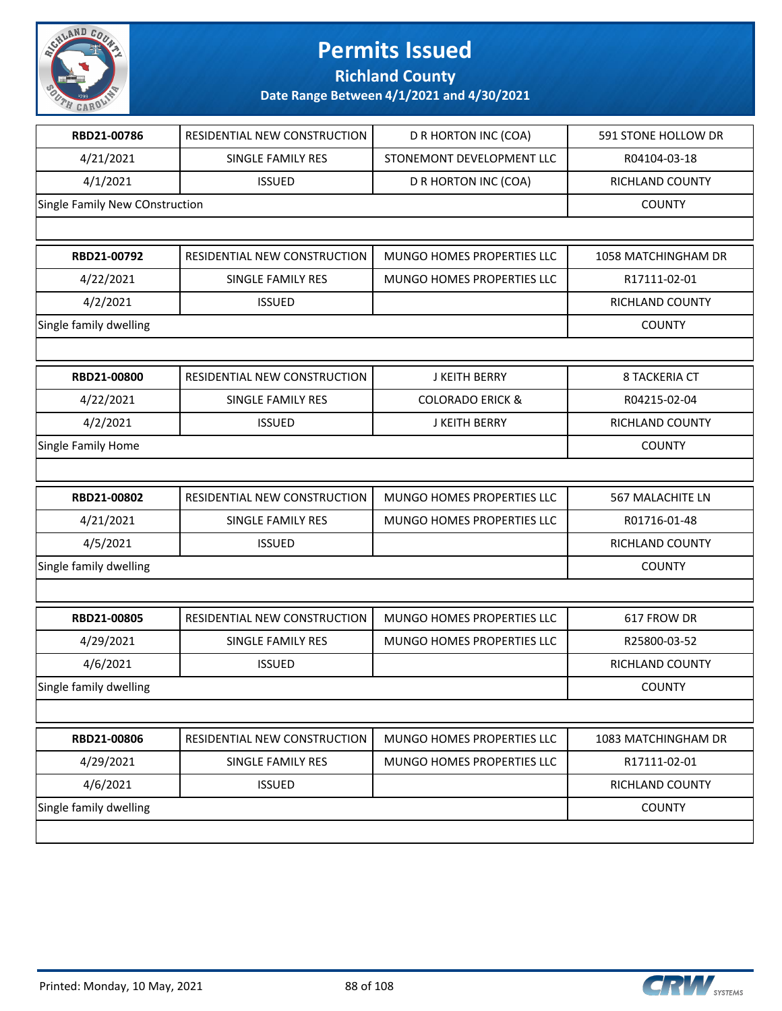

**Richland County**

| RBD21-00786                    | RESIDENTIAL NEW CONSTRUCTION | D R HORTON INC (COA)        | 591 STONE HOLLOW DR  |
|--------------------------------|------------------------------|-----------------------------|----------------------|
| 4/21/2021                      | SINGLE FAMILY RES            | STONEMONT DEVELOPMENT LLC   | R04104-03-18         |
| 4/1/2021                       | <b>ISSUED</b>                | D R HORTON INC (COA)        | RICHLAND COUNTY      |
| Single Family New COnstruction |                              |                             | <b>COUNTY</b>        |
|                                |                              |                             |                      |
| RBD21-00792                    | RESIDENTIAL NEW CONSTRUCTION | MUNGO HOMES PROPERTIES LLC  | 1058 MATCHINGHAM DR  |
| 4/22/2021                      | SINGLE FAMILY RES            | MUNGO HOMES PROPERTIES LLC  | R17111-02-01         |
| 4/2/2021                       | <b>ISSUED</b>                |                             | RICHLAND COUNTY      |
| Single family dwelling         |                              |                             | <b>COUNTY</b>        |
|                                |                              |                             |                      |
| RBD21-00800                    | RESIDENTIAL NEW CONSTRUCTION | <b>J KEITH BERRY</b>        | <b>8 TACKERIA CT</b> |
| 4/22/2021                      | SINGLE FAMILY RES            | <b>COLORADO ERICK &amp;</b> | R04215-02-04         |
| 4/2/2021                       | <b>ISSUED</b>                | J KEITH BERRY               | RICHLAND COUNTY      |
| Single Family Home             |                              |                             | <b>COUNTY</b>        |
|                                |                              |                             |                      |
| RBD21-00802                    | RESIDENTIAL NEW CONSTRUCTION | MUNGO HOMES PROPERTIES LLC  | 567 MALACHITE LN     |
| 4/21/2021                      | SINGLE FAMILY RES            | MUNGO HOMES PROPERTIES LLC  | R01716-01-48         |
| 4/5/2021                       | <b>ISSUED</b>                |                             | RICHLAND COUNTY      |
| Single family dwelling         |                              |                             | <b>COUNTY</b>        |
|                                |                              |                             |                      |
| RBD21-00805                    | RESIDENTIAL NEW CONSTRUCTION | MUNGO HOMES PROPERTIES LLC  | 617 FROW DR          |
| 4/29/2021                      | SINGLE FAMILY RES            | MUNGO HOMES PROPERTIES LLC  | R25800-03-52         |
| 4/6/2021                       | <b>ISSUED</b>                |                             | RICHLAND COUNTY      |
| Single family dwelling         |                              |                             | <b>COUNTY</b>        |
|                                |                              |                             |                      |
| RBD21-00806                    | RESIDENTIAL NEW CONSTRUCTION | MUNGO HOMES PROPERTIES LLC  | 1083 MATCHINGHAM DR  |
| 4/29/2021                      | SINGLE FAMILY RES            | MUNGO HOMES PROPERTIES LLC  | R17111-02-01         |
| 4/6/2021                       | <b>ISSUED</b>                |                             | RICHLAND COUNTY      |
| Single family dwelling         |                              |                             | <b>COUNTY</b>        |
|                                |                              |                             |                      |
|                                |                              |                             |                      |

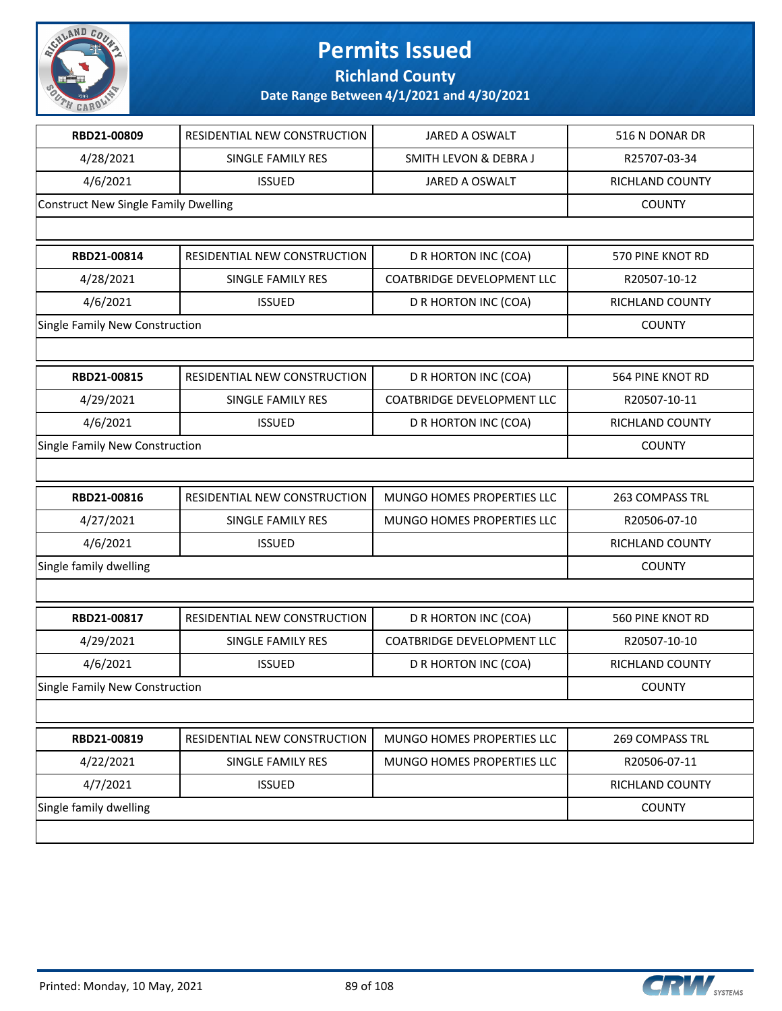

**Richland County**

| RBD21-00809                                 | RESIDENTIAL NEW CONSTRUCTION | JARED A OSWALT                    | 516 N DONAR DR   |
|---------------------------------------------|------------------------------|-----------------------------------|------------------|
| 4/28/2021                                   | SINGLE FAMILY RES            | SMITH LEVON & DEBRA J             | R25707-03-34     |
| 4/6/2021                                    | <b>ISSUED</b>                | JARED A OSWALT                    | RICHLAND COUNTY  |
| <b>Construct New Single Family Dwelling</b> |                              |                                   | <b>COUNTY</b>    |
|                                             |                              |                                   |                  |
| RBD21-00814                                 | RESIDENTIAL NEW CONSTRUCTION | D R HORTON INC (COA)              | 570 PINE KNOT RD |
| 4/28/2021                                   | SINGLE FAMILY RES            | <b>COATBRIDGE DEVELOPMENT LLC</b> | R20507-10-12     |
| 4/6/2021                                    | <b>ISSUED</b>                | D R HORTON INC (COA)              | RICHLAND COUNTY  |
| Single Family New Construction              |                              |                                   | <b>COUNTY</b>    |
|                                             |                              |                                   |                  |
| RBD21-00815                                 | RESIDENTIAL NEW CONSTRUCTION | D R HORTON INC (COA)              | 564 PINE KNOT RD |
| 4/29/2021                                   | SINGLE FAMILY RES            | <b>COATBRIDGE DEVELOPMENT LLC</b> | R20507-10-11     |
| 4/6/2021                                    | <b>ISSUED</b>                | D R HORTON INC (COA)              | RICHLAND COUNTY  |
| Single Family New Construction              |                              |                                   | <b>COUNTY</b>    |
|                                             |                              |                                   |                  |
| RBD21-00816                                 | RESIDENTIAL NEW CONSTRUCTION | MUNGO HOMES PROPERTIES LLC        | 263 COMPASS TRL  |
| 4/27/2021                                   | SINGLE FAMILY RES            | MUNGO HOMES PROPERTIES LLC        | R20506-07-10     |
| 4/6/2021                                    | <b>ISSUED</b>                |                                   | RICHLAND COUNTY  |
| Single family dwelling                      |                              |                                   | <b>COUNTY</b>    |
|                                             |                              |                                   |                  |
| RBD21-00817                                 | RESIDENTIAL NEW CONSTRUCTION | D R HORTON INC (COA)              | 560 PINE KNOT RD |
| 4/29/2021                                   | SINGLE FAMILY RES            | <b>COATBRIDGE DEVELOPMENT LLC</b> | R20507-10-10     |
| 4/6/2021                                    | <b>ISSUED</b>                | D R HORTON INC (COA)              | RICHLAND COUNTY  |
| Single Family New Construction              |                              |                                   | <b>COUNTY</b>    |
|                                             |                              |                                   |                  |
| RBD21-00819                                 | RESIDENTIAL NEW CONSTRUCTION | MUNGO HOMES PROPERTIES LLC        | 269 COMPASS TRL  |
| 4/22/2021                                   | SINGLE FAMILY RES            | MUNGO HOMES PROPERTIES LLC        | R20506-07-11     |
| 4/7/2021                                    | <b>ISSUED</b>                |                                   | RICHLAND COUNTY  |
| Single family dwelling                      |                              |                                   | <b>COUNTY</b>    |
|                                             |                              |                                   |                  |

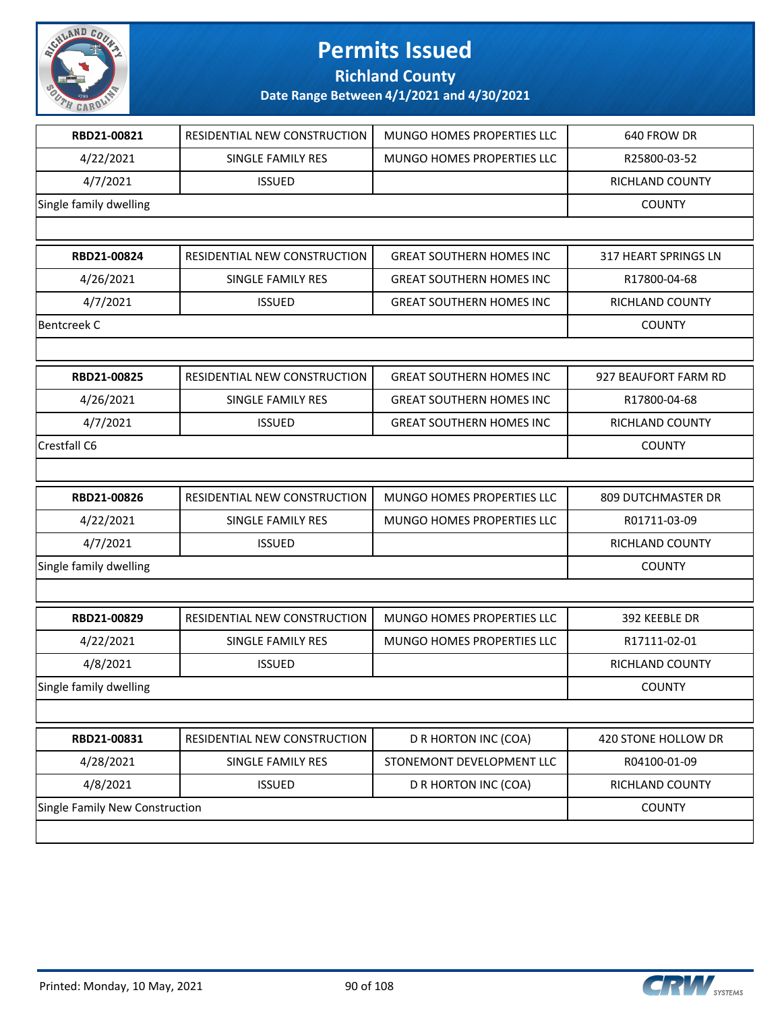

**Richland County**

| RBD21-00821                    | RESIDENTIAL NEW CONSTRUCTION | MUNGO HOMES PROPERTIES LLC      | 640 FROW DR          |
|--------------------------------|------------------------------|---------------------------------|----------------------|
| 4/22/2021                      | SINGLE FAMILY RES            | MUNGO HOMES PROPERTIES LLC      | R25800-03-52         |
| 4/7/2021                       | <b>ISSUED</b>                |                                 | RICHLAND COUNTY      |
| Single family dwelling         |                              |                                 | <b>COUNTY</b>        |
|                                |                              |                                 |                      |
| RBD21-00824                    | RESIDENTIAL NEW CONSTRUCTION | <b>GREAT SOUTHERN HOMES INC</b> | 317 HEART SPRINGS LN |
| 4/26/2021                      | SINGLE FAMILY RES            | <b>GREAT SOUTHERN HOMES INC</b> | R17800-04-68         |
| 4/7/2021                       | <b>ISSUED</b>                | <b>GREAT SOUTHERN HOMES INC</b> | RICHLAND COUNTY      |
| <b>Bentcreek C</b>             |                              |                                 | <b>COUNTY</b>        |
|                                |                              |                                 |                      |
| RBD21-00825                    | RESIDENTIAL NEW CONSTRUCTION | <b>GREAT SOUTHERN HOMES INC</b> | 927 BEAUFORT FARM RD |
| 4/26/2021                      | SINGLE FAMILY RES            | <b>GREAT SOUTHERN HOMES INC</b> | R17800-04-68         |
| 4/7/2021                       | <b>ISSUED</b>                | <b>GREAT SOUTHERN HOMES INC</b> | RICHLAND COUNTY      |
| Crestfall C6                   |                              |                                 | <b>COUNTY</b>        |
|                                |                              |                                 |                      |
| RBD21-00826                    | RESIDENTIAL NEW CONSTRUCTION | MUNGO HOMES PROPERTIES LLC      | 809 DUTCHMASTER DR   |
| 4/22/2021                      | SINGLE FAMILY RES            | MUNGO HOMES PROPERTIES LLC      | R01711-03-09         |
| 4/7/2021                       | <b>ISSUED</b>                |                                 | RICHLAND COUNTY      |
| Single family dwelling         |                              |                                 | <b>COUNTY</b>        |
|                                |                              |                                 |                      |
| RBD21-00829                    | RESIDENTIAL NEW CONSTRUCTION | MUNGO HOMES PROPERTIES LLC      | 392 KEEBLE DR        |
| 4/22/2021                      | <b>SINGLE FAMILY RES</b>     | MUNGO HOMES PROPERTIES LLC      | R17111-02-01         |
| 4/8/2021                       | <b>ISSUED</b>                |                                 | RICHLAND COUNTY      |
| Single family dwelling         |                              |                                 | <b>COUNTY</b>        |
|                                |                              |                                 |                      |
| RBD21-00831                    | RESIDENTIAL NEW CONSTRUCTION | D R HORTON INC (COA)            | 420 STONE HOLLOW DR  |
| 4/28/2021                      | SINGLE FAMILY RES            | STONEMONT DEVELOPMENT LLC       | R04100-01-09         |
| 4/8/2021                       | <b>ISSUED</b>                | D R HORTON INC (COA)            | RICHLAND COUNTY      |
| Single Family New Construction |                              |                                 | <b>COUNTY</b>        |
|                                |                              |                                 |                      |

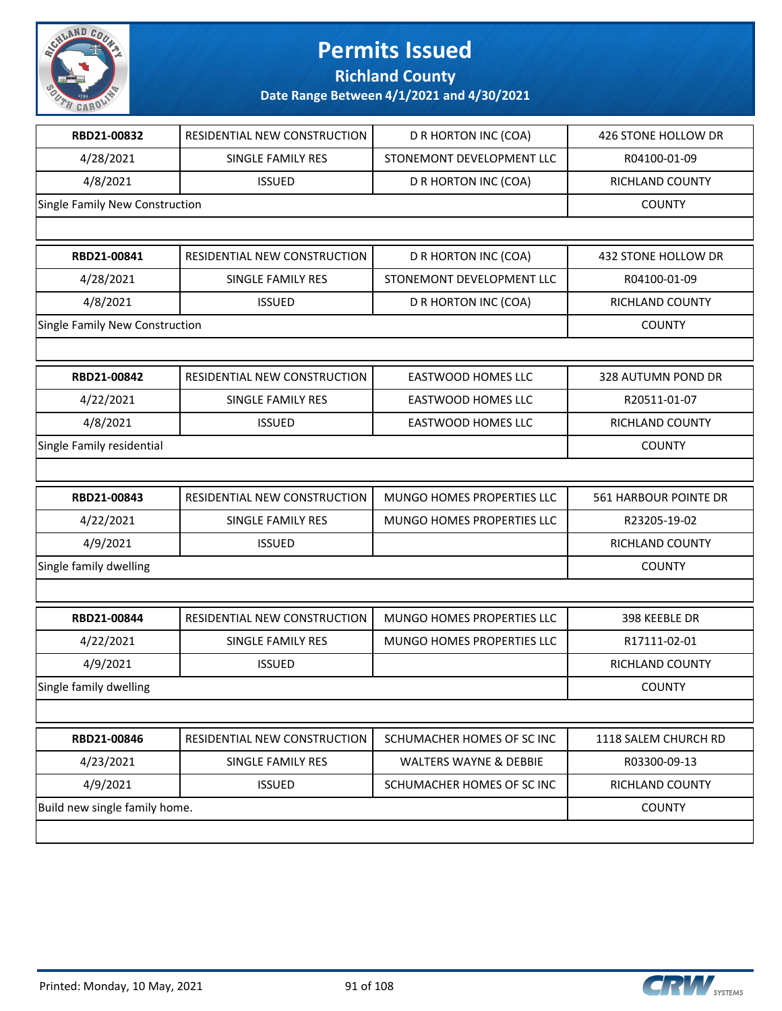

**Richland County**

| RBD21-00832                    | RESIDENTIAL NEW CONSTRUCTION | D R HORTON INC (COA)              | 426 STONE HOLLOW DR    |
|--------------------------------|------------------------------|-----------------------------------|------------------------|
| 4/28/2021                      | SINGLE FAMILY RES            | STONEMONT DEVELOPMENT LLC         | R04100-01-09           |
| 4/8/2021                       | <b>ISSUED</b>                | D R HORTON INC (COA)              | RICHLAND COUNTY        |
| Single Family New Construction |                              |                                   | <b>COUNTY</b>          |
|                                |                              |                                   |                        |
| RBD21-00841                    | RESIDENTIAL NEW CONSTRUCTION | D R HORTON INC (COA)              | 432 STONE HOLLOW DR    |
| 4/28/2021                      | SINGLE FAMILY RES            | STONEMONT DEVELOPMENT LLC         | R04100-01-09           |
| 4/8/2021                       | <b>ISSUED</b>                | D R HORTON INC (COA)              | RICHLAND COUNTY        |
| Single Family New Construction |                              |                                   | <b>COUNTY</b>          |
|                                |                              |                                   |                        |
| RBD21-00842                    | RESIDENTIAL NEW CONSTRUCTION | <b>EASTWOOD HOMES LLC</b>         | 328 AUTUMN POND DR     |
| 4/22/2021                      | SINGLE FAMILY RES            | EASTWOOD HOMES LLC                | R20511-01-07           |
| 4/8/2021                       | <b>ISSUED</b>                | <b>EASTWOOD HOMES LLC</b>         | RICHLAND COUNTY        |
| Single Family residential      |                              |                                   | <b>COUNTY</b>          |
|                                |                              |                                   |                        |
| RBD21-00843                    | RESIDENTIAL NEW CONSTRUCTION | MUNGO HOMES PROPERTIES LLC        | 561 HARBOUR POINTE DR  |
| 4/22/2021                      | SINGLE FAMILY RES            | MUNGO HOMES PROPERTIES LLC        | R23205-19-02           |
| 4/9/2021                       | <b>ISSUED</b>                |                                   | RICHLAND COUNTY        |
| Single family dwelling         |                              | <b>COUNTY</b>                     |                        |
|                                |                              |                                   |                        |
| RBD21-00844                    | RESIDENTIAL NEW CONSTRUCTION | MUNGO HOMES PROPERTIES LLC        | 398 KEEBLE DR          |
| 4/22/2021                      | SINGLE FAMILY RES            | MUNGO HOMES PROPERTIES LLC        | R17111-02-01           |
| 4/9/2021                       | <b>ISSUED</b>                |                                   | <b>RICHLAND COUNTY</b> |
| Single family dwelling         |                              |                                   | <b>COUNTY</b>          |
|                                |                              |                                   |                        |
| RBD21-00846                    | RESIDENTIAL NEW CONSTRUCTION | SCHUMACHER HOMES OF SC INC        | 1118 SALEM CHURCH RD   |
| 4/23/2021                      | SINGLE FAMILY RES            | <b>WALTERS WAYNE &amp; DEBBIE</b> | R03300-09-13           |
| 4/9/2021                       | <b>ISSUED</b>                | SCHUMACHER HOMES OF SC INC        | RICHLAND COUNTY        |
| Build new single family home.  |                              |                                   | <b>COUNTY</b>          |
|                                |                              |                                   |                        |
|                                |                              |                                   |                        |

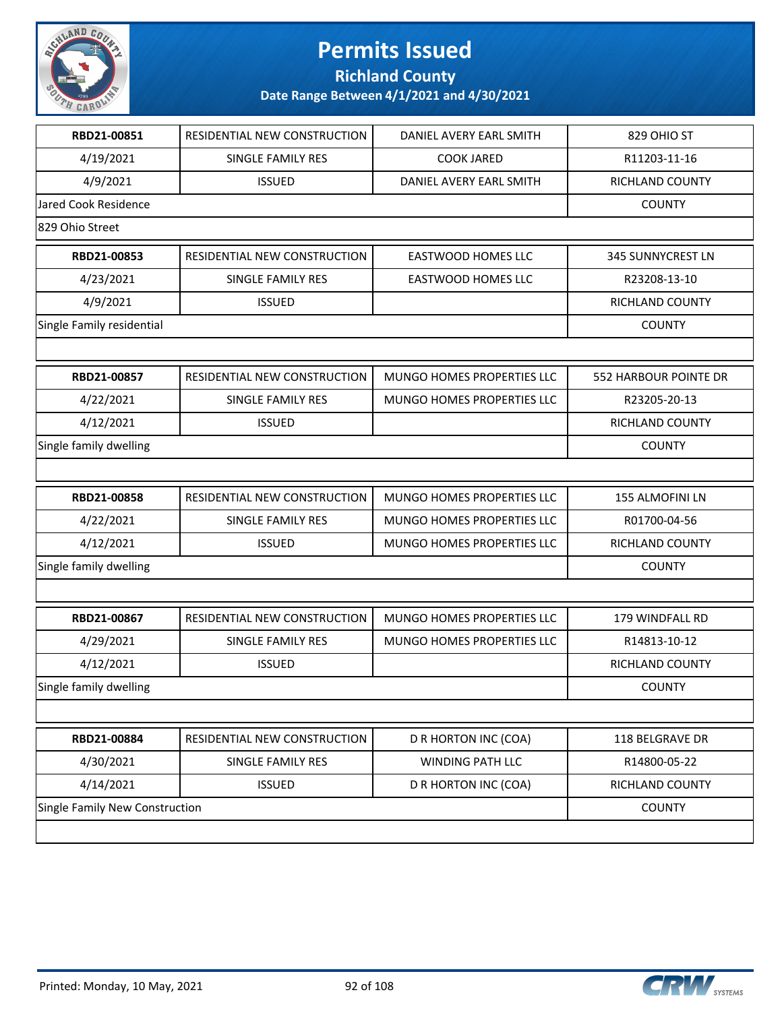

**Richland County**

| RBD21-00851                    | RESIDENTIAL NEW CONSTRUCTION | DANIEL AVERY EARL SMITH           | 829 OHIO ST           |
|--------------------------------|------------------------------|-----------------------------------|-----------------------|
| 4/19/2021                      | SINGLE FAMILY RES            | <b>COOK JARED</b>                 | R11203-11-16          |
| 4/9/2021                       | <b>ISSUED</b>                | DANIEL AVERY EARL SMITH           | RICHLAND COUNTY       |
| <b>Jared Cook Residence</b>    |                              |                                   | <b>COUNTY</b>         |
| 829 Ohio Street                |                              |                                   |                       |
| RBD21-00853                    | RESIDENTIAL NEW CONSTRUCTION | EASTWOOD HOMES LLC                | 345 SUNNYCREST LN     |
| 4/23/2021                      | <b>SINGLE FAMILY RES</b>     | EASTWOOD HOMES LLC                | R23208-13-10          |
| 4/9/2021                       | <b>ISSUED</b>                |                                   | RICHLAND COUNTY       |
| Single Family residential      |                              |                                   | <b>COUNTY</b>         |
|                                |                              |                                   |                       |
| RBD21-00857                    | RESIDENTIAL NEW CONSTRUCTION | MUNGO HOMES PROPERTIES LLC        | 552 HARBOUR POINTE DR |
| 4/22/2021                      | SINGLE FAMILY RES            | <b>MUNGO HOMES PROPERTIES LLC</b> | R23205-20-13          |
| 4/12/2021                      | <b>ISSUED</b>                |                                   | RICHLAND COUNTY       |
| Single family dwelling         |                              |                                   | <b>COUNTY</b>         |
|                                |                              |                                   |                       |
| RBD21-00858                    | RESIDENTIAL NEW CONSTRUCTION | MUNGO HOMES PROPERTIES LLC        | 155 ALMOFINI LN       |
| 4/22/2021                      | SINGLE FAMILY RES            | MUNGO HOMES PROPERTIES LLC        | R01700-04-56          |
| 4/12/2021                      | <b>ISSUED</b>                | MUNGO HOMES PROPERTIES LLC        | RICHLAND COUNTY       |
| Single family dwelling         |                              | <b>COUNTY</b>                     |                       |
|                                |                              |                                   |                       |
| RBD21-00867                    | RESIDENTIAL NEW CONSTRUCTION | MUNGO HOMES PROPERTIES LLC        | 179 WINDFALL RD       |
| 4/29/2021                      | SINGLE FAMILY RES            | MUNGO HOMES PROPERTIES LLC        | R14813-10-12          |
| 4/12/2021                      | <b>ISSUED</b>                |                                   | RICHLAND COUNTY       |
| Single family dwelling         |                              |                                   | <b>COUNTY</b>         |
|                                |                              |                                   |                       |
| RBD21-00884                    | RESIDENTIAL NEW CONSTRUCTION | D R HORTON INC (COA)              | 118 BELGRAVE DR       |
| 4/30/2021                      | SINGLE FAMILY RES            | WINDING PATH LLC                  | R14800-05-22          |
| 4/14/2021                      | <b>ISSUED</b>                | D R HORTON INC (COA)              | RICHLAND COUNTY       |
| Single Family New Construction |                              |                                   | <b>COUNTY</b>         |
|                                |                              |                                   |                       |

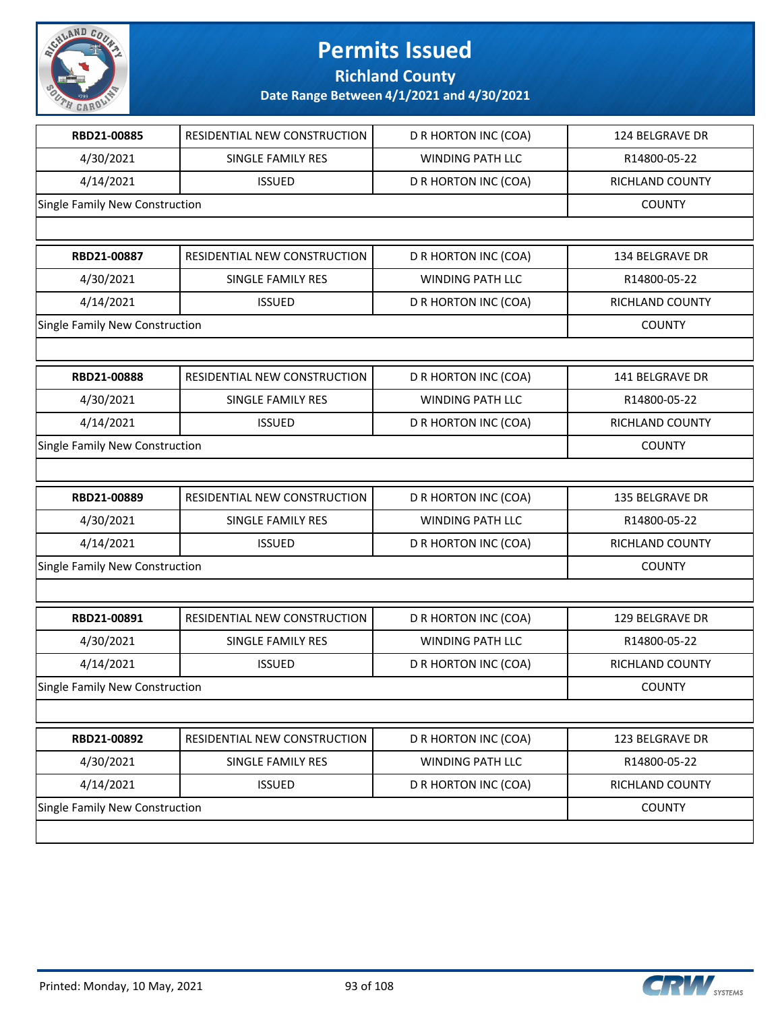

**Richland County**

| RBD21-00885                    | RESIDENTIAL NEW CONSTRUCTION | D R HORTON INC (COA)    | 124 BELGRAVE DR        |
|--------------------------------|------------------------------|-------------------------|------------------------|
| 4/30/2021                      | SINGLE FAMILY RES            | <b>WINDING PATH LLC</b> | R14800-05-22           |
| 4/14/2021                      | <b>ISSUED</b>                | D R HORTON INC (COA)    | RICHLAND COUNTY        |
| Single Family New Construction |                              |                         | <b>COUNTY</b>          |
|                                |                              |                         |                        |
| RBD21-00887                    | RESIDENTIAL NEW CONSTRUCTION | D R HORTON INC (COA)    | <b>134 BELGRAVE DR</b> |
| 4/30/2021                      | <b>SINGLE FAMILY RES</b>     | <b>WINDING PATH LLC</b> | R14800-05-22           |
| 4/14/2021                      | <b>ISSUED</b>                | D R HORTON INC (COA)    | RICHLAND COUNTY        |
| Single Family New Construction |                              |                         | <b>COUNTY</b>          |
|                                |                              |                         |                        |
| RBD21-00888                    | RESIDENTIAL NEW CONSTRUCTION | D R HORTON INC (COA)    | 141 BELGRAVE DR        |
| 4/30/2021                      | SINGLE FAMILY RES            | <b>WINDING PATH LLC</b> | R14800-05-22           |
| 4/14/2021                      | <b>ISSUED</b>                | D R HORTON INC (COA)    | RICHLAND COUNTY        |
| Single Family New Construction |                              |                         | <b>COUNTY</b>          |
|                                |                              |                         |                        |
| RBD21-00889                    | RESIDENTIAL NEW CONSTRUCTION | D R HORTON INC (COA)    | 135 BELGRAVE DR        |
| 4/30/2021                      | SINGLE FAMILY RES            | <b>WINDING PATH LLC</b> | R14800-05-22           |
| 4/14/2021                      | <b>ISSUED</b>                | D R HORTON INC (COA)    | <b>RICHLAND COUNTY</b> |
| Single Family New Construction |                              | <b>COUNTY</b>           |                        |
|                                |                              |                         |                        |
| RBD21-00891                    | RESIDENTIAL NEW CONSTRUCTION | D R HORTON INC (COA)    | 129 BELGRAVE DR        |
| 4/30/2021                      | SINGLE FAMILY RES            | <b>WINDING PATH LLC</b> | R14800-05-22           |
| 4/14/2021                      | <b>ISSUED</b>                | D R HORTON INC (COA)    | RICHLAND COUNTY        |
| Single Family New Construction |                              |                         | <b>COUNTY</b>          |
|                                |                              |                         |                        |
| RBD21-00892                    | RESIDENTIAL NEW CONSTRUCTION | D R HORTON INC (COA)    | 123 BELGRAVE DR        |
| 4/30/2021                      | SINGLE FAMILY RES            | WINDING PATH LLC        | R14800-05-22           |
| 4/14/2021                      | <b>ISSUED</b>                | D R HORTON INC (COA)    | RICHLAND COUNTY        |
| Single Family New Construction |                              |                         | <b>COUNTY</b>          |
|                                |                              |                         |                        |

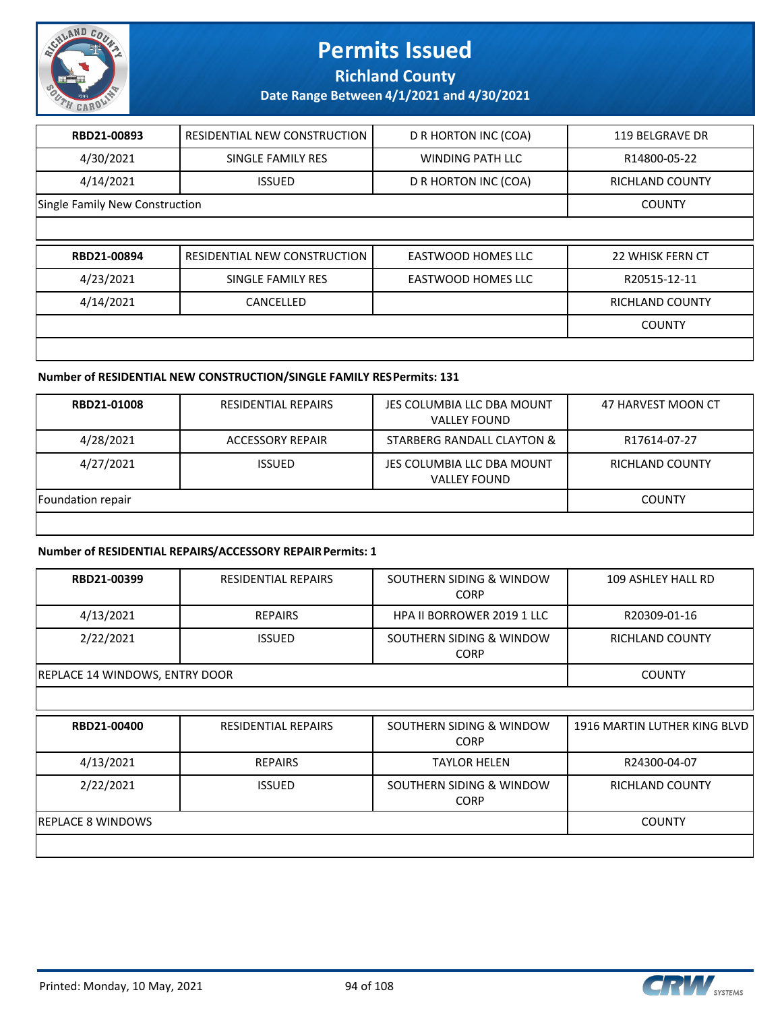

**Richland County**

**Date Range Between 4/1/2021 and 4/30/2021**

| RBD21-00893                    | RESIDENTIAL NEW CONSTRUCTION | D R HORTON INC (COA)      | 119 BELGRAVE DR        |
|--------------------------------|------------------------------|---------------------------|------------------------|
| 4/30/2021                      | SINGLE FAMILY RES            | <b>WINDING PATH LLC</b>   | R14800-05-22           |
| 4/14/2021                      | <b>ISSUED</b>                | D R HORTON INC (COA)      | <b>RICHLAND COUNTY</b> |
| Single Family New Construction |                              |                           | <b>COUNTY</b>          |
|                                |                              |                           |                        |
| RBD21-00894                    |                              |                           |                        |
|                                | RESIDENTIAL NEW CONSTRUCTION | <b>EASTWOOD HOMES LLC</b> | 22 WHISK FERN CT       |
| 4/23/2021                      | SINGLE FAMILY RES            | <b>EASTWOOD HOMES LLC</b> | R20515-12-11           |
| 4/14/2021                      | CANCELLED                    |                           | <b>RICHLAND COUNTY</b> |
|                                |                              |                           | <b>COUNTY</b>          |

#### **Number of RESIDENTIAL NEW CONSTRUCTION/SINGLE FAMILY RES Permits: 131**

| RBD21-01008       | <b>RESIDENTIAL REPAIRS</b> | JES COLUMBIA LLC DBA MOUNT<br><b>VALLEY FOUND</b> | 47 HARVEST MOON CT |
|-------------------|----------------------------|---------------------------------------------------|--------------------|
| 4/28/2021         | ACCESSORY REPAIR           | STARBERG RANDALL CLAYTON &                        | R17614-07-27       |
| 4/27/2021         | <b>ISSUED</b>              | JES COLUMBIA LLC DBA MOUNT<br><b>VALLEY FOUND</b> | RICHLAND COUNTY    |
| Foundation repair |                            |                                                   | <b>COUNTY</b>      |
|                   |                            |                                                   |                    |

#### **Number of RESIDENTIAL REPAIRS/ACCESSORY REPAIR Permits: 1**

| RBD21-00399                    | <b>RESIDENTIAL REPAIRS</b> | SOUTHERN SIDING & WINDOW<br><b>CORP</b> | 109 ASHLEY HALL RD           |
|--------------------------------|----------------------------|-----------------------------------------|------------------------------|
| 4/13/2021                      | <b>REPAIRS</b>             | <b>HPA II BORROWER 2019 1 LLC</b>       | R20309-01-16                 |
| 2/22/2021                      | <b>ISSUED</b>              | SOUTHERN SIDING & WINDOW<br><b>CORP</b> | <b>RICHLAND COUNTY</b>       |
| REPLACE 14 WINDOWS, ENTRY DOOR |                            |                                         | <b>COUNTY</b>                |
|                                |                            |                                         |                              |
| RBD21-00400                    | <b>RESIDENTIAL REPAIRS</b> | SOUTHERN SIDING & WINDOW                | 1916 MARTIN LUTHER KING BLVD |
|                                |                            | <b>CORP</b>                             |                              |
| 4/13/2021                      | <b>REPAIRS</b>             | <b>TAYLOR HELEN</b>                     | R24300-04-07                 |
| 2/22/2021                      | <b>ISSUED</b>              | SOUTHERN SIDING & WINDOW<br><b>CORP</b> | RICHLAND COUNTY              |
| <b>REPLACE 8 WINDOWS</b>       |                            |                                         | <b>COUNTY</b>                |

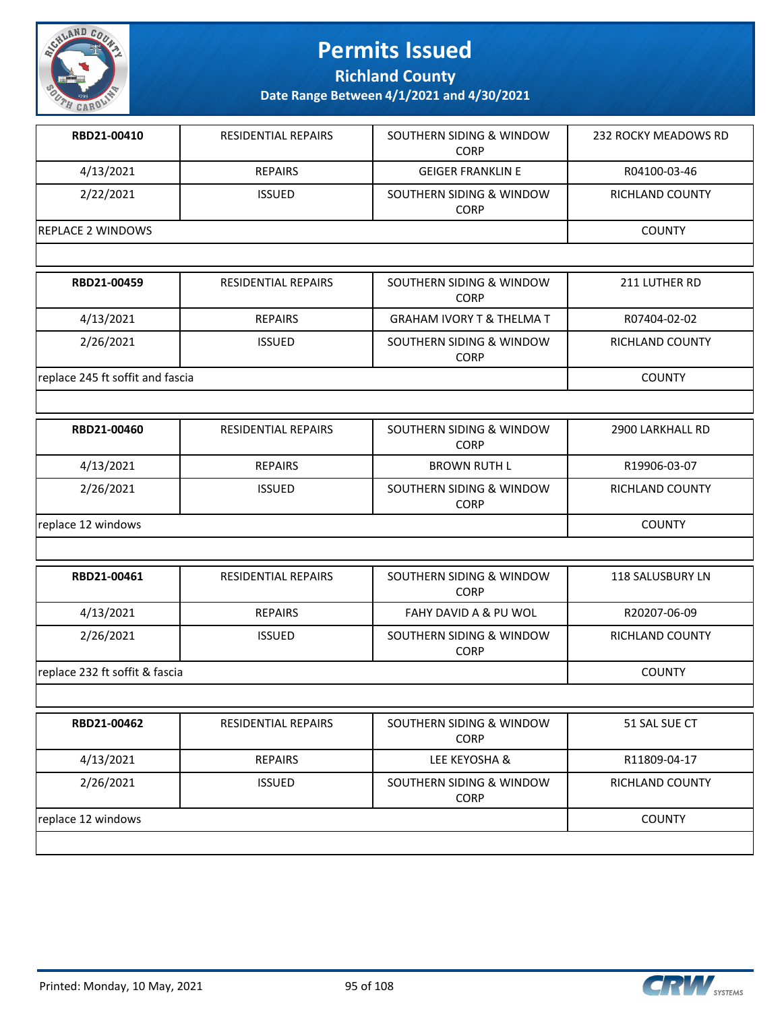

**Richland County**

| RBD21-00410                      | <b>RESIDENTIAL REPAIRS</b> | SOUTHERN SIDING & WINDOW<br><b>CORP</b> | 232 ROCKY MEADOWS RD    |  |  |
|----------------------------------|----------------------------|-----------------------------------------|-------------------------|--|--|
| 4/13/2021                        | <b>REPAIRS</b>             | <b>GEIGER FRANKLIN E</b>                | R04100-03-46            |  |  |
| 2/22/2021                        | <b>ISSUED</b>              | SOUTHERN SIDING & WINDOW<br><b>CORP</b> | RICHLAND COUNTY         |  |  |
| <b>REPLACE 2 WINDOWS</b>         |                            |                                         | <b>COUNTY</b>           |  |  |
|                                  |                            |                                         |                         |  |  |
| RBD21-00459                      | <b>RESIDENTIAL REPAIRS</b> | SOUTHERN SIDING & WINDOW<br><b>CORP</b> | 211 LUTHER RD           |  |  |
| 4/13/2021                        | <b>REPAIRS</b>             | <b>GRAHAM IVORY T &amp; THELMA T</b>    | R07404-02-02            |  |  |
| 2/26/2021                        | <b>ISSUED</b>              | SOUTHERN SIDING & WINDOW<br><b>CORP</b> | RICHLAND COUNTY         |  |  |
| replace 245 ft soffit and fascia |                            |                                         | <b>COUNTY</b>           |  |  |
|                                  |                            |                                         |                         |  |  |
| RBD21-00460                      | RESIDENTIAL REPAIRS        | SOUTHERN SIDING & WINDOW<br><b>CORP</b> | 2900 LARKHALL RD        |  |  |
| 4/13/2021                        | <b>REPAIRS</b>             | <b>BROWN RUTH L</b>                     | R19906-03-07            |  |  |
| 2/26/2021                        | <b>ISSUED</b>              | SOUTHERN SIDING & WINDOW<br><b>CORP</b> | RICHLAND COUNTY         |  |  |
| replace 12 windows               |                            |                                         | <b>COUNTY</b>           |  |  |
|                                  |                            |                                         |                         |  |  |
| RBD21-00461                      | RESIDENTIAL REPAIRS        | SOUTHERN SIDING & WINDOW<br><b>CORP</b> | <b>118 SALUSBURY LN</b> |  |  |
| 4/13/2021                        | <b>REPAIRS</b>             | <b>FAHY DAVID A &amp; PU WOL</b>        | R20207-06-09            |  |  |
| 2/26/2021                        | <b>ISSUED</b>              | SOUTHERN SIDING & WINDOW<br><b>CORP</b> | <b>RICHLAND COUNTY</b>  |  |  |
| replace 232 ft soffit & fascia   |                            |                                         | <b>COUNTY</b>           |  |  |
|                                  |                            |                                         |                         |  |  |
| RBD21-00462                      | RESIDENTIAL REPAIRS        | SOUTHERN SIDING & WINDOW<br><b>CORP</b> | 51 SAL SUE CT           |  |  |
| 4/13/2021                        | <b>REPAIRS</b>             | LEE KEYOSHA &                           | R11809-04-17            |  |  |
| 2/26/2021                        | <b>ISSUED</b>              | SOUTHERN SIDING & WINDOW<br><b>CORP</b> | RICHLAND COUNTY         |  |  |
| replace 12 windows               |                            |                                         |                         |  |  |

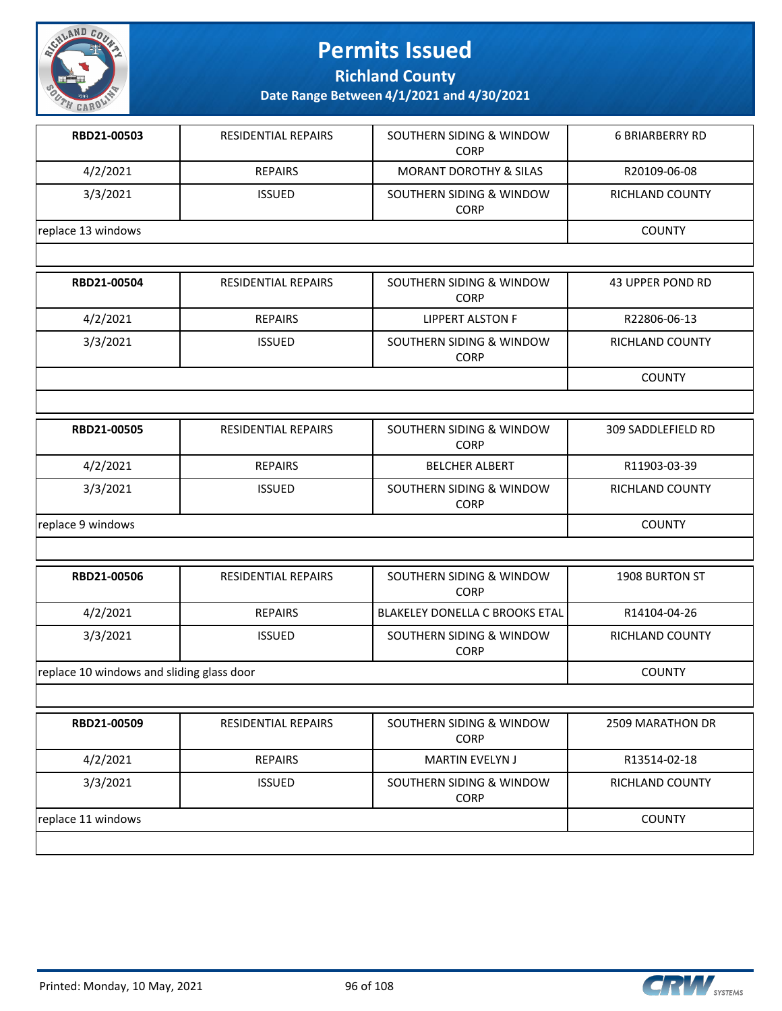

**Richland County**

| RBD21-00503        | <b>RESIDENTIAL REPAIRS</b> | SOUTHERN SIDING & WINDOW<br><b>CORP</b> | <b>6 BRIARBERRY RD</b> |
|--------------------|----------------------------|-----------------------------------------|------------------------|
| 4/2/2021           | <b>REPAIRS</b>             | <b>MORANT DOROTHY &amp; SILAS</b>       | R20109-06-08           |
| 3/3/2021           | <b>ISSUED</b>              | SOUTHERN SIDING & WINDOW<br><b>CORP</b> | RICHLAND COUNTY        |
| replace 13 windows |                            |                                         | <b>COUNTY</b>          |

| RBD21-00504 | <b>RESIDENTIAL REPAIRS</b> | SOUTHERN SIDING & WINDOW<br><b>CORP</b> | 43 UPPER POND RD |
|-------------|----------------------------|-----------------------------------------|------------------|
| 4/2/2021    | <b>REPAIRS</b>             | LIPPERT ALSTON F                        | R22806-06-13     |
| 3/3/2021    | <b>ISSUED</b>              | SOUTHERN SIDING & WINDOW<br><b>CORP</b> | RICHLAND COUNTY  |
|             |                            |                                         | <b>COUNTY</b>    |

| RBD21-00505       | <b>RESIDENTIAL REPAIRS</b> | SOUTHERN SIDING & WINDOW<br><b>CORP</b> | 309 SADDLEFIELD RD |
|-------------------|----------------------------|-----------------------------------------|--------------------|
| 4/2/2021          | <b>REPAIRS</b>             | <b>BELCHER ALBERT</b>                   | R11903-03-39       |
| 3/3/2021          | <b>ISSUED</b>              | SOUTHERN SIDING & WINDOW<br><b>CORP</b> | RICHLAND COUNTY    |
| replace 9 windows | <b>COUNTY</b>              |                                         |                    |

| RBD21-00506                               | RESIDENTIAL REPAIRS | SOUTHERN SIDING & WINDOW<br><b>CORP</b> | <b>1908 BURTON ST</b> |
|-------------------------------------------|---------------------|-----------------------------------------|-----------------------|
| 4/2/2021                                  | <b>REPAIRS</b>      | BLAKELEY DONELLA C BROOKS ETAL          | R14104-04-26          |
| 3/3/2021                                  | <b>ISSUED</b>       | SOUTHERN SIDING & WINDOW<br><b>CORP</b> | RICHLAND COUNTY       |
| replace 10 windows and sliding glass door |                     |                                         | <b>COUNTY</b>         |

| RBD21-00509        | <b>RESIDENTIAL REPAIRS</b> | SOUTHERN SIDING & WINDOW<br><b>CORP</b> | 2509 MARATHON DR       |
|--------------------|----------------------------|-----------------------------------------|------------------------|
| 4/2/2021           | <b>REPAIRS</b>             | <b>MARTIN EVELYN J</b>                  | R13514-02-18           |
| 3/3/2021           | <b>ISSUED</b>              | SOUTHERN SIDING & WINDOW<br><b>CORP</b> | <b>RICHLAND COUNTY</b> |
| replace 11 windows |                            |                                         | <b>COUNTY</b>          |
|                    |                            |                                         |                        |

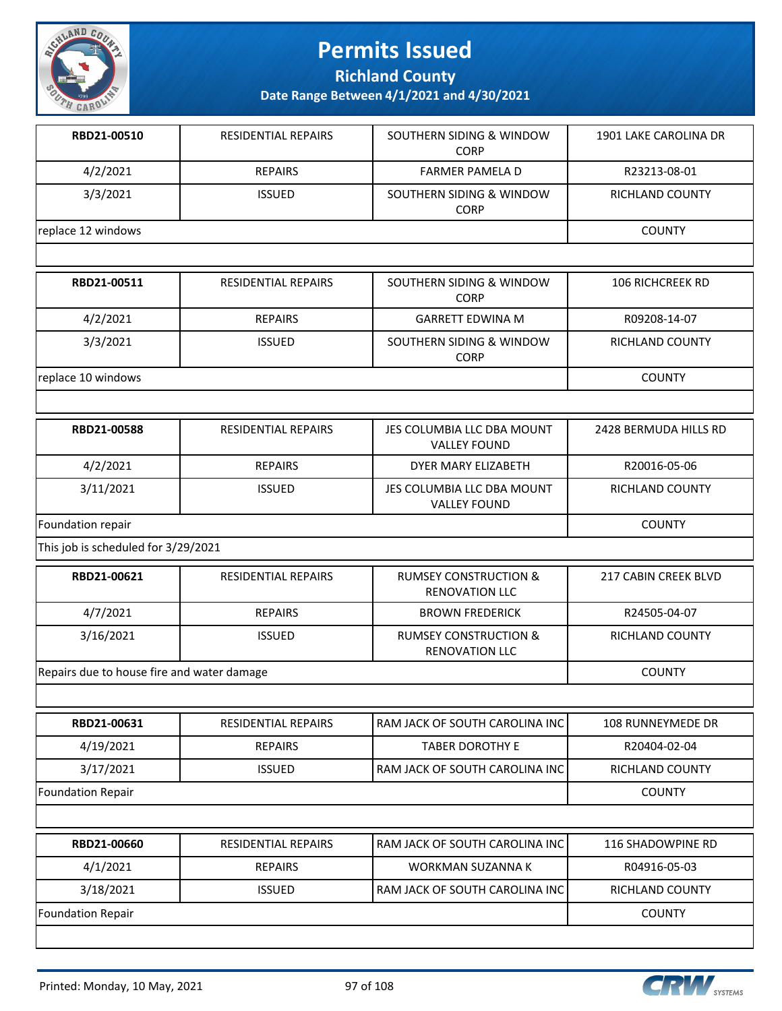

**Richland County**

| RBD21-00510                                | <b>RESIDENTIAL REPAIRS</b> | SOUTHERN SIDING & WINDOW<br><b>CORP</b>                   | 1901 LAKE CAROLINA DR   |
|--------------------------------------------|----------------------------|-----------------------------------------------------------|-------------------------|
| 4/2/2021                                   | <b>REPAIRS</b>             | <b>FARMER PAMELA D</b>                                    | R23213-08-01            |
| 3/3/2021                                   | <b>ISSUED</b>              | SOUTHERN SIDING & WINDOW<br><b>CORP</b>                   | RICHLAND COUNTY         |
| replace 12 windows                         |                            |                                                           | <b>COUNTY</b>           |
|                                            |                            |                                                           |                         |
| RBD21-00511                                | RESIDENTIAL REPAIRS        | SOUTHERN SIDING & WINDOW<br><b>CORP</b>                   | <b>106 RICHCREEK RD</b> |
| 4/2/2021                                   | <b>REPAIRS</b>             | <b>GARRETT EDWINA M</b>                                   | R09208-14-07            |
| 3/3/2021                                   | <b>ISSUED</b>              | SOUTHERN SIDING & WINDOW<br><b>CORP</b>                   | RICHLAND COUNTY         |
| replace 10 windows                         |                            |                                                           | <b>COUNTY</b>           |
|                                            |                            |                                                           |                         |
| RBD21-00588                                | RESIDENTIAL REPAIRS        | JES COLUMBIA LLC DBA MOUNT<br><b>VALLEY FOUND</b>         | 2428 BERMUDA HILLS RD   |
| 4/2/2021                                   | <b>REPAIRS</b>             | DYER MARY ELIZABETH                                       | R20016-05-06            |
| 3/11/2021                                  | <b>ISSUED</b>              | JES COLUMBIA LLC DBA MOUNT<br><b>VALLEY FOUND</b>         | RICHLAND COUNTY         |
| Foundation repair                          |                            |                                                           | <b>COUNTY</b>           |
| This job is scheduled for 3/29/2021        |                            |                                                           |                         |
| RBD21-00621                                | RESIDENTIAL REPAIRS        | <b>RUMSEY CONSTRUCTION &amp;</b><br><b>RENOVATION LLC</b> | 217 CABIN CREEK BLVD    |
| 4/7/2021                                   | <b>REPAIRS</b>             | <b>BROWN FREDERICK</b>                                    | R24505-04-07            |
| 3/16/2021                                  | <b>ISSUED</b>              | <b>RUMSEY CONSTRUCTION &amp;</b><br><b>RENOVATION LLC</b> | RICHLAND COUNTY         |
| Repairs due to house fire and water damage |                            |                                                           | <b>COUNTY</b>           |
|                                            |                            |                                                           |                         |
| RBD21-00631                                | <b>RESIDENTIAL REPAIRS</b> | RAM JACK OF SOUTH CAROLINA INC                            | 108 RUNNEYMEDE DR       |
| 4/19/2021                                  | <b>REPAIRS</b>             | <b>TABER DOROTHY E</b>                                    | R20404-02-04            |
| 3/17/2021                                  | <b>ISSUED</b>              | RAM JACK OF SOUTH CAROLINA INC                            | RICHLAND COUNTY         |
| <b>Foundation Repair</b>                   |                            |                                                           | <b>COUNTY</b>           |
|                                            |                            |                                                           |                         |
| RBD21-00660                                | RESIDENTIAL REPAIRS        | RAM JACK OF SOUTH CAROLINA INC                            | 116 SHADOWPINE RD       |
| 4/1/2021                                   | <b>REPAIRS</b>             | WORKMAN SUZANNA K                                         | R04916-05-03            |
| 3/18/2021                                  | <b>ISSUED</b>              | RAM JACK OF SOUTH CAROLINA INC                            | RICHLAND COUNTY         |
| <b>Foundation Repair</b>                   |                            |                                                           | <b>COUNTY</b>           |
|                                            |                            |                                                           |                         |

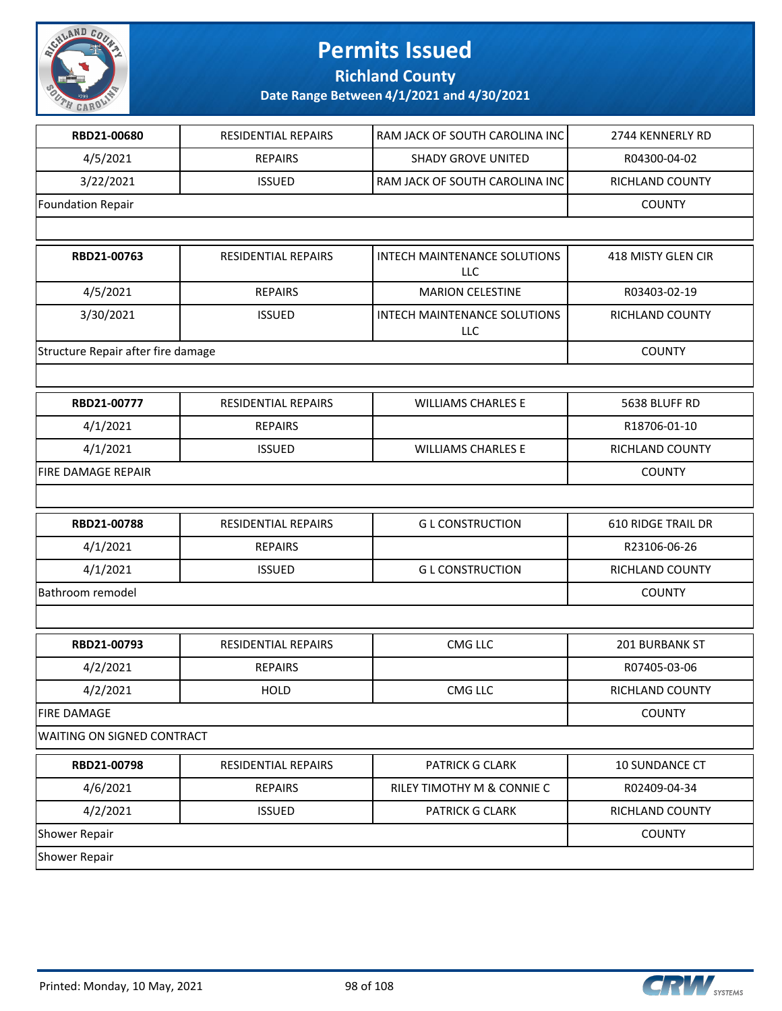

**Richland County**

| RBD21-00680                        | RESIDENTIAL REPAIRS        | RAM JACK OF SOUTH CAROLINA INC      | 2744 KENNERLY RD          |
|------------------------------------|----------------------------|-------------------------------------|---------------------------|
| 4/5/2021                           | <b>REPAIRS</b>             | <b>SHADY GROVE UNITED</b>           | R04300-04-02              |
| 3/22/2021                          | <b>ISSUED</b>              | RAM JACK OF SOUTH CAROLINA INC      | RICHLAND COUNTY           |
| <b>Foundation Repair</b>           |                            |                                     | <b>COUNTY</b>             |
|                                    |                            |                                     |                           |
| RBD21-00763                        | <b>RESIDENTIAL REPAIRS</b> | INTECH MAINTENANCE SOLUTIONS<br>LLC | 418 MISTY GLEN CIR        |
| 4/5/2021                           | <b>REPAIRS</b>             | <b>MARION CELESTINE</b>             | R03403-02-19              |
| 3/30/2021                          | <b>ISSUED</b>              | INTECH MAINTENANCE SOLUTIONS<br>LLC | RICHLAND COUNTY           |
| Structure Repair after fire damage |                            |                                     | <b>COUNTY</b>             |
|                                    |                            |                                     |                           |
| RBD21-00777                        | RESIDENTIAL REPAIRS        | <b>WILLIAMS CHARLES E</b>           | 5638 BLUFF RD             |
| 4/1/2021                           | <b>REPAIRS</b>             |                                     | R18706-01-10              |
| 4/1/2021                           | <b>ISSUED</b>              | <b>WILLIAMS CHARLES E</b>           | RICHLAND COUNTY           |
| <b>FIRE DAMAGE REPAIR</b>          |                            |                                     | <b>COUNTY</b>             |
|                                    |                            |                                     |                           |
| RBD21-00788                        | RESIDENTIAL REPAIRS        | <b>GL CONSTRUCTION</b>              | <b>610 RIDGE TRAIL DR</b> |
| 4/1/2021                           | <b>REPAIRS</b>             |                                     | R23106-06-26              |
| 4/1/2021                           | <b>ISSUED</b>              | <b>GL CONSTRUCTION</b>              | RICHLAND COUNTY           |
| Bathroom remodel                   |                            |                                     | <b>COUNTY</b>             |
|                                    |                            |                                     |                           |
| RBD21-00793                        | RESIDENTIAL REPAIRS        | CMG LLC                             | 201 BURBANK ST            |
| 4/2/2021                           | <b>REPAIRS</b>             |                                     | R07405-03-06              |
| 4/2/2021                           | <b>HOLD</b>                | CMG LLC                             | RICHLAND COUNTY           |
| <b>FIRE DAMAGE</b>                 |                            |                                     | <b>COUNTY</b>             |
| WAITING ON SIGNED CONTRACT         |                            |                                     |                           |
| RBD21-00798                        | RESIDENTIAL REPAIRS        | PATRICK G CLARK                     | 10 SUNDANCE CT            |
| 4/6/2021                           | <b>REPAIRS</b>             | RILEY TIMOTHY M & CONNIE C          | R02409-04-34              |
| 4/2/2021                           | <b>ISSUED</b>              | PATRICK G CLARK                     | RICHLAND COUNTY           |
| Shower Repair                      |                            |                                     | <b>COUNTY</b>             |
| Shower Repair                      |                            |                                     |                           |

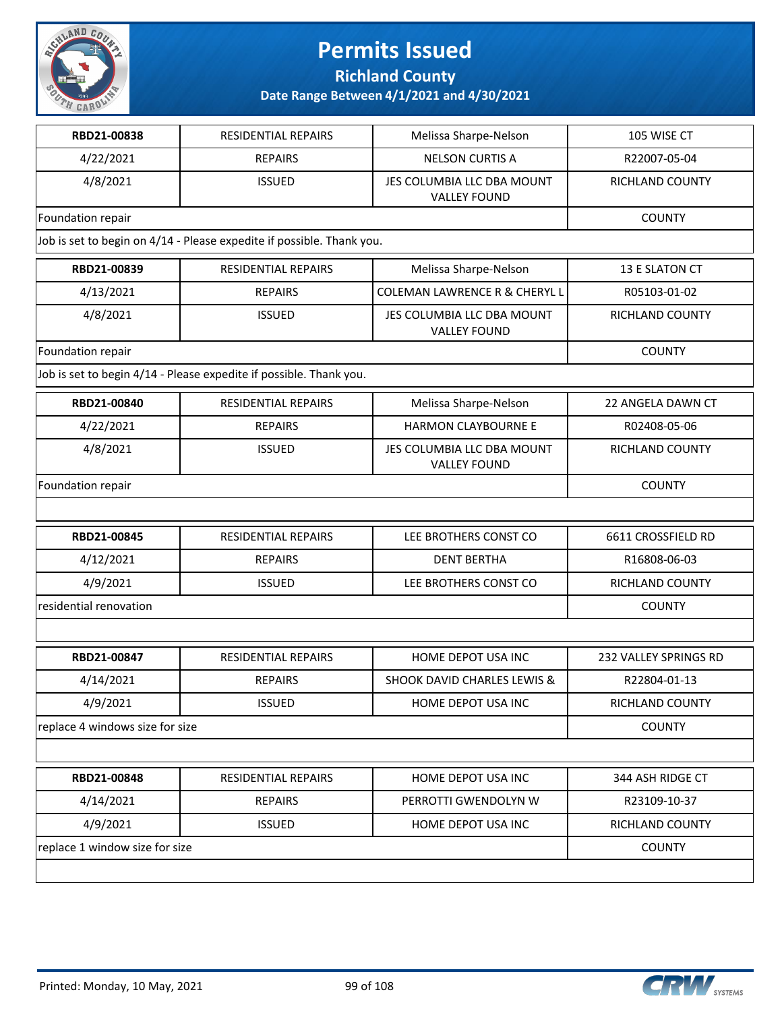

**Richland County**

| RBD21-00838                     | <b>RESIDENTIAL REPAIRS</b>                                            | Melissa Sharpe-Nelson                             | 105 WISE CT            |
|---------------------------------|-----------------------------------------------------------------------|---------------------------------------------------|------------------------|
| 4/22/2021                       | <b>REPAIRS</b>                                                        | <b>NELSON CURTIS A</b>                            | R22007-05-04           |
| 4/8/2021                        | <b>ISSUED</b>                                                         | JES COLUMBIA LLC DBA MOUNT<br><b>VALLEY FOUND</b> | <b>RICHLAND COUNTY</b> |
| Foundation repair               |                                                                       |                                                   | <b>COUNTY</b>          |
|                                 | Job is set to begin on 4/14 - Please expedite if possible. Thank you. |                                                   |                        |
| RBD21-00839                     | <b>RESIDENTIAL REPAIRS</b>                                            | Melissa Sharpe-Nelson                             | 13 E SLATON CT         |
| 4/13/2021                       | <b>REPAIRS</b>                                                        | <b>COLEMAN LAWRENCE R &amp; CHERYL L</b>          | R05103-01-02           |
| 4/8/2021                        | <b>ISSUED</b>                                                         | JES COLUMBIA LLC DBA MOUNT<br><b>VALLEY FOUND</b> | RICHLAND COUNTY        |
| Foundation repair               |                                                                       |                                                   | <b>COUNTY</b>          |
|                                 | Job is set to begin 4/14 - Please expedite if possible. Thank you.    |                                                   |                        |
| RBD21-00840                     | RESIDENTIAL REPAIRS                                                   | Melissa Sharpe-Nelson                             | 22 ANGELA DAWN CT      |
| 4/22/2021                       | <b>REPAIRS</b>                                                        | <b>HARMON CLAYBOURNE E</b>                        | R02408-05-06           |
| 4/8/2021                        | <b>ISSUED</b>                                                         | JES COLUMBIA LLC DBA MOUNT<br><b>VALLEY FOUND</b> | RICHLAND COUNTY        |
| Foundation repair               |                                                                       |                                                   | <b>COUNTY</b>          |
|                                 |                                                                       |                                                   |                        |
| RBD21-00845                     | RESIDENTIAL REPAIRS                                                   | LEE BROTHERS CONST CO                             | 6611 CROSSFIELD RD     |
| 4/12/2021                       | <b>REPAIRS</b>                                                        | <b>DENT BERTHA</b>                                | R16808-06-03           |
| 4/9/2021                        | <b>ISSUED</b>                                                         | LEE BROTHERS CONST CO                             | RICHLAND COUNTY        |
| residential renovation          |                                                                       |                                                   | <b>COUNTY</b>          |
|                                 |                                                                       |                                                   |                        |
| RBD21-00847                     | RESIDENTIAL REPAIRS                                                   | HOME DEPOT USA INC                                | 232 VALLEY SPRINGS RD  |
| 4/14/2021                       | <b>REPAIRS</b>                                                        | <b>SHOOK DAVID CHARLES LEWIS &amp;</b>            | R22804-01-13           |
| 4/9/2021                        | <b>ISSUED</b>                                                         | HOME DEPOT USA INC                                | RICHLAND COUNTY        |
| replace 4 windows size for size |                                                                       |                                                   | <b>COUNTY</b>          |
|                                 |                                                                       |                                                   |                        |
| RBD21-00848                     | <b>RESIDENTIAL REPAIRS</b>                                            | HOME DEPOT USA INC                                | 344 ASH RIDGE CT       |
| 4/14/2021                       | <b>REPAIRS</b>                                                        | PERROTTI GWENDOLYN W                              | R23109-10-37           |
| 4/9/2021                        | <b>ISSUED</b>                                                         | HOME DEPOT USA INC                                | RICHLAND COUNTY        |
| replace 1 window size for size  |                                                                       |                                                   | <b>COUNTY</b>          |
|                                 |                                                                       |                                                   |                        |

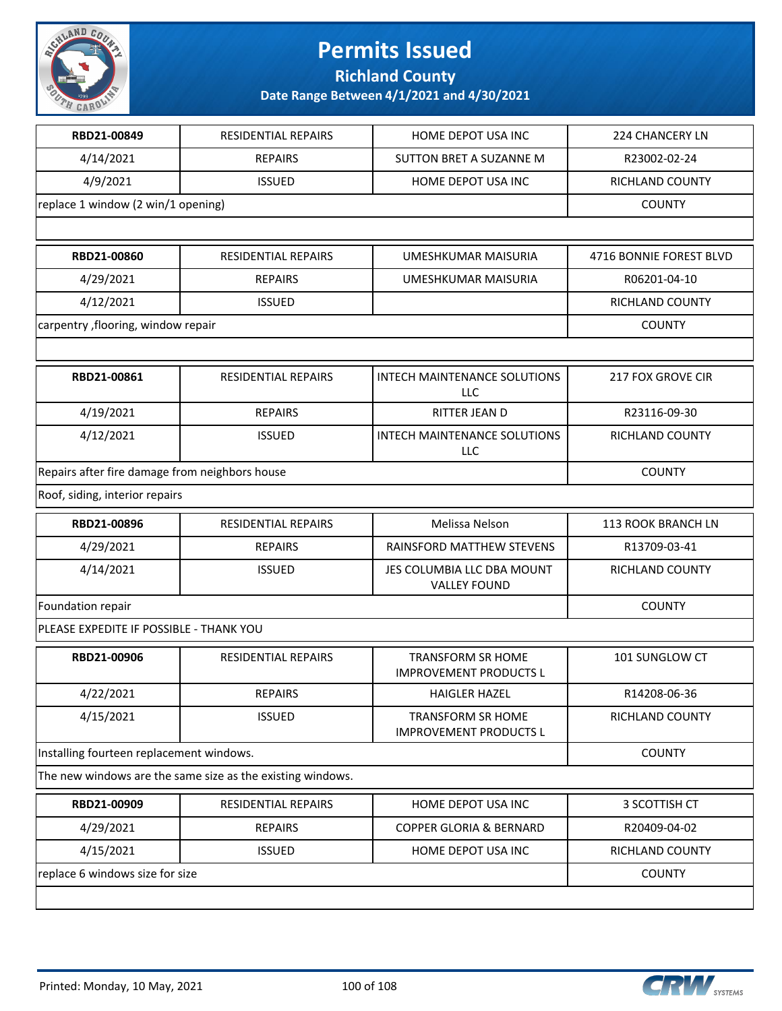

**Richland County**

| RBD21-00849                                    | RESIDENTIAL REPAIRS                                        | HOME DEPOT USA INC                                        | 224 CHANCERY LN         |  |  |
|------------------------------------------------|------------------------------------------------------------|-----------------------------------------------------------|-------------------------|--|--|
| 4/14/2021                                      | <b>REPAIRS</b>                                             | SUTTON BRET A SUZANNE M                                   | R23002-02-24            |  |  |
| 4/9/2021                                       | <b>ISSUED</b>                                              | HOME DEPOT USA INC                                        | RICHLAND COUNTY         |  |  |
|                                                | replace 1 window (2 win/1 opening)                         |                                                           |                         |  |  |
|                                                |                                                            |                                                           |                         |  |  |
| RBD21-00860                                    | RESIDENTIAL REPAIRS                                        | UMESHKUMAR MAISURIA                                       | 4716 BONNIE FOREST BLVD |  |  |
| 4/29/2021                                      | <b>REPAIRS</b>                                             | <b>UMESHKUMAR MAISURIA</b>                                | R06201-04-10            |  |  |
| 4/12/2021                                      | <b>ISSUED</b>                                              |                                                           | RICHLAND COUNTY         |  |  |
| carpentry , flooring, window repair            |                                                            |                                                           | <b>COUNTY</b>           |  |  |
|                                                |                                                            |                                                           |                         |  |  |
| RBD21-00861                                    | RESIDENTIAL REPAIRS                                        | <b>INTECH MAINTENANCE SOLUTIONS</b><br><b>LLC</b>         | 217 FOX GROVE CIR       |  |  |
| 4/19/2021                                      | <b>REPAIRS</b>                                             | RITTER JEAN D                                             | R23116-09-30            |  |  |
| 4/12/2021                                      | <b>ISSUED</b>                                              | INTECH MAINTENANCE SOLUTIONS<br>LLC                       | RICHLAND COUNTY         |  |  |
| Repairs after fire damage from neighbors house | <b>COUNTY</b>                                              |                                                           |                         |  |  |
| Roof, siding, interior repairs                 |                                                            |                                                           |                         |  |  |
| RBD21-00896                                    | RESIDENTIAL REPAIRS                                        | Melissa Nelson                                            | 113 ROOK BRANCH LN      |  |  |
| 4/29/2021                                      | <b>REPAIRS</b>                                             | RAINSFORD MATTHEW STEVENS                                 | R13709-03-41            |  |  |
| 4/14/2021                                      | <b>ISSUED</b>                                              | JES COLUMBIA LLC DBA MOUNT<br><b>VALLEY FOUND</b>         | RICHLAND COUNTY         |  |  |
| Foundation repair                              | <b>COUNTY</b>                                              |                                                           |                         |  |  |
| PLEASE EXPEDITE IF POSSIBLE - THANK YOU        |                                                            |                                                           |                         |  |  |
| RBD21-00906                                    | <b>RESIDENTIAL REPAIRS</b>                                 | <b>TRANSFORM SR HOME</b><br><b>IMPROVEMENT PRODUCTS L</b> | 101 SUNGLOW CT          |  |  |
| 4/22/2021                                      | <b>REPAIRS</b>                                             | <b>HAIGLER HAZEL</b>                                      | R14208-06-36            |  |  |
| 4/15/2021                                      | <b>ISSUED</b>                                              | <b>TRANSFORM SR HOME</b><br><b>IMPROVEMENT PRODUCTS L</b> | RICHLAND COUNTY         |  |  |
| Installing fourteen replacement windows.       |                                                            |                                                           | <b>COUNTY</b>           |  |  |
|                                                | The new windows are the same size as the existing windows. |                                                           |                         |  |  |
| RBD21-00909                                    | RESIDENTIAL REPAIRS                                        | HOME DEPOT USA INC                                        | 3 SCOTTISH CT           |  |  |
| 4/29/2021                                      | <b>REPAIRS</b>                                             | COPPER GLORIA & BERNARD                                   | R20409-04-02            |  |  |
| 4/15/2021                                      | <b>ISSUED</b>                                              | HOME DEPOT USA INC                                        | RICHLAND COUNTY         |  |  |
| replace 6 windows size for size                |                                                            |                                                           | <b>COUNTY</b>           |  |  |
|                                                |                                                            |                                                           |                         |  |  |

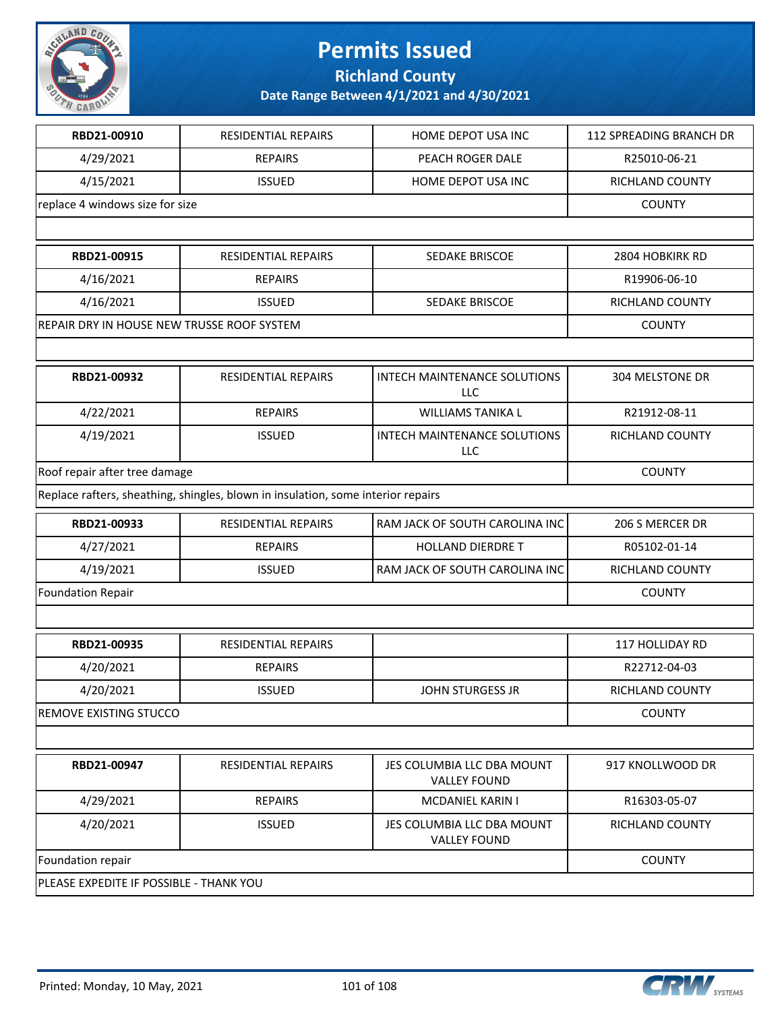

**Richland County**

| RBD21-00910                                | <b>RESIDENTIAL REPAIRS</b>                                                       | HOME DEPOT USA INC                                | <b>112 SPREADING BRANCH DR</b> |
|--------------------------------------------|----------------------------------------------------------------------------------|---------------------------------------------------|--------------------------------|
| 4/29/2021                                  | <b>REPAIRS</b>                                                                   | PEACH ROGER DALE                                  | R25010-06-21                   |
| 4/15/2021                                  | <b>ISSUED</b>                                                                    | HOME DEPOT USA INC                                | RICHLAND COUNTY                |
| replace 4 windows size for size            |                                                                                  |                                                   | <b>COUNTY</b>                  |
|                                            |                                                                                  |                                                   |                                |
| RBD21-00915                                | RESIDENTIAL REPAIRS                                                              | SEDAKE BRISCOE                                    | 2804 HOBKIRK RD                |
| 4/16/2021                                  | <b>REPAIRS</b>                                                                   |                                                   | R19906-06-10                   |
| 4/16/2021                                  | <b>ISSUED</b>                                                                    | SEDAKE BRISCOE                                    | RICHLAND COUNTY                |
| REPAIR DRY IN HOUSE NEW TRUSSE ROOF SYSTEM |                                                                                  |                                                   | <b>COUNTY</b>                  |
|                                            |                                                                                  |                                                   |                                |
| RBD21-00932                                | <b>RESIDENTIAL REPAIRS</b>                                                       | INTECH MAINTENANCE SOLUTIONS<br>LLC               | 304 MELSTONE DR                |
| 4/22/2021                                  | <b>REPAIRS</b>                                                                   | <b>WILLIAMS TANIKA L</b>                          | R21912-08-11                   |
| 4/19/2021                                  | <b>ISSUED</b>                                                                    | INTECH MAINTENANCE SOLUTIONS<br><b>LLC</b>        | RICHLAND COUNTY                |
| Roof repair after tree damage              | <b>COUNTY</b>                                                                    |                                                   |                                |
|                                            | Replace rafters, sheathing, shingles, blown in insulation, some interior repairs |                                                   |                                |
| RBD21-00933                                | <b>RESIDENTIAL REPAIRS</b>                                                       | RAM JACK OF SOUTH CAROLINA INC                    | 206 S MERCER DR                |
| 4/27/2021                                  | <b>REPAIRS</b>                                                                   | <b>HOLLAND DIERDRET</b>                           | R05102-01-14                   |
| 4/19/2021                                  | <b>ISSUED</b>                                                                    | RAM JACK OF SOUTH CAROLINA INC                    | RICHLAND COUNTY                |
| <b>Foundation Repair</b>                   |                                                                                  |                                                   | <b>COUNTY</b>                  |
|                                            |                                                                                  |                                                   |                                |
| RBD21-00935                                | <b>RESIDENTIAL REPAIRS</b>                                                       |                                                   | 117 HOLLIDAY RD                |
| 4/20/2021                                  | <b>REPAIRS</b>                                                                   |                                                   | R22712-04-03                   |
| 4/20/2021                                  | <b>ISSUED</b>                                                                    | <b>JOHN STURGESS JR</b>                           | <b>RICHLAND COUNTY</b>         |
| <b>REMOVE EXISTING STUCCO</b>              |                                                                                  |                                                   | <b>COUNTY</b>                  |
|                                            |                                                                                  |                                                   |                                |
| RBD21-00947                                | <b>RESIDENTIAL REPAIRS</b>                                                       | JES COLUMBIA LLC DBA MOUNT<br><b>VALLEY FOUND</b> | 917 KNOLLWOOD DR               |
| 4/29/2021                                  | <b>REPAIRS</b>                                                                   | <b>MCDANIEL KARIN I</b>                           | R16303-05-07                   |
| 4/20/2021                                  | <b>ISSUED</b>                                                                    | JES COLUMBIA LLC DBA MOUNT<br><b>VALLEY FOUND</b> | RICHLAND COUNTY                |
| Foundation repair                          |                                                                                  |                                                   | <b>COUNTY</b>                  |
| PLEASE EXPEDITE IF POSSIBLE - THANK YOU    |                                                                                  |                                                   |                                |

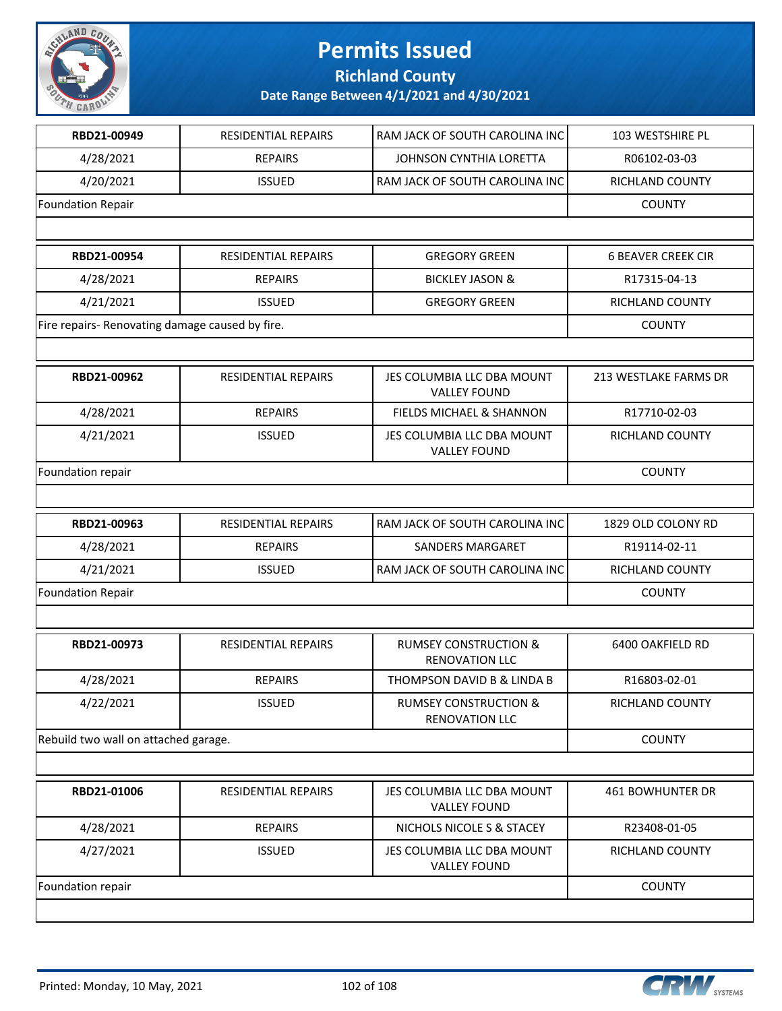

**Richland County**

| RBD21-00949                                     | <b>RESIDENTIAL REPAIRS</b> | RAM JACK OF SOUTH CAROLINA INC                            | 103 WESTSHIRE PL          |  |
|-------------------------------------------------|----------------------------|-----------------------------------------------------------|---------------------------|--|
| 4/28/2021                                       | <b>REPAIRS</b>             | JOHNSON CYNTHIA LORETTA                                   | R06102-03-03              |  |
| 4/20/2021                                       | <b>ISSUED</b>              | RAM JACK OF SOUTH CAROLINA INC                            | RICHLAND COUNTY           |  |
| <b>Foundation Repair</b>                        |                            |                                                           | <b>COUNTY</b>             |  |
|                                                 |                            |                                                           |                           |  |
| RBD21-00954                                     | RESIDENTIAL REPAIRS        | <b>GREGORY GREEN</b>                                      | <b>6 BEAVER CREEK CIR</b> |  |
| 4/28/2021                                       | <b>REPAIRS</b>             | <b>BICKLEY JASON &amp;</b>                                | R17315-04-13              |  |
| 4/21/2021                                       | <b>ISSUED</b>              | <b>GREGORY GREEN</b>                                      | RICHLAND COUNTY           |  |
| Fire repairs- Renovating damage caused by fire. |                            |                                                           | <b>COUNTY</b>             |  |
|                                                 |                            |                                                           |                           |  |
| RBD21-00962                                     | RESIDENTIAL REPAIRS        | JES COLUMBIA LLC DBA MOUNT<br><b>VALLEY FOUND</b>         | 213 WESTLAKE FARMS DR     |  |
| 4/28/2021                                       | <b>REPAIRS</b>             | <b>FIELDS MICHAEL &amp; SHANNON</b>                       | R17710-02-03              |  |
| 4/21/2021                                       | <b>ISSUED</b>              | JES COLUMBIA LLC DBA MOUNT<br><b>VALLEY FOUND</b>         | RICHLAND COUNTY           |  |
| Foundation repair                               |                            |                                                           | <b>COUNTY</b>             |  |
|                                                 |                            |                                                           |                           |  |
| RBD21-00963                                     | RESIDENTIAL REPAIRS        | RAM JACK OF SOUTH CAROLINA INC                            | 1829 OLD COLONY RD        |  |
| 4/28/2021                                       | <b>REPAIRS</b>             | <b>SANDERS MARGARET</b>                                   | R19114-02-11              |  |
| 4/21/2021                                       | <b>ISSUED</b>              | RAM JACK OF SOUTH CAROLINA INC                            | RICHLAND COUNTY           |  |
| <b>Foundation Repair</b>                        |                            |                                                           | <b>COUNTY</b>             |  |
|                                                 |                            |                                                           |                           |  |
| RBD21-00973                                     | <b>RESIDENTIAL REPAIRS</b> | <b>RUMSEY CONSTRUCTION &amp;</b><br><b>RENOVATION LLC</b> | 6400 OAKFIELD RD          |  |
| 4/28/2021                                       | <b>REPAIRS</b>             | THOMPSON DAVID B & LINDA B                                | R16803-02-01              |  |
| 4/22/2021                                       | <b>ISSUED</b>              | <b>RUMSEY CONSTRUCTION &amp;</b><br><b>RENOVATION LLC</b> | RICHLAND COUNTY           |  |
| Rebuild two wall on attached garage.            |                            |                                                           | <b>COUNTY</b>             |  |
|                                                 |                            |                                                           |                           |  |
| RBD21-01006                                     | <b>RESIDENTIAL REPAIRS</b> | JES COLUMBIA LLC DBA MOUNT<br><b>VALLEY FOUND</b>         | <b>461 BOWHUNTER DR</b>   |  |
| 4/28/2021                                       | <b>REPAIRS</b>             | NICHOLS NICOLE S & STACEY                                 | R23408-01-05              |  |
| 4/27/2021                                       | <b>ISSUED</b>              | JES COLUMBIA LLC DBA MOUNT<br><b>VALLEY FOUND</b>         | RICHLAND COUNTY           |  |
| Foundation repair                               |                            |                                                           |                           |  |
|                                                 |                            |                                                           |                           |  |

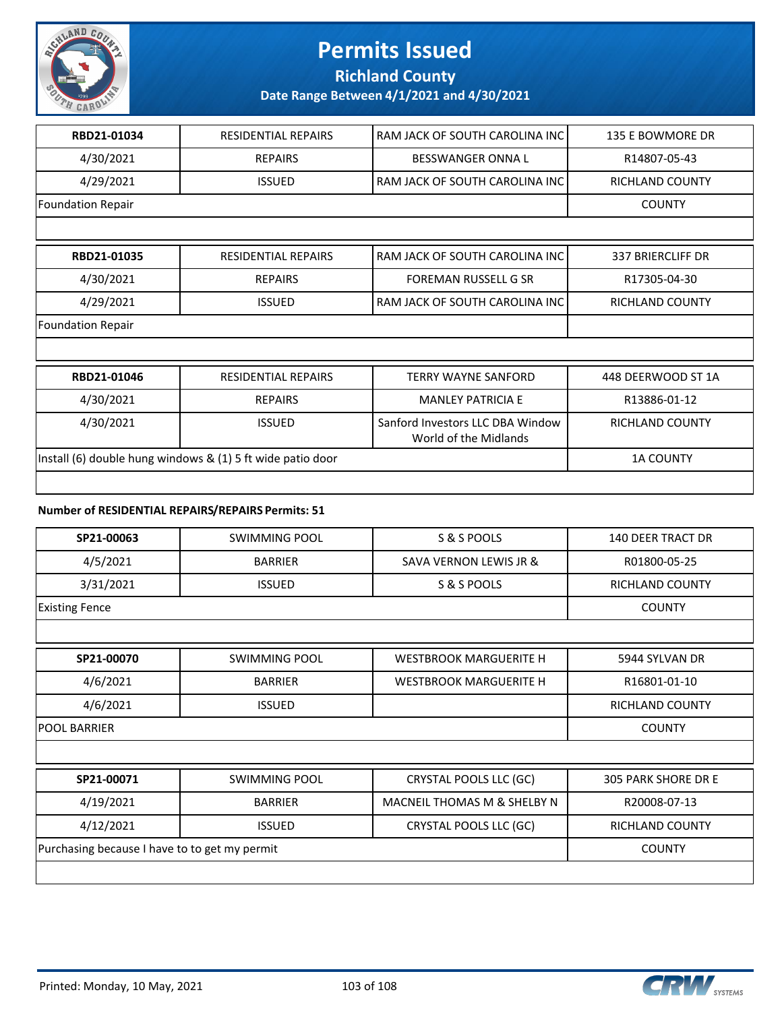

### **Richland County**

#### **Date Range Between 4/1/2021 and 4/30/2021**

| RBD21-01034                                                | <b>RESIDENTIAL REPAIRS</b> | RAM JACK OF SOUTH CAROLINA INC                            | 135 E BOWMORE DR         |
|------------------------------------------------------------|----------------------------|-----------------------------------------------------------|--------------------------|
| 4/30/2021                                                  | <b>REPAIRS</b>             | <b>BESSWANGER ONNA L</b>                                  | R14807-05-43             |
| 4/29/2021                                                  | <b>ISSUED</b>              | RAM JACK OF SOUTH CAROLINA INC                            | <b>RICHLAND COUNTY</b>   |
| <b>Foundation Repair</b>                                   |                            |                                                           | <b>COUNTY</b>            |
|                                                            |                            |                                                           |                          |
| RBD21-01035                                                | <b>RESIDENTIAL REPAIRS</b> | RAM JACK OF SOUTH CAROLINA INC                            | <b>337 BRIERCLIFF DR</b> |
| 4/30/2021                                                  | <b>REPAIRS</b>             | <b>FOREMAN RUSSELL G SR</b>                               | R17305-04-30             |
| 4/29/2021                                                  | <b>ISSUED</b>              | RAM JACK OF SOUTH CAROLINA INC                            | RICHLAND COUNTY          |
| <b>Foundation Repair</b>                                   |                            |                                                           |                          |
|                                                            |                            |                                                           |                          |
| RBD21-01046                                                | <b>RESIDENTIAL REPAIRS</b> | <b>TERRY WAYNE SANFORD</b>                                | 448 DEERWOOD ST 1A       |
| 4/30/2021                                                  | <b>REPAIRS</b>             | <b>MANI FY PATRICIA F</b>                                 | R13886-01-12             |
| 4/30/2021                                                  | <b>ISSUED</b>              | Sanford Investors LLC DBA Window<br>World of the Midlands | <b>RICHLAND COUNTY</b>   |
| Install (6) double hung windows & (1) 5 ft wide patio door |                            |                                                           | <b>1A COUNTY</b>         |
|                                                            |                            |                                                           |                          |

#### **Number of RESIDENTIAL REPAIRS/REPAIRS Permits: 51**

| SP21-00063                                    | <b>SWIMMING POOL</b> | S & S POOLS                   | <b>140 DEER TRACT DR</b>   |
|-----------------------------------------------|----------------------|-------------------------------|----------------------------|
| 4/5/2021                                      | <b>BARRIER</b>       | SAVA VERNON LEWIS JR &        | R01800-05-25               |
| 3/31/2021                                     | <b>ISSUED</b>        | S & S POOLS                   | <b>RICHLAND COUNTY</b>     |
| <b>Existing Fence</b>                         |                      |                               | <b>COUNTY</b>              |
|                                               |                      |                               |                            |
| SP21-00070                                    | <b>SWIMMING POOL</b> | <b>WESTBROOK MARGUERITE H</b> | 5944 SYLVAN DR             |
| 4/6/2021                                      | <b>BARRIER</b>       | <b>WESTBROOK MARGUERITE H</b> | R16801-01-10               |
| 4/6/2021                                      | <b>ISSUED</b>        |                               | <b>RICHLAND COUNTY</b>     |
| <b>POOL BARRIER</b>                           | <b>COUNTY</b>        |                               |                            |
|                                               |                      |                               |                            |
| SP21-00071                                    | <b>SWIMMING POOL</b> | CRYSTAL POOLS LLC (GC)        | <b>305 PARK SHORE DR E</b> |
| 4/19/2021                                     | <b>BARRIER</b>       | MACNEIL THOMAS M & SHELBY N   | R20008-07-13               |
| 4/12/2021                                     | <b>ISSUED</b>        | CRYSTAL POOLS LLC (GC)        | <b>RICHLAND COUNTY</b>     |
| Purchasing because I have to to get my permit | <b>COUNTY</b>        |                               |                            |
|                                               |                      |                               |                            |

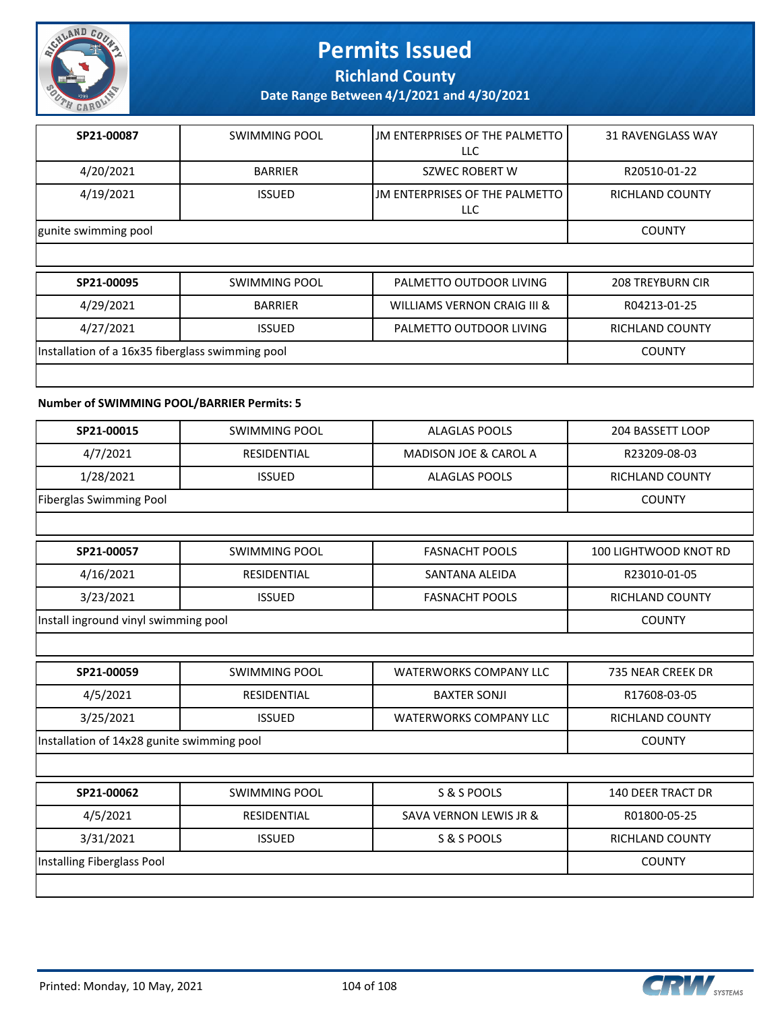

**Richland County**

**Date Range Between 4/1/2021 and 4/30/2021**

| SP21-00087           | SWIMMING POOL  | IJM ENTERPRISES OF THE PALMETTO<br>LLC | <b>31 RAVENGLASS WAY</b> |
|----------------------|----------------|----------------------------------------|--------------------------|
| 4/20/2021            | <b>BARRIER</b> | SZWEC ROBERT W                         | R20510-01-22             |
| 4/19/2021            | <b>ISSUED</b>  | IJM ENTERPRISES OF THE PALMETTO<br>LLC | RICHLAND COUNTY          |
| gunite swimming pool | <b>COUNTY</b>  |                                        |                          |
|                      |                |                                        |                          |

| SP21-00095                                       | SWIMMING POOL  | PALMETTO OUTDOOR LIVING     | <b>208 TREYBURN CIR</b> |
|--------------------------------------------------|----------------|-----------------------------|-------------------------|
| 4/29/2021                                        | <b>BARRIER</b> | WILLIAMS VERNON CRAIG III & | R04213-01-25            |
| 4/27/2021                                        | <b>ISSUED</b>  | PALMETTO OUTDOOR LIVING     | RICHLAND COUNTY         |
| Installation of a 16x35 fiberglass swimming pool |                |                             | <b>COUNTY</b>           |
|                                                  |                |                             |                         |

#### **Number of SWIMMING POOL/BARRIER Permits: 5**

| SP21-00015                                 | <b>SWIMMING POOL</b> | <b>ALAGLAS POOLS</b>              | 204 BASSETT LOOP         |
|--------------------------------------------|----------------------|-----------------------------------|--------------------------|
| 4/7/2021                                   | <b>RESIDENTIAL</b>   | <b>MADISON JOE &amp; CAROL A</b>  | R23209-08-03             |
| 1/28/2021                                  | <b>ISSUED</b>        | <b>ALAGLAS POOLS</b>              | RICHLAND COUNTY          |
| <b>Fiberglas Swimming Pool</b>             |                      |                                   | <b>COUNTY</b>            |
|                                            |                      |                                   |                          |
| SP21-00057                                 | <b>SWIMMING POOL</b> | <b>FASNACHT POOLS</b>             | 100 LIGHTWOOD KNOT RD    |
| 4/16/2021                                  | <b>RESIDENTIAL</b>   | SANTANA ALEIDA                    | R23010-01-05             |
| 3/23/2021                                  | <b>ISSUED</b>        | <b>FASNACHT POOLS</b>             | <b>RICHLAND COUNTY</b>   |
| Install inground vinyl swimming pool       |                      |                                   | <b>COUNTY</b>            |
|                                            |                      |                                   |                          |
| SP21-00059                                 | <b>SWIMMING POOL</b> | <b>WATERWORKS COMPANY LLC</b>     | 735 NEAR CREEK DR        |
| 4/5/2021                                   | <b>RESIDENTIAL</b>   | <b>BAXTER SONJI</b>               | R17608-03-05             |
| 3/25/2021                                  | <b>ISSUED</b>        | <b>WATERWORKS COMPANY LLC</b>     | <b>RICHLAND COUNTY</b>   |
| Installation of 14x28 gunite swimming pool |                      |                                   | <b>COUNTY</b>            |
|                                            |                      |                                   |                          |
| SP21-00062                                 | <b>SWIMMING POOL</b> | S & S POOLS                       | <b>140 DEER TRACT DR</b> |
| 4/5/2021                                   | <b>RESIDENTIAL</b>   | <b>SAVA VERNON LEWIS JR &amp;</b> | R01800-05-25             |
| 3/31/2021                                  | <b>ISSUED</b>        | S & S POOLS                       | RICHLAND COUNTY          |
| Installing Fiberglass Pool                 |                      |                                   | <b>COUNTY</b>            |
|                                            |                      |                                   |                          |

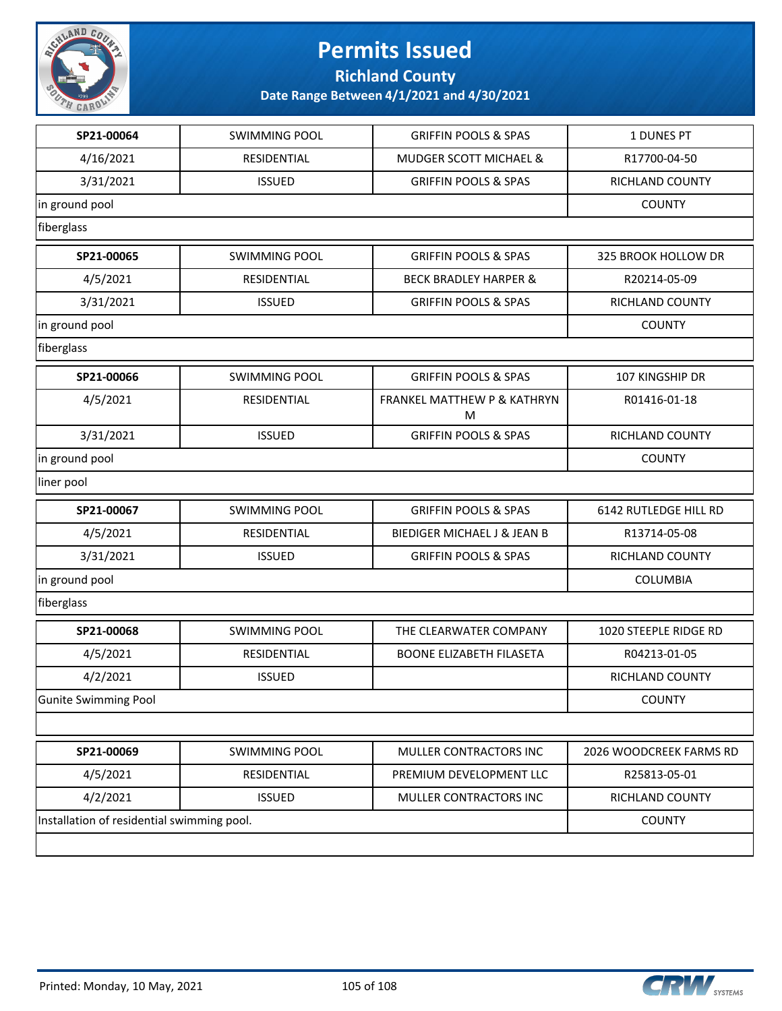

**Richland County**

| SP21-00064                                 | <b>SWIMMING POOL</b> | <b>GRIFFIN POOLS &amp; SPAS</b>             | 1 DUNES PT              |
|--------------------------------------------|----------------------|---------------------------------------------|-------------------------|
| 4/16/2021                                  | RESIDENTIAL          | <b>MUDGER SCOTT MICHAEL &amp;</b>           | R17700-04-50            |
| 3/31/2021                                  | <b>ISSUED</b>        | <b>GRIFFIN POOLS &amp; SPAS</b>             | RICHLAND COUNTY         |
| in ground pool                             |                      |                                             | <b>COUNTY</b>           |
| fiberglass                                 |                      |                                             |                         |
| SP21-00065                                 | <b>SWIMMING POOL</b> | <b>GRIFFIN POOLS &amp; SPAS</b>             | 325 BROOK HOLLOW DR     |
| 4/5/2021                                   | RESIDENTIAL          | <b>BECK BRADLEY HARPER &amp;</b>            | R20214-05-09            |
| 3/31/2021                                  | <b>ISSUED</b>        | <b>GRIFFIN POOLS &amp; SPAS</b>             | <b>RICHLAND COUNTY</b>  |
| in ground pool                             |                      |                                             | <b>COUNTY</b>           |
| fiberglass                                 |                      |                                             |                         |
| SP21-00066                                 | <b>SWIMMING POOL</b> | <b>GRIFFIN POOLS &amp; SPAS</b>             | <b>107 KINGSHIP DR</b>  |
| 4/5/2021                                   | RESIDENTIAL          | <b>FRANKEL MATTHEW P &amp; KATHRYN</b><br>M | R01416-01-18            |
| 3/31/2021                                  | <b>ISSUED</b>        | <b>GRIFFIN POOLS &amp; SPAS</b>             | RICHLAND COUNTY         |
| in ground pool                             |                      |                                             | <b>COUNTY</b>           |
| liner pool                                 |                      |                                             |                         |
| SP21-00067                                 | <b>SWIMMING POOL</b> | <b>GRIFFIN POOLS &amp; SPAS</b>             | 6142 RUTLEDGE HILL RD   |
| 4/5/2021                                   | RESIDENTIAL          | BIEDIGER MICHAEL J & JEAN B                 | R13714-05-08            |
| 3/31/2021                                  | <b>ISSUED</b>        | <b>GRIFFIN POOLS &amp; SPAS</b>             | RICHLAND COUNTY         |
| in ground pool                             |                      |                                             | COLUMBIA                |
| fiberglass                                 |                      |                                             |                         |
| SP21-00068                                 | <b>SWIMMING POOL</b> | THE CLEARWATER COMPANY                      | 1020 STEEPLE RIDGE RD   |
| 4/5/2021                                   | RESIDENTIAL          | <b>BOONE ELIZABETH FILASETA</b>             | R04213-01-05            |
| 4/2/2021                                   | <b>ISSUED</b>        |                                             | RICHLAND COUNTY         |
| Gunite Swimming Pool                       | <b>COUNTY</b>        |                                             |                         |
|                                            |                      |                                             |                         |
| SP21-00069                                 | <b>SWIMMING POOL</b> | MULLER CONTRACTORS INC                      | 2026 WOODCREEK FARMS RD |
| 4/5/2021                                   | RESIDENTIAL          | PREMIUM DEVELOPMENT LLC                     | R25813-05-01            |
| 4/2/2021                                   | <b>ISSUED</b>        | MULLER CONTRACTORS INC                      | <b>RICHLAND COUNTY</b>  |
| Installation of residential swimming pool. | <b>COUNTY</b>        |                                             |                         |
|                                            |                      |                                             |                         |

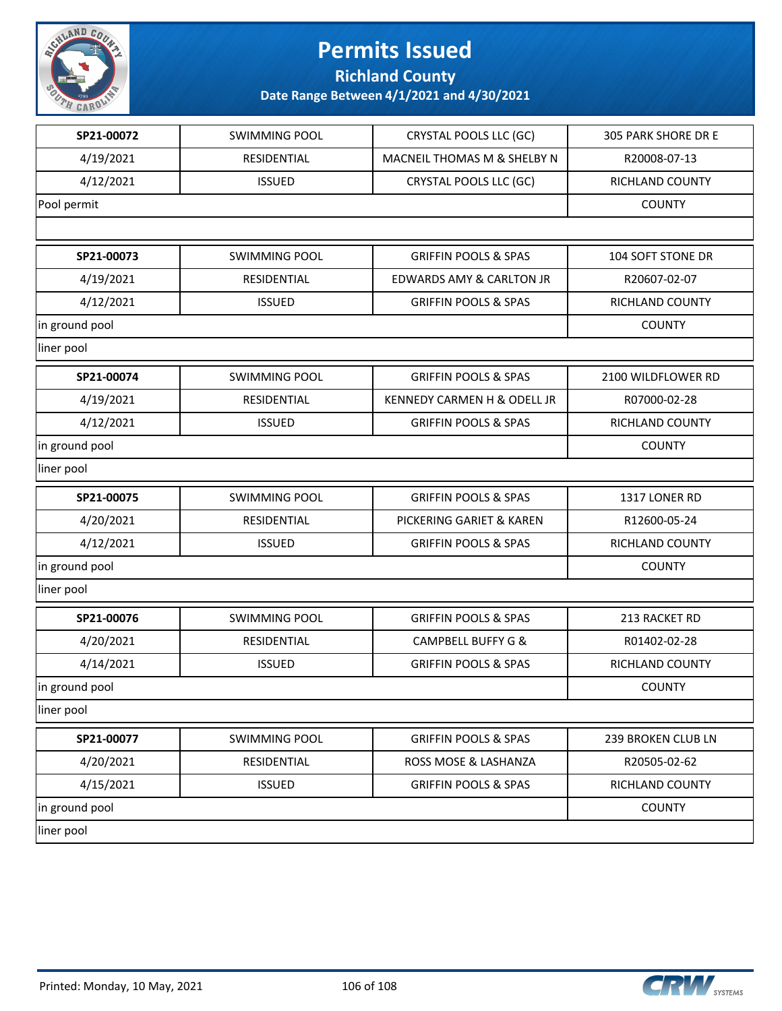

**Richland County**

| SP21-00072     | <b>SWIMMING POOL</b> | CRYSTAL POOLS LLC (GC)                 | 305 PARK SHORE DR E |
|----------------|----------------------|----------------------------------------|---------------------|
| 4/19/2021      | RESIDENTIAL          | MACNEIL THOMAS M & SHELBY N            | R20008-07-13        |
| 4/12/2021      | <b>ISSUED</b>        | CRYSTAL POOLS LLC (GC)                 | RICHLAND COUNTY     |
| Pool permit    |                      |                                        | <b>COUNTY</b>       |
|                |                      |                                        |                     |
| SP21-00073     | <b>SWIMMING POOL</b> | <b>GRIFFIN POOLS &amp; SPAS</b>        | 104 SOFT STONE DR   |
| 4/19/2021      | RESIDENTIAL          | <b>EDWARDS AMY &amp; CARLTON JR</b>    | R20607-02-07        |
| 4/12/2021      | <b>ISSUED</b>        | <b>GRIFFIN POOLS &amp; SPAS</b>        | RICHLAND COUNTY     |
| in ground pool |                      |                                        | <b>COUNTY</b>       |
| liner pool     |                      |                                        |                     |
| SP21-00074     | <b>SWIMMING POOL</b> | <b>GRIFFIN POOLS &amp; SPAS</b>        | 2100 WILDFLOWER RD  |
| 4/19/2021      | RESIDENTIAL          | <b>KENNEDY CARMEN H &amp; ODELL JR</b> | R07000-02-28        |
| 4/12/2021      | <b>ISSUED</b>        | <b>GRIFFIN POOLS &amp; SPAS</b>        | RICHLAND COUNTY     |
| in ground pool |                      |                                        | <b>COUNTY</b>       |
| liner pool     |                      |                                        |                     |
| SP21-00075     | <b>SWIMMING POOL</b> | <b>GRIFFIN POOLS &amp; SPAS</b>        | 1317 LONER RD       |
| 4/20/2021      | RESIDENTIAL          | PICKERING GARIET & KAREN               | R12600-05-24        |
| 4/12/2021      | <b>ISSUED</b>        | <b>GRIFFIN POOLS &amp; SPAS</b>        | RICHLAND COUNTY     |
| in ground pool |                      |                                        | <b>COUNTY</b>       |
| liner pool     |                      |                                        |                     |
| SP21-00076     | <b>SWIMMING POOL</b> | <b>GRIFFIN POOLS &amp; SPAS</b>        | 213 RACKET RD       |
| 4/20/2021      | RESIDENTIAL          | <b>CAMPBELL BUFFY G &amp;</b>          | R01402-02-28        |
| 4/14/2021      | <b>ISSUED</b>        | <b>GRIFFIN POOLS &amp; SPAS</b>        | RICHLAND COUNTY     |
| in ground pool |                      | <b>COUNTY</b>                          |                     |
| liner pool     |                      |                                        |                     |
| SP21-00077     | <b>SWIMMING POOL</b> | <b>GRIFFIN POOLS &amp; SPAS</b>        | 239 BROKEN CLUB LN  |
| 4/20/2021      | RESIDENTIAL          | ROSS MOSE & LASHANZA                   | R20505-02-62        |
| 4/15/2021      | <b>ISSUED</b>        | <b>GRIFFIN POOLS &amp; SPAS</b>        | RICHLAND COUNTY     |
| in ground pool |                      |                                        | <b>COUNTY</b>       |
| liner pool     |                      |                                        |                     |

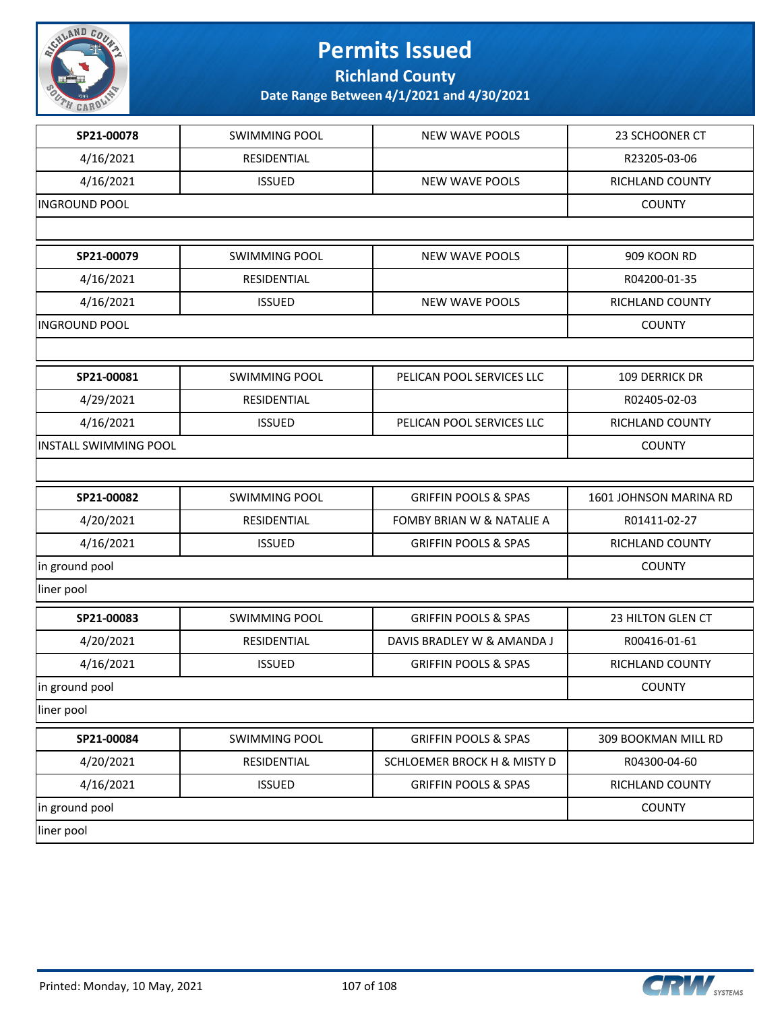

**Richland County**

| SP21-00078                   | <b>SWIMMING POOL</b> | <b>NEW WAVE POOLS</b>           | 23 SCHOONER CT         |
|------------------------------|----------------------|---------------------------------|------------------------|
| 4/16/2021                    | RESIDENTIAL          |                                 | R23205-03-06           |
| 4/16/2021                    | <b>ISSUED</b>        | <b>NEW WAVE POOLS</b>           | RICHLAND COUNTY        |
| <b>INGROUND POOL</b>         |                      |                                 | <b>COUNTY</b>          |
|                              |                      |                                 |                        |
| SP21-00079                   | <b>SWIMMING POOL</b> | <b>NEW WAVE POOLS</b>           | 909 KOON RD            |
| 4/16/2021                    | RESIDENTIAL          |                                 | R04200-01-35           |
| 4/16/2021                    | <b>ISSUED</b>        | <b>NEW WAVE POOLS</b>           | RICHLAND COUNTY        |
| <b>INGROUND POOL</b>         |                      |                                 | <b>COUNTY</b>          |
|                              |                      |                                 |                        |
| SP21-00081                   | <b>SWIMMING POOL</b> | PELICAN POOL SERVICES LLC       | 109 DERRICK DR         |
| 4/29/2021                    | RESIDENTIAL          |                                 | R02405-02-03           |
| 4/16/2021                    | <b>ISSUED</b>        | PELICAN POOL SERVICES LLC       | RICHLAND COUNTY        |
| <b>INSTALL SWIMMING POOL</b> |                      |                                 | <b>COUNTY</b>          |
|                              |                      |                                 |                        |
| SP21-00082                   | <b>SWIMMING POOL</b> | <b>GRIFFIN POOLS &amp; SPAS</b> | 1601 JOHNSON MARINA RD |
| 4/20/2021                    | RESIDENTIAL          | FOMBY BRIAN W & NATALIE A       | R01411-02-27           |
| 4/16/2021                    | <b>ISSUED</b>        | <b>GRIFFIN POOLS &amp; SPAS</b> | RICHLAND COUNTY        |
| in ground pool               | <b>COUNTY</b>        |                                 |                        |
| liner pool                   |                      |                                 |                        |
| SP21-00083                   | <b>SWIMMING POOL</b> | <b>GRIFFIN POOLS &amp; SPAS</b> | 23 HILTON GLEN CT      |
| 4/20/2021                    | RESIDENTIAL          | DAVIS BRADLEY W & AMANDA J      | R00416-01-61           |
| 4/16/2021                    | <b>ISSUED</b>        | <b>GRIFFIN POOLS &amp; SPAS</b> | RICHLAND COUNTY        |
| in ground pool               |                      |                                 | <b>COUNTY</b>          |
| liner pool                   |                      |                                 |                        |
| SP21-00084                   | <b>SWIMMING POOL</b> | <b>GRIFFIN POOLS &amp; SPAS</b> | 309 BOOKMAN MILL RD    |
| 4/20/2021                    | RESIDENTIAL          | SCHLOEMER BROCK H & MISTY D     | R04300-04-60           |
| 4/16/2021                    | <b>ISSUED</b>        | <b>GRIFFIN POOLS &amp; SPAS</b> | RICHLAND COUNTY        |
| in ground pool               |                      |                                 | <b>COUNTY</b>          |
| liner pool                   |                      |                                 |                        |
|                              |                      |                                 |                        |